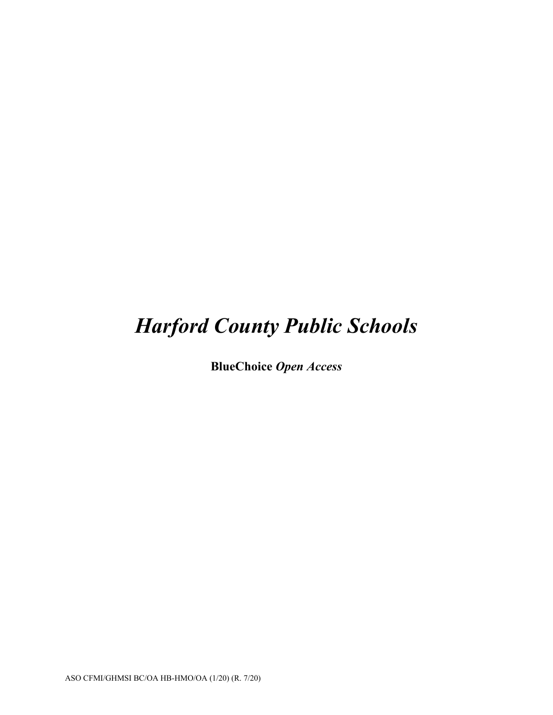# *Harford County Public Schools*

**BlueChoice** *Open Access*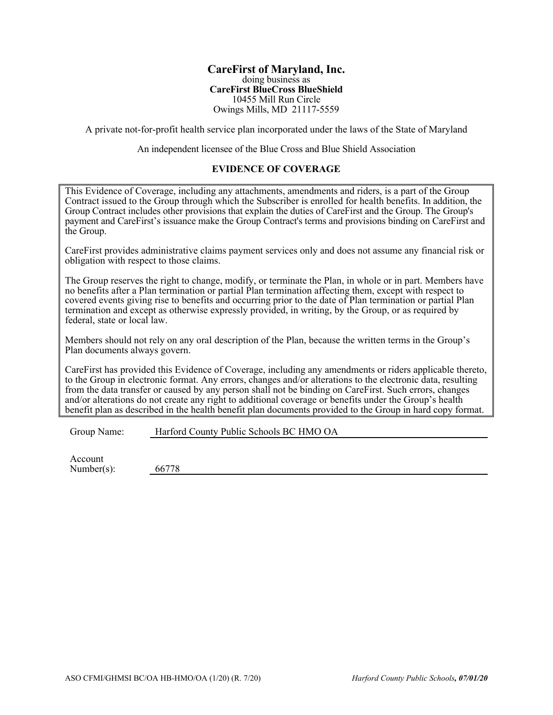#### **CareFirst of Maryland, Inc.** doing business as **CareFirst BlueCross BlueShield**  10455 Mill Run Circle Owings Mills, MD 21117-5559

A private not-for-profit health service plan incorporated under the laws of the State of Maryland

An independent licensee of the Blue Cross and Blue Shield Association

# **EVIDENCE OF COVERAGE**

This Evidence of Coverage, including any attachments, amendments and riders, is a part of the Group Contract issued to the Group through which the Subscriber is enrolled for health benefits. In addition, the Group Contract includes other provisions that explain the duties of CareFirst and the Group. The Group's payment and CareFirst's issuance make the Group Contract's terms and provisions binding on CareFirst and the Group.

CareFirst provides administrative claims payment services only and does not assume any financial risk or obligation with respect to those claims.

The Group reserves the right to change, modify, or terminate the Plan, in whole or in part. Members have no benefits after a Plan termination or partial Plan termination affecting them, except with respect to covered events giving rise to benefits and occurring prior to the date of Plan termination or partial Plan termination and except as otherwise expressly provided, in writing, by the Group, or as required by federal, state or local law.

Members should not rely on any oral description of the Plan, because the written terms in the Group's Plan documents always govern.

CareFirst has provided this Evidence of Coverage, including any amendments or riders applicable thereto, to the Group in electronic format. Any errors, changes and/or alterations to the electronic data, resulting from the data transfer or caused by any person shall not be binding on CareFirst. Such errors, changes and/or alterations do not create any right to additional coverage or benefits under the Group's health benefit plan as described in the health benefit plan documents provided to the Group in hard copy format.

Group Name: Harford County Public Schools BC HMO OA

Account Number(s): 66778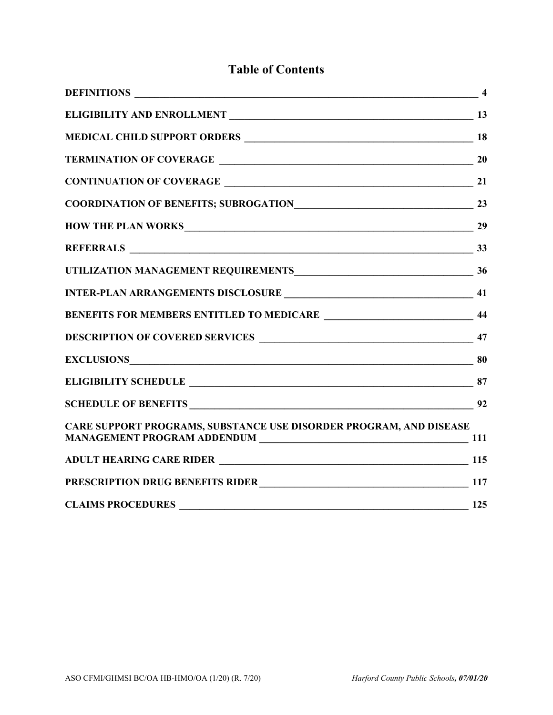# **Table of Contents**

| DEFINITIONS                                                        | $\overline{\phantom{a}1}$ |
|--------------------------------------------------------------------|---------------------------|
|                                                                    |                           |
|                                                                    |                           |
|                                                                    |                           |
|                                                                    |                           |
|                                                                    |                           |
|                                                                    |                           |
|                                                                    |                           |
|                                                                    |                           |
|                                                                    |                           |
|                                                                    |                           |
|                                                                    |                           |
| <b>EXCLUSIONS</b> 80                                               |                           |
|                                                                    |                           |
|                                                                    |                           |
| CARE SUPPORT PROGRAMS, SUBSTANCE USE DISORDER PROGRAM, AND DISEASE |                           |
|                                                                    |                           |
| PRESCRIPTION DRUG BENEFITS RIDER<br>117                            |                           |
| <b>CLAIMS PROCEDURES</b>                                           | 125                       |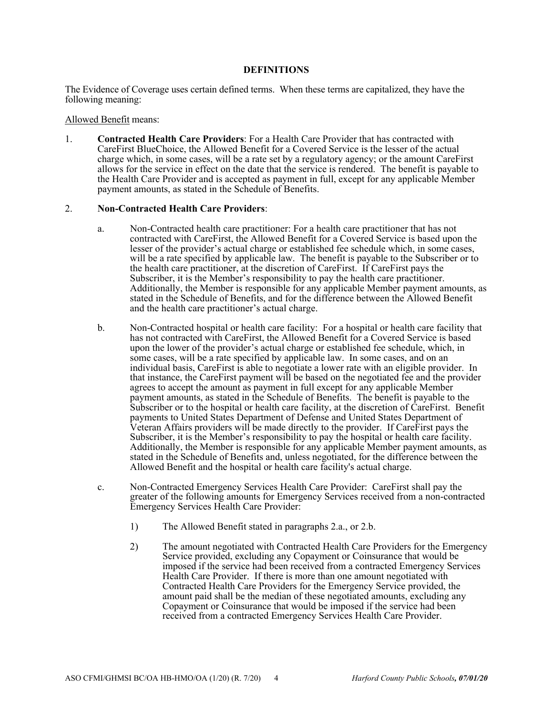### **DEFINITIONS**

The Evidence of Coverage uses certain defined terms. When these terms are capitalized, they have the following meaning:

#### Allowed Benefit means:

1. **Contracted Health Care Providers**: For a Health Care Provider that has contracted with CareFirst BlueChoice, the Allowed Benefit for a Covered Service is the lesser of the actual charge which, in some cases, will be a rate set by a regulatory agency; or the amount CareFirst allows for the service in effect on the date that the service is rendered. The benefit is payable to the Health Care Provider and is accepted as payment in full, except for any applicable Member payment amounts, as stated in the Schedule of Benefits.

#### 2. **Non-Contracted Health Care Providers**:

- a. Non-Contracted health care practitioner: For a health care practitioner that has not contracted with CareFirst, the Allowed Benefit for a Covered Service is based upon the lesser of the provider's actual charge or established fee schedule which, in some cases, will be a rate specified by applicable law. The benefit is payable to the Subscriber or to the health care practitioner, at the discretion of CareFirst. If CareFirst pays the Subscriber, it is the Member's responsibility to pay the health care practitioner. Additionally, the Member is responsible for any applicable Member payment amounts, as stated in the Schedule of Benefits, and for the difference between the Allowed Benefit and the health care practitioner's actual charge.
- b. Non-Contracted hospital or health care facility: For a hospital or health care facility that has not contracted with CareFirst, the Allowed Benefit for a Covered Service is based upon the lower of the provider's actual charge or established fee schedule, which, in some cases, will be a rate specified by applicable law. In some cases, and on an individual basis, CareFirst is able to negotiate a lower rate with an eligible provider. In that instance, the CareFirst payment will be based on the negotiated fee and the provider agrees to accept the amount as payment in full except for any applicable Member payment amounts, as stated in the Schedule of Benefits. The benefit is payable to the Subscriber or to the hospital or health care facility, at the discretion of CareFirst. Benefit payments to United States Department of Defense and United States Department of Veteran Affairs providers will be made directly to the provider. If CareFirst pays the Subscriber, it is the Member's responsibility to pay the hospital or health care facility. Additionally, the Member is responsible for any applicable Member payment amounts, as stated in the Schedule of Benefits and, unless negotiated, for the difference between the Allowed Benefit and the hospital or health care facility's actual charge.
- c. Non-Contracted Emergency Services Health Care Provider: CareFirst shall pay the greater of the following amounts for Emergency Services received from a non-contracted Emergency Services Health Care Provider:
	- 1) The Allowed Benefit stated in paragraphs 2.a., or 2.b.
	- 2) The amount negotiated with Contracted Health Care Providers for the Emergency Service provided, excluding any Copayment or Coinsurance that would be imposed if the service had been received from a contracted Emergency Services Health Care Provider. If there is more than one amount negotiated with Contracted Health Care Providers for the Emergency Service provided, the amount paid shall be the median of these negotiated amounts, excluding any Copayment or Coinsurance that would be imposed if the service had been received from a contracted Emergency Services Health Care Provider.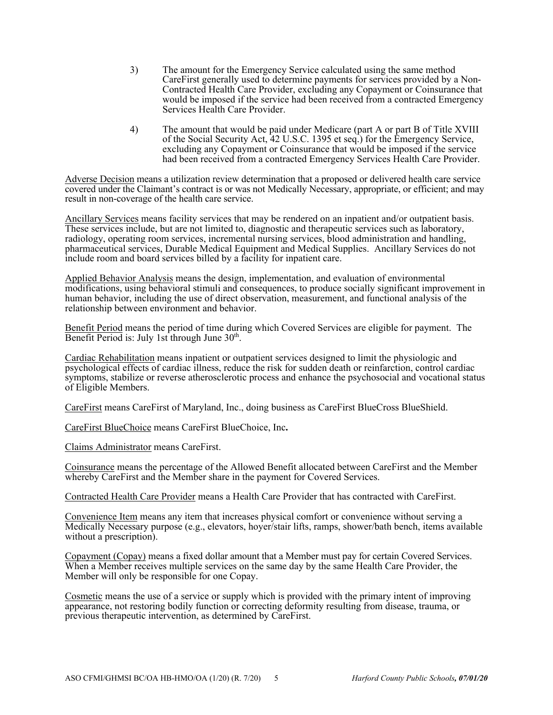- 3) The amount for the Emergency Service calculated using the same method CareFirst generally used to determine payments for services provided by a Non-Contracted Health Care Provider, excluding any Copayment or Coinsurance that would be imposed if the service had been received from a contracted Emergency Services Health Care Provider.
- 4) The amount that would be paid under Medicare (part A or part B of Title XVIII of the Social Security Act, 42 U.S.C. 1395 et seq.) for the Emergency Service, excluding any Copayment or Coinsurance that would be imposed if the service had been received from a contracted Emergency Services Health Care Provider.

Adverse Decision means a utilization review determination that a proposed or delivered health care service covered under the Claimant's contract is or was not Medically Necessary, appropriate, or efficient; and may result in non-coverage of the health care service.

Ancillary Services means facility services that may be rendered on an inpatient and/or outpatient basis. These services include, but are not limited to, diagnostic and therapeutic services such as laboratory, radiology, operating room services, incremental nursing services, blood administration and handling, pharmaceutical services, Durable Medical Equipment and Medical Supplies. Ancillary Services do not include room and board services billed by a facility for inpatient care.

Applied Behavior Analysis means the design, implementation, and evaluation of environmental modifications, using behavioral stimuli and consequences, to produce socially significant improvement in human behavior, including the use of direct observation, measurement, and functional analysis of the relationship between environment and behavior.

Benefit Period means the period of time during which Covered Services are eligible for payment. The Benefit Period is: July 1st through June  $30<sup>th</sup>$ .

Cardiac Rehabilitation means inpatient or outpatient services designed to limit the physiologic and psychological effects of cardiac illness, reduce the risk for sudden death or reinfarction, control cardiac symptoms, stabilize or reverse atherosclerotic process and enhance the psychosocial and vocational status of Eligible Members.

CareFirst means CareFirst of Maryland, Inc., doing business as CareFirst BlueCross BlueShield.

CareFirst BlueChoice means CareFirst BlueChoice, Inc**.**

Claims Administrator means CareFirst.

Coinsurance means the percentage of the Allowed Benefit allocated between CareFirst and the Member whereby CareFirst and the Member share in the payment for Covered Services.

Contracted Health Care Provider means a Health Care Provider that has contracted with CareFirst.

Convenience Item means any item that increases physical comfort or convenience without serving a Medically Necessary purpose (e.g., elevators, hoyer/stair lifts, ramps, shower/bath bench, items available without a prescription).

Copayment (Copay) means a fixed dollar amount that a Member must pay for certain Covered Services. When a Member receives multiple services on the same day by the same Health Care Provider, the Member will only be responsible for one Copay.

Cosmetic means the use of a service or supply which is provided with the primary intent of improving appearance, not restoring bodily function or correcting deformity resulting from disease, trauma, or previous therapeutic intervention, as determined by CareFirst.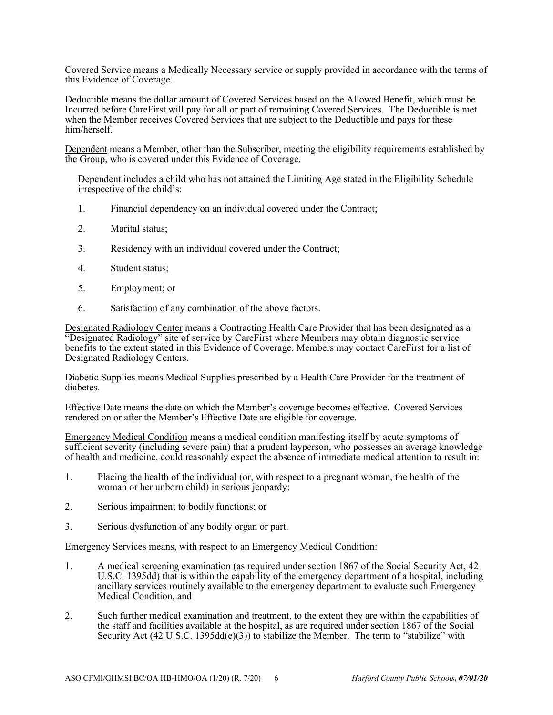Covered Service means a Medically Necessary service or supply provided in accordance with the terms of this Evidence of Coverage.

Deductible means the dollar amount of Covered Services based on the Allowed Benefit, which must be Incurred before CareFirst will pay for all or part of remaining Covered Services. The Deductible is met when the Member receives Covered Services that are subject to the Deductible and pays for these him/herself.

Dependent means a Member, other than the Subscriber, meeting the eligibility requirements established by the Group, who is covered under this Evidence of Coverage.

Dependent includes a child who has not attained the Limiting Age stated in the Eligibility Schedule irrespective of the child's:

- 1. Financial dependency on an individual covered under the Contract;
- 2. Marital status;
- 3. Residency with an individual covered under the Contract;
- 4. Student status;
- 5. Employment; or
- 6. Satisfaction of any combination of the above factors.

Designated Radiology Center means a Contracting Health Care Provider that has been designated as a "Designated Radiology" site of service by CareFirst where Members may obtain diagnostic service benefits to the extent stated in this Evidence of Coverage. Members may contact CareFirst for a list of Designated Radiology Centers.

Diabetic Supplies means Medical Supplies prescribed by a Health Care Provider for the treatment of diabetes.

Effective Date means the date on which the Member's coverage becomes effective. Covered Services rendered on or after the Member's Effective Date are eligible for coverage.

Emergency Medical Condition means a medical condition manifesting itself by acute symptoms of sufficient severity (including severe pain) that a prudent layperson, who possesses an average knowledge of health and medicine, could reasonably expect the absence of immediate medical attention to result in:

- 1. Placing the health of the individual (or, with respect to a pregnant woman, the health of the woman or her unborn child) in serious jeopardy;
- 2. Serious impairment to bodily functions; or
- 3. Serious dysfunction of any bodily organ or part.

Emergency Services means, with respect to an Emergency Medical Condition:

- 1. A medical screening examination (as required under section 1867 of the Social Security Act, 42 U.S.C. 1395dd) that is within the capability of the emergency department of a hospital, including ancillary services routinely available to the emergency department to evaluate such Emergency Medical Condition, and
- 2. Such further medical examination and treatment, to the extent they are within the capabilities of the staff and facilities available at the hospital, as are required under section 1867 of the Social Security Act (42 U.S.C. 1395dd(e)(3)) to stabilize the Member. The term to "stabilize" with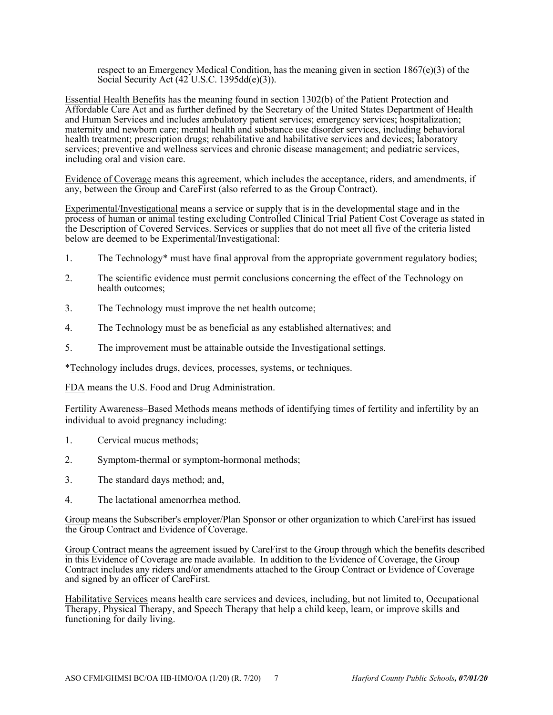respect to an Emergency Medical Condition, has the meaning given in section 1867(e)(3) of the Social Security Act  $(42^{\circ}$ U.S.C. 1395dd $(e)(3)$ ).

Essential Health Benefits has the meaning found in section 1302(b) of the Patient Protection and Affordable Care Act and as further defined by the Secretary of the United States Department of Health and Human Services and includes ambulatory patient services; emergency services; hospitalization; maternity and newborn care; mental health and substance use disorder services, including behavioral health treatment; prescription drugs; rehabilitative and habilitative services and devices; laboratory services; preventive and wellness services and chronic disease management; and pediatric services, including oral and vision care.

Evidence of Coverage means this agreement, which includes the acceptance, riders, and amendments, if any, between the Group and CareFirst (also referred to as the Group Contract).

Experimental/Investigational means a service or supply that is in the developmental stage and in the process of human or animal testing excluding Controlled Clinical Trial Patient Cost Coverage as stated in the Description of Covered Services. Services or supplies that do not meet all five of the criteria listed below are deemed to be Experimental/Investigational:

- 1. The Technology\* must have final approval from the appropriate government regulatory bodies;
- 2. The scientific evidence must permit conclusions concerning the effect of the Technology on health outcomes;
- 3. The Technology must improve the net health outcome;
- 4. The Technology must be as beneficial as any established alternatives; and
- 5. The improvement must be attainable outside the Investigational settings.

\*Technology includes drugs, devices, processes, systems, or techniques.

FDA means the U.S. Food and Drug Administration.

Fertility Awareness–Based Methods means methods of identifying times of fertility and infertility by an individual to avoid pregnancy including:

- 1. Cervical mucus methods;
- 2. Symptom-thermal or symptom-hormonal methods;
- 3. The standard days method; and,
- 4. The lactational amenorrhea method.

Group means the Subscriber's employer/Plan Sponsor or other organization to which CareFirst has issued the Group Contract and Evidence of Coverage.

Group Contract means the agreement issued by CareFirst to the Group through which the benefits described in this Evidence of Coverage are made available. In addition to the Evidence of Coverage, the Group Contract includes any riders and/or amendments attached to the Group Contract or Evidence of Coverage and signed by an officer of CareFirst.

Habilitative Services means health care services and devices, including, but not limited to, Occupational Therapy, Physical Therapy, and Speech Therapy that help a child keep, learn, or improve skills and functioning for daily living.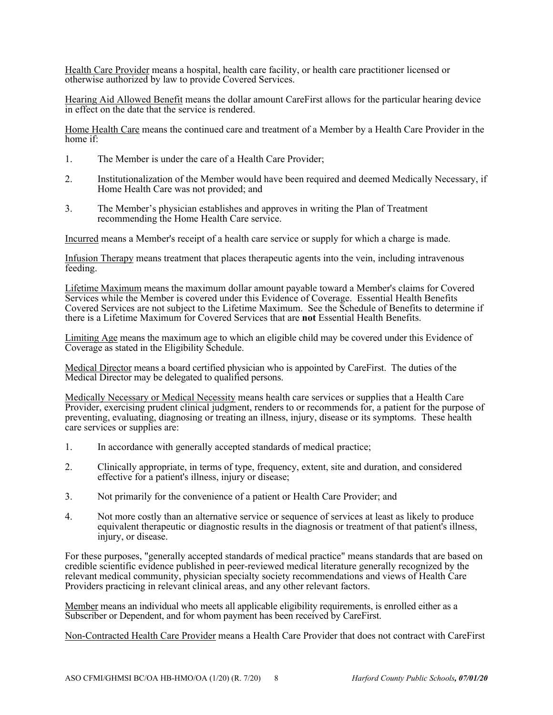Health Care Provider means a hospital, health care facility, or health care practitioner licensed or otherwise authorized by law to provide Covered Services.

Hearing Aid Allowed Benefit means the dollar amount CareFirst allows for the particular hearing device in effect on the date that the service is rendered.

Home Health Care means the continued care and treatment of a Member by a Health Care Provider in the home if:

- 1. The Member is under the care of a Health Care Provider;
- 2. Institutionalization of the Member would have been required and deemed Medically Necessary, if Home Health Care was not provided; and
- 3. The Member's physician establishes and approves in writing the Plan of Treatment recommending the Home Health Care service.

Incurred means a Member's receipt of a health care service or supply for which a charge is made.

Infusion Therapy means treatment that places therapeutic agents into the vein, including intravenous feeding.

Lifetime Maximum means the maximum dollar amount payable toward a Member's claims for Covered Services while the Member is covered under this Evidence of Coverage. Essential Health Benefits Covered Services are not subject to the Lifetime Maximum. See the Schedule of Benefits to determine if there is a Lifetime Maximum for Covered Services that are **not** Essential Health Benefits.

Limiting Age means the maximum age to which an eligible child may be covered under this Evidence of Coverage as stated in the Eligibility Schedule.

Medical Director means a board certified physician who is appointed by CareFirst. The duties of the Medical Director may be delegated to qualified persons.

Medically Necessary or Medical Necessity means health care services or supplies that a Health Care Provider, exercising prudent clinical judgment, renders to or recommends for, a patient for the purpose of preventing, evaluating, diagnosing or treating an illness, injury, disease or its symptoms. These health care services or supplies are:

- 1. In accordance with generally accepted standards of medical practice;
- 2. Clinically appropriate, in terms of type, frequency, extent, site and duration, and considered effective for a patient's illness, injury or disease;
- 3. Not primarily for the convenience of a patient or Health Care Provider; and
- 4. Not more costly than an alternative service or sequence of services at least as likely to produce equivalent therapeutic or diagnostic results in the diagnosis or treatment of that patient's illness, injury, or disease.

For these purposes, "generally accepted standards of medical practice" means standards that are based on credible scientific evidence published in peer-reviewed medical literature generally recognized by the relevant medical community, physician specialty society recommendations and views of Health Care Providers practicing in relevant clinical areas, and any other relevant factors.

Member means an individual who meets all applicable eligibility requirements, is enrolled either as a Subscriber or Dependent, and for whom payment has been received by CareFirst.

Non-Contracted Health Care Provider means a Health Care Provider that does not contract with CareFirst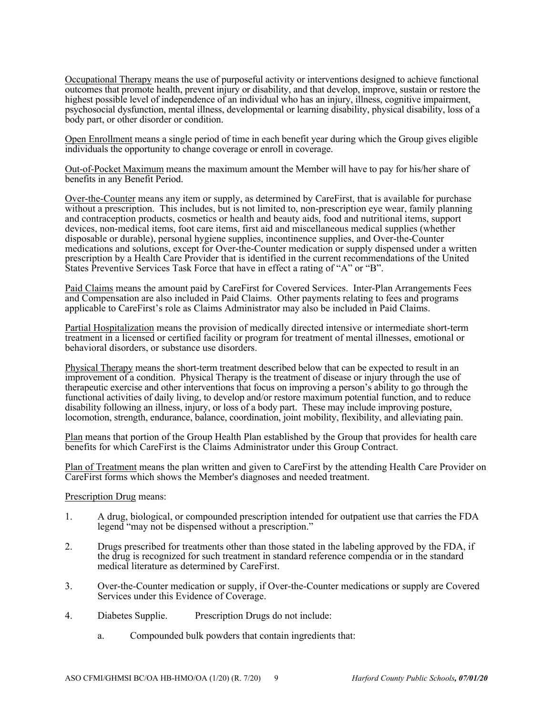Occupational Therapy means the use of purposeful activity or interventions designed to achieve functional outcomes that promote health, prevent injury or disability, and that develop, improve, sustain or restore the highest possible level of independence of an individual who has an injury, illness, cognitive impairment, psychosocial dysfunction, mental illness, developmental or learning disability, physical disability, loss of a body part, or other disorder or condition.

Open Enrollment means a single period of time in each benefit year during which the Group gives eligible individuals the opportunity to change coverage or enroll in coverage.

Out-of-Pocket Maximum means the maximum amount the Member will have to pay for his/her share of benefits in any Benefit Period.

Over-the-Counter means any item or supply, as determined by CareFirst, that is available for purchase without a prescription. This includes, but is not limited to, non-prescription eye wear, family planning and contraception products, cosmetics or health and beauty aids, food and nutritional items, support devices, non-medical items, foot care items, first aid and miscellaneous medical supplies (whether disposable or durable), personal hygiene supplies, incontinence supplies, and Over-the-Counter medications and solutions, except for Over-the-Counter medication or supply dispensed under a written prescription by a Health Care Provider that is identified in the current recommendations of the United States Preventive Services Task Force that have in effect a rating of "A" or "B".

Paid Claims means the amount paid by CareFirst for Covered Services. Inter-Plan Arrangements Fees and Compensation are also included in Paid Claims. Other payments relating to fees and programs applicable to CareFirst's role as Claims Administrator may also be included in Paid Claims.

Partial Hospitalization means the provision of medically directed intensive or intermediate short-term treatment in a licensed or certified facility or program for treatment of mental illnesses, emotional or behavioral disorders, or substance use disorders.

Physical Therapy means the short-term treatment described below that can be expected to result in an improvement of a condition. Physical Therapy is the treatment of disease or injury through the use of therapeutic exercise and other interventions that focus on improving a person's ability to go through the functional activities of daily living, to develop and/or restore maximum potential function, and to reduce disability following an illness, injury, or loss of a body part. These may include improving posture, locomotion, strength, endurance, balance, coordination, joint mobility, flexibility, and alleviating pain.

Plan means that portion of the Group Health Plan established by the Group that provides for health care benefits for which CareFirst is the Claims Administrator under this Group Contract.

Plan of Treatment means the plan written and given to CareFirst by the attending Health Care Provider on CareFirst forms which shows the Member's diagnoses and needed treatment.

Prescription Drug means:

- 1. A drug, biological, or compounded prescription intended for outpatient use that carries the FDA legend "may not be dispensed without a prescription."
- 2. Drugs prescribed for treatments other than those stated in the labeling approved by the FDA, if the drug is recognized for such treatment in standard reference compendia or in the standard medical literature as determined by CareFirst.
- 3. Over-the-Counter medication or supply, if Over-the-Counter medications or supply are Covered Services under this Evidence of Coverage.
- 4. Diabetes Supplie. Prescription Drugs do not include:
	- a. Compounded bulk powders that contain ingredients that: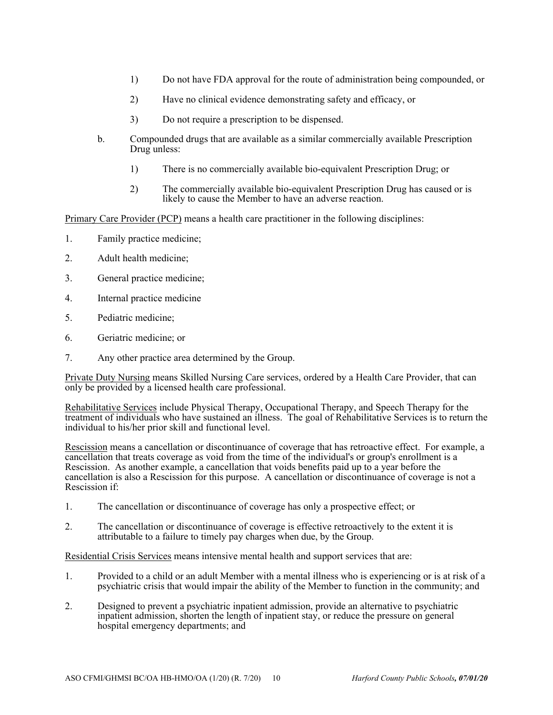- 1) Do not have FDA approval for the route of administration being compounded, or
- 2) Have no clinical evidence demonstrating safety and efficacy, or
- 3) Do not require a prescription to be dispensed.
- b. Compounded drugs that are available as a similar commercially available Prescription Drug unless:
	- 1) There is no commercially available bio-equivalent Prescription Drug; or
	- 2) The commercially available bio-equivalent Prescription Drug has caused or is likely to cause the Member to have an adverse reaction.

Primary Care Provider (PCP) means a health care practitioner in the following disciplines:

- 1. Family practice medicine;
- 2. Adult health medicine;
- 3. General practice medicine;
- 4. Internal practice medicine
- 5. Pediatric medicine;
- 6. Geriatric medicine; or
- 7. Any other practice area determined by the Group.

Private Duty Nursing means Skilled Nursing Care services, ordered by a Health Care Provider, that can only be provided by a licensed health care professional.

Rehabilitative Services include Physical Therapy, Occupational Therapy, and Speech Therapy for the treatment of individuals who have sustained an illness. The goal of Rehabilitative Services is to return the individual to his/her prior skill and functional level.

Rescission means a cancellation or discontinuance of coverage that has retroactive effect. For example, a cancellation that treats coverage as void from the time of the individual's or group's enrollment is a Rescission. As another example, a cancellation that voids benefits paid up to a year before the cancellation is also a Rescission for this purpose. A cancellation or discontinuance of coverage is not a Rescission if:

- 1. The cancellation or discontinuance of coverage has only a prospective effect; or
- 2. The cancellation or discontinuance of coverage is effective retroactively to the extent it is attributable to a failure to timely pay charges when due, by the Group.

Residential Crisis Services means intensive mental health and support services that are:

- 1. Provided to a child or an adult Member with a mental illness who is experiencing or is at risk of a psychiatric crisis that would impair the ability of the Member to function in the community; and
- 2. Designed to prevent a psychiatric inpatient admission, provide an alternative to psychiatric inpatient admission, shorten the length of inpatient stay, or reduce the pressure on general hospital emergency departments; and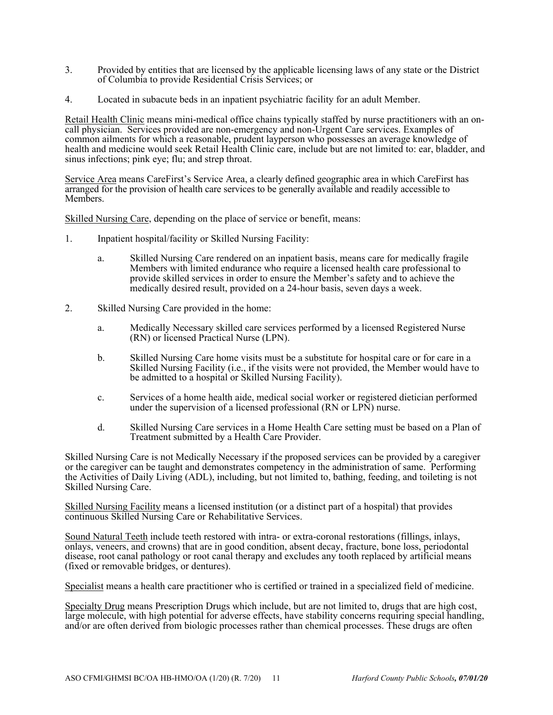- 3. Provided by entities that are licensed by the applicable licensing laws of any state or the District of Columbia to provide Residential Crisis Services; or
- 4. Located in subacute beds in an inpatient psychiatric facility for an adult Member.

Retail Health Clinic means mini-medical office chains typically staffed by nurse practitioners with an oncall physician. Services provided are non-emergency and non-Urgent Care services. Examples of common ailments for which a reasonable, prudent layperson who possesses an average knowledge of health and medicine would seek Retail Health Clinic care, include but are not limited to: ear, bladder, and sinus infections; pink eye; flu; and strep throat.

Service Area means CareFirst's Service Area, a clearly defined geographic area in which CareFirst has arranged for the provision of health care services to be generally available and readily accessible to Members.

Skilled Nursing Care, depending on the place of service or benefit, means:

- 1. Inpatient hospital/facility or Skilled Nursing Facility:
	- a. Skilled Nursing Care rendered on an inpatient basis, means care for medically fragile Members with limited endurance who require a licensed health care professional to provide skilled services in order to ensure the Member's safety and to achieve the medically desired result, provided on a 24-hour basis, seven days a week.
- 2. Skilled Nursing Care provided in the home:
	- a. Medically Necessary skilled care services performed by a licensed Registered Nurse (RN) or licensed Practical Nurse (LPN).
	- b. Skilled Nursing Care home visits must be a substitute for hospital care or for care in a Skilled Nursing Facility (i.e., if the visits were not provided, the Member would have to be admitted to a hospital or Skilled Nursing Facility).
	- c. Services of a home health aide, medical social worker or registered dietician performed under the supervision of a licensed professional (RN or LPN) nurse.
	- d. Skilled Nursing Care services in a Home Health Care setting must be based on a Plan of Treatment submitted by a Health Care Provider.

Skilled Nursing Care is not Medically Necessary if the proposed services can be provided by a caregiver or the caregiver can be taught and demonstrates competency in the administration of same. Performing the Activities of Daily Living (ADL), including, but not limited to, bathing, feeding, and toileting is not Skilled Nursing Care.

Skilled Nursing Facility means a licensed institution (or a distinct part of a hospital) that provides continuous Skilled Nursing Care or Rehabilitative Services.

Sound Natural Teeth include teeth restored with intra- or extra-coronal restorations (fillings, inlays, onlays, veneers, and crowns) that are in good condition, absent decay, fracture, bone loss, periodontal disease, root canal pathology or root canal therapy and excludes any tooth replaced by artificial means (fixed or removable bridges, or dentures).

Specialist means a health care practitioner who is certified or trained in a specialized field of medicine.

Specialty Drug means Prescription Drugs which include, but are not limited to, drugs that are high cost, large molecule, with high potential for adverse effects, have stability concerns requiring special handling, and/or are often derived from biologic processes rather than chemical processes. These drugs are often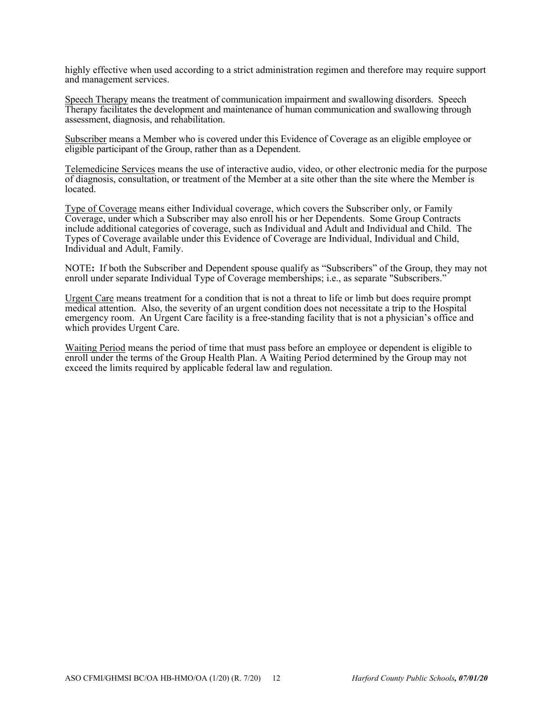highly effective when used according to a strict administration regimen and therefore may require support and management services.

Speech Therapy means the treatment of communication impairment and swallowing disorders. Speech Therapy facilitates the development and maintenance of human communication and swallowing through assessment, diagnosis, and rehabilitation.

Subscriber means a Member who is covered under this Evidence of Coverage as an eligible employee or eligible participant of the Group, rather than as a Dependent.

Telemedicine Services means the use of interactive audio, video, or other electronic media for the purpose of diagnosis, consultation, or treatment of the Member at a site other than the site where the Member is located.

Type of Coverage means either Individual coverage, which covers the Subscriber only, or Family Coverage, under which a Subscriber may also enroll his or her Dependents. Some Group Contracts include additional categories of coverage, such as Individual and Adult and Individual and Child. The Types of Coverage available under this Evidence of Coverage are Individual, Individual and Child, Individual and Adult, Family.

NOTE**:** If both the Subscriber and Dependent spouse qualify as "Subscribers" of the Group, they may not enroll under separate Individual Type of Coverage memberships; i.e., as separate "Subscribers."

Urgent Care means treatment for a condition that is not a threat to life or limb but does require prompt medical attention. Also, the severity of an urgent condition does not necessitate a trip to the Hospital emergency room. An Urgent Care facility is a free-standing facility that is not a physician's office and which provides Urgent Care.

Waiting Period means the period of time that must pass before an employee or dependent is eligible to enroll under the terms of the Group Health Plan. A Waiting Period determined by the Group may not exceed the limits required by applicable federal law and regulation.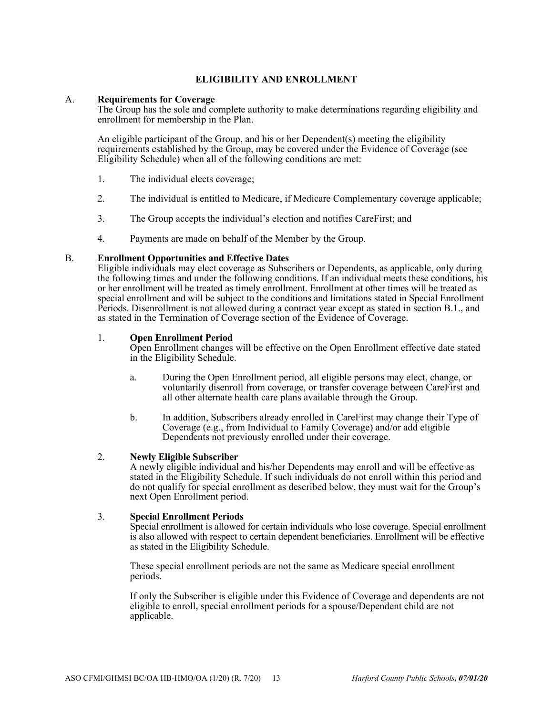# **ELIGIBILITY AND ENROLLMENT**

#### A. **Requirements for Coverage**

The Group has the sole and complete authority to make determinations regarding eligibility and enrollment for membership in the Plan.

An eligible participant of the Group, and his or her Dependent(s) meeting the eligibility requirements established by the Group, may be covered under the Evidence of Coverage (see Eligibility Schedule) when all of the following conditions are met:

- 1. The individual elects coverage;
- 2. The individual is entitled to Medicare, if Medicare Complementary coverage applicable;
- 3. The Group accepts the individual's election and notifies CareFirst; and
- 4. Payments are made on behalf of the Member by the Group.

### B. **Enrollment Opportunities and Effective Dates**

Eligible individuals may elect coverage as Subscribers or Dependents, as applicable, only during the following times and under the following conditions. If an individual meets these conditions, his or her enrollment will be treated as timely enrollment. Enrollment at other times will be treated as special enrollment and will be subject to the conditions and limitations stated in Special Enrollment Periods. Disenrollment is not allowed during a contract year except as stated in section B.1., and as stated in the Termination of Coverage section of the Evidence of Coverage.

### 1. **Open Enrollment Period**

Open Enrollment changes will be effective on the Open Enrollment effective date stated in the Eligibility Schedule.

- a. During the Open Enrollment period, all eligible persons may elect, change, or voluntarily disenroll from coverage, or transfer coverage between CareFirst and all other alternate health care plans available through the Group.
- b. In addition, Subscribers already enrolled in CareFirst may change their Type of Coverage (e.g., from Individual to Family Coverage) and/or add eligible Dependents not previously enrolled under their coverage.

#### 2. **Newly Eligible Subscriber**

A newly eligible individual and his/her Dependents may enroll and will be effective as stated in the Eligibility Schedule. If such individuals do not enroll within this period and do not qualify for special enrollment as described below, they must wait for the Group's next Open Enrollment period.

#### 3. **Special Enrollment Periods**

Special enrollment is allowed for certain individuals who lose coverage. Special enrollment is also allowed with respect to certain dependent beneficiaries. Enrollment will be effective as stated in the Eligibility Schedule.

These special enrollment periods are not the same as Medicare special enrollment periods.

If only the Subscriber is eligible under this Evidence of Coverage and dependents are not eligible to enroll, special enrollment periods for a spouse/Dependent child are not applicable.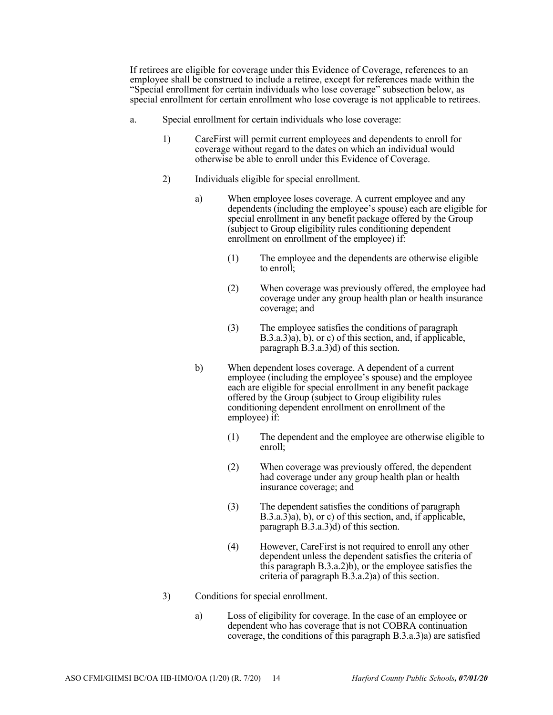If retirees are eligible for coverage under this Evidence of Coverage, references to an employee shall be construed to include a retiree, except for references made within the "Special enrollment for certain individuals who lose coverage" subsection below, as special enrollment for certain enrollment who lose coverage is not applicable to retirees.

- a. Special enrollment for certain individuals who lose coverage:
	- 1) CareFirst will permit current employees and dependents to enroll for coverage without regard to the dates on which an individual would otherwise be able to enroll under this Evidence of Coverage.
	- 2) Individuals eligible for special enrollment.
		- a) When employee loses coverage. A current employee and any dependents (including the employee's spouse) each are eligible for special enrollment in any benefit package offered by the Group (subject to Group eligibility rules conditioning dependent enrollment on enrollment of the employee) if:
			- (1) The employee and the dependents are otherwise eligible to enroll;
			- (2) When coverage was previously offered, the employee had coverage under any group health plan or health insurance coverage; and
			- (3) The employee satisfies the conditions of paragraph  $B.3.a.3\hat{a}$ , b), or c) of this section, and, if applicable, paragraph B.3.a.3)d) of this section.
		- b) When dependent loses coverage. A dependent of a current employee (including the employee's spouse) and the employee each are eligible for special enrollment in any benefit package offered by the Group (subject to Group eligibility rules conditioning dependent enrollment on enrollment of the employee) if:
			- (1) The dependent and the employee are otherwise eligible to enroll;
			- (2) When coverage was previously offered, the dependent had coverage under any group health plan or health insurance coverage; and
			- (3) The dependent satisfies the conditions of paragraph B.3.a.3)a), b), or c) of this section, and, if applicable, paragraph B.3.a.3)d) of this section.
			- (4) However, CareFirst is not required to enroll any other dependent unless the dependent satisfies the criteria of this paragraph  $B(3.a.2)b$ , or the employee satisfies the criteria of paragraph B.3.a.2)a) of this section.
	- 3) Conditions for special enrollment.
		- a) Loss of eligibility for coverage. In the case of an employee or dependent who has coverage that is not COBRA continuation coverage, the conditions of this paragraph B.3.a.3)a) are satisfied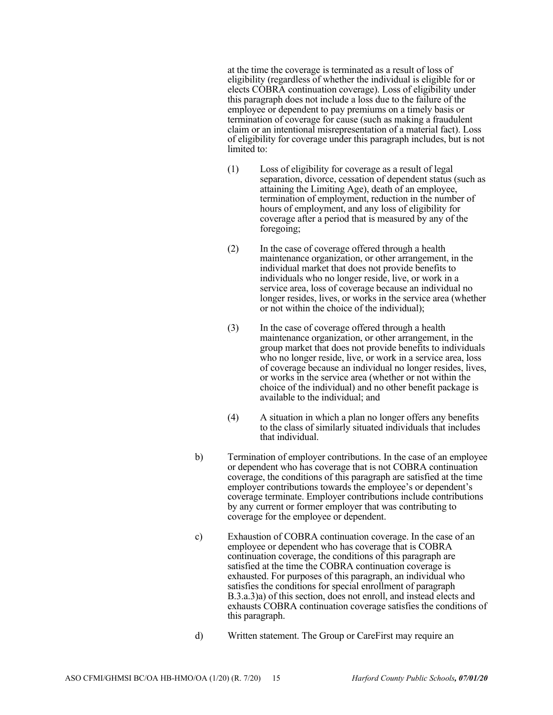at the time the coverage is terminated as a result of loss of eligibility (regardless of whether the individual is eligible for or elects COBRA continuation coverage). Loss of eligibility under this paragraph does not include a loss due to the failure of the employee or dependent to pay premiums on a timely basis or termination of coverage for cause (such as making a fraudulent claim or an intentional misrepresentation of a material fact). Loss of eligibility for coverage under this paragraph includes, but is not limited to:

- (1) Loss of eligibility for coverage as a result of legal separation, divorce, cessation of dependent status (such as attaining the Limiting Age), death of an employee, termination of employment, reduction in the number of hours of employment, and any loss of eligibility for coverage after a period that is measured by any of the foregoing;
- (2) In the case of coverage offered through a health maintenance organization, or other arrangement, in the individual market that does not provide benefits to individuals who no longer reside, live, or work in a service area, loss of coverage because an individual no longer resides, lives, or works in the service area (whether or not within the choice of the individual);
- (3) In the case of coverage offered through a health maintenance organization, or other arrangement, in the group market that does not provide benefits to individuals who no longer reside, live, or work in a service area, loss of coverage because an individual no longer resides, lives, or works in the service area (whether or not within the choice of the individual) and no other benefit package is available to the individual; and
- (4) A situation in which a plan no longer offers any benefits to the class of similarly situated individuals that includes that individual.
- b) Termination of employer contributions. In the case of an employee or dependent who has coverage that is not COBRA continuation coverage, the conditions of this paragraph are satisfied at the time employer contributions towards the employee's or dependent's coverage terminate. Employer contributions include contributions by any current or former employer that was contributing to coverage for the employee or dependent.
- c) Exhaustion of COBRA continuation coverage. In the case of an employee or dependent who has coverage that is COBRA continuation coverage, the conditions of this paragraph are satisfied at the time the COBRA continuation coverage is exhausted. For purposes of this paragraph, an individual who satisfies the conditions for special enrollment of paragraph B.3.a.3)a) of this section, does not enroll, and instead elects and exhausts COBRA continuation coverage satisfies the conditions of this paragraph.
- d) Written statement. The Group or CareFirst may require an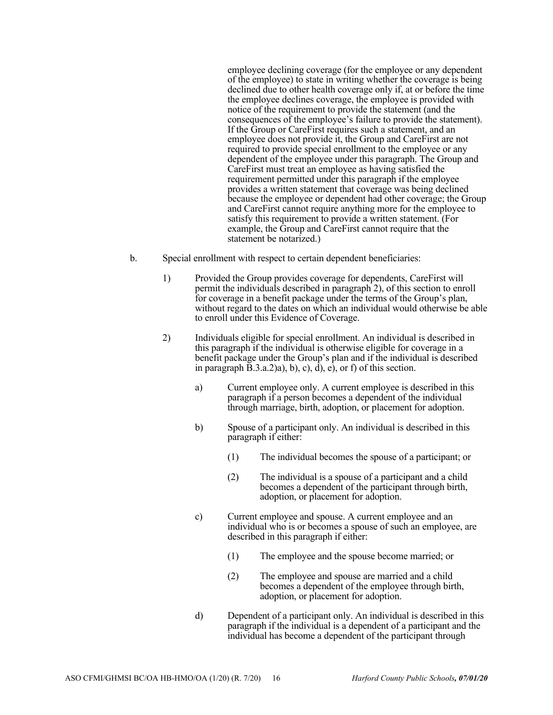employee declining coverage (for the employee or any dependent of the employee) to state in writing whether the coverage is being declined due to other health coverage only if, at or before the time the employee declines coverage, the employee is provided with notice of the requirement to provide the statement (and the consequences of the employee's failure to provide the statement). If the Group or CareFirst requires such a statement, and an employee does not provide it, the Group and CareFirst are not required to provide special enrollment to the employee or any dependent of the employee under this paragraph. The Group and CareFirst must treat an employee as having satisfied the requirement permitted under this paragraph if the employee provides a written statement that coverage was being declined because the employee or dependent had other coverage; the Group and CareFirst cannot require anything more for the employee to satisfy this requirement to provide a written statement. (For example, the Group and CareFirst cannot require that the statement be notarized.)

- b. Special enrollment with respect to certain dependent beneficiaries:
	- 1) Provided the Group provides coverage for dependents, CareFirst will permit the individuals described in paragraph 2), of this section to enroll for coverage in a benefit package under the terms of the Group's plan, without regard to the dates on which an individual would otherwise be able to enroll under this Evidence of Coverage.
	- 2) Individuals eligible for special enrollment. An individual is described in this paragraph if the individual is otherwise eligible for coverage in a benefit package under the Group's plan and if the individual is described in paragraph  $\overline{B}.3.a.2$ )a), b), c), d), e), or f) of this section.
		- a) Current employee only. A current employee is described in this paragraph if a person becomes a dependent of the individual through marriage, birth, adoption, or placement for adoption.
		- b) Spouse of a participant only. An individual is described in this paragraph if either:
			- (1) The individual becomes the spouse of a participant; or
			- (2) The individual is a spouse of a participant and a child becomes a dependent of the participant through birth, adoption, or placement for adoption.
		- c) Current employee and spouse. A current employee and an individual who is or becomes a spouse of such an employee, are described in this paragraph if either:
			- (1) The employee and the spouse become married; or
			- (2) The employee and spouse are married and a child becomes a dependent of the employee through birth, adoption, or placement for adoption.
		- d) Dependent of a participant only. An individual is described in this paragraph if the individual is a dependent of a participant and the individual has become a dependent of the participant through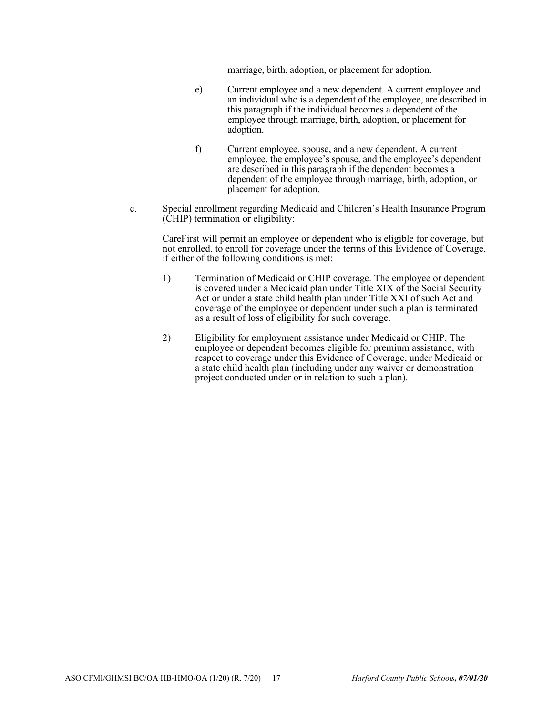marriage, birth, adoption, or placement for adoption.

- e) Current employee and a new dependent. A current employee and an individual who is a dependent of the employee, are described in this paragraph if the individual becomes a dependent of the employee through marriage, birth, adoption, or placement for adoption.
- f) Current employee, spouse, and a new dependent. A current employee, the employee's spouse, and the employee's dependent are described in this paragraph if the dependent becomes a dependent of the employee through marriage, birth, adoption, or placement for adoption.
- c. Special enrollment regarding Medicaid and Children's Health Insurance Program (CHIP) termination or eligibility:

CareFirst will permit an employee or dependent who is eligible for coverage, but not enrolled, to enroll for coverage under the terms of this Evidence of Coverage, if either of the following conditions is met:

- 1) Termination of Medicaid or CHIP coverage. The employee or dependent is covered under a Medicaid plan under Title XIX of the Social Security Act or under a state child health plan under Title XXI of such Act and coverage of the employee or dependent under such a plan is terminated as a result of loss of eligibility for such coverage.
- 2) Eligibility for employment assistance under Medicaid or CHIP. The employee or dependent becomes eligible for premium assistance, with respect to coverage under this Evidence of Coverage, under Medicaid or a state child health plan (including under any waiver or demonstration project conducted under or in relation to such a plan).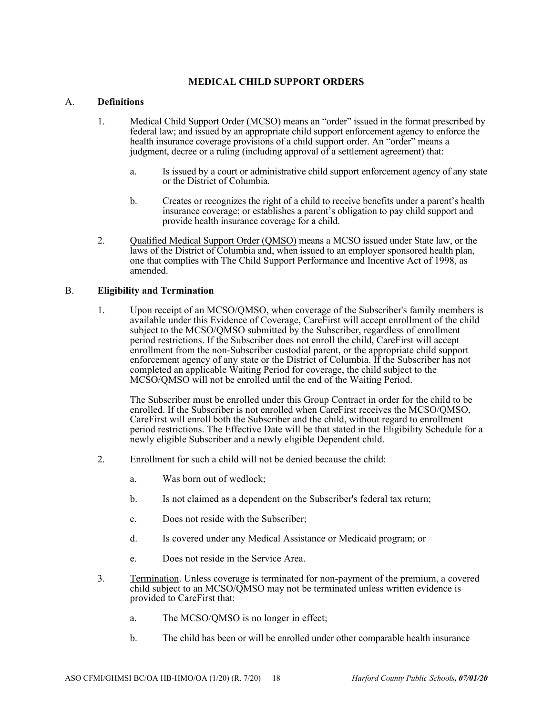# **MEDICAL CHILD SUPPORT ORDERS**

# A. **Definitions**

- 1. Medical Child Support Order (MCSO) means an "order" issued in the format prescribed by federal law; and issued by an appropriate child support enforcement agency to enforce the health insurance coverage provisions of a child support order. An "order" means a judgment, decree or a ruling (including approval of a settlement agreement) that:
	- a. Is issued by a court or administrative child support enforcement agency of any state or the District of Columbia.
	- b. Creates or recognizes the right of a child to receive benefits under a parent's health insurance coverage; or establishes a parent's obligation to pay child support and provide health insurance coverage for a child.
- 2. Qualified Medical Support Order (QMSO) means a MCSO issued under State law, or the laws of the District of Columbia and, when issued to an employer sponsored health plan, one that complies with The Child Support Performance and Incentive Act of 1998, as amended.

### B. **Eligibility and Termination**

1. Upon receipt of an MCSO/QMSO, when coverage of the Subscriber's family members is available under this Evidence of Coverage, CareFirst will accept enrollment of the child subject to the MCSO/QMSO submitted by the Subscriber, regardless of enrollment period restrictions. If the Subscriber does not enroll the child, CareFirst will accept enrollment from the non-Subscriber custodial parent, or the appropriate child support enforcement agency of any state or the District of Columbia. If the Subscriber has not completed an applicable Waiting Period for coverage, the child subject to the MCSO/QMSO will not be enrolled until the end of the Waiting Period.

The Subscriber must be enrolled under this Group Contract in order for the child to be enrolled. If the Subscriber is not enrolled when CareFirst receives the MCSO/QMSO, CareFirst will enroll both the Subscriber and the child, without regard to enrollment period restrictions. The Effective Date will be that stated in the Eligibility Schedule for a newly eligible Subscriber and a newly eligible Dependent child.

- 2. Enrollment for such a child will not be denied because the child:
	- a. Was born out of wedlock;
	- b. Is not claimed as a dependent on the Subscriber's federal tax return;
	- c. Does not reside with the Subscriber;
	- d. Is covered under any Medical Assistance or Medicaid program; or
	- e. Does not reside in the Service Area.
- 3. Termination. Unless coverage is terminated for non-payment of the premium, a covered child subject to an MCSO/QMSO may not be terminated unless written evidence is provided to CareFirst that:
	- a. The MCSO/QMSO is no longer in effect;
	- b. The child has been or will be enrolled under other comparable health insurance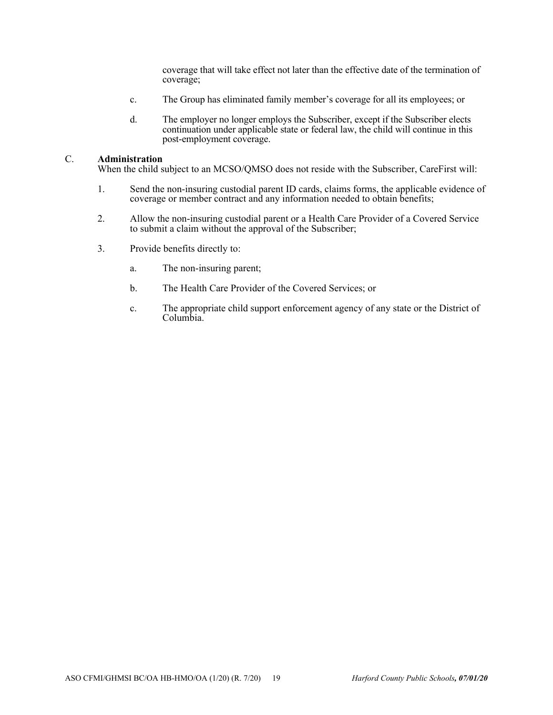coverage that will take effect not later than the effective date of the termination of coverage;

- c. The Group has eliminated family member's coverage for all its employees; or
- d. The employer no longer employs the Subscriber, except if the Subscriber elects continuation under applicable state or federal law, the child will continue in this post-employment coverage.

#### C. **Administration**

When the child subject to an MCSO/QMSO does not reside with the Subscriber, CareFirst will:

- 1. Send the non-insuring custodial parent ID cards, claims forms, the applicable evidence of coverage or member contract and any information needed to obtain benefits;
- 2. Allow the non-insuring custodial parent or a Health Care Provider of a Covered Service to submit a claim without the approval of the Subscriber;
- 3. Provide benefits directly to:
	- a. The non-insuring parent;
	- b. The Health Care Provider of the Covered Services; or
	- c. The appropriate child support enforcement agency of any state or the District of Columbia.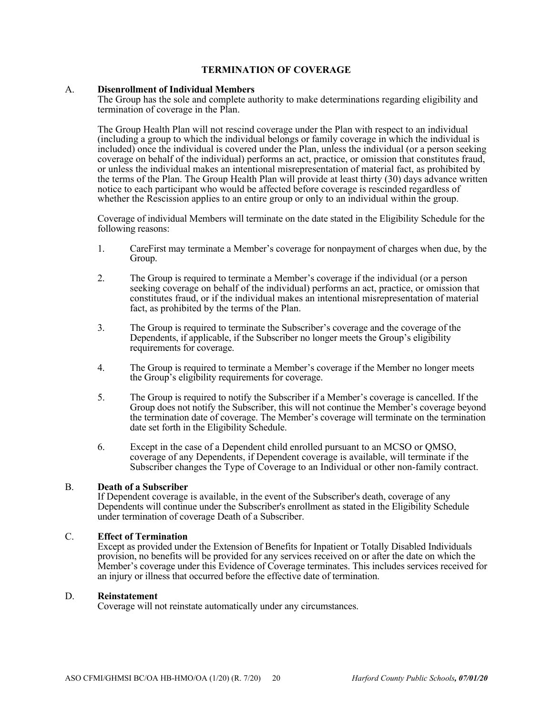# **TERMINATION OF COVERAGE**

#### A. **Disenrollment of Individual Members**

The Group has the sole and complete authority to make determinations regarding eligibility and termination of coverage in the Plan.

The Group Health Plan will not rescind coverage under the Plan with respect to an individual (including a group to which the individual belongs or family coverage in which the individual is included) once the individual is covered under the Plan, unless the individual (or a person seeking coverage on behalf of the individual) performs an act, practice, or omission that constitutes fraud, or unless the individual makes an intentional misrepresentation of material fact, as prohibited by the terms of the Plan. The Group Health Plan will provide at least thirty (30) days advance written notice to each participant who would be affected before coverage is rescinded regardless of whether the Rescission applies to an entire group or only to an individual within the group.

Coverage of individual Members will terminate on the date stated in the Eligibility Schedule for the following reasons:

- 1. CareFirst may terminate a Member's coverage for nonpayment of charges when due, by the Group.
- 2. The Group is required to terminate a Member's coverage if the individual (or a person seeking coverage on behalf of the individual) performs an act, practice, or omission that constitutes fraud, or if the individual makes an intentional misrepresentation of material fact, as prohibited by the terms of the Plan.
- 3. The Group is required to terminate the Subscriber's coverage and the coverage of the Dependents, if applicable, if the Subscriber no longer meets the Group's eligibility requirements for coverage.
- 4. The Group is required to terminate a Member's coverage if the Member no longer meets the Group's eligibility requirements for coverage.
- 5. The Group is required to notify the Subscriber if a Member's coverage is cancelled. If the Group does not notify the Subscriber, this will not continue the Member's coverage beyond the termination date of coverage. The Member's coverage will terminate on the termination date set forth in the Eligibility Schedule.
- 6. Except in the case of a Dependent child enrolled pursuant to an MCSO or QMSO, coverage of any Dependents, if Dependent coverage is available, will terminate if the Subscriber changes the Type of Coverage to an Individual or other non-family contract.

### B. **Death of a Subscriber**

If Dependent coverage is available, in the event of the Subscriber's death, coverage of any Dependents will continue under the Subscriber's enrollment as stated in the Eligibility Schedule under termination of coverage Death of a Subscriber.

#### C. **Effect of Termination**

Except as provided under the Extension of Benefits for Inpatient or Totally Disabled Individuals provision, no benefits will be provided for any services received on or after the date on which the Member's coverage under this Evidence of Coverage terminates. This includes services received for an injury or illness that occurred before the effective date of termination.

#### D. **Reinstatement**

Coverage will not reinstate automatically under any circumstances.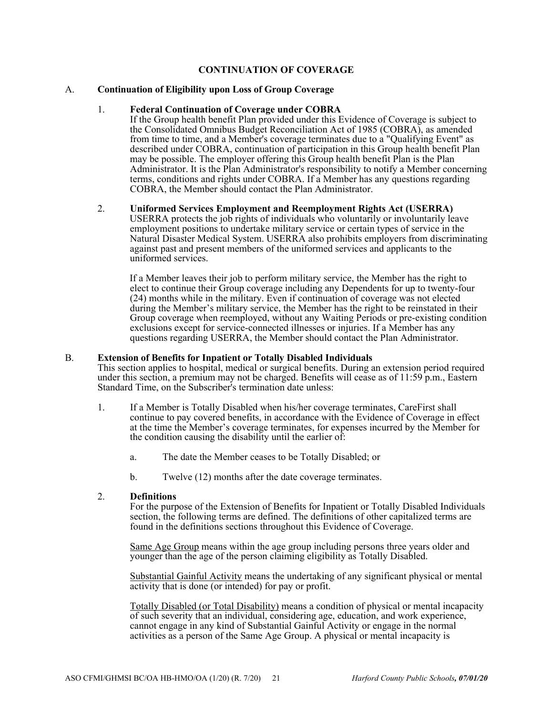# **CONTINUATION OF COVERAGE**

#### A. **Continuation of Eligibility upon Loss of Group Coverage**

#### 1. **Federal Continuation of Coverage under COBRA**

If the Group health benefit Plan provided under this Evidence of Coverage is subject to the Consolidated Omnibus Budget Reconciliation Act of 1985 (COBRA), as amended from time to time, and a Member's coverage terminates due to a "Qualifying Event" as described under COBRA, continuation of participation in this Group health benefit Plan may be possible. The employer offering this Group health benefit Plan is the Plan Administrator. It is the Plan Administrator's responsibility to notify a Member concerning terms, conditions and rights under COBRA. If a Member has any questions regarding COBRA, the Member should contact the Plan Administrator.

#### 2. **Uniformed Services Employment and Reemployment Rights Act (USERRA)**

USERRA protects the job rights of individuals who voluntarily or involuntarily leave employment positions to undertake military service or certain types of service in the Natural Disaster Medical System. USERRA also prohibits employers from discriminating against past and present members of the uniformed services and applicants to the uniformed services.

If a Member leaves their job to perform military service, the Member has the right to elect to continue their Group coverage including any Dependents for up to twenty-four (24) months while in the military. Even if continuation of coverage was not elected during the Member's military service, the Member has the right to be reinstated in their Group coverage when reemployed, without any Waiting Periods or pre-existing condition exclusions except for service-connected illnesses or injuries. If a Member has any questions regarding USERRA, the Member should contact the Plan Administrator.

#### B. **Extension of Benefits for Inpatient or Totally Disabled Individuals**

This section applies to hospital, medical or surgical benefits. During an extension period required under this section, a premium may not be charged. Benefits will cease as of  $11:59$  p.m., Eastern Standard Time, on the Subscriber's termination date unless:

- 1. If a Member is Totally Disabled when his/her coverage terminates, CareFirst shall continue to pay covered benefits, in accordance with the Evidence of Coverage in effect at the time the Member's coverage terminates, for expenses incurred by the Member for the condition causing the disability until the earlier of:
	- a. The date the Member ceases to be Totally Disabled; or
	- b. Twelve (12) months after the date coverage terminates.

### 2. **Definitions**

For the purpose of the Extension of Benefits for Inpatient or Totally Disabled Individuals section, the following terms are defined. The definitions of other capitalized terms are found in the definitions sections throughout this Evidence of Coverage.

Same Age Group means within the age group including persons three years older and younger than the age of the person claiming eligibility as Totally Disabled.

Substantial Gainful Activity means the undertaking of any significant physical or mental activity that is done (or intended) for pay or profit.

Totally Disabled (or Total Disability) means a condition of physical or mental incapacity of such severity that an individual, considering age, education, and work experience, cannot engage in any kind of Substantial Gainful Activity or engage in the normal activities as a person of the Same Age Group. A physical or mental incapacity is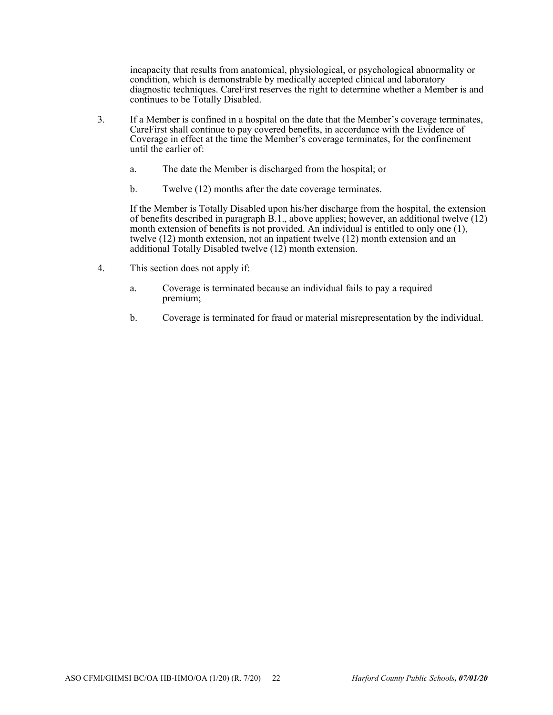incapacity that results from anatomical, physiological, or psychological abnormality or condition, which is demonstrable by medically accepted clinical and laboratory diagnostic techniques. CareFirst reserves the right to determine whether a Member is and continues to be Totally Disabled.

- 3. If a Member is confined in a hospital on the date that the Member's coverage terminates, CareFirst shall continue to pay covered benefits, in accordance with the Evidence of Coverage in effect at the time the Member's coverage terminates, for the confinement until the earlier of:
	- a. The date the Member is discharged from the hospital; or
	- b. Twelve (12) months after the date coverage terminates.

If the Member is Totally Disabled upon his/her discharge from the hospital, the extension of benefits described in paragraph  $\overrightarrow{B}$ .1., above applies; however, an additional twelve (12) month extension of benefits is not provided. An individual is entitled to only one  $(1)$ , twelve (12) month extension, not an inpatient twelve (12) month extension and an additional Totally Disabled twelve (12) month extension.

- 4. This section does not apply if:
	- a. Coverage is terminated because an individual fails to pay a required premium;
	- b. Coverage is terminated for fraud or material misrepresentation by the individual.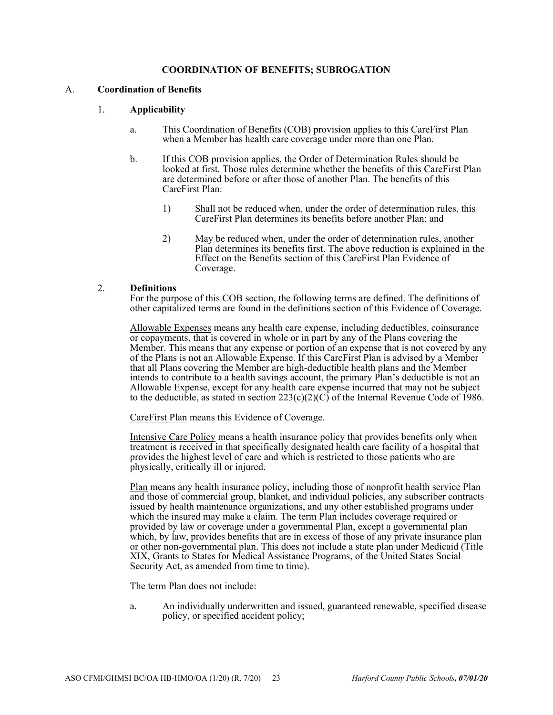#### **COORDINATION OF BENEFITS; SUBROGATION**

#### A. **Coordination of Benefits**

### 1. **Applicability**

- a. This Coordination of Benefits (COB) provision applies to this CareFirst Plan when a Member has health care coverage under more than one Plan.
- b. If this COB provision applies, the Order of Determination Rules should be looked at first. Those rules determine whether the benefits of this CareFirst Plan are determined before or after those of another Plan. The benefits of this CareFirst Plan:
	- 1) Shall not be reduced when, under the order of determination rules, this CareFirst Plan determines its benefits before another Plan; and
	- 2) May be reduced when, under the order of determination rules, another Plan determines its benefits first. The above reduction is explained in the Effect on the Benefits section of this CareFirst Plan Evidence of Coverage.

#### 2. **Definitions**

For the purpose of this COB section, the following terms are defined. The definitions of other capitalized terms are found in the definitions section of this Evidence of Coverage.

Allowable Expenses means any health care expense, including deductibles, coinsurance or copayments, that is covered in whole or in part by any of the Plans covering the Member. This means that any expense or portion of an expense that is not covered by any of the Plans is not an Allowable Expense. If this CareFirst Plan is advised by a Member that all Plans covering the Member are high-deductible health plans and the Member intends to contribute to a health savings account, the primary Plan's deductible is not an Allowable Expense, except for any health care expense incurred that may not be subject to the deductible, as stated in section  $223(c)(2)(C)$  of the Internal Revenue Code of 1986.

CareFirst Plan means this Evidence of Coverage.

Intensive Care Policy means a health insurance policy that provides benefits only when treatment is received in that specifically designated health care facility of a hospital that provides the highest level of care and which is restricted to those patients who are physically, critically ill or injured.

Plan means any health insurance policy, including those of nonprofit health service Plan and those of commercial group, blanket, and individual policies, any subscriber contracts issued by health maintenance organizations, and any other established programs under which the insured may make a claim. The term Plan includes coverage required or provided by law or coverage under a governmental Plan, except a governmental plan which, by law, provides benefits that are in excess of those of any private insurance plan or other non-governmental plan. This does not include a state plan under Medicaid (Title XIX, Grants to States for Medical Assistance Programs, of the United States Social Security Act, as amended from time to time).

The term Plan does not include:

a. An individually underwritten and issued, guaranteed renewable, specified disease policy, or specified accident policy;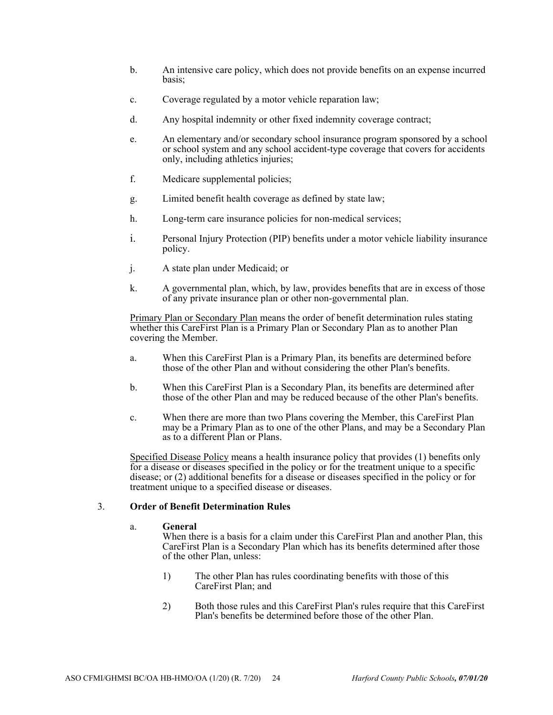- b. An intensive care policy, which does not provide benefits on an expense incurred basis;
- c. Coverage regulated by a motor vehicle reparation law;
- d. Any hospital indemnity or other fixed indemnity coverage contract;
- e. An elementary and/or secondary school insurance program sponsored by a school or school system and any school accident-type coverage that covers for accidents only, including athletics injuries;
- f. Medicare supplemental policies;
- g. Limited benefit health coverage as defined by state law;
- h. Long-term care insurance policies for non-medical services;
- i. Personal Injury Protection (PIP) benefits under a motor vehicle liability insurance policy.
- j. A state plan under Medicaid; or
- k. A governmental plan, which, by law, provides benefits that are in excess of those of any private insurance plan or other non-governmental plan.

Primary Plan or Secondary Plan means the order of benefit determination rules stating whether this CareFirst Plan is a Primary Plan or Secondary Plan as to another Plan covering the Member.

- a. When this CareFirst Plan is a Primary Plan, its benefits are determined before those of the other Plan and without considering the other Plan's benefits.
- b. When this CareFirst Plan is a Secondary Plan, its benefits are determined after those of the other Plan and may be reduced because of the other Plan's benefits.
- c. When there are more than two Plans covering the Member, this CareFirst Plan may be a Primary Plan as to one of the other Plans, and may be a Secondary Plan as to a different Plan or Plans.

Specified Disease Policy means a health insurance policy that provides (1) benefits only for a disease or diseases specified in the policy or for the treatment unique to a specific disease; or (2) additional benefits for a disease or diseases specified in the policy or for treatment unique to a specified disease or diseases.

#### 3. **Order of Benefit Determination Rules**

#### a. **General**

When there is a basis for a claim under this CareFirst Plan and another Plan, this CareFirst Plan is a Secondary Plan which has its benefits determined after those of the other Plan, unless:

- 1) The other Plan has rules coordinating benefits with those of this CareFirst Plan; and
- 2) Both those rules and this CareFirst Plan's rules require that this CareFirst Plan's benefits be determined before those of the other Plan.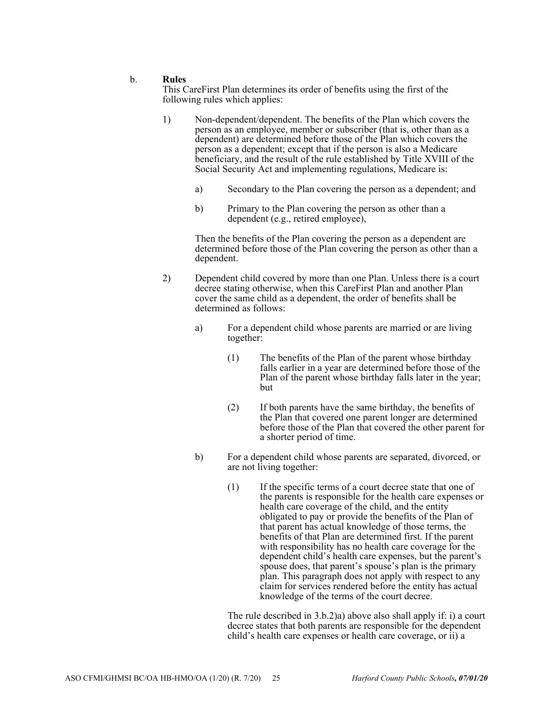#### b. **Rules**

This CareFirst Plan determines its order of benefits using the first of the following rules which applies:

- 1) Non-dependent/dependent. The benefits of the Plan which covers the person as an employee, member or subscriber (that is, other than as a dependent) are determined before those of the Plan which covers the person as a dependent; except that if the person is also a Medicare beneficiary, and the result of the rule established by Title XVIII of the Social Security Act and implementing regulations, Medicare is:
	- a) Secondary to the Plan covering the person as a dependent; and
	- b) Primary to the Plan covering the person as other than a dependent (e.g., retired employee),

Then the benefits of the Plan covering the person as a dependent are determined before those of the Plan covering the person as other than a dependent.

- 2) Dependent child covered by more than one Plan. Unless there is a court decree stating otherwise, when this CareFirst Plan and another Plan cover the same child as a dependent, the order of benefits shall be determined as follows:
	- a) For a dependent child whose parents are married or are living together:
		- (1) The benefits of the Plan of the parent whose birthday falls earlier in a year are determined before those of the Plan of the parent whose birthday falls later in the year; but
		- (2) If both parents have the same birthday, the benefits of the Plan that covered one parent longer are determined before those of the Plan that covered the other parent for a shorter period of time.
	- b) For a dependent child whose parents are separated, divorced, or are not living together:
		- (1) If the specific terms of a court decree state that one of the parents is responsible for the health care expenses or health care coverage of the child, and the entity obligated to pay or provide the benefits of the Plan of that parent has actual knowledge of those terms, the benefits of that Plan are determined first. If the parent with responsibility has no health care coverage for the dependent child's health care expenses, but the parent's spouse does, that parent's spouse's plan is the primary plan. This paragraph does not apply with respect to any claim for services rendered before the entity has actual knowledge of the terms of the court decree.

The rule described in 3.b.2)a) above also shall apply if: i) a court decree states that both parents are responsible for the dependent child's health care expenses or health care coverage, or ii) a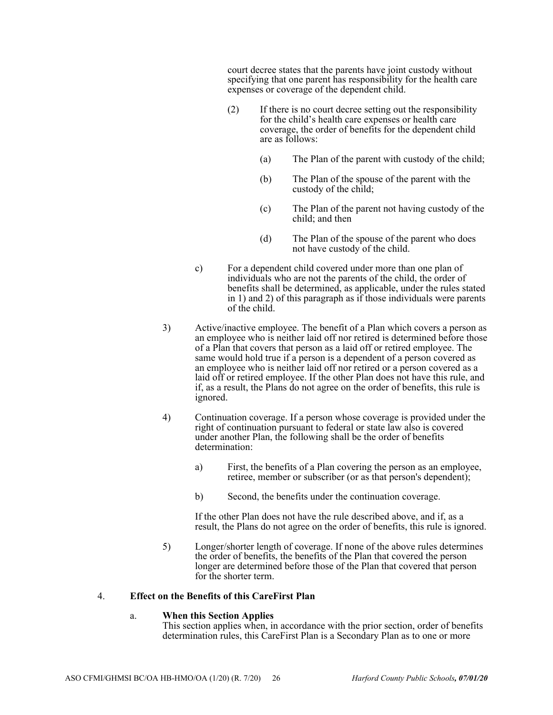court decree states that the parents have joint custody without specifying that one parent has responsibility for the health care expenses or coverage of the dependent child.

- (2) If there is no court decree setting out the responsibility for the child's health care expenses or health care coverage, the order of benefits for the dependent child are as follows:
	- (a) The Plan of the parent with custody of the child;
	- (b) The Plan of the spouse of the parent with the custody of the child;
	- (c) The Plan of the parent not having custody of the child; and then
	- (d) The Plan of the spouse of the parent who does not have custody of the child.
- c) For a dependent child covered under more than one plan of individuals who are not the parents of the child, the order of benefits shall be determined, as applicable, under the rules stated in 1) and 2) of this paragraph as if those individuals were parents of the child.
- 3) Active/inactive employee. The benefit of a Plan which covers a person as an employee who is neither laid off nor retired is determined before those of a Plan that covers that person as a laid off or retired employee. The same would hold true if a person is a dependent of a person covered as an employee who is neither laid off nor retired or a person covered as a laid off or retired employee. If the other Plan does not have this rule, and if, as a result, the Plans do not agree on the order of benefits, this rule is ignored.
- 4) Continuation coverage. If a person whose coverage is provided under the right of continuation pursuant to federal or state law also is covered under another Plan, the following shall be the order of benefits determination:
	- a) First, the benefits of a Plan covering the person as an employee, retiree, member or subscriber (or as that person's dependent);
	- b) Second, the benefits under the continuation coverage.

If the other Plan does not have the rule described above, and if, as a result, the Plans do not agree on the order of benefits, this rule is ignored.

5) Longer/shorter length of coverage. If none of the above rules determines the order of benefits, the benefits of the Plan that covered the person longer are determined before those of the Plan that covered that person for the shorter term.

#### 4. **Effect on the Benefits of this CareFirst Plan**

#### a. **When this Section Applies**

This section applies when, in accordance with the prior section, order of benefits determination rules, this CareFirst Plan is a Secondary Plan as to one or more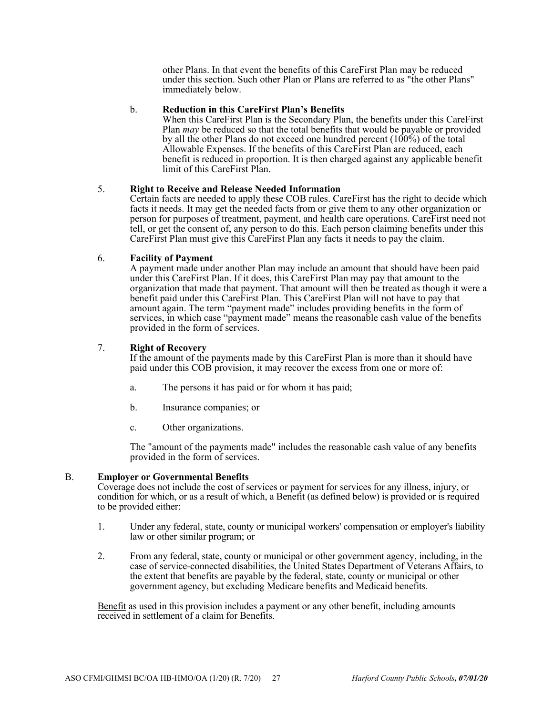other Plans. In that event the benefits of this CareFirst Plan may be reduced under this section. Such other Plan or Plans are referred to as "the other Plans" immediately below.

#### b. **Reduction in this CareFirst Plan's Benefits**

When this CareFirst Plan is the Secondary Plan, the benefits under this CareFirst Plan *may* be reduced so that the total benefits that would be payable or provided by all the other Plans do not exceed one hundred percent  $(100\%)$  of the total Allowable Expenses. If the benefits of this CareFirst Plan are reduced, each benefit is reduced in proportion. It is then charged against any applicable benefit limit of this CareFirst Plan.

### 5. **Right to Receive and Release Needed Information**

Certain facts are needed to apply these COB rules. CareFirst has the right to decide which facts it needs. It may get the needed facts from or give them to any other organization or person for purposes of treatment, payment, and health care operations. CareFirst need not tell, or get the consent of, any person to do this. Each person claiming benefits under this CareFirst Plan must give this CareFirst Plan any facts it needs to pay the claim.

### 6. **Facility of Payment**

A payment made under another Plan may include an amount that should have been paid under this CareFirst Plan. If it does, this CareFirst Plan may pay that amount to the organization that made that payment. That amount will then be treated as though it were a benefit paid under this CareFirst Plan. This CareFirst Plan will not have to pay that amount again. The term "payment made" includes providing benefits in the form of services, in which case "payment made" means the reasonable cash value of the benefits provided in the form of services.

### 7. **Right of Recovery**

If the amount of the payments made by this CareFirst Plan is more than it should have paid under this COB provision, it may recover the excess from one or more of:

- a. The persons it has paid or for whom it has paid;
- b. Insurance companies; or
- c. Other organizations.

The "amount of the payments made" includes the reasonable cash value of any benefits provided in the form of services.

#### B. **Employer or Governmental Benefits**

Coverage does not include the cost of services or payment for services for any illness, injury, or condition for which, or as a result of which, a Benefit (as defined below) is provided or is required to be provided either:

- 1. Under any federal, state, county or municipal workers' compensation or employer's liability law or other similar program; or
- 2. From any federal, state, county or municipal or other government agency, including, in the case of service-connected disabilities, the United States Department of Veterans Affairs, to the extent that benefits are payable by the federal, state, county or municipal or other government agency, but excluding Medicare benefits and Medicaid benefits.

Benefit as used in this provision includes a payment or any other benefit, including amounts received in settlement of a claim for Benefits.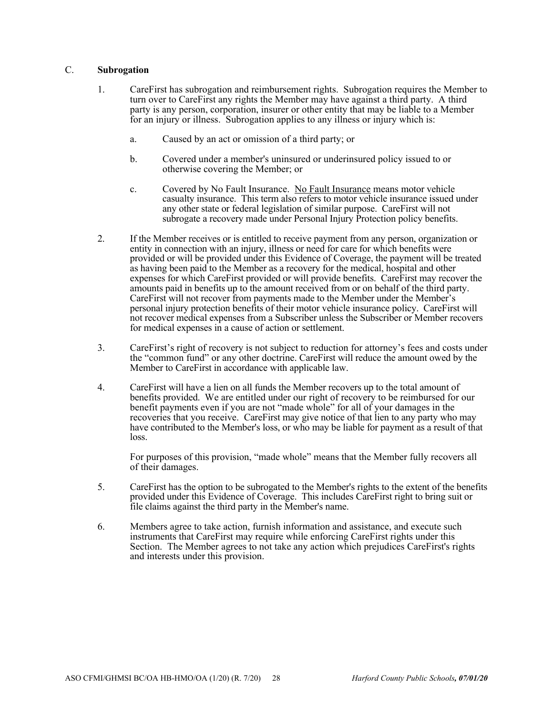#### C. **Subrogation**

- 1. CareFirst has subrogation and reimbursement rights. Subrogation requires the Member to turn over to CareFirst any rights the Member may have against a third party. A third party is any person, corporation, insurer or other entity that may be liable to a Member for an injury or illness. Subrogation applies to any illness or injury which is:
	- a. Caused by an act or omission of a third party; or
	- b. Covered under a member's uninsured or underinsured policy issued to or otherwise covering the Member; or
	- c. Covered by No Fault Insurance. No Fault Insurance means motor vehicle casualty insurance. This term also refers to motor vehicle insurance issued under any other state or federal legislation of similar purpose. CareFirst will not subrogate a recovery made under Personal Injury Protection policy benefits.
- 2. If the Member receives or is entitled to receive payment from any person, organization or entity in connection with an injury, illness or need for care for which benefits were provided or will be provided under this Evidence of Coverage, the payment will be treated as having been paid to the Member as a recovery for the medical, hospital and other expenses for which CareFirst provided or will provide benefits. CareFirst may recover the amounts paid in benefits up to the amount received from or on behalf of the third party. CareFirst will not recover from payments made to the Member under the Member's personal injury protection benefits of their motor vehicle insurance policy. CareFirst will not recover medical expenses from a Subscriber unless the Subscriber or Member recovers for medical expenses in a cause of action or settlement.
- 3. CareFirst's right of recovery is not subject to reduction for attorney's fees and costs under the "common fund" or any other doctrine. CareFirst will reduce the amount owed by the Member to CareFirst in accordance with applicable law.
- 4. CareFirst will have a lien on all funds the Member recovers up to the total amount of benefits provided. We are entitled under our right of recovery to be reimbursed for our benefit payments even if you are not "made whole" for all of your damages in the recoveries that you receive. CareFirst may give notice of that lien to any party who may have contributed to the Member's loss, or who may be liable for payment as a result of that loss.

For purposes of this provision, "made whole" means that the Member fully recovers all of their damages.

- 5. CareFirst has the option to be subrogated to the Member's rights to the extent of the benefits provided under this Evidence of Coverage. This includes CareFirst right to bring suit or file claims against the third party in the Member's name.
- 6. Members agree to take action, furnish information and assistance, and execute such instruments that CareFirst may require while enforcing CareFirst rights under this Section. The Member agrees to not take any action which prejudices CareFirst's rights and interests under this provision.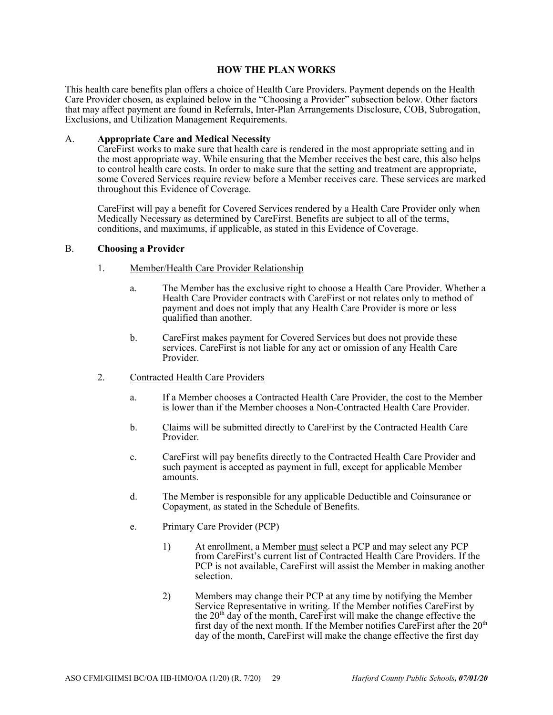### **HOW THE PLAN WORKS**

This health care benefits plan offers a choice of Health Care Providers. Payment depends on the Health Care Provider chosen, as explained below in the "Choosing a Provider" subsection below. Other factors that may affect payment are found in Referrals, Inter-Plan Arrangements Disclosure, COB, Subrogation, Exclusions, and Utilization Management Requirements.

#### A. **Appropriate Care and Medical Necessity**

CareFirst works to make sure that health care is rendered in the most appropriate setting and in the most appropriate way. While ensuring that the Member receives the best care, this also helps to control health care costs. In order to make sure that the setting and treatment are appropriate, some Covered Services require review before a Member receives care. These services are marked throughout this Evidence of Coverage.

CareFirst will pay a benefit for Covered Services rendered by a Health Care Provider only when Medically Necessary as determined by CareFirst. Benefits are subject to all of the terms, conditions, and maximums, if applicable, as stated in this Evidence of Coverage.

### B. **Choosing a Provider**

- 1. Member/Health Care Provider Relationship
	- a. The Member has the exclusive right to choose a Health Care Provider. Whether a Health Care Provider contracts with CareFirst or not relates only to method of payment and does not imply that any Health Care Provider is more or less qualified than another.
	- b. CareFirst makes payment for Covered Services but does not provide these services. CareFirst is not liable for any act or omission of any Health Care Provider.
- 2. Contracted Health Care Providers
	- a. If a Member chooses a Contracted Health Care Provider, the cost to the Member is lower than if the Member chooses a Non-Contracted Health Care Provider.
	- b. Claims will be submitted directly to CareFirst by the Contracted Health Care Provider.
	- c. CareFirst will pay benefits directly to the Contracted Health Care Provider and such payment is accepted as payment in full, except for applicable Member amounts.
	- d. The Member is responsible for any applicable Deductible and Coinsurance or Copayment, as stated in the Schedule of Benefits.
	- e. Primary Care Provider (PCP)
		- 1) At enrollment, a Member must select a PCP and may select any PCP from CareFirst's current list of Contracted Health Care Providers. If the PCP is not available, CareFirst will assist the Member in making another selection.
		- 2) Members may change their PCP at any time by notifying the Member Service Representative in writing. If the Member notifies CareFirst by the  $20<sup>th</sup>$  day of the month, CareFirst will make the change effective the first day of the next month. If the Member notifies CareFirst after the  $20<sup>th</sup>$ day of the month, CareFirst will make the change effective the first day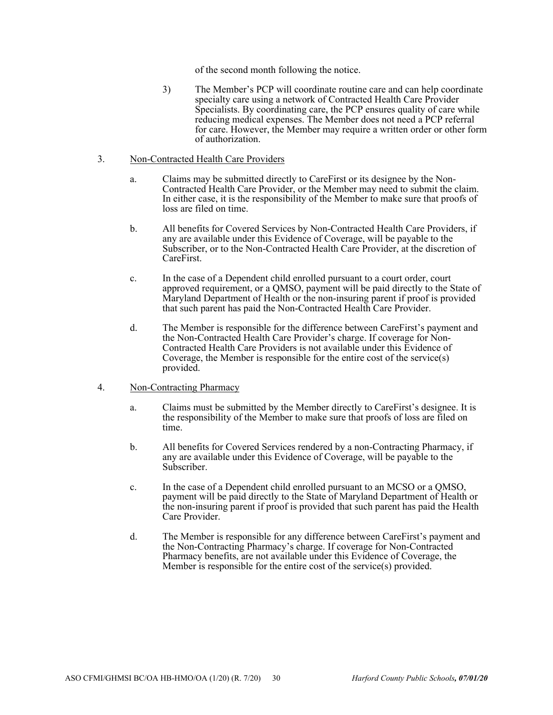of the second month following the notice.

3) The Member's PCP will coordinate routine care and can help coordinate specialty care using a network of Contracted Health Care Provider Specialists. By coordinating care, the PCP ensures quality of care while reducing medical expenses. The Member does not need a PCP referral for care. However, the Member may require a written order or other form of authorization.

#### 3. Non-Contracted Health Care Providers

- a. Claims may be submitted directly to CareFirst or its designee by the Non-Contracted Health Care Provider, or the Member may need to submit the claim. In either case, it is the responsibility of the Member to make sure that proofs of loss are filed on time.
- b. All benefits for Covered Services by Non-Contracted Health Care Providers, if any are available under this Evidence of Coverage, will be payable to the Subscriber, or to the Non-Contracted Health Care Provider, at the discretion of CareFirst.
- c. In the case of a Dependent child enrolled pursuant to a court order, court approved requirement, or a QMSO, payment will be paid directly to the State of Maryland Department of Health or the non-insuring parent if proof is provided that such parent has paid the Non-Contracted Health Care Provider.
- d. The Member is responsible for the difference between CareFirst's payment and the Non-Contracted Health Care Provider's charge. If coverage for Non-Contracted Health Care Providers is not available under this Evidence of Coverage, the Member is responsible for the entire cost of the service(s) provided.

### 4. Non-Contracting Pharmacy

- a. Claims must be submitted by the Member directly to CareFirst's designee. It is the responsibility of the Member to make sure that proofs of loss are filed on time.
- b. All benefits for Covered Services rendered by a non-Contracting Pharmacy, if any are available under this Evidence of Coverage, will be payable to the Subscriber.
- c. In the case of a Dependent child enrolled pursuant to an MCSO or a QMSO, payment will be paid directly to the State of Maryland Department of Health or the non-insuring parent if proof is provided that such parent has paid the Health Care Provider.
- d. The Member is responsible for any difference between CareFirst's payment and the Non-Contracting Pharmacy's charge. If coverage for Non-Contracted Pharmacy benefits, are not available under this Evidence of Coverage, the Member is responsible for the entire cost of the service(s) provided.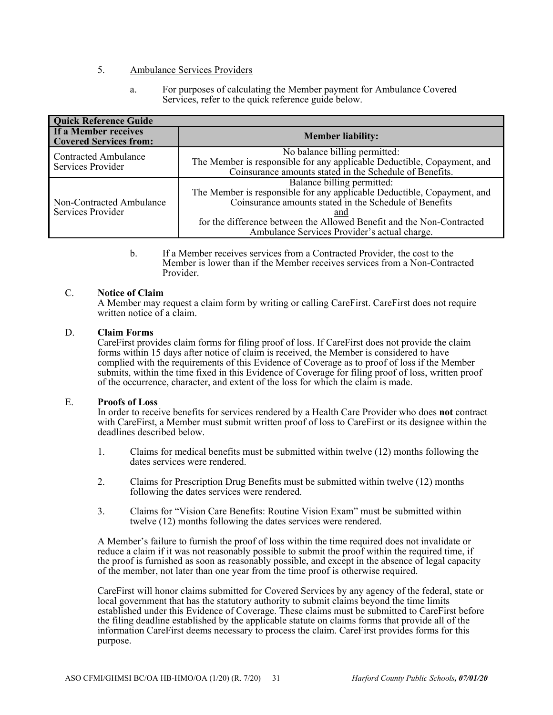## 5. Ambulance Services Providers

a. For purposes of calculating the Member payment for Ambulance Covered Services, refer to the quick reference guide below.

| <b>Quick Reference Guide</b>                          |                                                                         |  |  |  |
|-------------------------------------------------------|-------------------------------------------------------------------------|--|--|--|
| If a Member receives<br><b>Covered Services from:</b> | <b>Member liability:</b>                                                |  |  |  |
| <b>Contracted Ambulance</b><br>Services Provider      | No balance billing permitted:                                           |  |  |  |
|                                                       | The Member is responsible for any applicable Deductible, Copayment, and |  |  |  |
|                                                       | Coinsurance amounts stated in the Schedule of Benefits.                 |  |  |  |
|                                                       | Balance billing permitted:                                              |  |  |  |
| Non-Contracted Ambulance<br>Services Provider         | The Member is responsible for any applicable Deductible, Copayment, and |  |  |  |
|                                                       | Coinsurance amounts stated in the Schedule of Benefits                  |  |  |  |
|                                                       | and                                                                     |  |  |  |
|                                                       | for the difference between the Allowed Benefit and the Non-Contracted   |  |  |  |
|                                                       | Ambulance Services Provider's actual charge.                            |  |  |  |

b. If a Member receives services from a Contracted Provider, the cost to the Member is lower than if the Member receives services from a Non-Contracted Provider.

#### C. **Notice of Claim**

A Member may request a claim form by writing or calling CareFirst. CareFirst does not require written notice of a claim.

### D. **Claim Forms**

CareFirst provides claim forms for filing proof of loss. If CareFirst does not provide the claim forms within 15 days after notice of claim is received, the Member is considered to have complied with the requirements of this Evidence of Coverage as to proof of loss if the Member submits, within the time fixed in this Evidence of Coverage for filing proof of loss, written proof of the occurrence, character, and extent of the loss for which the claim is made.

#### E. **Proofs of Loss**

In order to receive benefits for services rendered by a Health Care Provider who does **not** contract with CareFirst, a Member must submit written proof of loss to CareFirst or its designee within the deadlines described below.

- 1. Claims for medical benefits must be submitted within twelve (12) months following the dates services were rendered.
- 2. Claims for Prescription Drug Benefits must be submitted within twelve (12) months following the dates services were rendered.
- 3. Claims for "Vision Care Benefits: Routine Vision Exam" must be submitted within twelve (12) months following the dates services were rendered.

A Member's failure to furnish the proof of loss within the time required does not invalidate or reduce a claim if it was not reasonably possible to submit the proof within the required time, if the proof is furnished as soon as reasonably possible, and except in the absence of legal capacity of the member, not later than one year from the time proof is otherwise required.

CareFirst will honor claims submitted for Covered Services by any agency of the federal, state or local government that has the statutory authority to submit claims beyond the time limits established under this Evidence of Coverage. These claims must be submitted to CareFirst before the filing deadline established by the applicable statute on claims forms that provide all of the information CareFirst deems necessary to process the claim. CareFirst provides forms for this purpose.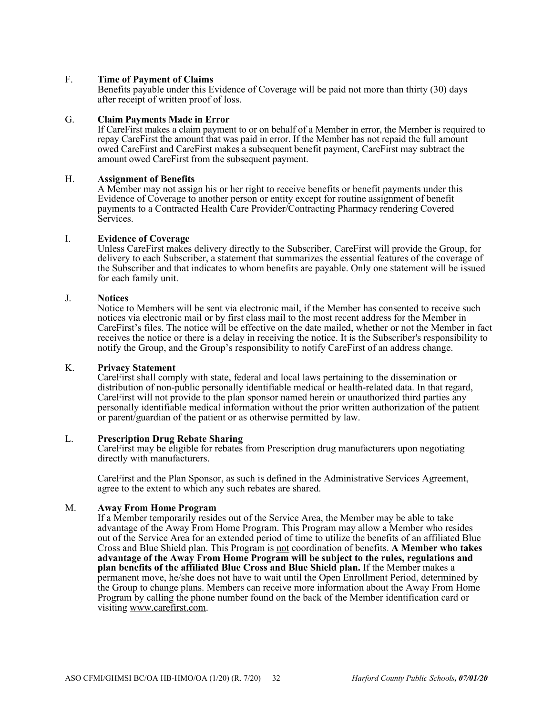# F. **Time of Payment of Claims**

Benefits payable under this Evidence of Coverage will be paid not more than thirty (30) days after receipt of written proof of loss.

#### G. **Claim Payments Made in Error**

If CareFirst makes a claim payment to or on behalf of a Member in error, the Member is required to repay CareFirst the amount that was paid in error. If the Member has not repaid the full amount owed CareFirst and CareFirst makes a subsequent benefit payment, CareFirst may subtract the amount owed CareFirst from the subsequent payment.

#### H. **Assignment of Benefits**

A Member may not assign his or her right to receive benefits or benefit payments under this Evidence of Coverage to another person or entity except for routine assignment of benefit payments to a Contracted Health Care Provider/Contracting Pharmacy rendering Covered Services.

#### I. **Evidence of Coverage**

Unless CareFirst makes delivery directly to the Subscriber, CareFirst will provide the Group, for delivery to each Subscriber, a statement that summarizes the essential features of the coverage of the Subscriber and that indicates to whom benefits are payable. Only one statement will be issued for each family unit.

#### J. **Notices**

Notice to Members will be sent via electronic mail, if the Member has consented to receive such notices via electronic mail or by first class mail to the most recent address for the Member in CareFirst's files. The notice will be effective on the date mailed, whether or not the Member in fact receives the notice or there is a delay in receiving the notice. It is the Subscriber's responsibility to notify the Group, and the Group's responsibility to notify CareFirst of an address change.

#### K. **Privacy Statement**

CareFirst shall comply with state, federal and local laws pertaining to the dissemination or distribution of non-public personally identifiable medical or health-related data. In that regard, CareFirst will not provide to the plan sponsor named herein or unauthorized third parties any personally identifiable medical information without the prior written authorization of the patient or parent/guardian of the patient or as otherwise permitted by law.

#### L. **Prescription Drug Rebate Sharing**

CareFirst may be eligible for rebates from Prescription drug manufacturers upon negotiating directly with manufacturers.

CareFirst and the Plan Sponsor, as such is defined in the Administrative Services Agreement, agree to the extent to which any such rebates are shared.

#### M. **Away From Home Program**

If a Member temporarily resides out of the Service Area, the Member may be able to take advantage of the Away From Home Program. This Program may allow a Member who resides out of the Service Area for an extended period of time to utilize the benefits of an affiliated Blue Cross and Blue Shield plan. This Program is not coordination of benefits. **A Member who takes advantage of the Away From Home Program will be subject to the rules, regulations and plan benefits of the affiliated Blue Cross and Blue Shield plan.** If the Member makes a permanent move, he/she does not have to wait until the Open Enrollment Period, determined by the Group to change plans. Members can receive more information about the Away From Home Program by calling the phone number found on the back of the Member identification card or visiting www.carefirst.com.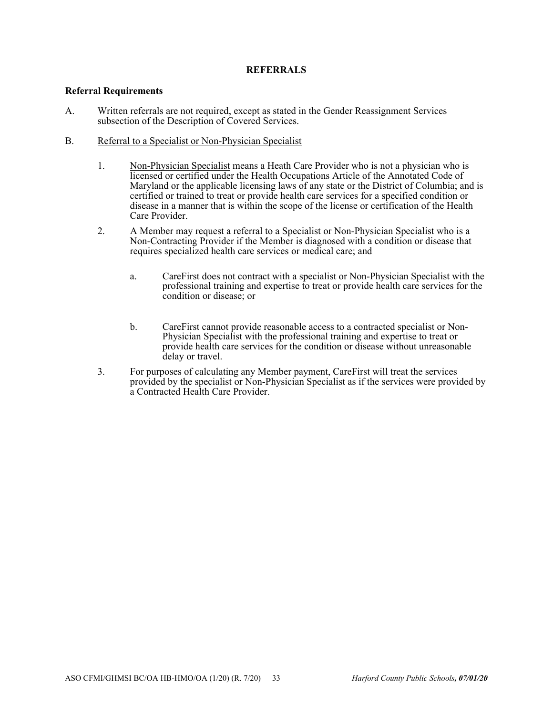# **REFERRALS**

#### **Referral Requirements**

- A. Written referrals are not required, except as stated in the Gender Reassignment Services subsection of the Description of Covered Services.
- B. Referral to a Specialist or Non-Physician Specialist
	- 1. Non-Physician Specialist means a Heath Care Provider who is not a physician who is licensed or certified under the Health Occupations Article of the Annotated Code of Maryland or the applicable licensing laws of any state or the District of Columbia; and is certified or trained to treat or provide health care services for a specified condition or disease in a manner that is within the scope of the license or certification of the Health Care Provider.
	- 2. A Member may request a referral to a Specialist or Non-Physician Specialist who is a Non-Contracting Provider if the Member is diagnosed with a condition or disease that requires specialized health care services or medical care; and
		- a. CareFirst does not contract with a specialist or Non-Physician Specialist with the professional training and expertise to treat or provide health care services for the condition or disease; or
		- b. CareFirst cannot provide reasonable access to a contracted specialist or Non-Physician Specialist with the professional training and expertise to treat or provide health care services for the condition or disease without unreasonable delay or travel.
	- 3. For purposes of calculating any Member payment, CareFirst will treat the services provided by the specialist or Non-Physician Specialist as if the services were provided by a Contracted Health Care Provider.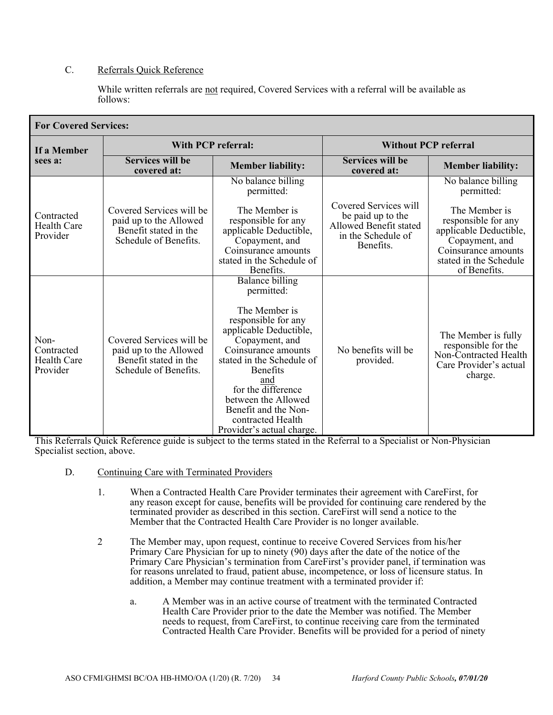# C. Referrals Quick Reference

While written referrals are not required, Covered Services with a referral will be available as follows:

| <b>For Covered Services:</b>                  |                                                                                                      |                                                                                                                                                                                                                                                                                                                        |                                                                                                         |                                                                                                                                                   |  |  |
|-----------------------------------------------|------------------------------------------------------------------------------------------------------|------------------------------------------------------------------------------------------------------------------------------------------------------------------------------------------------------------------------------------------------------------------------------------------------------------------------|---------------------------------------------------------------------------------------------------------|---------------------------------------------------------------------------------------------------------------------------------------------------|--|--|
| If a Member<br>sees a:                        | With PCP referral:                                                                                   |                                                                                                                                                                                                                                                                                                                        | <b>Without PCP referral</b>                                                                             |                                                                                                                                                   |  |  |
|                                               | <b>Services will be</b><br>covered at:                                                               | <b>Member liability:</b>                                                                                                                                                                                                                                                                                               | <b>Services will be</b><br>covered at:                                                                  | <b>Member liability:</b>                                                                                                                          |  |  |
|                                               |                                                                                                      | No balance billing<br>permitted:                                                                                                                                                                                                                                                                                       |                                                                                                         | No balance billing<br>permitted:                                                                                                                  |  |  |
| Contracted<br>Health Care<br>Provider         | Covered Services will be<br>paid up to the Allowed<br>Benefit stated in the<br>Schedule of Benefits. | The Member is<br>responsible for any<br>applicable Deductible,<br>Copayment, and<br>Coinsurance amounts<br>stated in the Schedule of<br>Benefits.                                                                                                                                                                      | Covered Services will<br>be paid up to the<br>Allowed Benefit stated<br>in the Schedule of<br>Benefits. | The Member is<br>responsible for any<br>applicable Deductible,<br>Copayment, and<br>Coinsurance amounts<br>stated in the Schedule<br>of Benefits. |  |  |
| Non-<br>Contracted<br>Health Care<br>Provider | Covered Services will be<br>paid up to the Allowed<br>Benefit stated in the<br>Schedule of Benefits. | Balance billing<br>permitted:<br>The Member is<br>responsible for any<br>applicable Deductible,<br>Copayment, and<br>Coinsurance amounts<br>stated in the Schedule of<br><b>Benefits</b><br>and<br>for the difference<br>between the Allowed<br>Benefit and the Non-<br>contracted Health<br>Provider's actual charge. | No benefits will be<br>provided.                                                                        | The Member is fully<br>responsible for the<br>Non-Contracted Health<br>Care Provider's actual<br>charge.                                          |  |  |

This Referrals Quick Reference guide is subject to the terms stated in the Referral to a Specialist or Non-Physician Specialist section, above.

- D. Continuing Care with Terminated Providers
	- 1. When a Contracted Health Care Provider terminates their agreement with CareFirst, for any reason except for cause, benefits will be provided for continuing care rendered by the terminated provider as described in this section. CareFirst will send a notice to the Member that the Contracted Health Care Provider is no longer available.
	- 2 The Member may, upon request, continue to receive Covered Services from his/her Primary Care Physician for up to ninety (90) days after the date of the notice of the Primary Care Physician's termination from CareFirst's provider panel, if termination was for reasons unrelated to fraud, patient abuse, incompetence, or loss of licensure status. In addition, a Member may continue treatment with a terminated provider if:
		- a. A Member was in an active course of treatment with the terminated Contracted Health Care Provider prior to the date the Member was notified. The Member needs to request, from CareFirst, to continue receiving care from the terminated Contracted Health Care Provider. Benefits will be provided for a period of ninety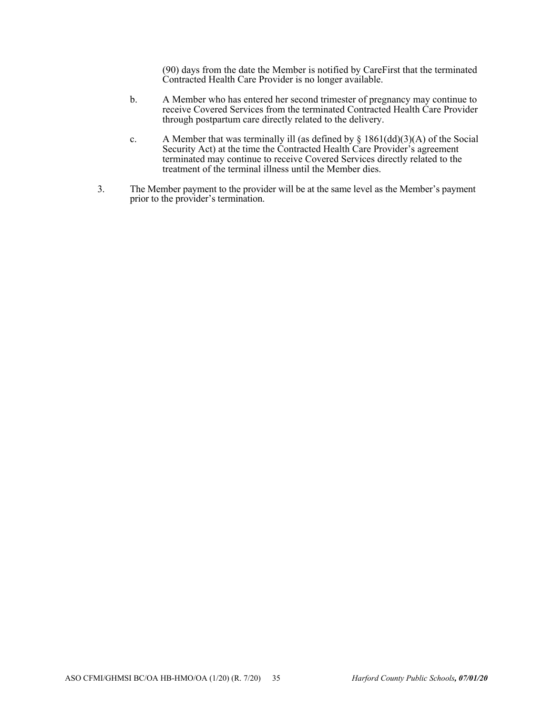(90) days from the date the Member is notified by CareFirst that the terminated Contracted Health Care Provider is no longer available.

- b. A Member who has entered her second trimester of pregnancy may continue to receive Covered Services from the terminated Contracted Health Care Provider through postpartum care directly related to the delivery.
- c. A Member that was terminally ill (as defined by  $\S$  1861(dd)(3)(A) of the Social Security Act) at the time the Contracted Health Care Provider's agreement terminated may continue to receive Covered Services directly related to the treatment of the terminal illness until the Member dies.
- 3. The Member payment to the provider will be at the same level as the Member's payment prior to the provider's termination.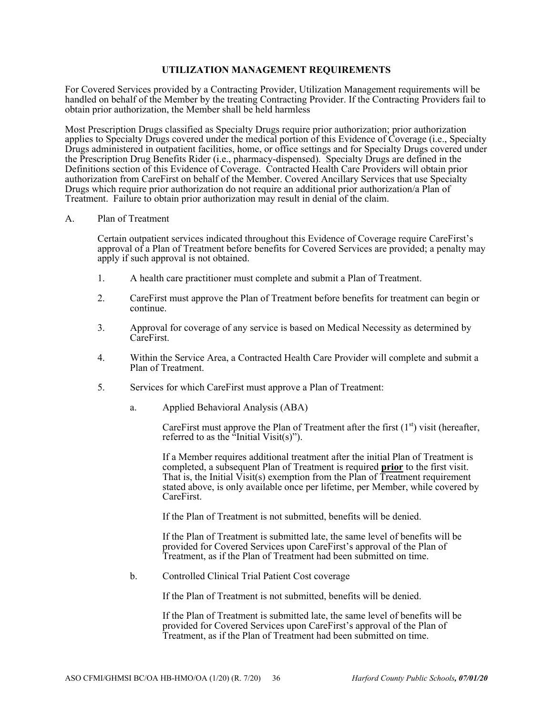## **UTILIZATION MANAGEMENT REQUIREMENTS**

For Covered Services provided by a Contracting Provider, Utilization Management requirements will be handled on behalf of the Member by the treating Contracting Provider. If the Contracting Providers fail to obtain prior authorization, the Member shall be held harmless

Most Prescription Drugs classified as Specialty Drugs require prior authorization; prior authorization applies to Specialty Drugs covered under the medical portion of this Evidence of Coverage (i.e., Specialty Drugs administered in outpatient facilities, home, or office settings and for Specialty Drugs covered under the Prescription Drug Benefits Rider (i.e., pharmacy-dispensed). Specialty Drugs are defined in the Definitions section of this Evidence of Coverage. Contracted Health Care Providers will obtain prior authorization from CareFirst on behalf of the Member. Covered Ancillary Services that use Specialty Drugs which require prior authorization do not require an additional prior authorization/a Plan of Treatment. Failure to obtain prior authorization may result in denial of the claim.

#### A. Plan of Treatment

Certain outpatient services indicated throughout this Evidence of Coverage require CareFirst's approval of a Plan of Treatment before benefits for Covered Services are provided; a penalty may apply if such approval is not obtained.

- 1. A health care practitioner must complete and submit a Plan of Treatment.
- 2. CareFirst must approve the Plan of Treatment before benefits for treatment can begin or continue.
- 3. Approval for coverage of any service is based on Medical Necessity as determined by CareFirst.
- 4. Within the Service Area, a Contracted Health Care Provider will complete and submit a Plan of Treatment.
- 5. Services for which CareFirst must approve a Plan of Treatment:
	- a. Applied Behavioral Analysis (ABA)

CareFirst must approve the Plan of Treatment after the first  $(1<sup>st</sup>)$  visit (hereafter, referred to as the "Initial Visit(s)").

If a Member requires additional treatment after the initial Plan of Treatment is completed, a subsequent Plan of Treatment is required **prior** to the first visit. That is, the Initial  $\overline{V}$ isit(s) exemption from the Plan of Treatment requirement stated above, is only available once per lifetime, per Member, while covered by CareFirst.

If the Plan of Treatment is not submitted, benefits will be denied.

If the Plan of Treatment is submitted late, the same level of benefits will be provided for Covered Services upon CareFirst's approval of the Plan of Treatment, as if the Plan of Treatment had been submitted on time.

b. Controlled Clinical Trial Patient Cost coverage

If the Plan of Treatment is not submitted, benefits will be denied.

If the Plan of Treatment is submitted late, the same level of benefits will be provided for Covered Services upon CareFirst's approval of the Plan of Treatment, as if the Plan of Treatment had been submitted on time.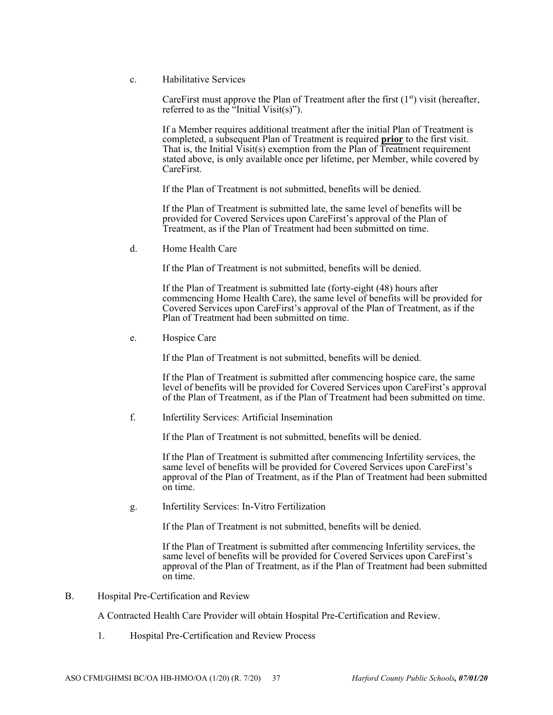c. Habilitative Services

CareFirst must approve the Plan of Treatment after the first  $(1<sup>st</sup>)$  visit (hereafter, referred to as the "Initial Visit(s)").

If a Member requires additional treatment after the initial Plan of Treatment is completed, a subsequent Plan of Treatment is required **prior** to the first visit. That is, the Initial  $\overline{V}$ isit(s) exemption from the Plan of Treatment requirement stated above, is only available once per lifetime, per Member, while covered by CareFirst.

If the Plan of Treatment is not submitted, benefits will be denied.

If the Plan of Treatment is submitted late, the same level of benefits will be provided for Covered Services upon CareFirst's approval of the Plan of Treatment, as if the Plan of Treatment had been submitted on time.

d. Home Health Care

If the Plan of Treatment is not submitted, benefits will be denied.

If the Plan of Treatment is submitted late (forty-eight (48) hours after commencing Home Health Care), the same level of benefits will be provided for Covered Services upon CareFirst's approval of the Plan of Treatment, as if the Plan of Treatment had been submitted on time.

e. Hospice Care

If the Plan of Treatment is not submitted, benefits will be denied.

If the Plan of Treatment is submitted after commencing hospice care, the same level of benefits will be provided for Covered Services upon CareFirst's approval of the Plan of Treatment, as if the Plan of Treatment had been submitted on time.

f. Infertility Services: Artificial Insemination

If the Plan of Treatment is not submitted, benefits will be denied.

If the Plan of Treatment is submitted after commencing Infertility services, the same level of benefits will be provided for Covered Services upon CareFirst's approval of the Plan of Treatment, as if the Plan of Treatment had been submitted on time.

g. Infertility Services: In-Vitro Fertilization

If the Plan of Treatment is not submitted, benefits will be denied.

If the Plan of Treatment is submitted after commencing Infertility services, the same level of benefits will be provided for Covered Services upon CareFirst's approval of the Plan of Treatment, as if the Plan of Treatment had been submitted on time.

B. Hospital Pre-Certification and Review

A Contracted Health Care Provider will obtain Hospital Pre-Certification and Review.

1. Hospital Pre-Certification and Review Process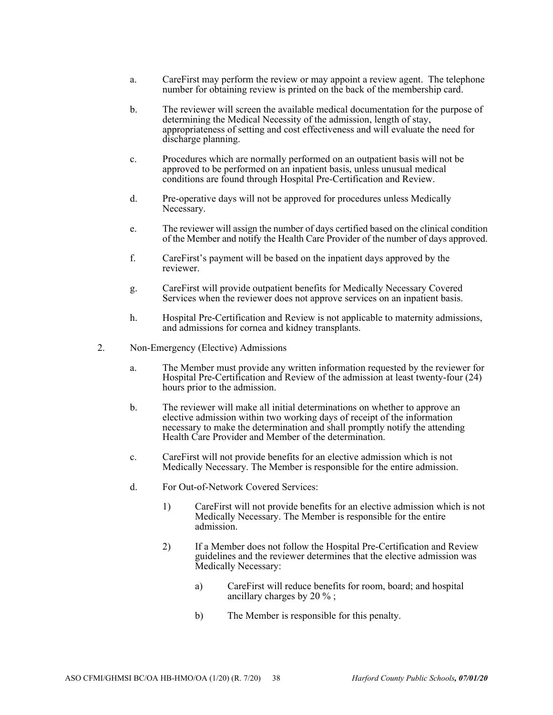- a. CareFirst may perform the review or may appoint a review agent. The telephone number for obtaining review is printed on the back of the membership card.
- b. The reviewer will screen the available medical documentation for the purpose of determining the Medical Necessity of the admission, length of stay, appropriateness of setting and cost effectiveness and will evaluate the need for discharge planning.
- c. Procedures which are normally performed on an outpatient basis will not be approved to be performed on an inpatient basis, unless unusual medical conditions are found through Hospital Pre-Certification and Review.
- d. Pre-operative days will not be approved for procedures unless Medically Necessary.
- e. The reviewer will assign the number of days certified based on the clinical condition of the Member and notify the Health Care Provider of the number of days approved.
- f. CareFirst's payment will be based on the inpatient days approved by the reviewer.
- g. CareFirst will provide outpatient benefits for Medically Necessary Covered Services when the reviewer does not approve services on an inpatient basis.
- h. Hospital Pre-Certification and Review is not applicable to maternity admissions, and admissions for cornea and kidney transplants.
- 2. Non-Emergency (Elective) Admissions
	- a. The Member must provide any written information requested by the reviewer for Hospital Pre-Certification and Review of the admission at least twenty-four (24) hours prior to the admission.
	- b. The reviewer will make all initial determinations on whether to approve an elective admission within two working days of receipt of the information necessary to make the determination and shall promptly notify the attending Health Care Provider and Member of the determination.
	- c. CareFirst will not provide benefits for an elective admission which is not Medically Necessary. The Member is responsible for the entire admission.
	- d. For Out-of-Network Covered Services:
		- 1) CareFirst will not provide benefits for an elective admission which is not Medically Necessary. The Member is responsible for the entire admission.
		- 2) If a Member does not follow the Hospital Pre-Certification and Review guidelines and the reviewer determines that the elective admission was Medically Necessary:
			- a) CareFirst will reduce benefits for room, board; and hospital ancillary charges by 20 % ;
			- b) The Member is responsible for this penalty.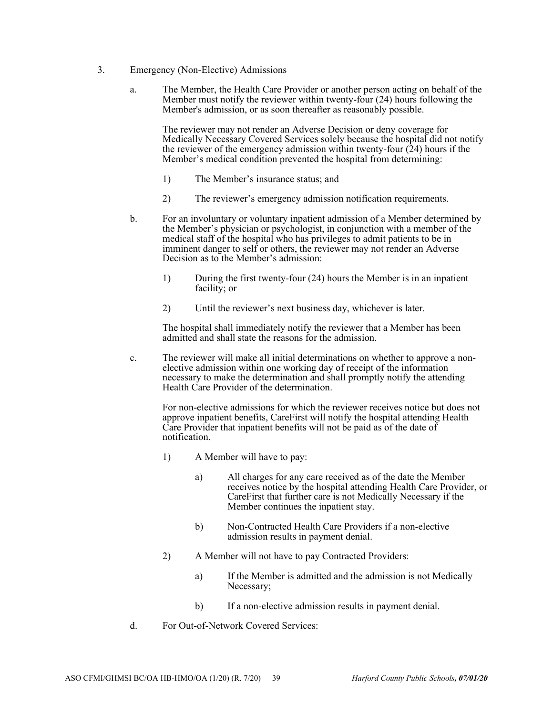- 3. Emergency (Non-Elective) Admissions
	- a. The Member, the Health Care Provider or another person acting on behalf of the Member must notify the reviewer within twenty-four (24) hours following the Member's admission, or as soon thereafter as reasonably possible.

The reviewer may not render an Adverse Decision or deny coverage for Medically Necessary Covered Services solely because the hospital did not notify the reviewer of the emergency admission within twenty-four  $(24)$  hours if the Member's medical condition prevented the hospital from determining:

- 1) The Member's insurance status; and
- 2) The reviewer's emergency admission notification requirements.
- b. For an involuntary or voluntary inpatient admission of a Member determined by the Member's physician or psychologist, in conjunction with a member of the medical staff of the hospital who has privileges to admit patients to be in imminent danger to self or others, the reviewer may not render an Adverse Decision as to the Member's admission:
	- 1) During the first twenty-four (24) hours the Member is in an inpatient facility; or
	- 2) Until the reviewer's next business day, whichever is later.

The hospital shall immediately notify the reviewer that a Member has been admitted and shall state the reasons for the admission.

c. The reviewer will make all initial determinations on whether to approve a nonelective admission within one working day of receipt of the information necessary to make the determination and shall promptly notify the attending Health Care Provider of the determination.

> For non-elective admissions for which the reviewer receives notice but does not approve inpatient benefits, CareFirst will notify the hospital attending Health Care Provider that inpatient benefits will not be paid as of the date of notification.

- 1) A Member will have to pay:
	- a) All charges for any care received as of the date the Member receives notice by the hospital attending Health Care Provider, or CareFirst that further care is not Medically Necessary if the Member continues the inpatient stay.
	- b) Non-Contracted Health Care Providers if a non-elective admission results in payment denial.
- 2) A Member will not have to pay Contracted Providers:
	- a) If the Member is admitted and the admission is not Medically Necessary;
	- b) If a non-elective admission results in payment denial.
- d. For Out-of-Network Covered Services: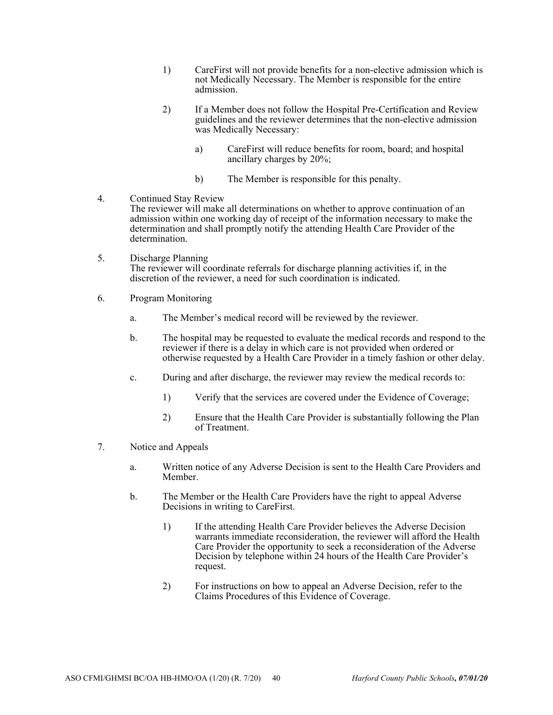- 1) CareFirst will not provide benefits for a non-elective admission which is not Medically Necessary. The Member is responsible for the entire admission.
- 2) If a Member does not follow the Hospital Pre-Certification and Review guidelines and the reviewer determines that the non-elective admission was Medically Necessary:
	- a) CareFirst will reduce benefits for room, board; and hospital ancillary charges by 20%;
	- b) The Member is responsible for this penalty.
- 4. Continued Stay Review The reviewer will make all determinations on whether to approve continuation of an admission within one working day of receipt of the information necessary to make the determination and shall promptly notify the attending Health Care Provider of the determination.
- 5. Discharge Planning The reviewer will coordinate referrals for discharge planning activities if, in the discretion of the reviewer, a need for such coordination is indicated.
- 6. Program Monitoring
	- a. The Member's medical record will be reviewed by the reviewer.
	- b. The hospital may be requested to evaluate the medical records and respond to the reviewer if there is a delay in which care is not provided when ordered or otherwise requested by a Health Care Provider in a timely fashion or other delay.
	- c. During and after discharge, the reviewer may review the medical records to:
		- 1) Verify that the services are covered under the Evidence of Coverage;
		- 2) Ensure that the Health Care Provider is substantially following the Plan of Treatment.
- 7. Notice and Appeals
	- a. Written notice of any Adverse Decision is sent to the Health Care Providers and Member.
	- b. The Member or the Health Care Providers have the right to appeal Adverse Decisions in writing to CareFirst.
		- 1) If the attending Health Care Provider believes the Adverse Decision warrants immediate reconsideration, the reviewer will afford the Health Care Provider the opportunity to seek a reconsideration of the Adverse Decision by telephone within 24 hours of the Health Care Provider's request.
		- 2) For instructions on how to appeal an Adverse Decision, refer to the Claims Procedures of this Evidence of Coverage.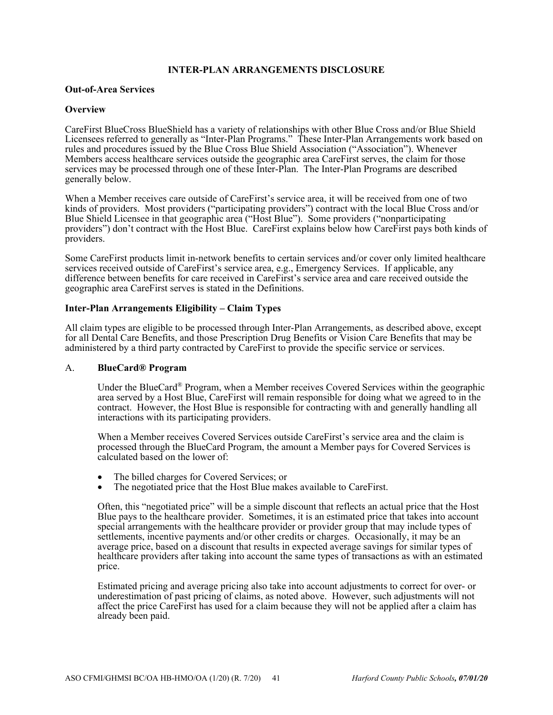## **INTER-PLAN ARRANGEMENTS DISCLOSURE**

#### **Out-of-Area Services**

#### **Overview**

CareFirst BlueCross BlueShield has a variety of relationships with other Blue Cross and/or Blue Shield Licensees referred to generally as "Inter-Plan Programs." These Inter-Plan Arrangements work based on rules and procedures issued by the Blue Cross Blue Shield Association ("Association"). Whenever Members access healthcare services outside the geographic area CareFirst serves, the claim for those services may be processed through one of these Inter-Plan. The Inter-Plan Programs are described generally below.

When a Member receives care outside of CareFirst's service area, it will be received from one of two kinds of providers. Most providers ("participating providers") contract with the local Blue Cross and/or Blue Shield Licensee in that geographic area ("Host Blue"). Some providers ("nonparticipating providers") don't contract with the Host Blue. CareFirst explains below how CareFirst pays both kinds of providers.

Some CareFirst products limit in-network benefits to certain services and/or cover only limited healthcare services received outside of CareFirst's service area, e.g., Emergency Services. If applicable, any difference between benefits for care received in CareFirst's service area and care received outside the geographic area CareFirst serves is stated in the Definitions.

#### **Inter-Plan Arrangements Eligibility – Claim Types**

All claim types are eligible to be processed through Inter-Plan Arrangements, as described above, except for all Dental Care Benefits, and those Prescription Drug Benefits or Vision Care Benefits that may be administered by a third party contracted by CareFirst to provide the specific service or services.

#### A. **BlueCard® Program**

Under the BlueCard® Program, when a Member receives Covered Services within the geographic area served by a Host Blue, CareFirst will remain responsible for doing what we agreed to in the contract. However, the Host Blue is responsible for contracting with and generally handling all interactions with its participating providers.

When a Member receives Covered Services outside CareFirst's service area and the claim is processed through the BlueCard Program, the amount a Member pays for Covered Services is calculated based on the lower of:

- The billed charges for Covered Services; or
- The negotiated price that the Host Blue makes available to CareFirst.

Often, this "negotiated price" will be a simple discount that reflects an actual price that the Host Blue pays to the healthcare provider. Sometimes, it is an estimated price that takes into account special arrangements with the healthcare provider or provider group that may include types of settlements, incentive payments and/or other credits or charges. Occasionally, it may be an average price, based on a discount that results in expected average savings for similar types of healthcare providers after taking into account the same types of transactions as with an estimated price.

Estimated pricing and average pricing also take into account adjustments to correct for over- or underestimation of past pricing of claims, as noted above. However, such adjustments will not affect the price CareFirst has used for a claim because they will not be applied after a claim has already been paid.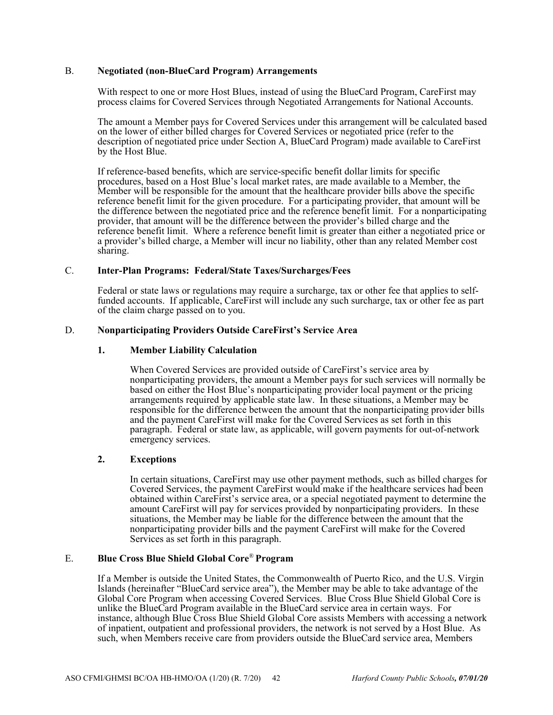#### B. **Negotiated (non-BlueCard Program) Arrangements**

With respect to one or more Host Blues, instead of using the BlueCard Program, CareFirst may process claims for Covered Services through Negotiated Arrangements for National Accounts.

The amount a Member pays for Covered Services under this arrangement will be calculated based on the lower of either billed charges for Covered Services or negotiated price (refer to the description of negotiated price under Section A, BlueCard Program) made available to CareFirst by the Host Blue.

If reference-based benefits, which are service-specific benefit dollar limits for specific procedures, based on a Host Blue's local market rates, are made available to a Member, the Member will be responsible for the amount that the healthcare provider bills above the specific reference benefit limit for the given procedure. For a participating provider, that amount will be the difference between the negotiated price and the reference benefit limit. For a nonparticipating provider, that amount will be the difference between the provider's billed charge and the reference benefit limit. Where a reference benefit limit is greater than either a negotiated price or a provider's billed charge, a Member will incur no liability, other than any related Member cost sharing.

## C. **Inter-Plan Programs: Federal/State Taxes/Surcharges/Fees**

Federal or state laws or regulations may require a surcharge, tax or other fee that applies to selffunded accounts. If applicable, CareFirst will include any such surcharge, tax or other fee as part of the claim charge passed on to you.

## D. **Nonparticipating Providers Outside CareFirst's Service Area**

## **1. Member Liability Calculation**

When Covered Services are provided outside of CareFirst's service area by nonparticipating providers, the amount a Member pays for such services will normally be based on either the Host Blue's nonparticipating provider local payment or the pricing arrangements required by applicable state law. In these situations, a Member may be responsible for the difference between the amount that the nonparticipating provider bills and the payment CareFirst will make for the Covered Services as set forth in this paragraph. Federal or state law, as applicable, will govern payments for out-of-network emergency services.

## **2. Exceptions**

In certain situations, CareFirst may use other payment methods, such as billed charges for Covered Services, the payment CareFirst would make if the healthcare services had been obtained within CareFirst's service area, or a special negotiated payment to determine the amount CareFirst will pay for services provided by nonparticipating providers. In these situations, the Member may be liable for the difference between the amount that the nonparticipating provider bills and the payment CareFirst will make for the Covered Services as set forth in this paragraph.

## E. **Blue Cross Blue Shield Global Core**® **Program**

If a Member is outside the United States, the Commonwealth of Puerto Rico, and the U.S. Virgin Islands (hereinafter "BlueCard service area"), the Member may be able to take advantage of the Global Core Program when accessing Covered Services. Blue Cross Blue Shield Global Core is unlike the BlueCard Program available in the BlueCard service area in certain ways. For instance, although Blue Cross Blue Shield Global Core assists Members with accessing a network of inpatient, outpatient and professional providers, the network is not served by a Host Blue. As such, when Members receive care from providers outside the BlueCard service area, Members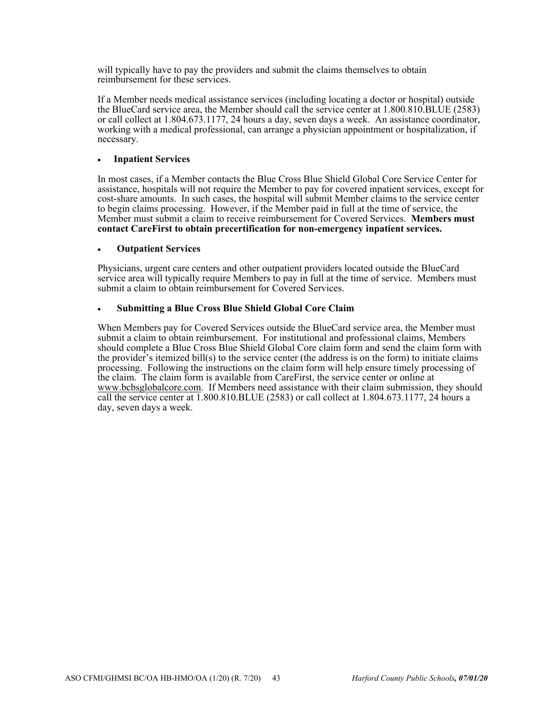will typically have to pay the providers and submit the claims themselves to obtain reimbursement for these services.

If a Member needs medical assistance services (including locating a doctor or hospital) outside the BlueCard service area, the Member should call the service center at 1.800.810.BLUE (2583) or call collect at 1.804.673.1177, 24 hours a day, seven days a week. An assistance coordinator, working with a medical professional, can arrange a physician appointment or hospitalization, if necessary.

## **Inpatient Services**

In most cases, if a Member contacts the Blue Cross Blue Shield Global Core Service Center for assistance, hospitals will not require the Member to pay for covered inpatient services, except for cost-share amounts. In such cases, the hospital will submit Member claims to the service center to begin claims processing. However, if the Member paid in full at the time of service, the Member must submit a claim to receive reimbursement for Covered Services. **Members must contact CareFirst to obtain precertification for non-emergency inpatient services.** 

#### **Outpatient Services**

Physicians, urgent care centers and other outpatient providers located outside the BlueCard service area will typically require Members to pay in full at the time of service. Members must submit a claim to obtain reimbursement for Covered Services.

## **Submitting a Blue Cross Blue Shield Global Core Claim**

When Members pay for Covered Services outside the BlueCard service area, the Member must submit a claim to obtain reimbursement. For institutional and professional claims, Members should complete a Blue Cross Blue Shield Global Core claim form and send the claim form with the provider's itemized bill(s) to the service center (the address is on the form) to initiate claims processing. Following the instructions on the claim form will help ensure timely processing of the claim. The claim form is available from CareFirst, the service center or online at www.bcbsglobalcore.com. If Members need assistance with their claim submission, they should call the service center at 1.800.810.BLUE (2583) or call collect at 1.804.673.1177, 24 hours a day, seven days a week.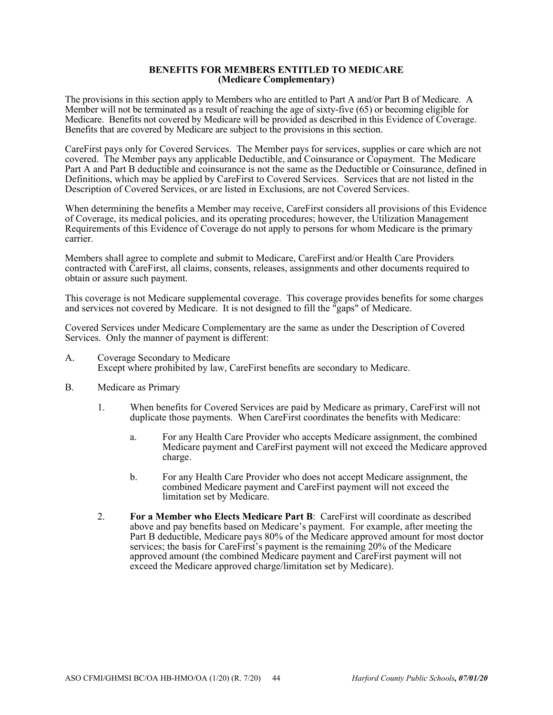#### **BENEFITS FOR MEMBERS ENTITLED TO MEDICARE (Medicare Complementary)**

The provisions in this section apply to Members who are entitled to Part A and/or Part B of Medicare. A Member will not be terminated as a result of reaching the age of sixty-five  $(65)$  or becoming eligible for Medicare. Benefits not covered by Medicare will be provided as described in this Evidence of Coverage. Benefits that are covered by Medicare are subject to the provisions in this section.

CareFirst pays only for Covered Services. The Member pays for services, supplies or care which are not covered. The Member pays any applicable Deductible, and Coinsurance or Copayment. The Medicare Part A and Part B deductible and coinsurance is not the same as the Deductible or Coinsurance, defined in Definitions, which may be applied by CareFirst to Covered Services. Services that are not listed in the Description of Covered Services, or are listed in Exclusions, are not Covered Services.

When determining the benefits a Member may receive, CareFirst considers all provisions of this Evidence of Coverage, its medical policies, and its operating procedures; however, the Utilization Management Requirements of this Evidence of Coverage do not apply to persons for whom Medicare is the primary carrier.

Members shall agree to complete and submit to Medicare, CareFirst and/or Health Care Providers contracted with CareFirst, all claims, consents, releases, assignments and other documents required to obtain or assure such payment.

This coverage is not Medicare supplemental coverage. This coverage provides benefits for some charges and services not covered by Medicare. It is not designed to fill the "gaps" of Medicare.

Covered Services under Medicare Complementary are the same as under the Description of Covered Services. Only the manner of payment is different:

- A. Coverage Secondary to Medicare Except where prohibited by law, CareFirst benefits are secondary to Medicare.
- B. Medicare as Primary
	- 1. When benefits for Covered Services are paid by Medicare as primary, CareFirst will not duplicate those payments. When CareFirst coordinates the benefits with Medicare:
		- a. For any Health Care Provider who accepts Medicare assignment, the combined Medicare payment and CareFirst payment will not exceed the Medicare approved charge.
		- b. For any Health Care Provider who does not accept Medicare assignment, the combined Medicare payment and CareFirst payment will not exceed the limitation set by Medicare.
	- 2. **For a Member who Elects Medicare Part B**: CareFirst will coordinate as described above and pay benefits based on Medicare's payment. For example, after meeting the Part B deductible, Medicare pays 80% of the Medicare approved amount for most doctor services; the basis for CareFirst's payment is the remaining 20% of the Medicare approved amount (the combined Medicare payment and CareFirst payment will not exceed the Medicare approved charge/limitation set by Medicare).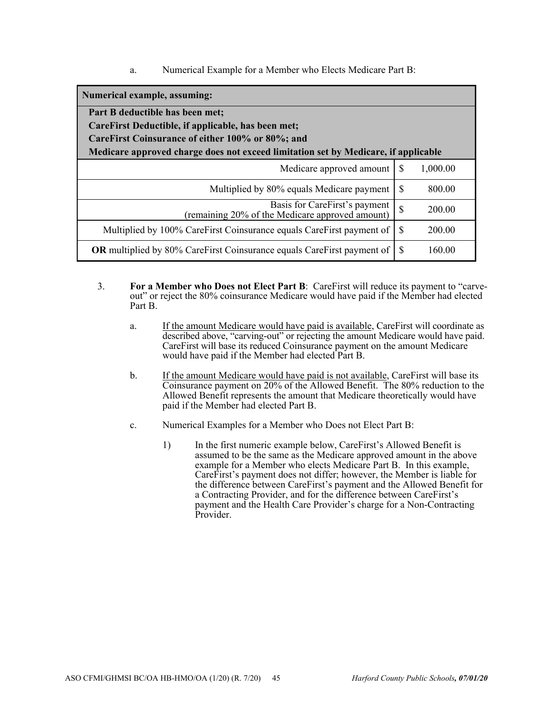a. Numerical Example for a Member who Elects Medicare Part B:

| Numerical example, assuming:                                                       |               |          |
|------------------------------------------------------------------------------------|---------------|----------|
| Part B deductible has been met;                                                    |               |          |
| CareFirst Deductible, if applicable, has been met;                                 |               |          |
| CareFirst Coinsurance of either 100% or 80%; and                                   |               |          |
| Medicare approved charge does not exceed limitation set by Medicare, if applicable |               |          |
| Medicare approved amount                                                           | <b>S</b>      | 1,000.00 |
| Multiplied by 80% equals Medicare payment                                          | <b>S</b>      | 800.00   |
| Basis for CareFirst's payment<br>(remaining 20% of the Medicare approved amount)   | $\mathcal{S}$ | 200.00   |
| Multiplied by 100% CareFirst Coinsurance equals CareFirst payment of               | - S           | 200.00   |
| OR multiplied by 80% CareFirst Coinsurance equals CareFirst payment of             | S             | 160.00   |

- 3. **For a Member who Does not Elect Part B**: CareFirst will reduce its payment to "carveout" or reject the 80% coinsurance Medicare would have paid if the Member had elected Part B.
	- a. If the amount Medicare would have paid is available, CareFirst will coordinate as described above, "carving-out" or rejecting the amount Medicare would have paid. CareFirst will base its reduced Coinsurance payment on the amount Medicare would have paid if the Member had elected Part B.
	- b. If the amount Medicare would have paid is not available, CareFirst will base its Coinsurance payment on 20% of the Allowed Benefit. The 80% reduction to the Allowed Benefit represents the amount that Medicare theoretically would have paid if the Member had elected Part B.
	- c. Numerical Examples for a Member who Does not Elect Part B:
		- 1) In the first numeric example below, CareFirst's Allowed Benefit is assumed to be the same as the Medicare approved amount in the above example for a Member who elects Medicare Part B. In this example, CareFirst's payment does not differ; however, the Member is liable for the difference between CareFirst's payment and the Allowed Benefit for a Contracting Provider, and for the difference between CareFirst's payment and the Health Care Provider's charge for a Non-Contracting Provider.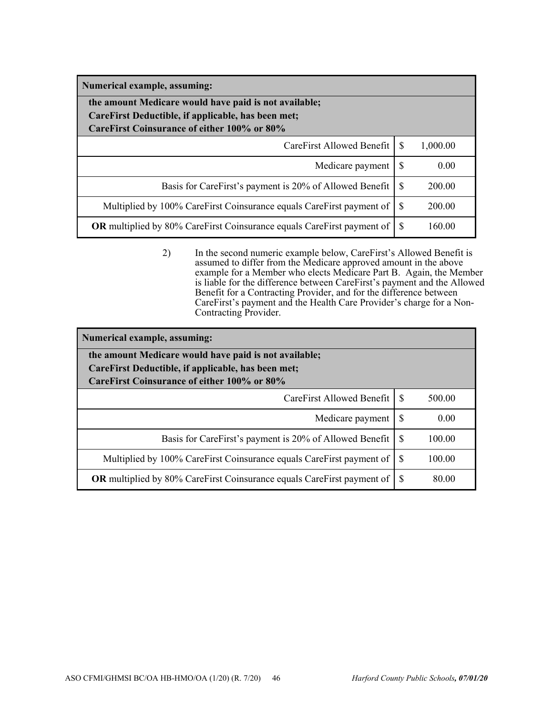| Numerical example, assuming:                                                                                                                               |          |          |
|------------------------------------------------------------------------------------------------------------------------------------------------------------|----------|----------|
| the amount Medicare would have paid is not available;<br>CareFirst Deductible, if applicable, has been met;<br>CareFirst Coinsurance of either 100% or 80% |          |          |
| CareFirst Allowed Benefit L                                                                                                                                | <b>S</b> | 1,000.00 |
| Medicare payment                                                                                                                                           | S        | 0.00     |
| Basis for CareFirst's payment is 20% of Allowed Benefit                                                                                                    | -S       | 200.00   |
| Multiplied by 100% CareFirst Coinsurance equals CareFirst payment of                                                                                       | -S       | 200.00   |
| <b>OR</b> multiplied by 80% CareFirst Coinsurance equals CareFirst payment of                                                                              | -S       | 160.00   |

2) In the second numeric example below, CareFirst's Allowed Benefit is assumed to differ from the Medicare approved amount in the above example for a Member who elects Medicare Part B. Again, the Member is liable for the difference between CareFirst's payment and the Allowed Benefit for a Contracting Provider, and for the difference between CareFirst's payment and the Health Care Provider's charge for a Non-Contracting Provider.

| Numerical example, assuming:                                                                      |     |        |
|---------------------------------------------------------------------------------------------------|-----|--------|
| the amount Medicare would have paid is not available;                                             |     |        |
| CareFirst Deductible, if applicable, has been met;<br>CareFirst Coinsurance of either 100% or 80% |     |        |
|                                                                                                   |     |        |
| CareFirst Allowed Benefit   \$                                                                    |     | 500.00 |
| Medicare payment                                                                                  | -S  | 0.00   |
| Basis for CareFirst's payment is 20% of Allowed Benefit                                           | -S  | 100.00 |
| Multiplied by 100% CareFirst Coinsurance equals CareFirst payment of                              | -S  | 100.00 |
| <b>OR</b> multiplied by 80% CareFirst Coinsurance equals CareFirst payment of                     | - S | 80.00  |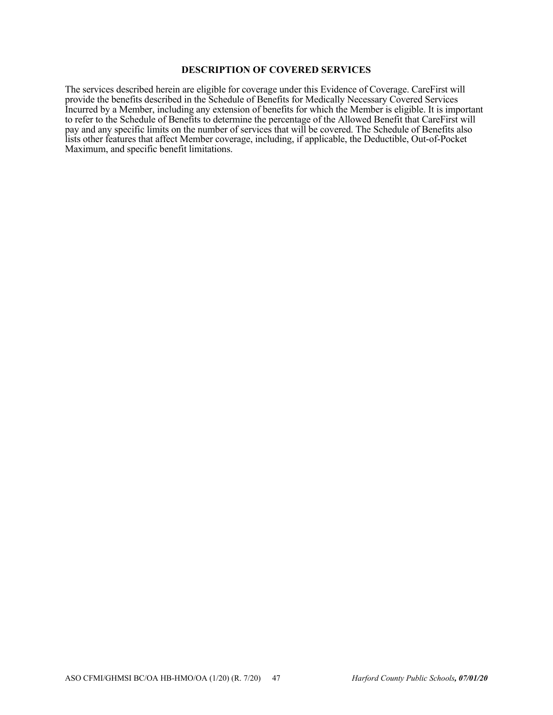#### **DESCRIPTION OF COVERED SERVICES**

The services described herein are eligible for coverage under this Evidence of Coverage. CareFirst will provide the benefits described in the Schedule of Benefits for Medically Necessary Covered Services Incurred by a Member, including any extension of benefits for which the Member is eligible. It is important to refer to the Schedule of Benefits to determine the percentage of the Allowed Benefit that CareFirst will pay and any specific limits on the number of services that will be covered. The Schedule of Benefits also lists other features that affect Member coverage, including, if applicable, the Deductible, Out-of-Pocket Maximum, and specific benefit limitations.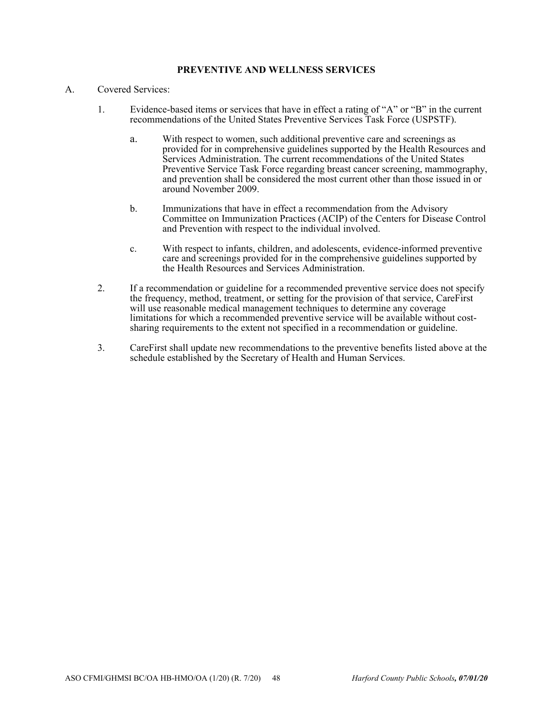## **PREVENTIVE AND WELLNESS SERVICES**

## A. Covered Services:

- 1. Evidence-based items or services that have in effect a rating of "A" or "B" in the current recommendations of the United States Preventive Services Task Force (USPSTF).
	- a. With respect to women, such additional preventive care and screenings as provided for in comprehensive guidelines supported by the Health Resources and Services Administration. The current recommendations of the United States Preventive Service Task Force regarding breast cancer screening, mammography, and prevention shall be considered the most current other than those issued in or around November 2009.
	- b. Immunizations that have in effect a recommendation from the Advisory Committee on Immunization Practices (ACIP) of the Centers for Disease Control and Prevention with respect to the individual involved.
	- c. With respect to infants, children, and adolescents, evidence-informed preventive care and screenings provided for in the comprehensive guidelines supported by the Health Resources and Services Administration.
- 2. If a recommendation or guideline for a recommended preventive service does not specify the frequency, method, treatment, or setting for the provision of that service, CareFirst will use reasonable medical management techniques to determine any coverage limitations for which a recommended preventive service will be available without costsharing requirements to the extent not specified in a recommendation or guideline.
- 3. CareFirst shall update new recommendations to the preventive benefits listed above at the schedule established by the Secretary of Health and Human Services.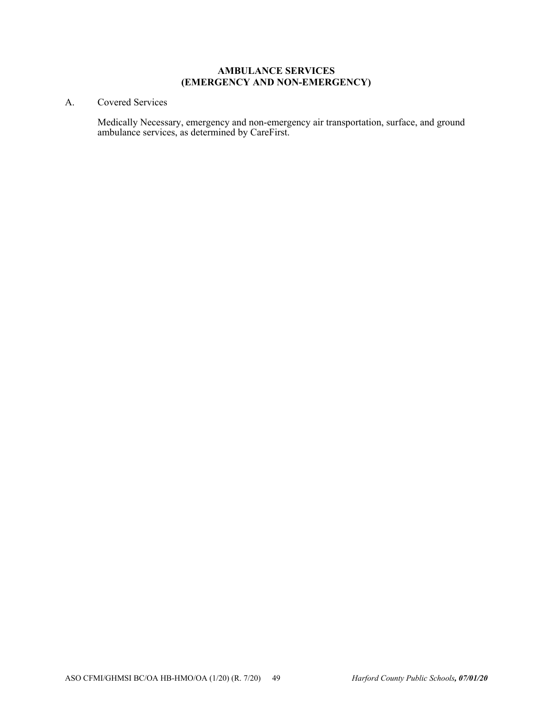# **AMBULANCE SERVICES (EMERGENCY AND NON-EMERGENCY)**

# A. Covered Services

Medically Necessary, emergency and non-emergency air transportation, surface, and ground ambulance services, as determined by CareFirst.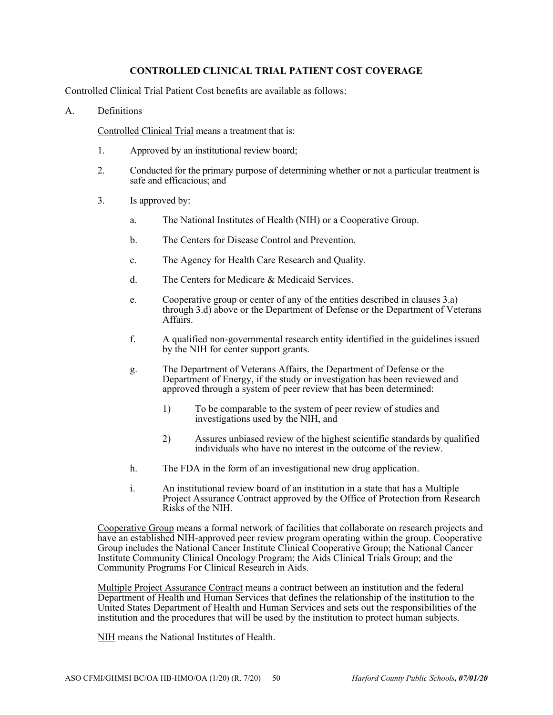## **CONTROLLED CLINICAL TRIAL PATIENT COST COVERAGE**

Controlled Clinical Trial Patient Cost benefits are available as follows:

#### A. Definitions

Controlled Clinical Trial means a treatment that is:

- 1. Approved by an institutional review board;
- 2. Conducted for the primary purpose of determining whether or not a particular treatment is safe and efficacious; and
- 3. Is approved by:
	- a. The National Institutes of Health (NIH) or a Cooperative Group.
	- b. The Centers for Disease Control and Prevention.
	- c. The Agency for Health Care Research and Quality.
	- d. The Centers for Medicare & Medicaid Services.
	- e. Cooperative group or center of any of the entities described in clauses 3.a) through 3.d) above or the Department of Defense or the Department of Veterans Affairs.
	- f. A qualified non-governmental research entity identified in the guidelines issued by the NIH for center support grants.
	- g. The Department of Veterans Affairs, the Department of Defense or the Department of Energy, if the study or investigation has been reviewed and approved through a system of peer review that has been determined:
		- 1) To be comparable to the system of peer review of studies and investigations used by the NIH, and
		- 2) Assures unbiased review of the highest scientific standards by qualified individuals who have no interest in the outcome of the review.
	- h. The FDA in the form of an investigational new drug application.
	- i. An institutional review board of an institution in a state that has a Multiple Project Assurance Contract approved by the Office of Protection from Research Risks of the NIH.

Cooperative Group means a formal network of facilities that collaborate on research projects and have an established NIH-approved peer review program operating within the group. Cooperative Group includes the National Cancer Institute Clinical Cooperative Group; the National Cancer Institute Community Clinical Oncology Program; the Aids Clinical Trials Group; and the Community Programs For Clinical Research in Aids.

Multiple Project Assurance Contract means a contract between an institution and the federal Department of Health and Human Services that defines the relationship of the institution to the United States Department of Health and Human Services and sets out the responsibilities of the institution and the procedures that will be used by the institution to protect human subjects.

NIH means the National Institutes of Health.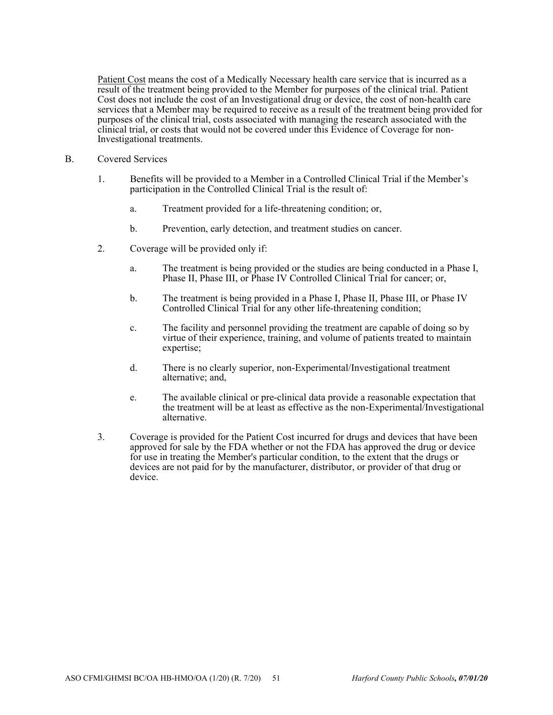Patient Cost means the cost of a Medically Necessary health care service that is incurred as a result of the treatment being provided to the Member for purposes of the clinical trial. Patient Cost does not include the cost of an Investigational drug or device, the cost of non-health care services that a Member may be required to receive as a result of the treatment being provided for purposes of the clinical trial, costs associated with managing the research associated with the clinical trial, or costs that would not be covered under this Evidence of Coverage for non-Investigational treatments.

- B. Covered Services
	- 1. Benefits will be provided to a Member in a Controlled Clinical Trial if the Member's participation in the Controlled Clinical Trial is the result of:
		- a. Treatment provided for a life-threatening condition; or,
		- b. Prevention, early detection, and treatment studies on cancer.
	- 2. Coverage will be provided only if:
		- a. The treatment is being provided or the studies are being conducted in a Phase I, Phase II, Phase III, or Phase IV Controlled Clinical Trial for cancer; or,
		- b. The treatment is being provided in a Phase I, Phase II, Phase III, or Phase IV Controlled Clinical Trial for any other life-threatening condition;
		- c. The facility and personnel providing the treatment are capable of doing so by virtue of their experience, training, and volume of patients treated to maintain expertise;
		- d. There is no clearly superior, non-Experimental/Investigational treatment alternative; and,
		- e. The available clinical or pre-clinical data provide a reasonable expectation that the treatment will be at least as effective as the non-Experimental/Investigational alternative.
	- 3. Coverage is provided for the Patient Cost incurred for drugs and devices that have been approved for sale by the FDA whether or not the FDA has approved the drug or device for use in treating the Member's particular condition, to the extent that the drugs or devices are not paid for by the manufacturer, distributor, or provider of that drug or device.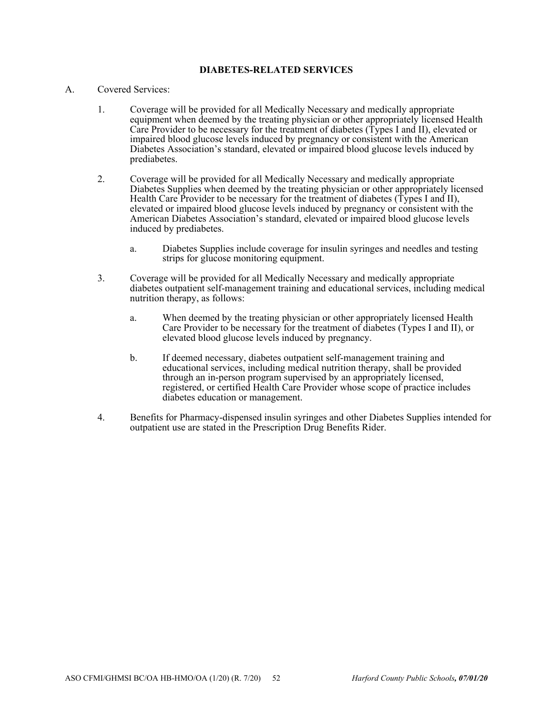# **DIABETES-RELATED SERVICES**

## A. Covered Services:

- 1. Coverage will be provided for all Medically Necessary and medically appropriate equipment when deemed by the treating physician or other appropriately licensed Health Care Provider to be necessary for the treatment of diabetes (Types I and II), elevated or impaired blood glucose levels induced by pregnancy or consistent with the American Diabetes Association's standard, elevated or impaired blood glucose levels induced by prediabetes.
- 2. Coverage will be provided for all Medically Necessary and medically appropriate Diabetes Supplies when deemed by the treating physician or other appropriately licensed Health Care Provider to be necessary for the treatment of diabetes ( $\dot{T}$ ypes I and II), elevated or impaired blood glucose levels induced by pregnancy or consistent with the American Diabetes Association's standard, elevated or impaired blood glucose levels induced by prediabetes.
	- a. Diabetes Supplies include coverage for insulin syringes and needles and testing strips for glucose monitoring equipment.
- 3. Coverage will be provided for all Medically Necessary and medically appropriate diabetes outpatient self-management training and educational services, including medical nutrition therapy, as follows:
	- a. When deemed by the treating physician or other appropriately licensed Health Care Provider to be necessary for the treatment of diabetes (Types I and II), or elevated blood glucose levels induced by pregnancy.
	- b. If deemed necessary, diabetes outpatient self-management training and educational services, including medical nutrition therapy, shall be provided through an in-person program supervised by an appropriately licensed, registered, or certified Health Care Provider whose scope of practice includes diabetes education or management.
- 4. Benefits for Pharmacy-dispensed insulin syringes and other Diabetes Supplies intended for outpatient use are stated in the Prescription Drug Benefits Rider.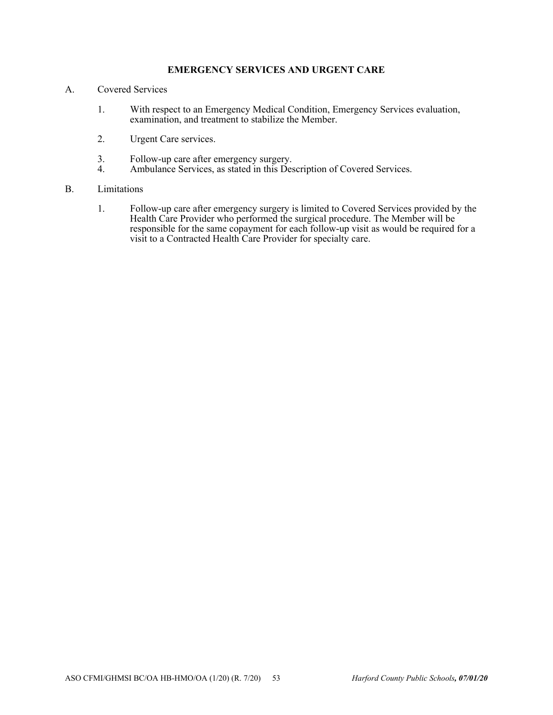# **EMERGENCY SERVICES AND URGENT CARE**

- A. Covered Services
	- 1. With respect to an Emergency Medical Condition, Emergency Services evaluation, examination, and treatment to stabilize the Member.
	- 2. Urgent Care services.
	- 3. Follow-up care after emergency surgery.
	- 4. Ambulance Services, as stated in this Description of Covered Services.

## B. Limitations

1. Follow-up care after emergency surgery is limited to Covered Services provided by the Health Care Provider who performed the surgical procedure. The Member will be responsible for the same copayment for each follow-up visit as would be required for a visit to a Contracted Health Care Provider for specialty care.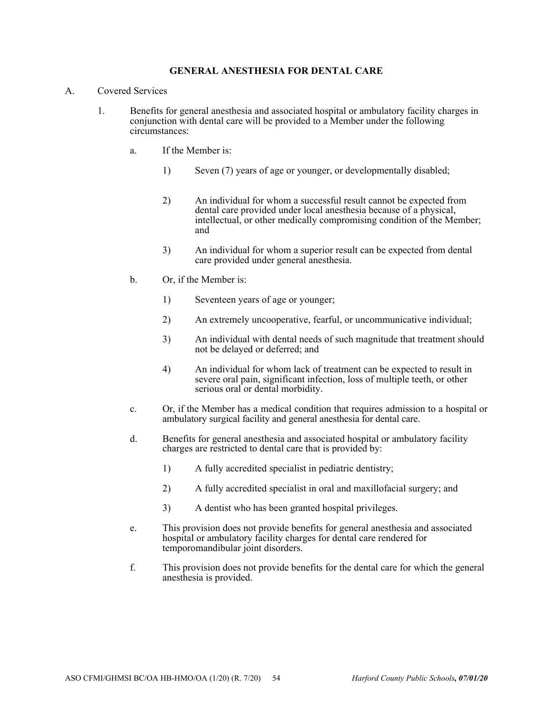### **GENERAL ANESTHESIA FOR DENTAL CARE**

- A. Covered Services
	- 1. Benefits for general anesthesia and associated hospital or ambulatory facility charges in conjunction with dental care will be provided to a Member under the following circumstances:
		- a. If the Member is:
			- 1) Seven (7) years of age or younger, or developmentally disabled;
			- 2) An individual for whom a successful result cannot be expected from dental care provided under local anesthesia because of a physical, intellectual, or other medically compromising condition of the Member; and
			- 3) An individual for whom a superior result can be expected from dental care provided under general anesthesia.
		- b. Or, if the Member is:
			- 1) Seventeen years of age or younger;
			- 2) An extremely uncooperative, fearful, or uncommunicative individual;
			- 3) An individual with dental needs of such magnitude that treatment should not be delayed or deferred; and
			- 4) An individual for whom lack of treatment can be expected to result in severe oral pain, significant infection, loss of multiple teeth, or other serious oral or dental morbidity.
		- c. Or, if the Member has a medical condition that requires admission to a hospital or ambulatory surgical facility and general anesthesia for dental care.
		- d. Benefits for general anesthesia and associated hospital or ambulatory facility charges are restricted to dental care that is provided by:
			- 1) A fully accredited specialist in pediatric dentistry;
			- 2) A fully accredited specialist in oral and maxillofacial surgery; and
			- 3) A dentist who has been granted hospital privileges.
		- e. This provision does not provide benefits for general anesthesia and associated hospital or ambulatory facility charges for dental care rendered for temporomandibular joint disorders.
		- f. This provision does not provide benefits for the dental care for which the general anesthesia is provided.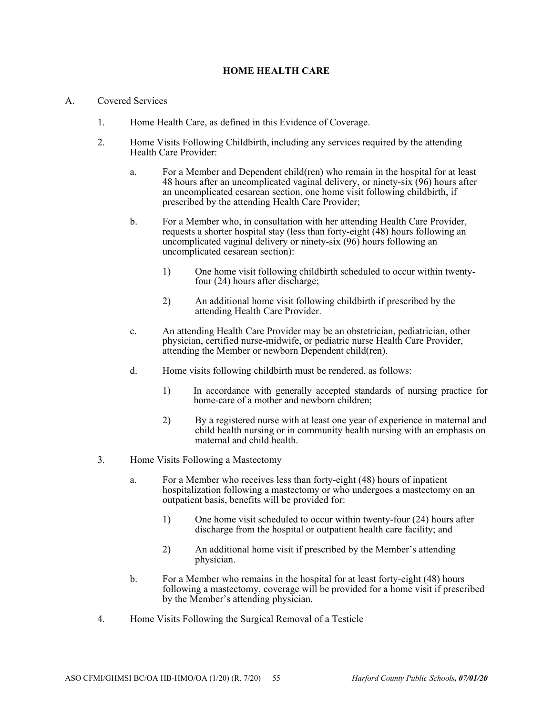## **HOME HEALTH CARE**

#### A. Covered Services

- 1. Home Health Care, as defined in this Evidence of Coverage.
- 2. Home Visits Following Childbirth, including any services required by the attending Health Care Provider:
	- a. For a Member and Dependent child(ren) who remain in the hospital for at least 48 hours after an uncomplicated vaginal delivery, or ninety-six (96) hours after an uncomplicated cesarean section, one home visit following childbirth, if prescribed by the attending Health Care Provider;
	- b. For a Member who, in consultation with her attending Health Care Provider, requests a shorter hospital stay (less than forty-eight (48) hours following an uncomplicated vaginal delivery or ninety-six (96) hours following an uncomplicated cesarean section):
		- 1) One home visit following childbirth scheduled to occur within twentyfour (24) hours after discharge;
		- 2) An additional home visit following childbirth if prescribed by the attending Health Care Provider.
	- c. An attending Health Care Provider may be an obstetrician, pediatrician, other physician, certified nurse-midwife, or pediatric nurse Health Care Provider, attending the Member or newborn Dependent child(ren).
	- d. Home visits following childbirth must be rendered, as follows:
		- 1) In accordance with generally accepted standards of nursing practice for home-care of a mother and newborn children;
		- 2) By a registered nurse with at least one year of experience in maternal and child health nursing or in community health nursing with an emphasis on maternal and child health.
- 3. Home Visits Following a Mastectomy
	- a. For a Member who receives less than forty-eight (48) hours of inpatient hospitalization following a mastectomy or who undergoes a mastectomy on an outpatient basis, benefits will be provided for:
		- 1) One home visit scheduled to occur within twenty-four (24) hours after discharge from the hospital or outpatient health care facility; and
		- 2) An additional home visit if prescribed by the Member's attending physician.
	- b. For a Member who remains in the hospital for at least forty-eight (48) hours following a mastectomy, coverage will be provided for a home visit if prescribed by the Member's attending physician.
- 4. Home Visits Following the Surgical Removal of a Testicle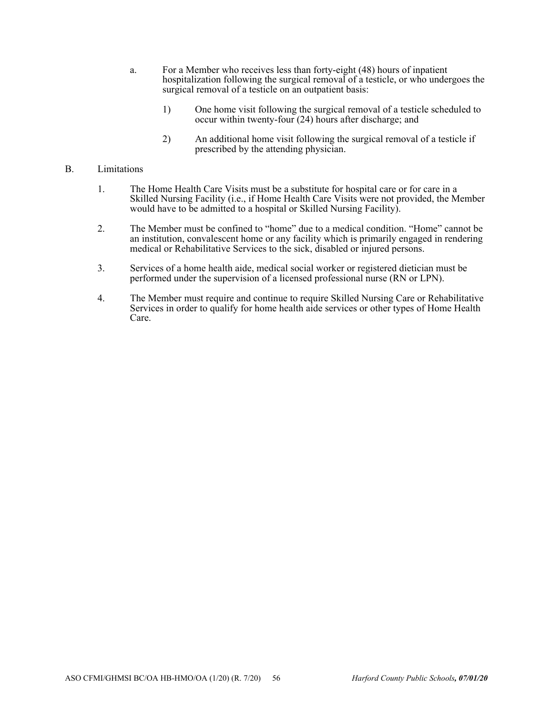- a. For a Member who receives less than forty-eight (48) hours of inpatient hospitalization following the surgical removal of a testicle, or who undergoes the surgical removal of a testicle on an outpatient basis:
	- 1) One home visit following the surgical removal of a testicle scheduled to occur within twenty-four (24) hours after discharge; and
	- 2) An additional home visit following the surgical removal of a testicle if prescribed by the attending physician.

#### B. Limitations

- 1. The Home Health Care Visits must be a substitute for hospital care or for care in a Skilled Nursing Facility (i.e., if Home Health Care Visits were not provided, the Member would have to be admitted to a hospital or Skilled Nursing Facility).
- 2. The Member must be confined to "home" due to a medical condition. "Home" cannot be an institution, convalescent home or any facility which is primarily engaged in rendering medical or Rehabilitative Services to the sick, disabled or injured persons.
- 3. Services of a home health aide, medical social worker or registered dietician must be performed under the supervision of a licensed professional nurse (RN or LPN).
- 4. The Member must require and continue to require Skilled Nursing Care or Rehabilitative Services in order to qualify for home health aide services or other types of Home Health Care.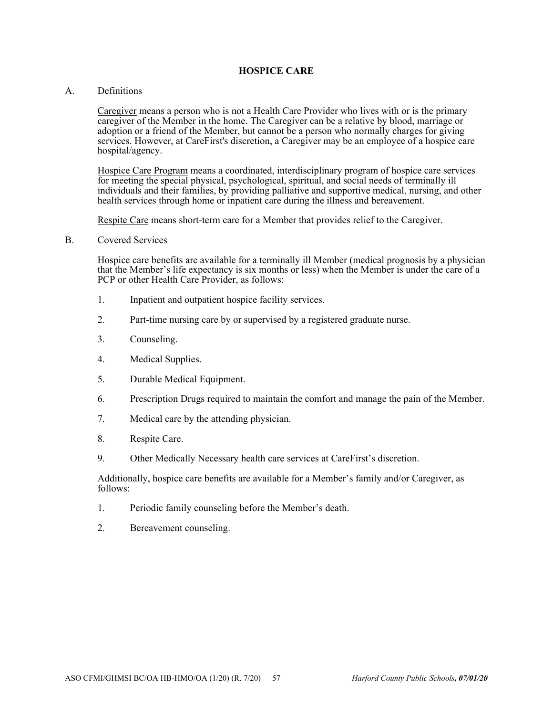#### **HOSPICE CARE**

#### A. Definitions

Caregiver means a person who is not a Health Care Provider who lives with or is the primary caregiver of the Member in the home. The Caregiver can be a relative by blood, marriage or adoption or a friend of the Member, but cannot be a person who normally charges for giving services. However, at CareFirst's discretion, a Caregiver may be an employee of a hospice care hospital/agency.

Hospice Care Program means a coordinated, interdisciplinary program of hospice care services for meeting the special physical, psychological, spiritual, and social needs of terminally ill individuals and their families, by providing palliative and supportive medical, nursing, and other health services through home or inpatient care during the illness and bereavement.

Respite Care means short-term care for a Member that provides relief to the Caregiver.

B. Covered Services

Hospice care benefits are available for a terminally ill Member (medical prognosis by a physician that the Member's life expectancy is six months or less) when the Member is under the care of a PCP or other Health Care Provider, as follows:

- 1. Inpatient and outpatient hospice facility services.
- 2. Part-time nursing care by or supervised by a registered graduate nurse.
- 3. Counseling.
- 4. Medical Supplies.
- 5. Durable Medical Equipment.
- 6. Prescription Drugs required to maintain the comfort and manage the pain of the Member.
- 7. Medical care by the attending physician.
- 8. Respite Care.
- 9. Other Medically Necessary health care services at CareFirst's discretion.

Additionally, hospice care benefits are available for a Member's family and/or Caregiver, as follows:

- 1. Periodic family counseling before the Member's death.
- 2. Bereavement counseling.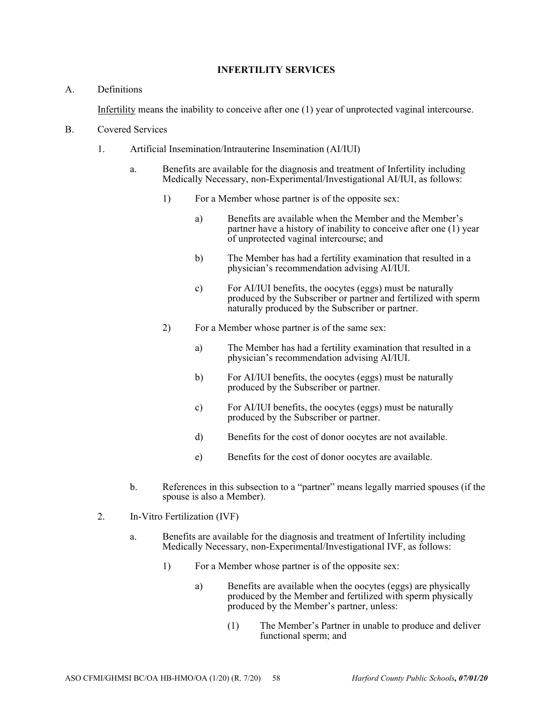# **INFERTILITY SERVICES**

## A. Definitions

Infertility means the inability to conceive after one (1) year of unprotected vaginal intercourse.

- B. Covered Services
	- 1. Artificial Insemination/Intrauterine Insemination (AI/IUI)
		- a. Benefits are available for the diagnosis and treatment of Infertility including Medically Necessary, non-Experimental/Investigational AI/IUI, as follows:
			- 1) For a Member whose partner is of the opposite sex:
				- a) Benefits are available when the Member and the Member's partner have a history of inability to conceive after one (1) year of unprotected vaginal intercourse; and
				- b) The Member has had a fertility examination that resulted in a physician's recommendation advising AI/IUI.
				- c) For AI/IUI benefits, the oocytes (eggs) must be naturally produced by the Subscriber or partner and fertilized with sperm naturally produced by the Subscriber or partner.
			- 2) For a Member whose partner is of the same sex:
				- a) The Member has had a fertility examination that resulted in a physician's recommendation advising AI/IUI.
				- b) For AI/IUI benefits, the oocytes (eggs) must be naturally produced by the Subscriber or partner.
				- c) For AI/IUI benefits, the oocytes (eggs) must be naturally produced by the Subscriber or partner.
				- d) Benefits for the cost of donor oocytes are not available.
				- e) Benefits for the cost of donor oocytes are available.
		- b. References in this subsection to a "partner" means legally married spouses (if the spouse is also a Member).
	- 2. In-Vitro Fertilization (IVF)
		- a. Benefits are available for the diagnosis and treatment of Infertility including Medically Necessary, non-Experimental/Investigational IVF, as follows:
			- 1) For a Member whose partner is of the opposite sex:
				- a) Benefits are available when the oocytes (eggs) are physically produced by the Member and fertilized with sperm physically produced by the Member's partner, unless:
					- (1) The Member's Partner in unable to produce and deliver functional sperm; and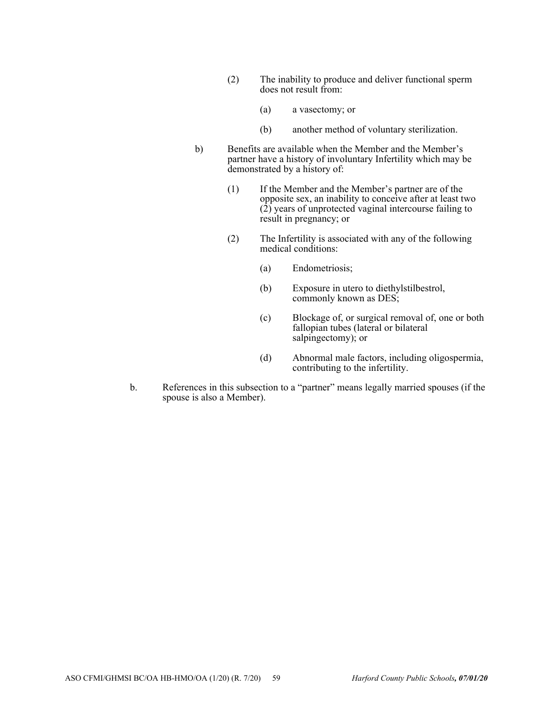- (2) The inability to produce and deliver functional sperm does not result from:
	- (a) a vasectomy; or
	- (b) another method of voluntary sterilization.
- b) Benefits are available when the Member and the Member's partner have a history of involuntary Infertility which may be demonstrated by a history of:
	- (1) If the Member and the Member's partner are of the opposite sex, an inability to conceive after at least two  $(2)$  years of unprotected vaginal intercourse failing to result in pregnancy; or
	- (2) The Infertility is associated with any of the following medical conditions:
		- (a) Endometriosis;
		- (b) Exposure in utero to diethylstilbestrol, commonly known as DES;
		- (c) Blockage of, or surgical removal of, one or both fallopian tubes (lateral or bilateral salpingectomy); or
		- (d) Abnormal male factors, including oligospermia, contributing to the infertility.
- b. References in this subsection to a "partner" means legally married spouses (if the spouse is also a Member).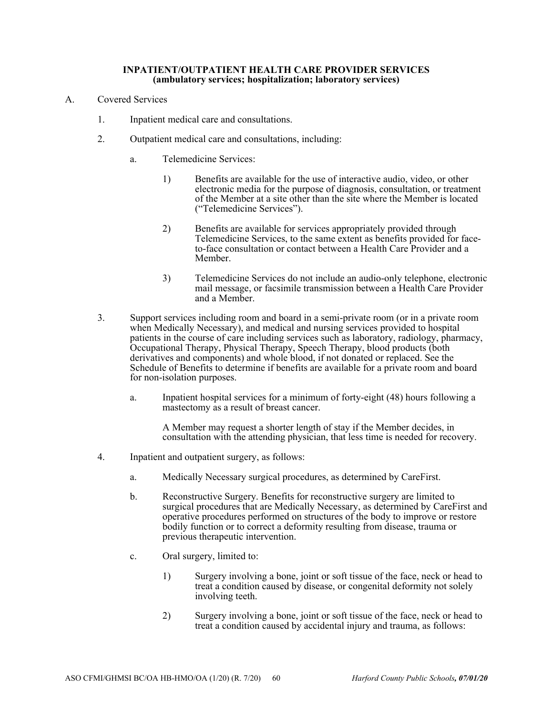#### **INPATIENT/OUTPATIENT HEALTH CARE PROVIDER SERVICES (ambulatory services; hospitalization; laboratory services)**

- A. Covered Services
	- 1. Inpatient medical care and consultations.
	- 2. Outpatient medical care and consultations, including:
		- a. Telemedicine Services:
			- 1) Benefits are available for the use of interactive audio, video, or other electronic media for the purpose of diagnosis, consultation, or treatment of the Member at a site other than the site where the Member is located ("Telemedicine Services").
			- 2) Benefits are available for services appropriately provided through Telemedicine Services, to the same extent as benefits provided for faceto-face consultation or contact between a Health Care Provider and a Member.
			- 3) Telemedicine Services do not include an audio-only telephone, electronic mail message, or facsimile transmission between a Health Care Provider and a Member.
	- 3. Support services including room and board in a semi-private room (or in a private room when Medically Necessary), and medical and nursing services provided to hospital patients in the course of care including services such as laboratory, radiology, pharmacy, Occupational Therapy, Physical Therapy, Speech Therapy, blood products (both derivatives and components) and whole blood, if not donated or replaced. See the Schedule of Benefits to determine if benefits are available for a private room and board for non-isolation purposes.
		- a. Inpatient hospital services for a minimum of forty-eight (48) hours following a mastectomy as a result of breast cancer.

A Member may request a shorter length of stay if the Member decides, in consultation with the attending physician, that less time is needed for recovery.

- 4. Inpatient and outpatient surgery, as follows:
	- a. Medically Necessary surgical procedures, as determined by CareFirst.
	- b. Reconstructive Surgery. Benefits for reconstructive surgery are limited to surgical procedures that are Medically Necessary, as determined by CareFirst and operative procedures performed on structures of the body to improve or restore bodily function or to correct a deformity resulting from disease, trauma or previous therapeutic intervention.
	- c. Oral surgery, limited to:
		- 1) Surgery involving a bone, joint or soft tissue of the face, neck or head to treat a condition caused by disease, or congenital deformity not solely involving teeth.
		- 2) Surgery involving a bone, joint or soft tissue of the face, neck or head to treat a condition caused by accidental injury and trauma, as follows: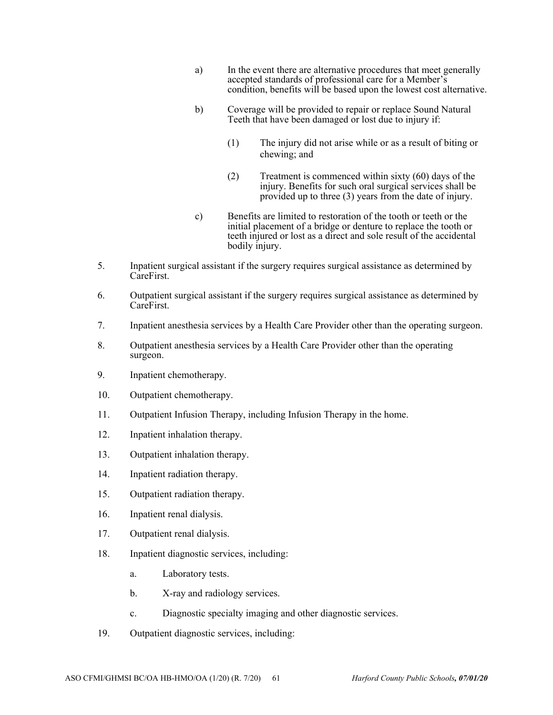- a) In the event there are alternative procedures that meet generally accepted standards of professional care for a Member's condition, benefits will be based upon the lowest cost alternative.
- b) Coverage will be provided to repair or replace Sound Natural Teeth that have been damaged or lost due to injury if:
	- (1) The injury did not arise while or as a result of biting or chewing; and
	- (2) Treatment is commenced within sixty (60) days of the injury. Benefits for such oral surgical services shall be provided up to three (3) years from the date of injury.
- c) Benefits are limited to restoration of the tooth or teeth or the initial placement of a bridge or denture to replace the tooth or teeth injured or lost as a direct and sole result of the accidental bodily injury.
- 5. Inpatient surgical assistant if the surgery requires surgical assistance as determined by CareFirst.
- 6. Outpatient surgical assistant if the surgery requires surgical assistance as determined by CareFirst.
- 7. Inpatient anesthesia services by a Health Care Provider other than the operating surgeon.
- 8. Outpatient anesthesia services by a Health Care Provider other than the operating surgeon.
- 9. Inpatient chemotherapy.
- 10. Outpatient chemotherapy.
- 11. Outpatient Infusion Therapy, including Infusion Therapy in the home.
- 12. Inpatient inhalation therapy.
- 13. Outpatient inhalation therapy.
- 14. Inpatient radiation therapy.
- 15. Outpatient radiation therapy.
- 16. Inpatient renal dialysis.
- 17. Outpatient renal dialysis.
- 18. Inpatient diagnostic services, including:
	- a. Laboratory tests.
	- b. X-ray and radiology services.
	- c. Diagnostic specialty imaging and other diagnostic services.
- 19. Outpatient diagnostic services, including: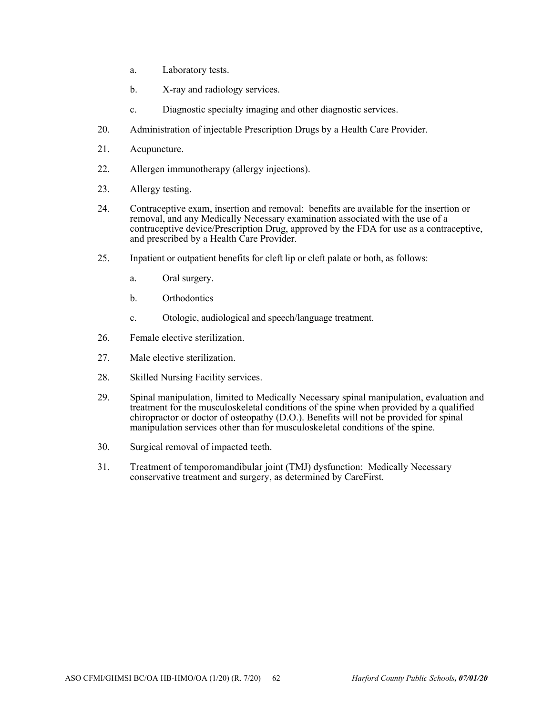- a. Laboratory tests.
- b. X-ray and radiology services.
- c. Diagnostic specialty imaging and other diagnostic services.
- 20. Administration of injectable Prescription Drugs by a Health Care Provider.
- 21. Acupuncture.
- 22. Allergen immunotherapy (allergy injections).
- 23. Allergy testing.
- 24. Contraceptive exam, insertion and removal: benefits are available for the insertion or removal, and any Medically Necessary examination associated with the use of a contraceptive device/Prescription Drug, approved by the FDA for use as a contraceptive, and prescribed by a Health Care Provider.
- 25. Inpatient or outpatient benefits for cleft lip or cleft palate or both, as follows:
	- a. Oral surgery.
	- b. Orthodontics
	- c. Otologic, audiological and speech/language treatment.
- 26. Female elective sterilization.
- 27. Male elective sterilization.
- 28. Skilled Nursing Facility services.
- 29. Spinal manipulation, limited to Medically Necessary spinal manipulation, evaluation and treatment for the musculoskeletal conditions of the spine when provided by a qualified chiropractor or doctor of osteopathy (D.O.). Benefits will not be provided for spinal manipulation services other than for musculoskeletal conditions of the spine.
- 30. Surgical removal of impacted teeth.
- 31. Treatment of temporomandibular joint (TMJ) dysfunction: Medically Necessary conservative treatment and surgery, as determined by CareFirst.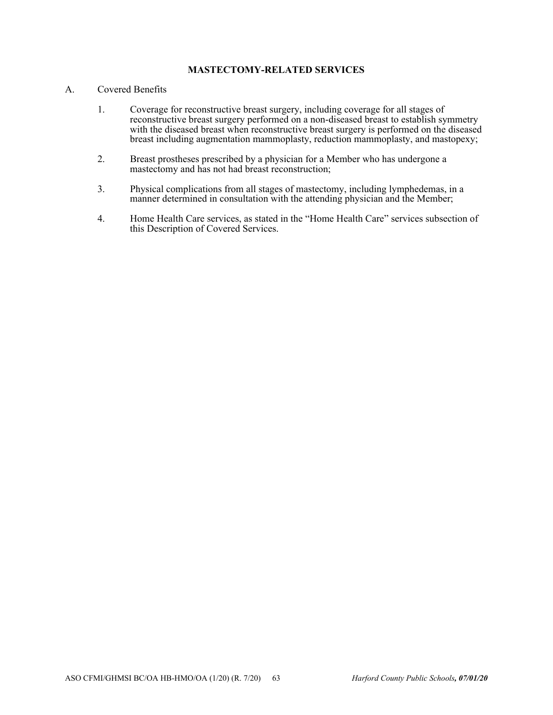# **MASTECTOMY-RELATED SERVICES**

# A. Covered Benefits

- 1. Coverage for reconstructive breast surgery, including coverage for all stages of reconstructive breast surgery performed on a non-diseased breast to establish symmetry with the diseased breast when reconstructive breast surgery is performed on the diseased breast including augmentation mammoplasty, reduction mammoplasty, and mastopexy;
- 2. Breast prostheses prescribed by a physician for a Member who has undergone a mastectomy and has not had breast reconstruction;
- 3. Physical complications from all stages of mastectomy, including lymphedemas, in a manner determined in consultation with the attending physician and the Member;
- 4. Home Health Care services, as stated in the "Home Health Care" services subsection of this Description of Covered Services.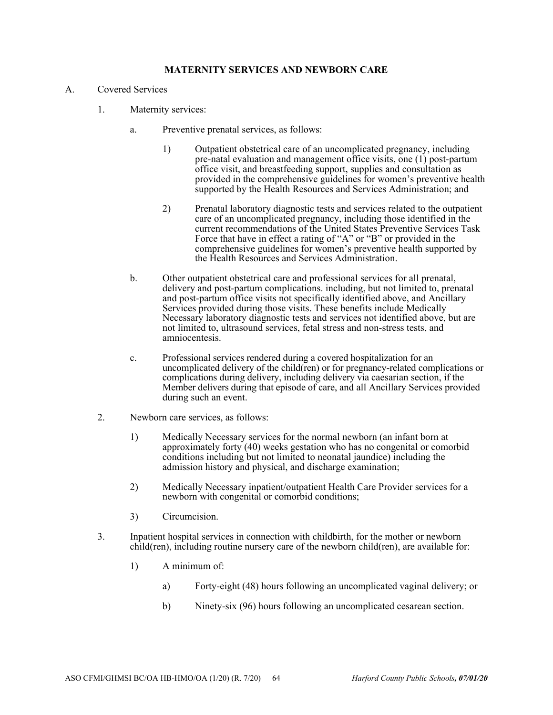# **MATERNITY SERVICES AND NEWBORN CARE**

- A. Covered Services
	- 1. Maternity services:
		- a. Preventive prenatal services, as follows:
			- 1) Outpatient obstetrical care of an uncomplicated pregnancy, including pre-natal evaluation and management office visits, one (1) post-partum office visit, and breastfeeding support, supplies and consultation as provided in the comprehensive guidelines for women's preventive health supported by the Health Resources and Services Administration; and
			- 2) Prenatal laboratory diagnostic tests and services related to the outpatient care of an uncomplicated pregnancy, including those identified in the current recommendations of the United States Preventive Services Task Force that have in effect a rating of "A" or "B" or provided in the comprehensive guidelines for women's preventive health supported by the Health Resources and Services Administration.
		- b. Other outpatient obstetrical care and professional services for all prenatal, delivery and post-partum complications. including, but not limited to, prenatal and post-partum office visits not specifically identified above, and Ancillary Services provided during those visits. These benefits include Medically Necessary laboratory diagnostic tests and services not identified above, but are not limited to, ultrasound services, fetal stress and non-stress tests, and amniocentesis.
		- c. Professional services rendered during a covered hospitalization for an uncomplicated delivery of the child(ren) or for pregnancy-related complications or complications during delivery, including delivery via caesarian section, if the Member delivers during that episode of care, and all Ancillary Services provided during such an event.
	- 2. Newborn care services, as follows:
		- 1) Medically Necessary services for the normal newborn (an infant born at approximately forty (40) weeks gestation who has no congenital or comorbid conditions including but not limited to neonatal jaundice) including the admission history and physical, and discharge examination;
		- 2) Medically Necessary inpatient/outpatient Health Care Provider services for a newborn with congenital or comorbid conditions;
		- 3) Circumcision.
	- 3. Inpatient hospital services in connection with childbirth, for the mother or newborn child(ren), including routine nursery care of the newborn child(ren), are available for:
		- 1) A minimum of:
			- a) Forty-eight (48) hours following an uncomplicated vaginal delivery; or
			- b) Ninety-six (96) hours following an uncomplicated cesarean section.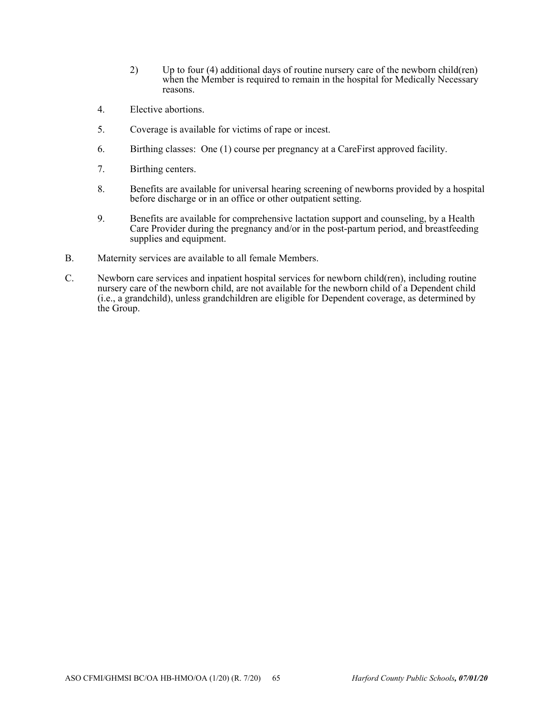- 2) Up to four (4) additional days of routine nursery care of the newborn child(ren) when the Member is required to remain in the hospital for Medically Necessary reasons.
- 4. Elective abortions.
- 5. Coverage is available for victims of rape or incest.
- 6. Birthing classes: One (1) course per pregnancy at a CareFirst approved facility.
- 7. Birthing centers.
- 8. Benefits are available for universal hearing screening of newborns provided by a hospital before discharge or in an office or other outpatient setting.
- 9. Benefits are available for comprehensive lactation support and counseling, by a Health Care Provider during the pregnancy and/or in the post-partum period, and breastfeeding supplies and equipment.
- B. Maternity services are available to all female Members.
- C. Newborn care services and inpatient hospital services for newborn child(ren), including routine nursery care of the newborn child, are not available for the newborn child of a Dependent child (i.e., a grandchild), unless grandchildren are eligible for Dependent coverage, as determined by the Group.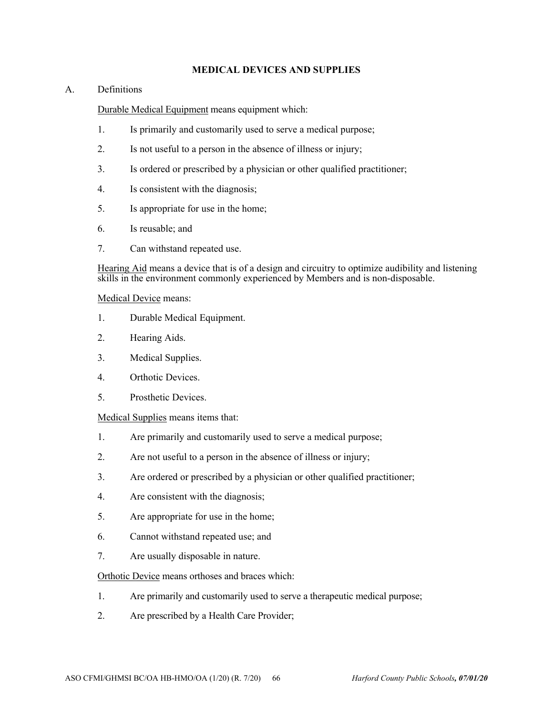# **MEDICAL DEVICES AND SUPPLIES**

# A. Definitions

Durable Medical Equipment means equipment which:

- 1. Is primarily and customarily used to serve a medical purpose;
- 2. Is not useful to a person in the absence of illness or injury;
- 3. Is ordered or prescribed by a physician or other qualified practitioner;
- 4. Is consistent with the diagnosis;
- 5. Is appropriate for use in the home;
- 6. Is reusable; and
- 7. Can withstand repeated use.

Hearing Aid means a device that is of a design and circuitry to optimize audibility and listening skills in the environment commonly experienced by Members and is non-disposable.

## Medical Device means:

- 1. Durable Medical Equipment.
- 2. Hearing Aids.
- 3. Medical Supplies.
- 4. Orthotic Devices.
- 5. Prosthetic Devices.

Medical Supplies means items that:

- 1. Are primarily and customarily used to serve a medical purpose;
- 2. Are not useful to a person in the absence of illness or injury;
- 3. Are ordered or prescribed by a physician or other qualified practitioner;
- 4. Are consistent with the diagnosis;
- 5. Are appropriate for use in the home;
- 6. Cannot withstand repeated use; and
- 7. Are usually disposable in nature.

Orthotic Device means orthoses and braces which:

- 1. Are primarily and customarily used to serve a therapeutic medical purpose;
- 2. Are prescribed by a Health Care Provider;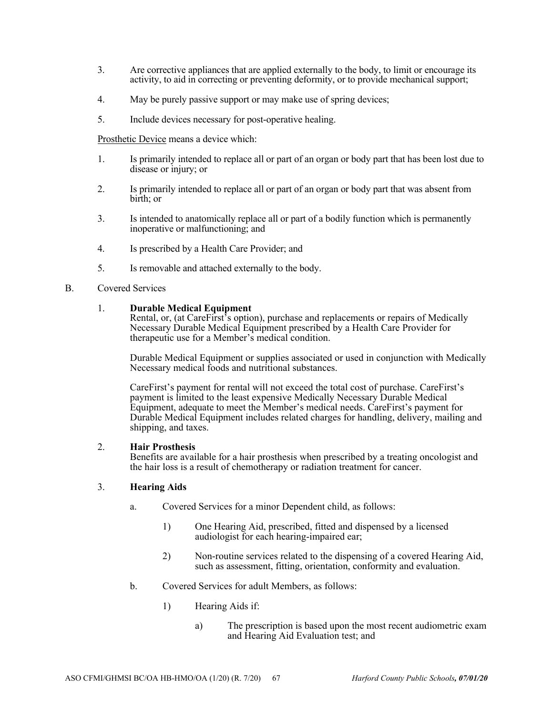- 3. Are corrective appliances that are applied externally to the body, to limit or encourage its activity, to aid in correcting or preventing deformity, or to provide mechanical support;
- 4. May be purely passive support or may make use of spring devices;
- 5. Include devices necessary for post-operative healing.

Prosthetic Device means a device which:

- 1. Is primarily intended to replace all or part of an organ or body part that has been lost due to disease or injury; or
- 2. Is primarily intended to replace all or part of an organ or body part that was absent from birth; or
- 3. Is intended to anatomically replace all or part of a bodily function which is permanently inoperative or malfunctioning; and
- 4. Is prescribed by a Health Care Provider; and
- 5. Is removable and attached externally to the body.
- B. Covered Services

## 1. **Durable Medical Equipment**

Rental, or, (at CareFirst's option), purchase and replacements or repairs of Medically Necessary Durable Medical Equipment prescribed by a Health Care Provider for therapeutic use for a Member's medical condition.

Durable Medical Equipment or supplies associated or used in conjunction with Medically Necessary medical foods and nutritional substances.

CareFirst's payment for rental will not exceed the total cost of purchase. CareFirst's payment is limited to the least expensive Medically Necessary Durable Medical Equipment, adequate to meet the Member's medical needs. CareFirst's payment for Durable Medical Equipment includes related charges for handling, delivery, mailing and shipping, and taxes.

### 2. **Hair Prosthesis**

Benefits are available for a hair prosthesis when prescribed by a treating oncologist and the hair loss is a result of chemotherapy or radiation treatment for cancer.

# 3. **Hearing Aids**

- a. Covered Services for a minor Dependent child, as follows:
	- 1) One Hearing Aid, prescribed, fitted and dispensed by a licensed audiologist for each hearing-impaired ear;
	- 2) Non-routine services related to the dispensing of a covered Hearing Aid, such as assessment, fitting, orientation, conformity and evaluation.
- b. Covered Services for adult Members, as follows:
	- 1) Hearing Aids if:
		- a) The prescription is based upon the most recent audiometric exam and Hearing Aid Evaluation test; and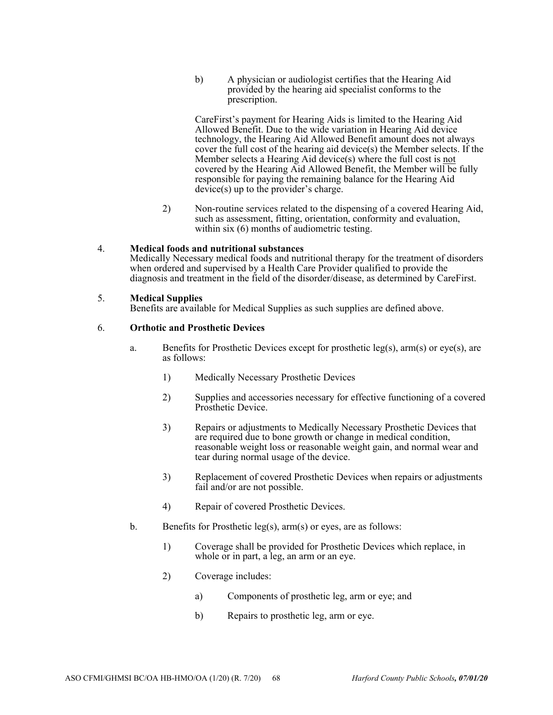b) A physician or audiologist certifies that the Hearing Aid provided by the hearing aid specialist conforms to the prescription.

CareFirst's payment for Hearing Aids is limited to the Hearing Aid Allowed Benefit. Due to the wide variation in Hearing Aid device technology, the Hearing Aid Allowed Benefit amount does not always cover the full cost of the hearing aid device(s) the Member selects. If the Member selects a Hearing Aid device(s) where the full cost is not covered by the Hearing Aid Allowed Benefit, the Member will be fully responsible for paying the remaining balance for the Hearing Aid device(s) up to the provider's charge.

2) Non-routine services related to the dispensing of a covered Hearing Aid, such as assessment, fitting, orientation, conformity and evaluation, within six (6) months of audiometric testing.

## 4. **Medical foods and nutritional substances**

Medically Necessary medical foods and nutritional therapy for the treatment of disorders when ordered and supervised by a Health Care Provider qualified to provide the diagnosis and treatment in the field of the disorder/disease, as determined by CareFirst.

## 5. **Medical Supplies**

Benefits are available for Medical Supplies as such supplies are defined above.

## 6. **Orthotic and Prosthetic Devices**

- a. Benefits for Prosthetic Devices except for prosthetic leg(s),  $arm(s)$  or eye(s), are as follows:
	- 1) Medically Necessary Prosthetic Devices
	- 2) Supplies and accessories necessary for effective functioning of a covered Prosthetic Device.
	- 3) Repairs or adjustments to Medically Necessary Prosthetic Devices that are required due to bone growth or change in medical condition, reasonable weight loss or reasonable weight gain, and normal wear and tear during normal usage of the device.
	- 3) Replacement of covered Prosthetic Devices when repairs or adjustments fail and/or are not possible.
	- 4) Repair of covered Prosthetic Devices.
- b. Benefits for Prosthetic leg(s), arm(s) or eyes, are as follows:
	- 1) Coverage shall be provided for Prosthetic Devices which replace, in whole or in part, a leg, an arm or an eye.
	- 2) Coverage includes:
		- a) Components of prosthetic leg, arm or eye; and
		- b) Repairs to prosthetic leg, arm or eye.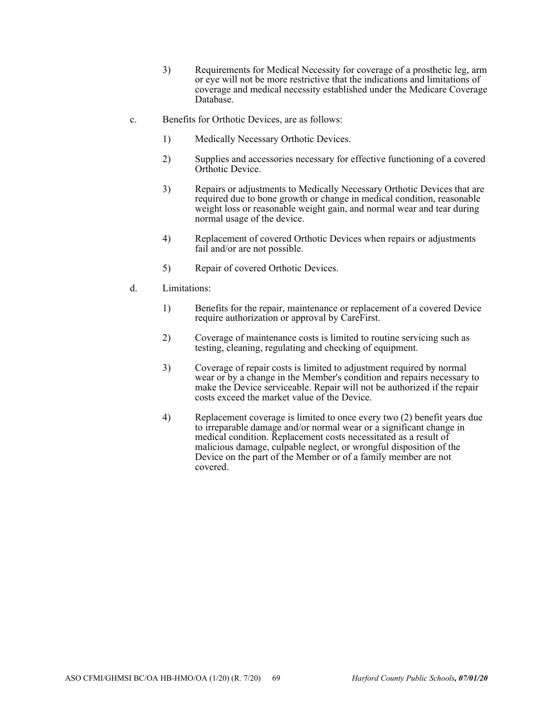- 3) Requirements for Medical Necessity for coverage of a prosthetic leg, arm or eye will not be more restrictive that the indications and limitations of coverage and medical necessity established under the Medicare Coverage Database.
- c. Benefits for Orthotic Devices, are as follows:
	- 1) Medically Necessary Orthotic Devices.
	- 2) Supplies and accessories necessary for effective functioning of a covered Orthotic Device.
	- 3) Repairs or adjustments to Medically Necessary Orthotic Devices that are required due to bone growth or change in medical condition, reasonable weight loss or reasonable weight gain, and normal wear and tear during normal usage of the device.
	- 4) Replacement of covered Orthotic Devices when repairs or adjustments fail and/or are not possible.
	- 5) Repair of covered Orthotic Devices.
- d. Limitations:
	- 1) Benefits for the repair, maintenance or replacement of a covered Device require authorization or approval by CareFirst.
	- 2) Coverage of maintenance costs is limited to routine servicing such as testing, cleaning, regulating and checking of equipment.
	- 3) Coverage of repair costs is limited to adjustment required by normal wear or by a change in the Member's condition and repairs necessary to make the Device serviceable. Repair will not be authorized if the repair costs exceed the market value of the Device.
	- 4) Replacement coverage is limited to once every two (2) benefit years due to irreparable damage and/or normal wear or a significant change in medical condition. Replacement costs necessitated as a result of malicious damage, culpable neglect, or wrongful disposition of the Device on the part of the Member or of a family member are not covered.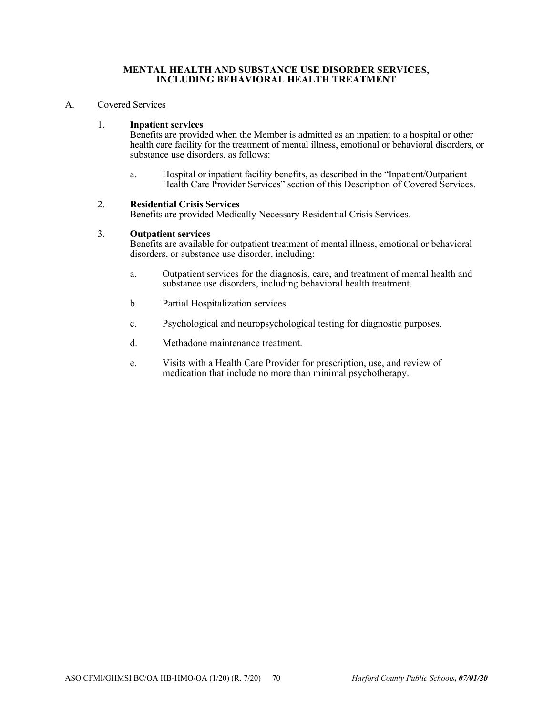### **MENTAL HEALTH AND SUBSTANCE USE DISORDER SERVICES, INCLUDING BEHAVIORAL HEALTH TREATMENT**

### A. Covered Services

## 1. **Inpatient services**

Benefits are provided when the Member is admitted as an inpatient to a hospital or other health care facility for the treatment of mental illness, emotional or behavioral disorders, or substance use disorders, as follows:

a. Hospital or inpatient facility benefits, as described in the "Inpatient/Outpatient Health Care Provider Services" section of this Description of Covered Services.

#### 2. **Residential Crisis Services**

Benefits are provided Medically Necessary Residential Crisis Services.

#### 3. **Outpatient services**

Benefits are available for outpatient treatment of mental illness, emotional or behavioral disorders, or substance use disorder, including:

- a. Outpatient services for the diagnosis, care, and treatment of mental health and substance use disorders, including behavioral health treatment.
- b. Partial Hospitalization services.
- c. Psychological and neuropsychological testing for diagnostic purposes.
- d. Methadone maintenance treatment.
- e. Visits with a Health Care Provider for prescription, use, and review of medication that include no more than minimal psychotherapy.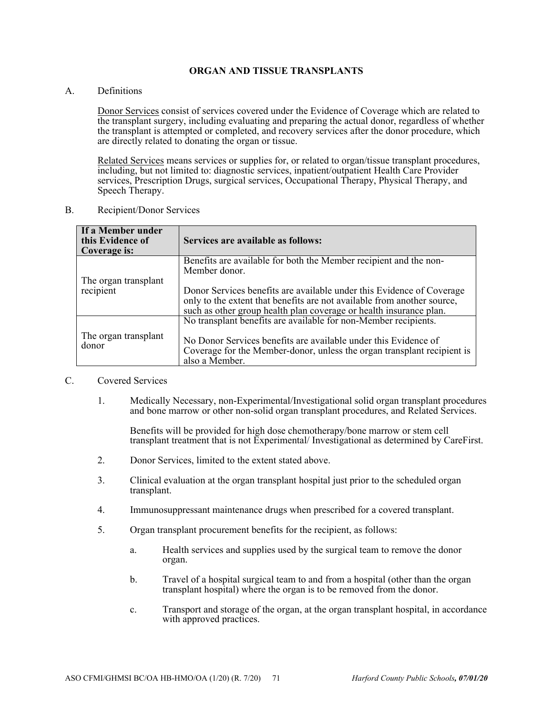## **ORGAN AND TISSUE TRANSPLANTS**

A. Definitions

Donor Services consist of services covered under the Evidence of Coverage which are related to the transplant surgery, including evaluating and preparing the actual donor, regardless of whether the transplant is attempted or completed, and recovery services after the donor procedure, which are directly related to donating the organ or tissue.

Related Services means services or supplies for, or related to organ/tissue transplant procedures, including, but not limited to: diagnostic services, inpatient/outpatient Health Care Provider services, Prescription Drugs, surgical services, Occupational Therapy, Physical Therapy, and Speech Therapy.

B. Recipient/Donor Services

| If a Member under<br>this Evidence of<br>Coverage is: | Services are available as follows:                                                                                                                                                                                              |
|-------------------------------------------------------|---------------------------------------------------------------------------------------------------------------------------------------------------------------------------------------------------------------------------------|
|                                                       | Benefits are available for both the Member recipient and the non-<br>Member donor.                                                                                                                                              |
| The organ transplant<br>recipient                     | Donor Services benefits are available under this Evidence of Coverage<br>only to the extent that benefits are not available from another source,<br>such as other group health plan coverage or health insurance plan.          |
| The organ transplant<br>donor                         | No transplant benefits are available for non-Member recipients.<br>No Donor Services benefits are available under this Evidence of<br>Coverage for the Member-donor, unless the organ transplant recipient is<br>also a Member. |

#### C. Covered Services

1. Medically Necessary, non-Experimental/Investigational solid organ transplant procedures and bone marrow or other non-solid organ transplant procedures, and Related Services.

Benefits will be provided for high dose chemotherapy/bone marrow or stem cell transplant treatment that is not Experimental/ Investigational as determined by CareFirst.

- 2. Donor Services, limited to the extent stated above.
- 3. Clinical evaluation at the organ transplant hospital just prior to the scheduled organ transplant.
- 4. Immunosuppressant maintenance drugs when prescribed for a covered transplant.
- 5. Organ transplant procurement benefits for the recipient, as follows:
	- a. Health services and supplies used by the surgical team to remove the donor organ.
	- b. Travel of a hospital surgical team to and from a hospital (other than the organ transplant hospital) where the organ is to be removed from the donor.
	- c. Transport and storage of the organ, at the organ transplant hospital, in accordance with approved practices.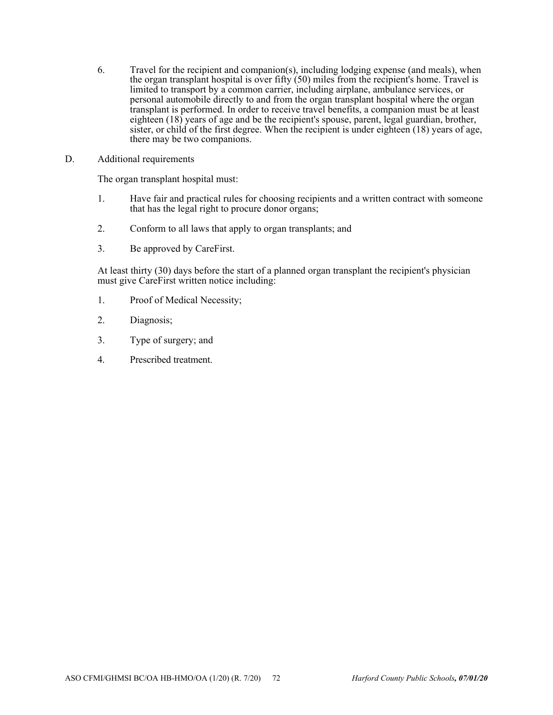- 6. Travel for the recipient and companion(s), including lodging expense (and meals), when the organ transplant hospital is over fifty  $(50)$  miles from the recipient's home. Travel is limited to transport by a common carrier, including airplane, ambulance services, or personal automobile directly to and from the organ transplant hospital where the organ transplant is performed. In order to receive travel benefits, a companion must be at least eighteen (18) years of age and be the recipient's spouse, parent, legal guardian, brother, sister, or child of the first degree. When the recipient is under eighteen (18) years of age, there may be two companions.
- D. Additional requirements

The organ transplant hospital must:

- 1. Have fair and practical rules for choosing recipients and a written contract with someone that has the legal right to procure donor organs;
- 2. Conform to all laws that apply to organ transplants; and
- 3. Be approved by CareFirst.

At least thirty (30) days before the start of a planned organ transplant the recipient's physician must give CareFirst written notice including:

- 1. Proof of Medical Necessity;
- 2. Diagnosis;
- 3. Type of surgery; and
- 4. Prescribed treatment.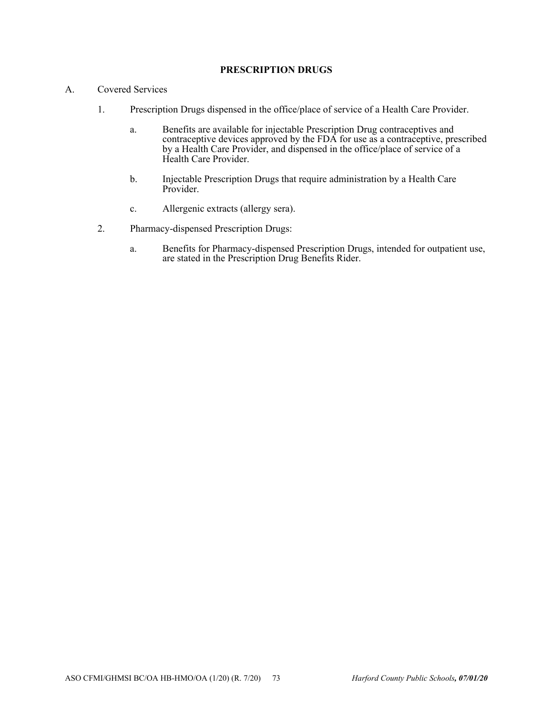## **PRESCRIPTION DRUGS**

- A. Covered Services
	- 1. Prescription Drugs dispensed in the office/place of service of a Health Care Provider.
		- a. Benefits are available for injectable Prescription Drug contraceptives and contraceptive devices approved by the FDA for use as a contraceptive, prescribed by a Health Care Provider, and dispensed in the office/place of service of a Health Care Provider.
		- b. Injectable Prescription Drugs that require administration by a Health Care Provider.
		- c. Allergenic extracts (allergy sera).
	- 2. Pharmacy-dispensed Prescription Drugs:
		- a. Benefits for Pharmacy-dispensed Prescription Drugs, intended for outpatient use, are stated in the Prescription Drug Benefits Rider.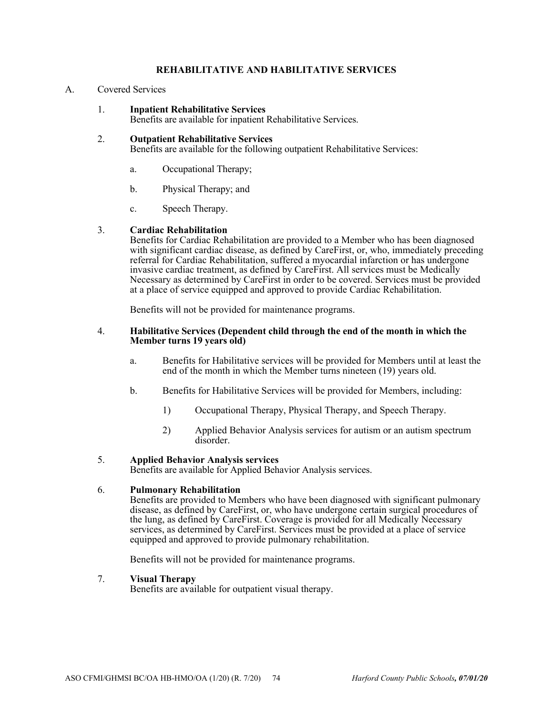## **REHABILITATIVE AND HABILITATIVE SERVICES**

## A. Covered Services

1. **Inpatient Rehabilitative Services** 

Benefits are available for inpatient Rehabilitative Services.

## 2. **Outpatient Rehabilitative Services**

Benefits are available for the following outpatient Rehabilitative Services:

- a. Occupational Therapy;
- b. Physical Therapy; and
- c. Speech Therapy.

## 3. **Cardiac Rehabilitation**

Benefits for Cardiac Rehabilitation are provided to a Member who has been diagnosed with significant cardiac disease, as defined by CareFirst, or, who, immediately preceding referral for Cardiac Rehabilitation, suffered a myocardial infarction or has undergone invasive cardiac treatment, as defined by CareFirst. All services must be Medically Necessary as determined by CareFirst in order to be covered. Services must be provided at a place of service equipped and approved to provide Cardiac Rehabilitation.

Benefits will not be provided for maintenance programs.

#### 4. **Habilitative Services (Dependent child through the end of the month in which the Member turns 19 years old)**

- a. Benefits for Habilitative services will be provided for Members until at least the end of the month in which the Member turns nineteen (19) years old.
- b. Benefits for Habilitative Services will be provided for Members, including:
	- 1) Occupational Therapy, Physical Therapy, and Speech Therapy.
	- 2) Applied Behavior Analysis services for autism or an autism spectrum disorder.

## 5. **Applied Behavior Analysis services**

Benefits are available for Applied Behavior Analysis services.

## 6. **Pulmonary Rehabilitation**

Benefits are provided to Members who have been diagnosed with significant pulmonary disease, as defined by CareFirst, or, who have undergone certain surgical procedures of the lung, as defined by CareFirst. Coverage is provided for all Medically Necessary services, as determined by CareFirst. Services must be provided at a place of service equipped and approved to provide pulmonary rehabilitation.

Benefits will not be provided for maintenance programs.

## 7. **Visual Therapy**

Benefits are available for outpatient visual therapy.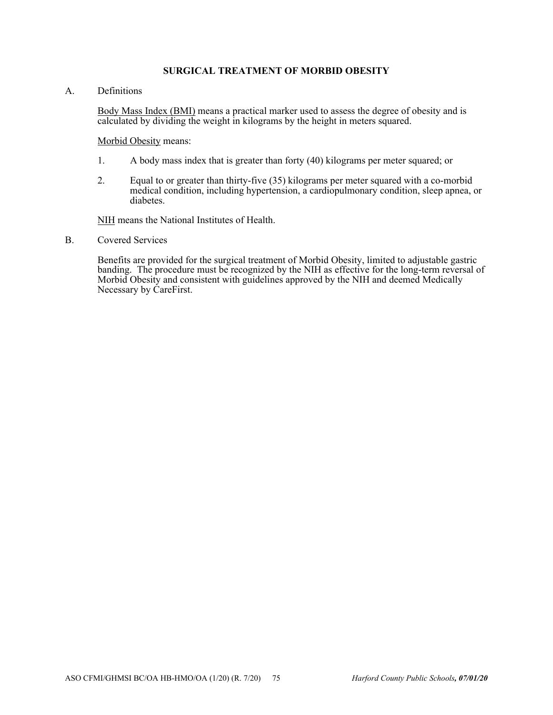## **SURGICAL TREATMENT OF MORBID OBESITY**

A. Definitions

Body Mass Index (BMI) means a practical marker used to assess the degree of obesity and is calculated by dividing the weight in kilograms by the height in meters squared.

Morbid Obesity means:

- 1. A body mass index that is greater than forty (40) kilograms per meter squared; or
- 2. Equal to or greater than thirty-five (35) kilograms per meter squared with a co-morbid medical condition, including hypertension, a cardiopulmonary condition, sleep apnea, or diabetes.

NIH means the National Institutes of Health.

B. Covered Services

Benefits are provided for the surgical treatment of Morbid Obesity, limited to adjustable gastric banding. The procedure must be recognized by the NIH as effective for the long-term reversal of Morbid Obesity and consistent with guidelines approved by the NIH and deemed Medically Necessary by CareFirst.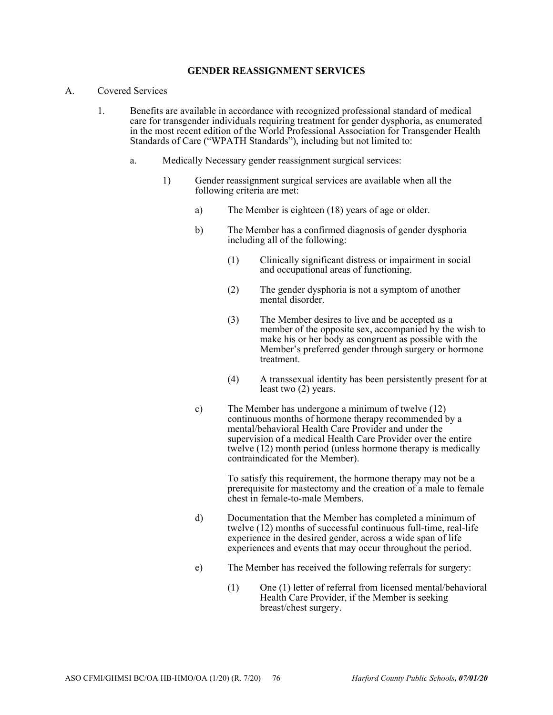#### **GENDER REASSIGNMENT SERVICES**

- A. Covered Services
	- 1. Benefits are available in accordance with recognized professional standard of medical care for transgender individuals requiring treatment for gender dysphoria, as enumerated in the most recent edition of the World Professional Association for Transgender Health Standards of Care ("WPATH Standards"), including but not limited to:
		- a. Medically Necessary gender reassignment surgical services:
			- 1) Gender reassignment surgical services are available when all the following criteria are met:
				- a) The Member is eighteen (18) years of age or older.
				- b) The Member has a confirmed diagnosis of gender dysphoria including all of the following:
					- (1) Clinically significant distress or impairment in social and occupational areas of functioning.
					- (2) The gender dysphoria is not a symptom of another mental disorder.
					- (3) The Member desires to live and be accepted as a member of the opposite sex, accompanied by the wish to make his or her body as congruent as possible with the Member's preferred gender through surgery or hormone treatment.
					- (4) A transsexual identity has been persistently present for at least two (2) years.
				- c) The Member has undergone a minimum of twelve (12) continuous months of hormone therapy recommended by a mental/behavioral Health Care Provider and under the supervision of a medical Health Care Provider over the entire twelve (12) month period (unless hormone therapy is medically contraindicated for the Member).

To satisfy this requirement, the hormone therapy may not be a prerequisite for mastectomy and the creation of a male to female chest in female-to-male Members.

- d) Documentation that the Member has completed a minimum of twelve (12) months of successful continuous full-time, real-life experience in the desired gender, across a wide span of life experiences and events that may occur throughout the period.
- e) The Member has received the following referrals for surgery:
	- (1) One (1) letter of referral from licensed mental/behavioral Health Care Provider, if the Member is seeking breast/chest surgery.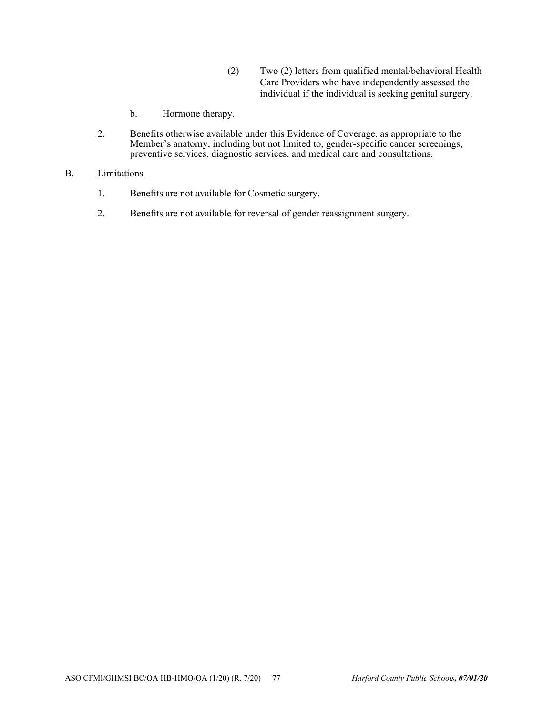- (2) Two (2) letters from qualified mental/behavioral Health Care Providers who have independently assessed the individual if the individual is seeking genital surgery.
- b. Hormone therapy.
- 2. Benefits otherwise available under this Evidence of Coverage, as appropriate to the Member's anatomy, including but not limited to, gender-specific cancer screenings, preventive services, diagnostic services, and medical care and consultations.
- B. Limitations
	- 1. Benefits are not available for Cosmetic surgery.
	- 2. Benefits are not available for reversal of gender reassignment surgery.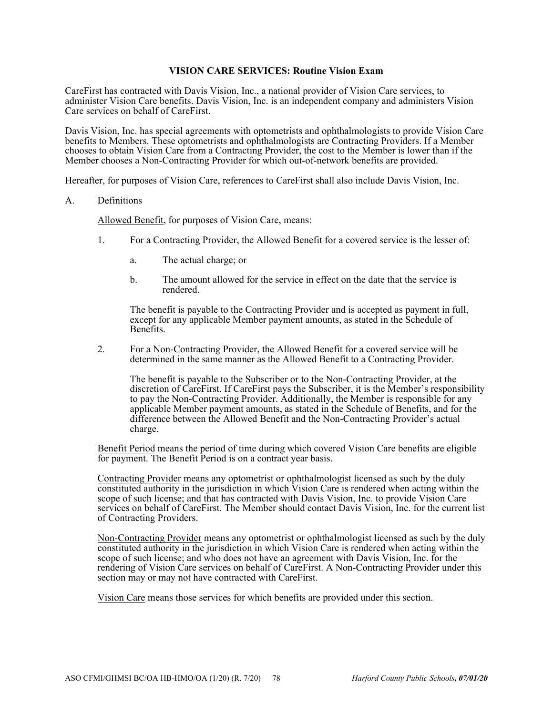## **VISION CARE SERVICES: Routine Vision Exam**

CareFirst has contracted with Davis Vision, Inc., a national provider of Vision Care services, to administer Vision Care benefits. Davis Vision, Inc. is an independent company and administers Vision Care services on behalf of CareFirst.

Davis Vision, Inc. has special agreements with optometrists and ophthalmologists to provide Vision Care benefits to Members. These optometrists and ophthalmologists are Contracting Providers. If a Member chooses to obtain Vision Care from a Contracting Provider, the cost to the Member is lower than if the Member chooses a Non-Contracting Provider for which out-of-network benefits are provided.

Hereafter, for purposes of Vision Care, references to CareFirst shall also include Davis Vision, Inc.

#### A. Definitions

Allowed Benefit, for purposes of Vision Care, means:

- 1. For a Contracting Provider, the Allowed Benefit for a covered service is the lesser of:
	- a. The actual charge; or
	- b. The amount allowed for the service in effect on the date that the service is rendered.

The benefit is payable to the Contracting Provider and is accepted as payment in full, except for any applicable Member payment amounts, as stated in the Schedule of Benefits.

2. For a Non-Contracting Provider, the Allowed Benefit for a covered service will be determined in the same manner as the Allowed Benefit to a Contracting Provider.

The benefit is payable to the Subscriber or to the Non-Contracting Provider, at the discretion of CareFirst. If CareFirst pays the Subscriber, it is the Member's responsibility to pay the Non-Contracting Provider. Additionally, the Member is responsible for any applicable Member payment amounts, as stated in the Schedule of Benefits, and for the difference between the Allowed Benefit and the Non-Contracting Provider's actual charge.

Benefit Period means the period of time during which covered Vision Care benefits are eligible for payment. The Benefit Period is on a contract year basis.

Contracting Provider means any optometrist or ophthalmologist licensed as such by the duly constituted authority in the jurisdiction in which Vision Care is rendered when acting within the scope of such license; and that has contracted with Davis Vision, Inc. to provide Vision Care services on behalf of CareFirst. The Member should contact Davis Vision, Inc. for the current list of Contracting Providers.

Non-Contracting Provider means any optometrist or ophthalmologist licensed as such by the duly constituted authority in the jurisdiction in which Vision Care is rendered when acting within the scope of such license; and who does not have an agreement with Davis Vision, Inc. for the rendering of Vision Care services on behalf of CareFirst. A Non-Contracting Provider under this section may or may not have contracted with CareFirst.

Vision Care means those services for which benefits are provided under this section.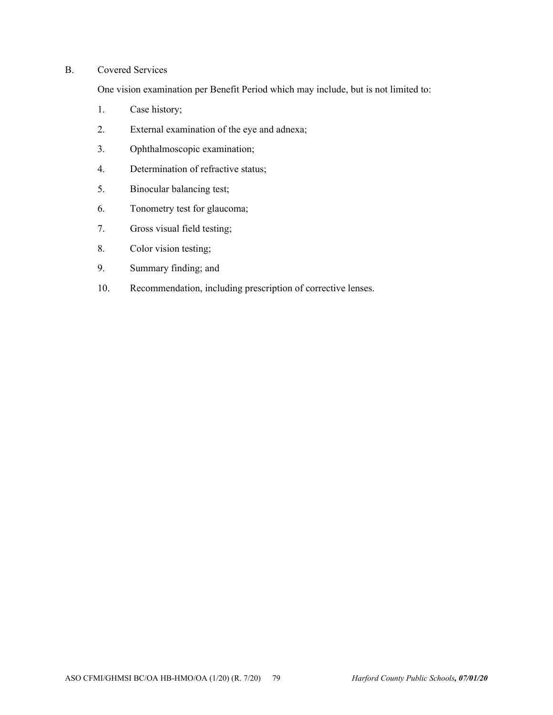## B. Covered Services

One vision examination per Benefit Period which may include, but is not limited to:

- 1. Case history;
- 2. External examination of the eye and adnexa;
- 3. Ophthalmoscopic examination;
- 4. Determination of refractive status;
- 5. Binocular balancing test;
- 6. Tonometry test for glaucoma;
- 7. Gross visual field testing;
- 8. Color vision testing;
- 9. Summary finding; and
- 10. Recommendation, including prescription of corrective lenses.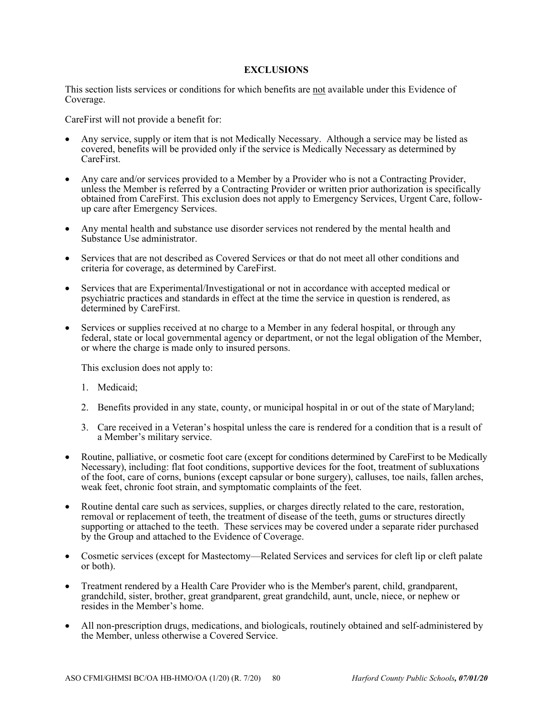## **EXCLUSIONS**

This section lists services or conditions for which benefits are not available under this Evidence of Coverage.

CareFirst will not provide a benefit for:

- Any service, supply or item that is not Medically Necessary. Although a service may be listed as covered, benefits will be provided only if the service is Medically Necessary as determined by CareFirst.
- Any care and/or services provided to a Member by a Provider who is not a Contracting Provider, unless the Member is referred by a Contracting Provider or written prior authorization is specifically obtained from CareFirst. This exclusion does not apply to Emergency Services, Urgent Care, followup care after Emergency Services.
- Any mental health and substance use disorder services not rendered by the mental health and Substance Use administrator.
- Services that are not described as Covered Services or that do not meet all other conditions and criteria for coverage, as determined by CareFirst.
- Services that are Experimental/Investigational or not in accordance with accepted medical or psychiatric practices and standards in effect at the time the service in question is rendered, as determined by CareFirst.
- Services or supplies received at no charge to a Member in any federal hospital, or through any federal, state or local governmental agency or department, or not the legal obligation of the Member, or where the charge is made only to insured persons.

This exclusion does not apply to:

- 1. Medicaid;
- 2. Benefits provided in any state, county, or municipal hospital in or out of the state of Maryland;
- 3. Care received in a Veteran's hospital unless the care is rendered for a condition that is a result of a Member's military service.
- Routine, palliative, or cosmetic foot care (except for conditions determined by CareFirst to be Medically Necessary), including: flat foot conditions, supportive devices for the foot, treatment of subluxations of the foot, care of corns, bunions (except capsular or bone surgery), calluses, toe nails, fallen arches, weak feet, chronic foot strain, and symptomatic complaints of the feet.
- Routine dental care such as services, supplies, or charges directly related to the care, restoration, removal or replacement of teeth, the treatment of disease of the teeth, gums or structures directly supporting or attached to the teeth. These services may be covered under a separate rider purchased by the Group and attached to the Evidence of Coverage.
- Cosmetic services (except for Mastectomy—Related Services and services for cleft lip or cleft palate or both).
- Treatment rendered by a Health Care Provider who is the Member's parent, child, grandparent, grandchild, sister, brother, great grandparent, great grandchild, aunt, uncle, niece, or nephew or resides in the Member's home.
- All non-prescription drugs, medications, and biologicals, routinely obtained and self-administered by the Member, unless otherwise a Covered Service.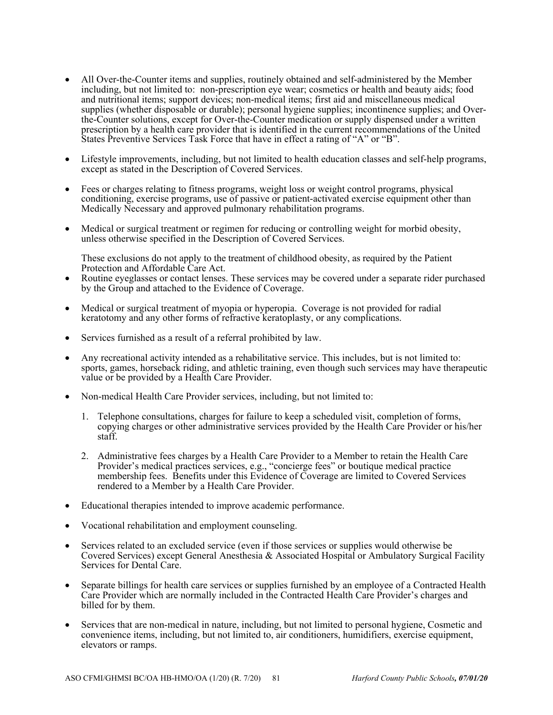- All Over-the-Counter items and supplies, routinely obtained and self-administered by the Member including, but not limited to: non-prescription eye wear; cosmetics or health and beauty aids; food and nutritional items; support devices; non-medical items; first aid and miscellaneous medical supplies (whether disposable or durable); personal hygiene supplies; incontinence supplies; and Overthe-Counter solutions, except for Over-the-Counter medication or supply dispensed under a written prescription by a health care provider that is identified in the current recommendations of the United States Preventive Services Task Force that have in effect a rating of "A" or "B".
- Lifestyle improvements, including, but not limited to health education classes and self-help programs, except as stated in the Description of Covered Services.
- Fees or charges relating to fitness programs, weight loss or weight control programs, physical conditioning, exercise programs, use of passive or patient-activated exercise equipment other than Medically Necessary and approved pulmonary rehabilitation programs.
- Medical or surgical treatment or regimen for reducing or controlling weight for morbid obesity, unless otherwise specified in the Description of Covered Services.

These exclusions do not apply to the treatment of childhood obesity, as required by the Patient Protection and Affordable Care Act.

- Routine eyeglasses or contact lenses. These services may be covered under a separate rider purchased by the Group and attached to the Evidence of Coverage.
- Medical or surgical treatment of myopia or hyperopia. Coverage is not provided for radial keratotomy and any other forms of refractive keratoplasty, or any complications.
- Services furnished as a result of a referral prohibited by law.
- Any recreational activity intended as a rehabilitative service. This includes, but is not limited to: sports, games, horseback riding, and athletic training, even though such services may have therapeutic value or be provided by a Health Care Provider.
- Non-medical Health Care Provider services, including, but not limited to:
	- 1. Telephone consultations, charges for failure to keep a scheduled visit, completion of forms, copying charges or other administrative services provided by the Health Care Provider or his/her staff.
	- 2. Administrative fees charges by a Health Care Provider to a Member to retain the Health Care Provider's medical practices services, e.g., "concierge fees" or boutique medical practice membership fees. Benefits under this Evidence of Coverage are limited to Covered Services rendered to a Member by a Health Care Provider.
- Educational therapies intended to improve academic performance.
- Vocational rehabilitation and employment counseling.
- Services related to an excluded service (even if those services or supplies would otherwise be Covered Services) except General Anesthesia & Associated Hospital or Ambulatory Surgical Facility Services for Dental Care.
- Separate billings for health care services or supplies furnished by an employee of a Contracted Health Care Provider which are normally included in the Contracted Health Care Provider's charges and billed for by them.
- Services that are non-medical in nature, including, but not limited to personal hygiene, Cosmetic and convenience items, including, but not limited to, air conditioners, humidifiers, exercise equipment, elevators or ramps.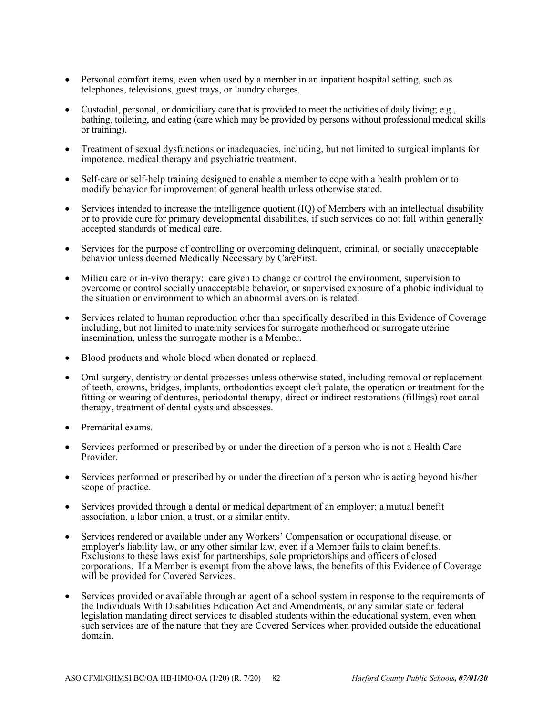- Personal comfort items, even when used by a member in an inpatient hospital setting, such as telephones, televisions, guest trays, or laundry charges.
- Custodial, personal, or domiciliary care that is provided to meet the activities of daily living; e.g., bathing, toileting, and eating (care which may be provided by persons without professional medical skills or training).
- Treatment of sexual dysfunctions or inadequacies, including, but not limited to surgical implants for impotence, medical therapy and psychiatric treatment.
- Self-care or self-help training designed to enable a member to cope with a health problem or to modify behavior for improvement of general health unless otherwise stated.
- Services intended to increase the intelligence quotient (IQ) of Members with an intellectual disability or to provide cure for primary developmental disabilities, if such services do not fall within generally accepted standards of medical care.
- Services for the purpose of controlling or overcoming delinquent, criminal, or socially unacceptable behavior unless deemed Medically Necessary by CareFirst.
- Milieu care or in-vivo therapy: care given to change or control the environment, supervision to overcome or control socially unacceptable behavior, or supervised exposure of a phobic individual to the situation or environment to which an abnormal aversion is related.
- Services related to human reproduction other than specifically described in this Evidence of Coverage including, but not limited to maternity services for surrogate motherhood or surrogate uterine insemination, unless the surrogate mother is a Member.
- Blood products and whole blood when donated or replaced.
- Oral surgery, dentistry or dental processes unless otherwise stated, including removal or replacement of teeth, crowns, bridges, implants, orthodontics except cleft palate, the operation or treatment for the fitting or wearing of dentures, periodontal therapy, direct or indirect restorations (fillings) root canal therapy, treatment of dental cysts and abscesses.
- Premarital exams.
- Services performed or prescribed by or under the direction of a person who is not a Health Care Provider.
- Services performed or prescribed by or under the direction of a person who is acting beyond his/her scope of practice.
- Services provided through a dental or medical department of an employer; a mutual benefit association, a labor union, a trust, or a similar entity.
- Services rendered or available under any Workers' Compensation or occupational disease, or employer's liability law, or any other similar law, even if a Member fails to claim benefits. Exclusions to these laws exist for partnerships, sole proprietorships and officers of closed corporations. If a Member is exempt from the above laws, the benefits of this Evidence of Coverage will be provided for Covered Services.
- Services provided or available through an agent of a school system in response to the requirements of the Individuals With Disabilities Education Act and Amendments, or any similar state or federal legislation mandating direct services to disabled students within the educational system, even when such services are of the nature that they are Covered Services when provided outside the educational domain.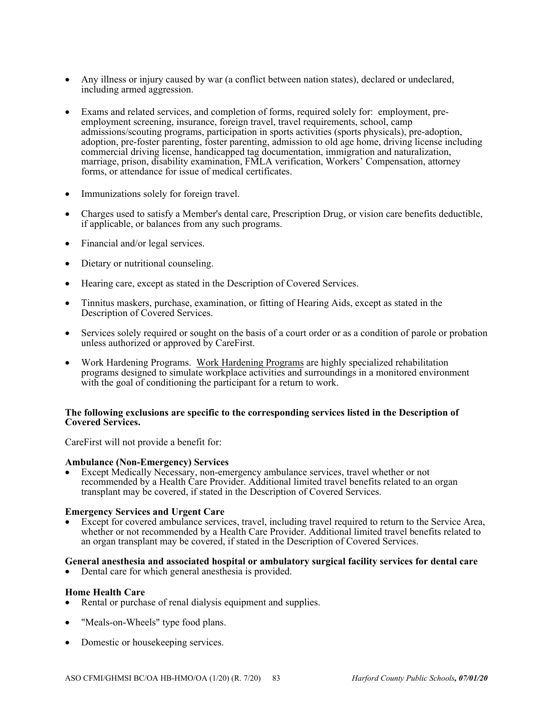- Any illness or injury caused by war (a conflict between nation states), declared or undeclared, including armed aggression.
- Exams and related services, and completion of forms, required solely for: employment, preemployment screening, insurance, foreign travel, travel requirements, school, camp admissions/scouting programs, participation in sports activities (sports physicals), pre-adoption, adoption, pre-foster parenting, foster parenting, admission to old age home, driving license including commercial driving license, handicapped tag documentation, immigration and naturalization, marriage, prison, disability examination, FMLA verification, Workers' Compensation, attorney forms, or attendance for issue of medical certificates.
- Immunizations solely for foreign travel.
- Charges used to satisfy a Member's dental care, Prescription Drug, or vision care benefits deductible, if applicable, or balances from any such programs.
- Financial and/or legal services.
- Dietary or nutritional counseling.
- Hearing care, except as stated in the Description of Covered Services.
- Tinnitus maskers, purchase, examination, or fitting of Hearing Aids, except as stated in the Description of Covered Services.
- Services solely required or sought on the basis of a court order or as a condition of parole or probation unless authorized or approved by CareFirst.
- Work Hardening Programs. Work Hardening Programs are highly specialized rehabilitation programs designed to simulate workplace activities and surroundings in a monitored environment with the goal of conditioning the participant for a return to work.

## **The following exclusions are specific to the corresponding services listed in the Description of Covered Services.**

CareFirst will not provide a benefit for:

## **Ambulance (Non-Emergency) Services**

 Except Medically Necessary, non-emergency ambulance services, travel whether or not recommended by a Health Care Provider. Additional limited travel benefits related to an organ transplant may be covered, if stated in the Description of Covered Services.

## **Emergency Services and Urgent Care**

 Except for covered ambulance services, travel, including travel required to return to the Service Area, whether or not recommended by a Health Care Provider. Additional limited travel benefits related to an organ transplant may be covered, if stated in the Description of Covered Services.

# General anesthesia and associated hospital or ambulatory surgical facility services for dental care<br>
• Dental care for which general anesthesia is provided.

## **Home Health Care**

- Rental or purchase of renal dialysis equipment and supplies.
- "Meals-on-Wheels" type food plans.
- Domestic or housekeeping services.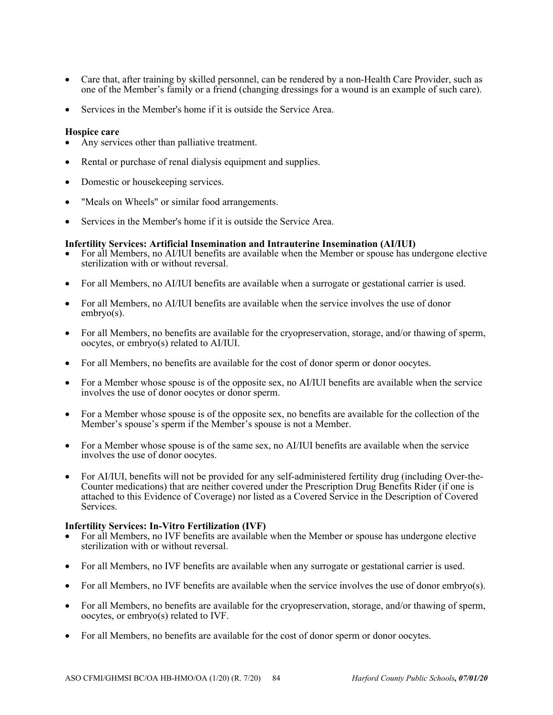- Care that, after training by skilled personnel, can be rendered by a non-Health Care Provider, such as one of the Member's family or a friend (changing dressings for a wound is an example of such care).
- Services in the Member's home if it is outside the Service Area.

## **Hospice care**

- Any services other than palliative treatment.
- Rental or purchase of renal dialysis equipment and supplies.
- Domestic or housekeeping services.
- "Meals on Wheels" or similar food arrangements.
- Services in the Member's home if it is outside the Service Area.

## **Infertility Services: Artificial Insemination and Intrauterine Insemination (AI/IUI)**

- For all Members, no AI/IUI benefits are available when the Member or spouse has undergone elective sterilization with or without reversal.
- For all Members, no AI/IUI benefits are available when a surrogate or gestational carrier is used.
- For all Members, no AI/IUI benefits are available when the service involves the use of donor embryo(s).
- For all Members, no benefits are available for the cryopreservation, storage, and/or thawing of sperm, oocytes, or embryo(s) related to AI/IUI.
- For all Members, no benefits are available for the cost of donor sperm or donor oocytes.
- For a Member whose spouse is of the opposite sex, no AI/IUI benefits are available when the service involves the use of donor oocytes or donor sperm.
- For a Member whose spouse is of the opposite sex, no benefits are available for the collection of the Member's spouse's sperm if the Member's spouse is not a Member.
- For a Member whose spouse is of the same sex, no AI/IUI benefits are available when the service involves the use of donor oocytes.
- For AI/IUI, benefits will not be provided for any self-administered fertility drug (including Over-the-Counter medications) that are neither covered under the Prescription Drug Benefits Rider (if one is attached to this Evidence of Coverage) nor listed as a Covered Service in the Description of Covered Services.

## **Infertility Services: In-Vitro Fertilization (IVF)**

- For all Members, no IVF benefits are available when the Member or spouse has undergone elective sterilization with or without reversal.
- For all Members, no IVF benefits are available when any surrogate or gestational carrier is used.
- For all Members, no IVF benefits are available when the service involves the use of donor embryo(s).
- For all Members, no benefits are available for the cryopreservation, storage, and/or thawing of sperm, oocytes, or embryo(s) related to IVF.
- For all Members, no benefits are available for the cost of donor sperm or donor oocytes.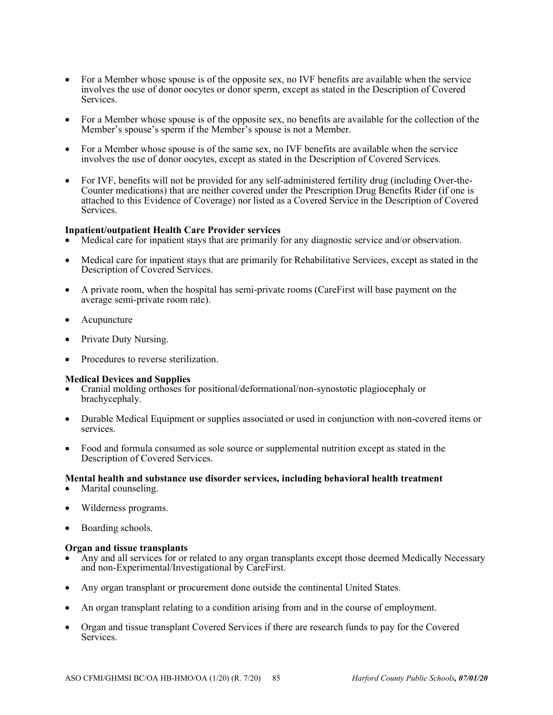- For a Member whose spouse is of the opposite sex, no IVF benefits are available when the service involves the use of donor oocytes or donor sperm, except as stated in the Description of Covered Services.
- For a Member whose spouse is of the opposite sex, no benefits are available for the collection of the Member's spouse's sperm if the Member's spouse is not a Member.
- For a Member whose spouse is of the same sex, no IVF benefits are available when the service involves the use of donor oocytes, except as stated in the Description of Covered Services.
- For IVF, benefits will not be provided for any self-administered fertility drug (including Over-the-Counter medications) that are neither covered under the Prescription Drug Benefits Rider (if one is attached to this Evidence of Coverage) nor listed as a Covered Service in the Description of Covered Services.

## **Inpatient/outpatient Health Care Provider services**

- Medical care for inpatient stays that are primarily for any diagnostic service and/or observation.
- Medical care for inpatient stays that are primarily for Rehabilitative Services, except as stated in the Description of Covered Services.
- A private room, when the hospital has semi-private rooms (CareFirst will base payment on the average semi-private room rate).
- Acupuncture
- Private Duty Nursing.
- Procedures to reverse sterilization.

## **Medical Devices and Supplies**

- Cranial molding orthoses for positional/deformational/non-synostotic plagiocephaly or brachycephaly.
- Durable Medical Equipment or supplies associated or used in conjunction with non-covered items or services.
- Food and formula consumed as sole source or supplemental nutrition except as stated in the Description of Covered Services.

## **Mental health and substance use disorder services, including behavioral health treatment**

- Marital counseling.
- Wilderness programs.
- Boarding schools.

## **Organ and tissue transplants**

- Any and all services for or related to any organ transplants except those deemed Medically Necessary and non-Experimental/Investigational by CareFirst.
- Any organ transplant or procurement done outside the continental United States.
- An organ transplant relating to a condition arising from and in the course of employment.
- Organ and tissue transplant Covered Services if there are research funds to pay for the Covered Services.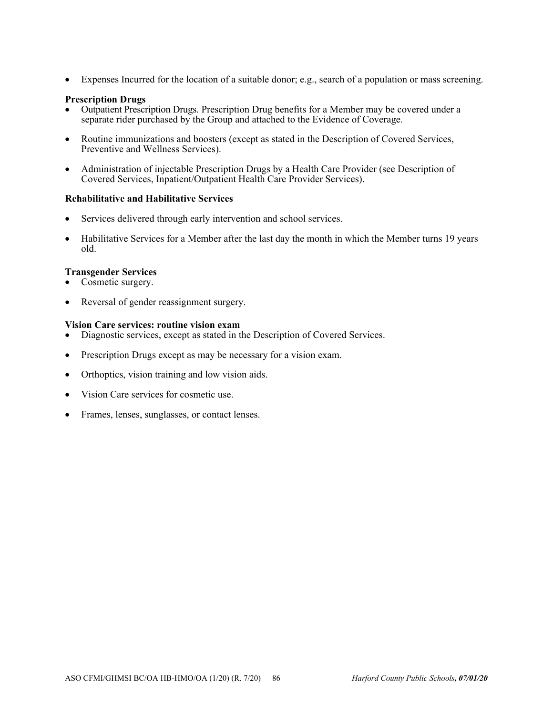Expenses Incurred for the location of a suitable donor; e.g., search of a population or mass screening.

## **Prescription Drugs**

- Outpatient Prescription Drugs. Prescription Drug benefits for a Member may be covered under a separate rider purchased by the Group and attached to the Evidence of Coverage.
- Routine immunizations and boosters (except as stated in the Description of Covered Services, Preventive and Wellness Services).
- Administration of injectable Prescription Drugs by a Health Care Provider (see Description of Covered Services, Inpatient/Outpatient Health Care Provider Services).

## **Rehabilitative and Habilitative Services**

- Services delivered through early intervention and school services.
- Habilitative Services for a Member after the last day the month in which the Member turns 19 years old.

## **Transgender Services**

- Cosmetic surgery.
- Reversal of gender reassignment surgery.

#### **Vision Care services: routine vision exam**

- Diagnostic services, except as stated in the Description of Covered Services.
- Prescription Drugs except as may be necessary for a vision exam.
- Orthoptics, vision training and low vision aids.
- Vision Care services for cosmetic use.
- Frames, lenses, sunglasses, or contact lenses.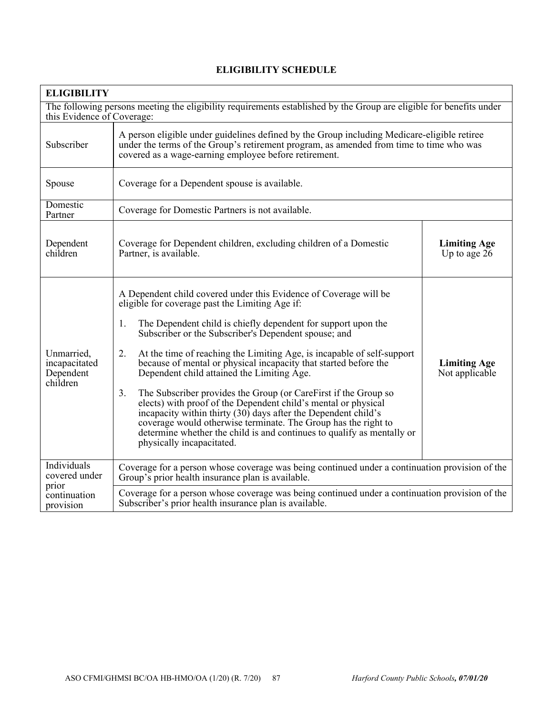| <b>ELIGIBILITY</b>                                                                                                                                |                                                                                                                                                                                                                                                                                                                                                                                                                                                                                                                                                                                                                                                                                                                                                                                                                                             |                                       |
|---------------------------------------------------------------------------------------------------------------------------------------------------|---------------------------------------------------------------------------------------------------------------------------------------------------------------------------------------------------------------------------------------------------------------------------------------------------------------------------------------------------------------------------------------------------------------------------------------------------------------------------------------------------------------------------------------------------------------------------------------------------------------------------------------------------------------------------------------------------------------------------------------------------------------------------------------------------------------------------------------------|---------------------------------------|
| The following persons meeting the eligibility requirements established by the Group are eligible for benefits under<br>this Evidence of Coverage: |                                                                                                                                                                                                                                                                                                                                                                                                                                                                                                                                                                                                                                                                                                                                                                                                                                             |                                       |
| Subscriber                                                                                                                                        | A person eligible under guidelines defined by the Group including Medicare-eligible retiree<br>under the terms of the Group's retirement program, as amended from time to time who was<br>covered as a wage-earning employee before retirement.                                                                                                                                                                                                                                                                                                                                                                                                                                                                                                                                                                                             |                                       |
| Spouse                                                                                                                                            | Coverage for a Dependent spouse is available.                                                                                                                                                                                                                                                                                                                                                                                                                                                                                                                                                                                                                                                                                                                                                                                               |                                       |
| Domestic<br>Partner                                                                                                                               | Coverage for Domestic Partners is not available.                                                                                                                                                                                                                                                                                                                                                                                                                                                                                                                                                                                                                                                                                                                                                                                            |                                       |
| Dependent<br>children                                                                                                                             | Coverage for Dependent children, excluding children of a Domestic<br>Partner, is available.                                                                                                                                                                                                                                                                                                                                                                                                                                                                                                                                                                                                                                                                                                                                                 | <b>Limiting Age</b><br>Up to age 26   |
| Unmarried,<br>incapacitated<br>Dependent<br>children                                                                                              | A Dependent child covered under this Evidence of Coverage will be<br>eligible for coverage past the Limiting Age if:<br>The Dependent child is chiefly dependent for support upon the<br>1.<br>Subscriber or the Subscriber's Dependent spouse; and<br>2.<br>At the time of reaching the Limiting Age, is incapable of self-support<br>because of mental or physical incapacity that started before the<br>Dependent child attained the Limiting Age.<br>3.<br>The Subscriber provides the Group (or CareFirst if the Group so<br>elects) with proof of the Dependent child's mental or physical<br>incapacity within thirty (30) days after the Dependent child's<br>coverage would otherwise terminate. The Group has the right to<br>determine whether the child is and continues to qualify as mentally or<br>physically incapacitated. | <b>Limiting Age</b><br>Not applicable |
| Individuals<br>covered under                                                                                                                      | Coverage for a person whose coverage was being continued under a continuation provision of the<br>Group's prior health insurance plan is available.                                                                                                                                                                                                                                                                                                                                                                                                                                                                                                                                                                                                                                                                                         |                                       |
| prior<br>continuation<br>provision                                                                                                                | Coverage for a person whose coverage was being continued under a continuation provision of the<br>Subscriber's prior health insurance plan is available.                                                                                                                                                                                                                                                                                                                                                                                                                                                                                                                                                                                                                                                                                    |                                       |

# **ELIGIBILITY SCHEDULE**

٦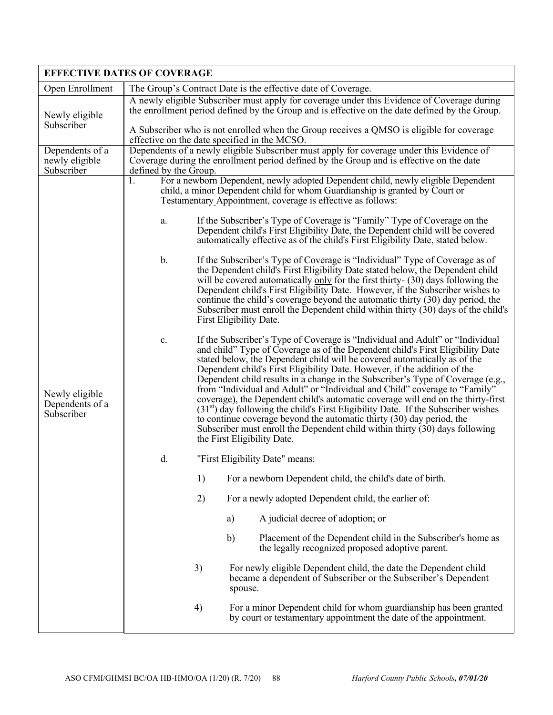|                                                 | <b>EFFECTIVE DATES OF COVERAGE</b>                                                                                                                                                                                                                                                                                                                                                                                                                                                                                                                                                                                                                                                                                                                                                                                                                                    |  |  |
|-------------------------------------------------|-----------------------------------------------------------------------------------------------------------------------------------------------------------------------------------------------------------------------------------------------------------------------------------------------------------------------------------------------------------------------------------------------------------------------------------------------------------------------------------------------------------------------------------------------------------------------------------------------------------------------------------------------------------------------------------------------------------------------------------------------------------------------------------------------------------------------------------------------------------------------|--|--|
| Open Enrollment                                 | The Group's Contract Date is the effective date of Coverage.                                                                                                                                                                                                                                                                                                                                                                                                                                                                                                                                                                                                                                                                                                                                                                                                          |  |  |
| Newly eligible                                  | A newly eligible Subscriber must apply for coverage under this Evidence of Coverage during<br>the enrollment period defined by the Group and is effective on the date defined by the Group.                                                                                                                                                                                                                                                                                                                                                                                                                                                                                                                                                                                                                                                                           |  |  |
| Subscriber                                      | A Subscriber who is not enrolled when the Group receives a QMSO is eligible for coverage<br>effective on the date specified in the MCSO.                                                                                                                                                                                                                                                                                                                                                                                                                                                                                                                                                                                                                                                                                                                              |  |  |
| Dependents of a<br>newly eligible<br>Subscriber | Dependents of a newly eligible Subscriber must apply for coverage under this Evidence of<br>Coverage during the enrollment period defined by the Group and is effective on the date<br>defined by the Group.                                                                                                                                                                                                                                                                                                                                                                                                                                                                                                                                                                                                                                                          |  |  |
|                                                 | For a newborn Dependent, newly adopted Dependent child, newly eligible Dependent<br>1.<br>child, a minor Dependent child for whom Guardianship is granted by Court or<br>Testamentary Appointment, coverage is effective as follows:                                                                                                                                                                                                                                                                                                                                                                                                                                                                                                                                                                                                                                  |  |  |
|                                                 | If the Subscriber's Type of Coverage is "Family" Type of Coverage on the<br>a.<br>Dependent child's First Eligibility Date, the Dependent child will be covered<br>automatically effective as of the child's First Eligibility Date, stated below.                                                                                                                                                                                                                                                                                                                                                                                                                                                                                                                                                                                                                    |  |  |
| Newly eligible<br>Dependents of a<br>Subscriber | If the Subscriber's Type of Coverage is "Individual" Type of Coverage as of<br>b.<br>the Dependent child's First Eligibility Date stated below, the Dependent child<br>will be covered automatically only for the first thirty- (30) days following the<br>Dependent child's First Eligibility Date. However, if the Subscriber wishes to<br>continue the child's coverage beyond the automatic thirty (30) day period, the<br>Subscriber must enroll the Dependent child within thirty (30) days of the child's<br>First Eligibility Date.                                                                                                                                                                                                                                                                                                                           |  |  |
|                                                 | If the Subscriber's Type of Coverage is "Individual and Adult" or "Individual<br>c.<br>and child" Type of Coverage as of the Dependent child's First Eligibility Date<br>stated below, the Dependent child will be covered automatically as of the<br>Dependent child's First Eligibility Date. However, if the addition of the<br>Dependent child results in a change in the Subscriber's Type of Coverage (e.g.,<br>from "Individual and Adult" or "Individual and Child" coverage to "Family"<br>coverage), the Dependent child's automatic coverage will end on the thirty-first<br>$(31st)$ day following the child's First Eligibility Date. If the Subscriber wishes<br>to continue coverage beyond the automatic thirty (30) day period, the<br>Subscriber must enroll the Dependent child within thirty $(30)$ days following<br>the First Eligibility Date. |  |  |
|                                                 | d.<br>"First Eligibility Date" means:                                                                                                                                                                                                                                                                                                                                                                                                                                                                                                                                                                                                                                                                                                                                                                                                                                 |  |  |
|                                                 | 1)<br>For a newborn Dependent child, the child's date of birth.                                                                                                                                                                                                                                                                                                                                                                                                                                                                                                                                                                                                                                                                                                                                                                                                       |  |  |
|                                                 | 2)<br>For a newly adopted Dependent child, the earlier of:                                                                                                                                                                                                                                                                                                                                                                                                                                                                                                                                                                                                                                                                                                                                                                                                            |  |  |
|                                                 | A judicial decree of adoption; or<br>a)                                                                                                                                                                                                                                                                                                                                                                                                                                                                                                                                                                                                                                                                                                                                                                                                                               |  |  |
|                                                 | b)<br>Placement of the Dependent child in the Subscriber's home as<br>the legally recognized proposed adoptive parent.                                                                                                                                                                                                                                                                                                                                                                                                                                                                                                                                                                                                                                                                                                                                                |  |  |
|                                                 | 3)<br>For newly eligible Dependent child, the date the Dependent child<br>became a dependent of Subscriber or the Subscriber's Dependent<br>spouse.                                                                                                                                                                                                                                                                                                                                                                                                                                                                                                                                                                                                                                                                                                                   |  |  |
|                                                 | 4)<br>For a minor Dependent child for whom guardianship has been granted<br>by court or testamentary appointment the date of the appointment.                                                                                                                                                                                                                                                                                                                                                                                                                                                                                                                                                                                                                                                                                                                         |  |  |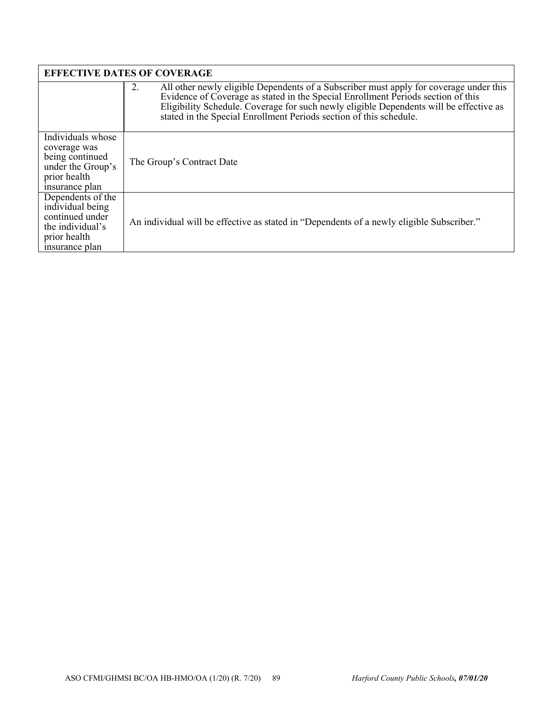| <b>EFFECTIVE DATES OF COVERAGE</b>                                                                             |                                                                                                                                                                                                                                                                                                                                                  |  |
|----------------------------------------------------------------------------------------------------------------|--------------------------------------------------------------------------------------------------------------------------------------------------------------------------------------------------------------------------------------------------------------------------------------------------------------------------------------------------|--|
|                                                                                                                | All other newly eligible Dependents of a Subscriber must apply for coverage under this<br>2.<br>Evidence of Coverage as stated in the Special Enrollment Periods section of this<br>Eligibility Schedule. Coverage for such newly eligible Dependents will be effective as<br>stated in the Special Enrollment Periods section of this schedule. |  |
| Individuals whose<br>coverage was<br>being continued<br>under the Group's<br>prior health<br>insurance plan    | The Group's Contract Date                                                                                                                                                                                                                                                                                                                        |  |
| Dependents of the<br>individual being<br>continued under<br>the individual's<br>prior health<br>insurance plan | An individual will be effective as stated in "Dependents of a newly eligible Subscriber."                                                                                                                                                                                                                                                        |  |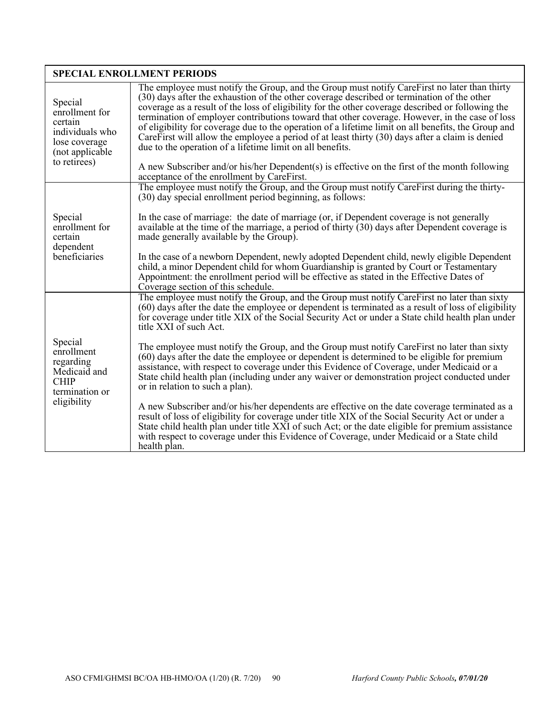| <b>SPECIAL ENROLLMENT PERIODS</b>                                                                            |                                                                                                                                                                                                                                                                                                                                                                                                                                                                                                                                                                                                                                                                                                                                                                                                                            |  |
|--------------------------------------------------------------------------------------------------------------|----------------------------------------------------------------------------------------------------------------------------------------------------------------------------------------------------------------------------------------------------------------------------------------------------------------------------------------------------------------------------------------------------------------------------------------------------------------------------------------------------------------------------------------------------------------------------------------------------------------------------------------------------------------------------------------------------------------------------------------------------------------------------------------------------------------------------|--|
| Special<br>enrollment for<br>certain<br>individuals who<br>lose coverage<br>(not applicable)<br>to retirees) | The employee must notify the Group, and the Group must notify CareFirst no later than thirty<br>(30) days after the exhaustion of the other coverage described or termination of the other<br>coverage as a result of the loss of eligibility for the other coverage described or following the<br>termination of employer contributions toward that other coverage. However, in the case of loss<br>of eligibility for coverage due to the operation of a lifetime limit on all benefits, the Group and<br>Care First will allow the employee a period of at least thirty $(30)$ days after a claim is denied<br>due to the operation of a lifetime limit on all benefits.<br>A new Subscriber and/or his/her Dependent(s) is effective on the first of the month following<br>acceptance of the enrollment by CareFirst. |  |
|                                                                                                              | The employee must notify the Group, and the Group must notify CareFirst during the thirty-<br>$(30)$ day special enrollment period beginning, as follows:                                                                                                                                                                                                                                                                                                                                                                                                                                                                                                                                                                                                                                                                  |  |
| Special<br>enrollment for<br>certain<br>dependent                                                            | In the case of marriage: the date of marriage (or, if Dependent coverage is not generally<br>available at the time of the marriage, a period of thirty (30) days after Dependent coverage is<br>made generally available by the Group).                                                                                                                                                                                                                                                                                                                                                                                                                                                                                                                                                                                    |  |
| beneficiaries                                                                                                | In the case of a newborn Dependent, newly adopted Dependent child, newly eligible Dependent<br>child, a minor Dependent child for whom Guardianship is granted by Court or Testamentary<br>Appointment: the enrollment period will be effective as stated in the Effective Dates of<br>Coverage section of this schedule.                                                                                                                                                                                                                                                                                                                                                                                                                                                                                                  |  |
|                                                                                                              | The employee must notify the Group, and the Group must notify CareFirst no later than sixty<br>(60) days after the date the employee or dependent is terminated as a result of loss of eligibility<br>for coverage under title XIX of the Social Security Act or under a State child health plan under<br>title XXI of such Act.                                                                                                                                                                                                                                                                                                                                                                                                                                                                                           |  |
| Special<br>enrollment<br>regarding<br>Medicaid and<br><b>CHIP</b><br>termination or                          | The employee must notify the Group, and the Group must notify CareFirst no later than sixty<br>(60) days after the date the employee or dependent is determined to be eligible for premium<br>assistance, with respect to coverage under this Evidence of Coverage, under Medicaid or a<br>State child health plan (including under any waiver or demonstration project conducted under<br>or in relation to such a plan).                                                                                                                                                                                                                                                                                                                                                                                                 |  |
| eligibility                                                                                                  | A new Subscriber and/or his/her dependents are effective on the date coverage terminated as a<br>result of loss of eligibility for coverage under title XIX of the Social Security Act or under a<br>State child health plan under title XXI of such Act; or the date eligible for premium assistance<br>with respect to coverage under this Evidence of Coverage, under Medicaid or a State child<br>health plan.                                                                                                                                                                                                                                                                                                                                                                                                         |  |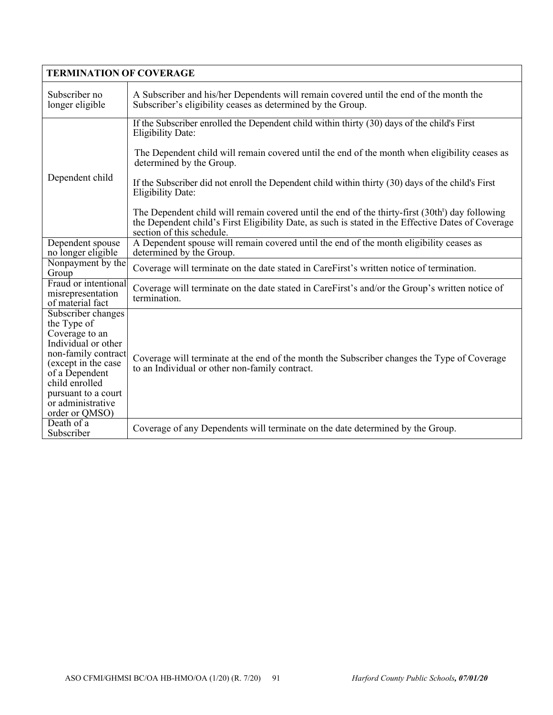| <b>TERMINATION OF COVERAGE</b>                                                                                                                                                                                             |                                                                                                                                                                                                                                                 |  |
|----------------------------------------------------------------------------------------------------------------------------------------------------------------------------------------------------------------------------|-------------------------------------------------------------------------------------------------------------------------------------------------------------------------------------------------------------------------------------------------|--|
| Subscriber no<br>longer eligible                                                                                                                                                                                           | A Subscriber and his/her Dependents will remain covered until the end of the month the<br>Subscriber's eligibility ceases as determined by the Group.                                                                                           |  |
| Dependent child                                                                                                                                                                                                            | If the Subscriber enrolled the Dependent child within thirty (30) days of the child's First<br><b>Eligibility Date:</b>                                                                                                                         |  |
|                                                                                                                                                                                                                            | The Dependent child will remain covered until the end of the month when eligibility ceases as<br>determined by the Group.                                                                                                                       |  |
|                                                                                                                                                                                                                            | If the Subscriber did not enroll the Dependent child within thirty (30) days of the child's First<br><b>Eligibility Date:</b>                                                                                                                   |  |
|                                                                                                                                                                                                                            | The Dependent child will remain covered until the end of the thirty-first (30th <sup>t</sup> ) day following<br>the Dependent child's First Eligibility Date, as such is stated in the Effective Dates of Coverage<br>section of this schedule. |  |
| Dependent spouse<br>no longer eligible                                                                                                                                                                                     | A Dependent spouse will remain covered until the end of the month eligibility ceases as<br>determined by the Group.                                                                                                                             |  |
| Nonpayment by the<br>Group                                                                                                                                                                                                 | Coverage will terminate on the date stated in CareFirst's written notice of termination.                                                                                                                                                        |  |
| Fraud or intentional<br>misrepresentation<br>of material fact                                                                                                                                                              | Coverage will terminate on the date stated in CareFirst's and/or the Group's written notice of<br>termination.                                                                                                                                  |  |
| Subscriber changes<br>the Type of<br>Coverage to an<br>Individual or other<br>non-family contract<br>(except in the case<br>of a Dependent<br>child enrolled<br>pursuant to a court<br>or administrative<br>order or QMSO) | Coverage will terminate at the end of the month the Subscriber changes the Type of Coverage<br>to an Individual or other non-family contract.                                                                                                   |  |
| Death of a<br>Subscriber                                                                                                                                                                                                   | Coverage of any Dependents will terminate on the date determined by the Group.                                                                                                                                                                  |  |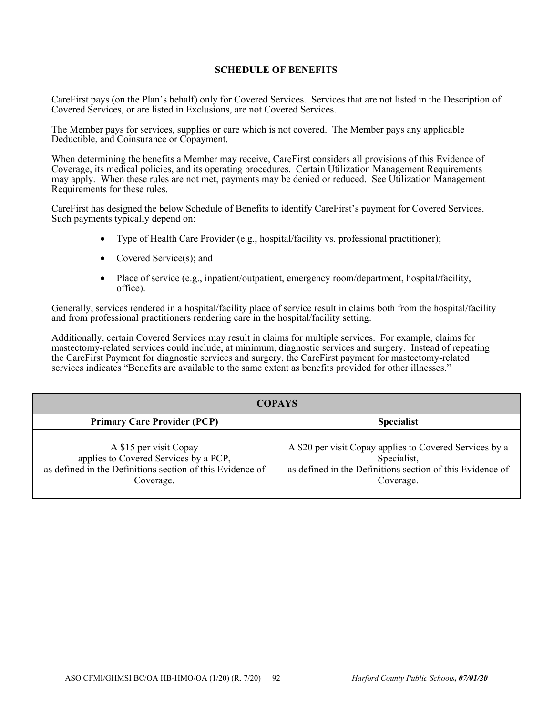## **SCHEDULE OF BENEFITS**

CareFirst pays (on the Plan's behalf) only for Covered Services. Services that are not listed in the Description of Covered Services, or are listed in Exclusions, are not Covered Services.

The Member pays for services, supplies or care which is not covered. The Member pays any applicable Deductible, and Coinsurance or Copayment.

When determining the benefits a Member may receive, CareFirst considers all provisions of this Evidence of Coverage, its medical policies, and its operating procedures. Certain Utilization Management Requirements may apply. When these rules are not met, payments may be denied or reduced. See Utilization Management Requirements for these rules.

CareFirst has designed the below Schedule of Benefits to identify CareFirst's payment for Covered Services. Such payments typically depend on:

- Type of Health Care Provider (e.g., hospital/facility vs. professional practitioner);
- Covered Service(s); and
- Place of service (e.g., inpatient/outpatient, emergency room/department, hospital/facility, office).

Generally, services rendered in a hospital/facility place of service result in claims both from the hospital/facility and from professional practitioners rendering care in the hospital/facility setting.

Additionally, certain Covered Services may result in claims for multiple services. For example, claims for mastectomy-related services could include, at minimum, diagnostic services and surgery. Instead of repeating the CareFirst Payment for diagnostic services and surgery, the CareFirst payment for mastectomy-related services indicates "Benefits are available to the same extent as benefits provided for other illnesses."

| <b>COPAYS</b>                                                                                                                             |                                                                                                                                                  |  |
|-------------------------------------------------------------------------------------------------------------------------------------------|--------------------------------------------------------------------------------------------------------------------------------------------------|--|
| <b>Primary Care Provider (PCP)</b>                                                                                                        | <b>Specialist</b>                                                                                                                                |  |
| A \$15 per visit Copay<br>applies to Covered Services by a PCP,<br>as defined in the Definitions section of this Evidence of<br>Coverage. | A \$20 per visit Copay applies to Covered Services by a<br>Specialist,<br>as defined in the Definitions section of this Evidence of<br>Coverage. |  |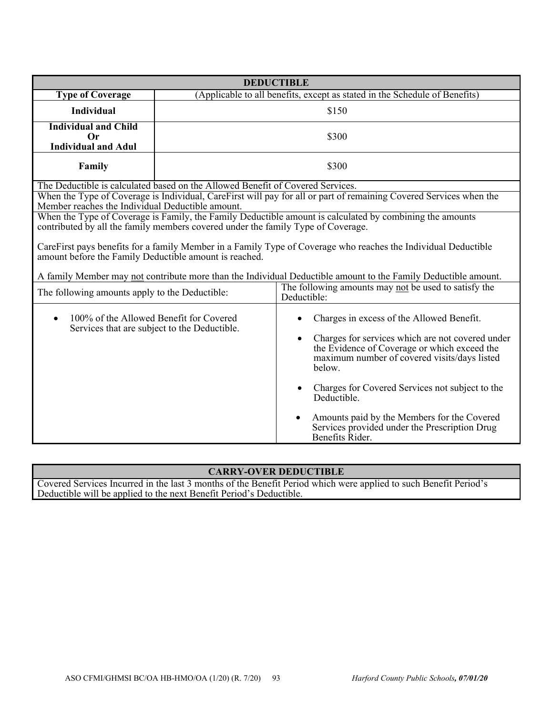| <b>DEDUCTIBLE</b>                                                                                                                                                                            |                                                                                |                                                                                                                                                                                                                      |
|----------------------------------------------------------------------------------------------------------------------------------------------------------------------------------------------|--------------------------------------------------------------------------------|----------------------------------------------------------------------------------------------------------------------------------------------------------------------------------------------------------------------|
| <b>Type of Coverage</b>                                                                                                                                                                      |                                                                                | (Applicable to all benefits, except as stated in the Schedule of Benefits)                                                                                                                                           |
| <b>Individual</b>                                                                                                                                                                            |                                                                                | \$150                                                                                                                                                                                                                |
| <b>Individual and Child</b><br><b>Or</b><br><b>Individual and Adul</b>                                                                                                                       |                                                                                | \$300                                                                                                                                                                                                                |
| Family                                                                                                                                                                                       | \$300                                                                          |                                                                                                                                                                                                                      |
|                                                                                                                                                                                              | The Deductible is calculated based on the Allowed Benefit of Covered Services. |                                                                                                                                                                                                                      |
| When the Type of Coverage is Individual, CareFirst will pay for all or part of remaining Covered Services when the<br>Member reaches the Individual Deductible amount.                       |                                                                                |                                                                                                                                                                                                                      |
| When the Type of Coverage is Family, the Family Deductible amount is calculated by combining the amounts<br>contributed by all the family members covered under the family Type of Coverage. |                                                                                |                                                                                                                                                                                                                      |
| CareFirst pays benefits for a family Member in a Family Type of Coverage who reaches the Individual Deductible<br>amount before the Family Deductible amount is reached.                     |                                                                                |                                                                                                                                                                                                                      |
| A family Member may not contribute more than the Individual Deductible amount to the Family Deductible amount.                                                                               |                                                                                |                                                                                                                                                                                                                      |
| The following amounts apply to the Deductible:                                                                                                                                               |                                                                                | The following amounts may not be used to satisfy the<br>Deductible:                                                                                                                                                  |
| 100% of the Allowed Benefit for Covered<br>$\bullet$<br>Services that are subject to the Deductible.                                                                                         |                                                                                | Charges in excess of the Allowed Benefit.<br>Charges for services which are not covered under<br>$\bullet$<br>the Evidence of Coverage or which exceed the<br>maximum number of covered visits/days listed<br>below. |
|                                                                                                                                                                                              |                                                                                | Charges for Covered Services not subject to the<br>Deductible.                                                                                                                                                       |
|                                                                                                                                                                                              |                                                                                | Amounts paid by the Members for the Covered<br>$\bullet$<br>Services provided under the Prescription Drug<br>Benefits Rider.                                                                                         |

# **CARRY-OVER DEDUCTIBLE**

Covered Services Incurred in the last 3 months of the Benefit Period which were applied to such Benefit Period's Deductible will be applied to the next Benefit Period's Deductible.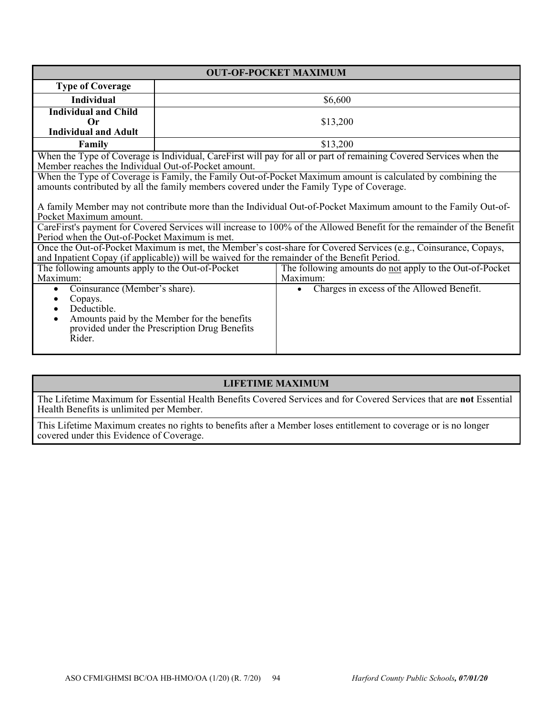| <b>OUT-OF-POCKET MAXIMUM</b>                                                                                                                                            |                                               |                                                                                                                    |
|-------------------------------------------------------------------------------------------------------------------------------------------------------------------------|-----------------------------------------------|--------------------------------------------------------------------------------------------------------------------|
| <b>Type of Coverage</b>                                                                                                                                                 |                                               |                                                                                                                    |
| <b>Individual</b>                                                                                                                                                       |                                               | \$6,600                                                                                                            |
| <b>Individual and Child</b>                                                                                                                                             |                                               |                                                                                                                    |
| $\bf{Or}$                                                                                                                                                               |                                               | \$13,200                                                                                                           |
| <b>Individual and Adult</b>                                                                                                                                             |                                               |                                                                                                                    |
| Family                                                                                                                                                                  |                                               | \$13,200                                                                                                           |
|                                                                                                                                                                         |                                               | When the Type of Coverage is Individual, CareFirst will pay for all or part of remaining Covered Services when the |
| Member reaches the Individual Out-of-Pocket amount.                                                                                                                     |                                               |                                                                                                                    |
|                                                                                                                                                                         |                                               | When the Type of Coverage is Family, the Family Out-of-Pocket Maximum amount is calculated by combining the        |
|                                                                                                                                                                         |                                               | amounts contributed by all the family members covered under the Family Type of Coverage.                           |
|                                                                                                                                                                         |                                               |                                                                                                                    |
|                                                                                                                                                                         |                                               | A family Member may not contribute more than the Individual Out-of-Pocket Maximum amount to the Family Out-of-     |
| Pocket Maximum amount.                                                                                                                                                  |                                               |                                                                                                                    |
| CareFirst's payment for Covered Services will increase to 100% of the Allowed Benefit for the remainder of the Benefit<br>Period when the Out-of-Pocket Maximum is met. |                                               |                                                                                                                    |
|                                                                                                                                                                         |                                               | Once the Out-of-Pocket Maximum is met, the Member's cost-share for Covered Services (e.g., Coinsurance, Copays,    |
|                                                                                                                                                                         |                                               | and Inpatient Copay (if applicable)) will be waived for the remainder of the Benefit Period.                       |
| The following amounts apply to the Out-of-Pocket                                                                                                                        |                                               | The following amounts do not apply to the Out-of-Pocket                                                            |
| Maximum:                                                                                                                                                                |                                               | Maximum:                                                                                                           |
| Coinsurance (Member's share).<br>$\bullet$                                                                                                                              |                                               | Charges in excess of the Allowed Benefit.                                                                          |
| Copays.                                                                                                                                                                 |                                               |                                                                                                                    |
| Deductible.                                                                                                                                                             |                                               |                                                                                                                    |
| Amounts paid by the Member for the benefits                                                                                                                             |                                               |                                                                                                                    |
|                                                                                                                                                                         | provided under the Prescription Drug Benefits |                                                                                                                    |
| Rider.                                                                                                                                                                  |                                               |                                                                                                                    |
|                                                                                                                                                                         |                                               |                                                                                                                    |

# **LIFETIME MAXIMUM**

The Lifetime Maximum for Essential Health Benefits Covered Services and for Covered Services that are **not** Essential Health Benefits is unlimited per Member.

This Lifetime Maximum creates no rights to benefits after a Member loses entitlement to coverage or is no longer covered under this Evidence of Coverage.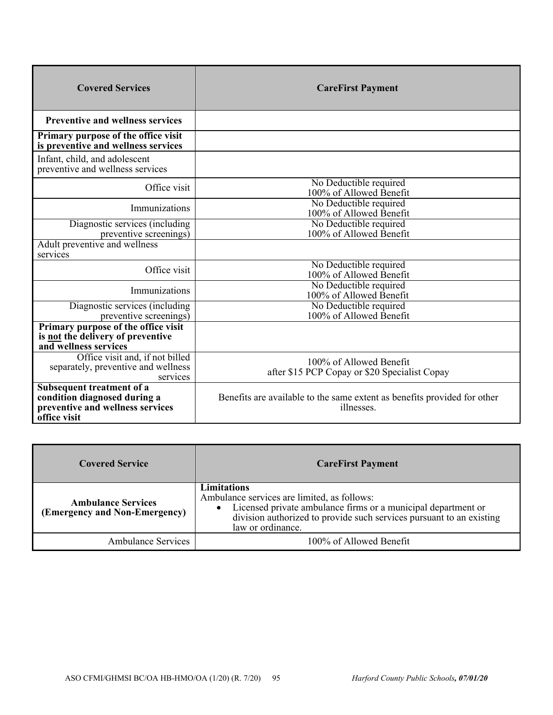| <b>Covered Services</b>                                                                                       | <b>CareFirst Payment</b>                                                               |
|---------------------------------------------------------------------------------------------------------------|----------------------------------------------------------------------------------------|
| <b>Preventive and wellness services</b>                                                                       |                                                                                        |
| Primary purpose of the office visit<br>is preventive and wellness services                                    |                                                                                        |
| Infant, child, and adolescent<br>preventive and wellness services                                             |                                                                                        |
| Office visit                                                                                                  | No Deductible required<br>100% of Allowed Benefit                                      |
| Immunizations                                                                                                 | No Deductible required<br>100% of Allowed Benefit                                      |
| Diagnostic services (including<br>preventive screenings)                                                      | No Deductible required<br>100% of Allowed Benefit                                      |
| Adult preventive and wellness<br>services                                                                     |                                                                                        |
| Office visit                                                                                                  | No Deductible required<br>100% of Allowed Benefit                                      |
| Immunizations                                                                                                 | No Deductible required<br>100% of Allowed Benefit                                      |
| Diagnostic services (including<br>preventive screenings)                                                      | No Deductible required<br>100% of Allowed Benefit                                      |
| Primary purpose of the office visit<br>is not the delivery of preventive<br>and wellness services             |                                                                                        |
| Office visit and, if not billed<br>separately, preventive and wellness<br>services                            | 100% of Allowed Benefit<br>after \$15 PCP Copay or \$20 Specialist Copay               |
| Subsequent treatment of a<br>condition diagnosed during a<br>preventive and wellness services<br>office visit | Benefits are available to the same extent as benefits provided for other<br>illnesses. |

| <b>Covered Service</b>                                     | <b>CareFirst Payment</b>                                                                                                                                                                                                 |
|------------------------------------------------------------|--------------------------------------------------------------------------------------------------------------------------------------------------------------------------------------------------------------------------|
| <b>Ambulance Services</b><br>(Emergency and Non-Emergency) | Limitations<br>Ambulance services are limited, as follows:<br>Licensed private ambulance firms or a municipal department or<br>division authorized to provide such services pursuant to an existing<br>law or ordinance. |
| <b>Ambulance Services</b>                                  | 100% of Allowed Benefit                                                                                                                                                                                                  |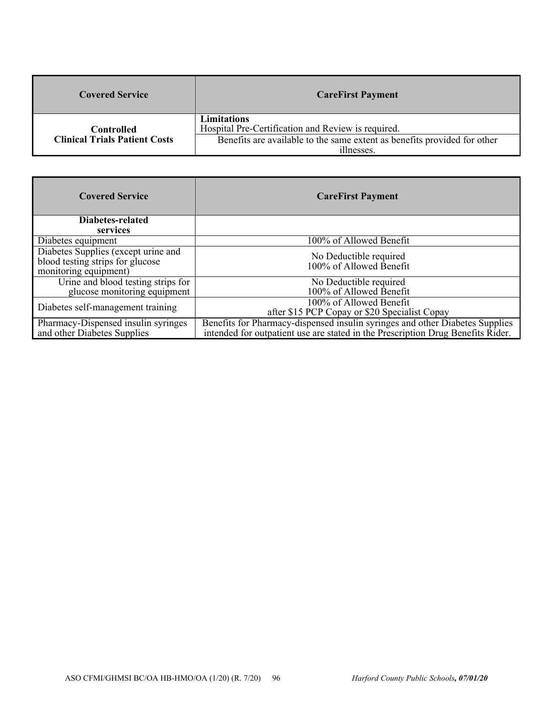| <b>Covered Service</b>               | <b>CareFirst Payment</b>                                                               |
|--------------------------------------|----------------------------------------------------------------------------------------|
| Controlled                           | Limitations<br>Hospital Pre-Certification and Review is required.                      |
| <b>Clinical Trials Patient Costs</b> | Benefits are available to the same extent as benefits provided for other<br>illnesses. |

| <b>Covered Service</b>                                                                           | <b>CareFirst Payment</b>                                                                                                                                        |
|--------------------------------------------------------------------------------------------------|-----------------------------------------------------------------------------------------------------------------------------------------------------------------|
| Diabetes-related                                                                                 |                                                                                                                                                                 |
| services                                                                                         |                                                                                                                                                                 |
| Diabetes equipment                                                                               | 100% of Allowed Benefit                                                                                                                                         |
| Diabetes Supplies (except urine and<br>blood testing strips for glucose<br>monitoring equipment) | No Deductible required<br>100% of Allowed Benefit                                                                                                               |
| Urine and blood testing strips for<br>glucose monitoring equipment                               | No Deductible required                                                                                                                                          |
|                                                                                                  | 100% of Allowed Benefit                                                                                                                                         |
| Diabetes self-management training                                                                | 100% of Allowed Benefit<br>after \$15 PCP Copay or \$20 Specialist Copay                                                                                        |
| Pharmacy-Dispensed insulin syringes<br>and other Diabetes Supplies                               | Benefits for Pharmacy-dispensed insulin syringes and other Diabetes Supplies<br>intended for outpatient use are stated in the Prescription Drug Benefits Rider. |
|                                                                                                  |                                                                                                                                                                 |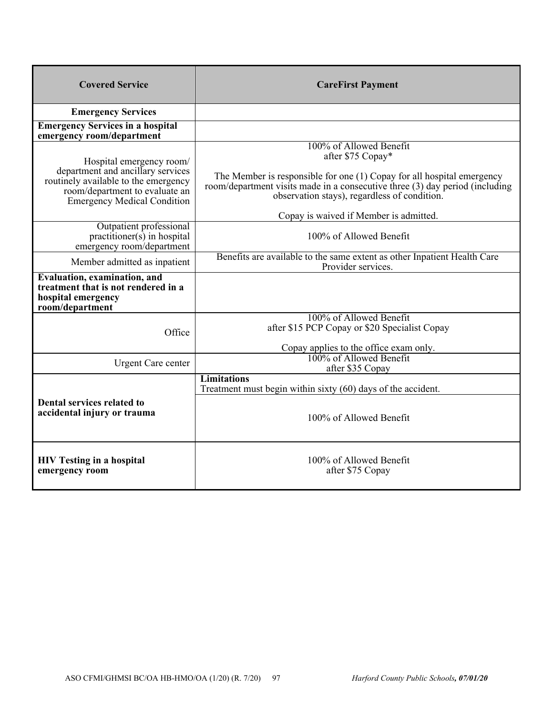| <b>CareFirst Payment</b>                                                                                                                                                                                                                                                                         |
|--------------------------------------------------------------------------------------------------------------------------------------------------------------------------------------------------------------------------------------------------------------------------------------------------|
|                                                                                                                                                                                                                                                                                                  |
|                                                                                                                                                                                                                                                                                                  |
| 100% of Allowed Benefit<br>after \$75 Copay*<br>The Member is responsible for one (1) Copay for all hospital emergency<br>room/department visits made in a consecutive three (3) day period (including<br>observation stays), regardless of condition.<br>Copay is waived if Member is admitted. |
| 100% of Allowed Benefit                                                                                                                                                                                                                                                                          |
| Benefits are available to the same extent as other Inpatient Health Care<br>Provider services.                                                                                                                                                                                                   |
|                                                                                                                                                                                                                                                                                                  |
| 100% of Allowed Benefit<br>after \$15 PCP Copay or \$20 Specialist Copay<br>Copay applies to the office exam only.                                                                                                                                                                               |
| 100% of Allowed Benefit<br>after \$35 Copay                                                                                                                                                                                                                                                      |
| <b>Limitations</b><br>Treatment must begin within sixty (60) days of the accident.                                                                                                                                                                                                               |
| 100% of Allowed Benefit<br>100% of Allowed Benefit<br>after \$75 Copay                                                                                                                                                                                                                           |
|                                                                                                                                                                                                                                                                                                  |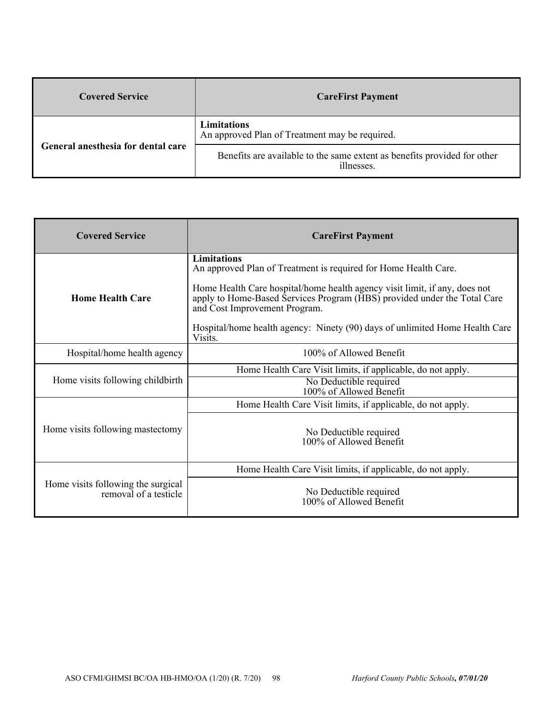| <b>Covered Service</b>             | <b>CareFirst Payment</b>                                                               |
|------------------------------------|----------------------------------------------------------------------------------------|
| General anesthesia for dental care | Limitations<br>An approved Plan of Treatment may be required.                          |
|                                    | Benefits are available to the same extent as benefits provided for other<br>illnesses. |

| <b>Covered Service</b>                                      | <b>CareFirst Payment</b>                                                                                                                                                                |
|-------------------------------------------------------------|-----------------------------------------------------------------------------------------------------------------------------------------------------------------------------------------|
|                                                             | <b>Limitations</b><br>An approved Plan of Treatment is required for Home Health Care.                                                                                                   |
| <b>Home Health Care</b>                                     | Home Health Care hospital/home health agency visit limit, if any, does not<br>apply to Home-Based Services Program (HBS) provided under the Total Care<br>and Cost Improvement Program. |
|                                                             | Hospital/home health agency: Ninety (90) days of unlimited Home Health Care<br>Visits.                                                                                                  |
| Hospital/home health agency                                 | 100% of Allowed Benefit                                                                                                                                                                 |
| Home visits following childbirth                            | Home Health Care Visit limits, if applicable, do not apply.                                                                                                                             |
|                                                             | No Deductible required<br>100% of Allowed Benefit                                                                                                                                       |
|                                                             | Home Health Care Visit limits, if applicable, do not apply.                                                                                                                             |
| Home visits following mastectomy                            | No Deductible required<br>100% of Allowed Benefit                                                                                                                                       |
| Home visits following the surgical<br>removal of a testicle | Home Health Care Visit limits, if applicable, do not apply.                                                                                                                             |
|                                                             | No Deductible required<br>100% of Allowed Benefit                                                                                                                                       |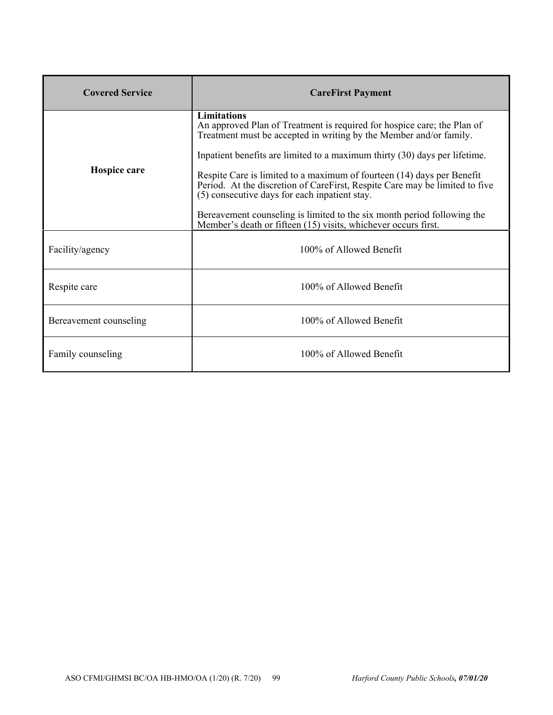| <b>Covered Service</b> | <b>CareFirst Payment</b>                                                                                                                                                                                                                                                                                                                                                                                   |
|------------------------|------------------------------------------------------------------------------------------------------------------------------------------------------------------------------------------------------------------------------------------------------------------------------------------------------------------------------------------------------------------------------------------------------------|
| Hospice care           | <b>Limitations</b><br>An approved Plan of Treatment is required for hospice care; the Plan of<br>Treatment must be accepted in writing by the Member and/or family.<br>Inpatient benefits are limited to a maximum thirty (30) days per lifetime.<br>Respite Care is limited to a maximum of fourteen (14) days per Benefit<br>Period. At the discretion of CareFirst, Respite Care may be limited to five |
|                        | (5) consecutive days for each inpatient stay.<br>Bereavement counseling is limited to the six month period following the<br>Member's death or fifteen (15) visits, whichever occurs first.                                                                                                                                                                                                                 |
| Facility/agency        | 100% of Allowed Benefit                                                                                                                                                                                                                                                                                                                                                                                    |
| Respite care           | 100% of Allowed Benefit                                                                                                                                                                                                                                                                                                                                                                                    |
| Bereavement counseling | 100% of Allowed Benefit                                                                                                                                                                                                                                                                                                                                                                                    |
| Family counseling      | 100% of Allowed Benefit                                                                                                                                                                                                                                                                                                                                                                                    |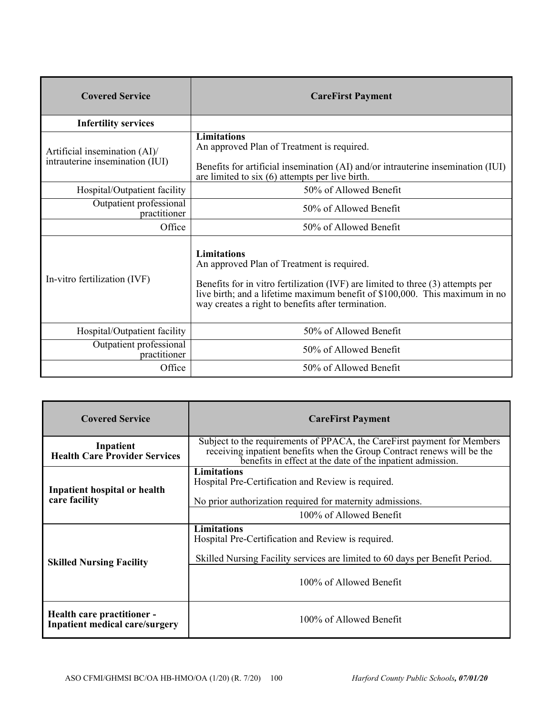| <b>Covered Service</b>                                           | <b>CareFirst Payment</b>                                                                                                                                                                                                                                                                   |
|------------------------------------------------------------------|--------------------------------------------------------------------------------------------------------------------------------------------------------------------------------------------------------------------------------------------------------------------------------------------|
| <b>Infertility services</b>                                      |                                                                                                                                                                                                                                                                                            |
| Artificial insemination (AI)/<br>intrauterine insemination (IUI) | <b>Limitations</b><br>An approved Plan of Treatment is required.<br>Benefits for artificial insemination (AI) and/or intrauterine insemination (IUI)<br>are limited to $six(6)$ attempts per live birth.                                                                                   |
| Hospital/Outpatient facility                                     | 50% of Allowed Benefit                                                                                                                                                                                                                                                                     |
| Outpatient professional<br>practitioner                          | 50% of Allowed Benefit                                                                                                                                                                                                                                                                     |
| Office                                                           | 50% of Allowed Benefit                                                                                                                                                                                                                                                                     |
| In-vitro fertilization (IVF)                                     | <b>Limitations</b><br>An approved Plan of Treatment is required.<br>Benefits for in vitro fertilization (IVF) are limited to three $(3)$ attempts per<br>live birth; and a lifetime maximum benefit of \$100,000. This maximum in no<br>way creates a right to benefits after termination. |
| Hospital/Outpatient facility                                     | 50% of Allowed Benefit                                                                                                                                                                                                                                                                     |
| Outpatient professional<br>practitioner                          | 50% of Allowed Benefit                                                                                                                                                                                                                                                                     |
| Office                                                           | 50% of Allowed Benefit                                                                                                                                                                                                                                                                     |

| <b>Covered Service</b>                                              | <b>CareFirst Payment</b>                                                                                                                                                                                         |
|---------------------------------------------------------------------|------------------------------------------------------------------------------------------------------------------------------------------------------------------------------------------------------------------|
| Inpatient<br><b>Health Care Provider Services</b>                   | Subject to the requirements of PPACA, the CareFirst payment for Members<br>receiving inpatient benefits when the Group Contract renews will be the<br>benefits in effect at the date of the inpatient admission. |
| Inpatient hospital or health<br>care facility                       | Limitations<br>Hospital Pre-Certification and Review is required.<br>No prior authorization required for maternity admissions.                                                                                   |
|                                                                     | 100% of Allowed Benefit                                                                                                                                                                                          |
| <b>Skilled Nursing Facility</b>                                     | <b>Limitations</b><br>Hospital Pre-Certification and Review is required.<br>Skilled Nursing Facility services are limited to 60 days per Benefit Period.                                                         |
|                                                                     | 100% of Allowed Benefit                                                                                                                                                                                          |
| Health care practitioner -<br><b>Inpatient medical care/surgery</b> | 100% of Allowed Benefit                                                                                                                                                                                          |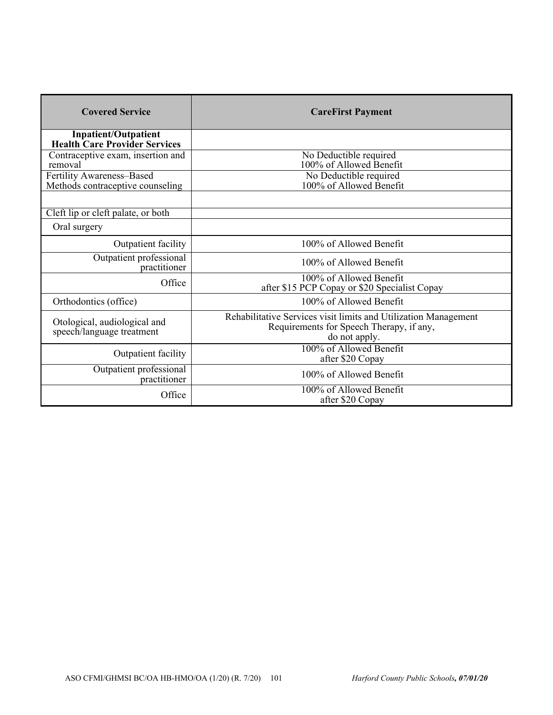| <b>Covered Service</b>                                              | <b>CareFirst Payment</b>                                                                                                     |
|---------------------------------------------------------------------|------------------------------------------------------------------------------------------------------------------------------|
| <b>Inpatient/Outpatient</b><br><b>Health Care Provider Services</b> |                                                                                                                              |
| Contraceptive exam, insertion and<br>removal                        | No Deductible required<br>100% of Allowed Benefit                                                                            |
| Fertility Awareness-Based<br>Methods contraceptive counseling       | No Deductible required<br>100% of Allowed Benefit                                                                            |
|                                                                     |                                                                                                                              |
| Cleft lip or cleft palate, or both<br>Oral surgery                  |                                                                                                                              |
| Outpatient facility                                                 | 100% of Allowed Benefit                                                                                                      |
| Outpatient professional<br>practitioner                             | 100% of Allowed Benefit                                                                                                      |
| Office                                                              | 100% of Allowed Benefit<br>after \$15 PCP Copay or \$20 Specialist Copay                                                     |
| Orthodontics (office)                                               | 100% of Allowed Benefit                                                                                                      |
| Otological, audiological and<br>speech/language treatment           | Rehabilitative Services visit limits and Utilization Management<br>Requirements for Speech Therapy, if any,<br>do not apply. |
| Outpatient facility                                                 | 100% of Allowed Benefit<br>after \$20 Copay                                                                                  |
| Outpatient professional<br>practitioner                             | 100% of Allowed Benefit                                                                                                      |
| Office                                                              | 100% of Allowed Benefit<br>after \$20 Copay                                                                                  |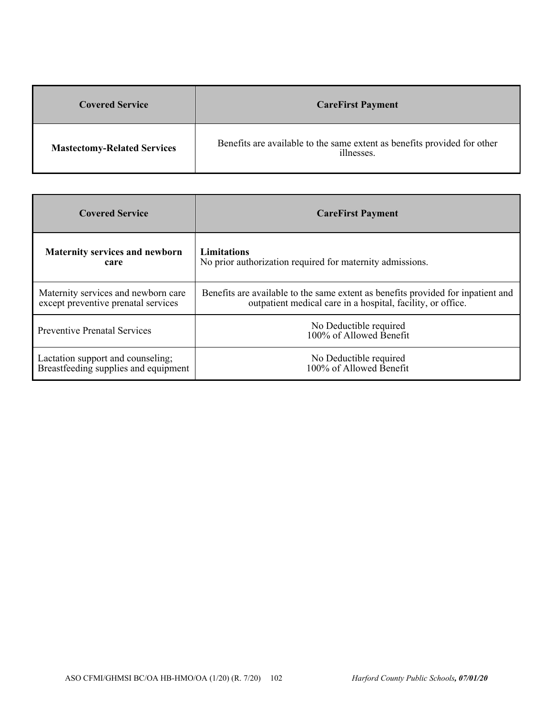| <b>Covered Service</b>             | <b>CareFirst Payment</b>                                                               |
|------------------------------------|----------------------------------------------------------------------------------------|
| <b>Mastectomy-Related Services</b> | Benefits are available to the same extent as benefits provided for other<br>illnesses. |

| <b>Covered Service</b>                | <b>CareFirst Payment</b>                                                         |
|---------------------------------------|----------------------------------------------------------------------------------|
| <b>Maternity services and newborn</b> | <b>Limitations</b>                                                               |
| care                                  | No prior authorization required for maternity admissions.                        |
| Maternity services and newborn care   | Benefits are available to the same extent as benefits provided for inpatient and |
| except preventive prenatal services   | outpatient medical care in a hospital, facility, or office.                      |
| <b>Preventive Prenatal Services</b>   | No Deductible required<br>100% of Allowed Benefit                                |
| Lactation support and counseling;     | No Deductible required                                                           |
| Breastfeeding supplies and equipment  | 100% of Allowed Benefit                                                          |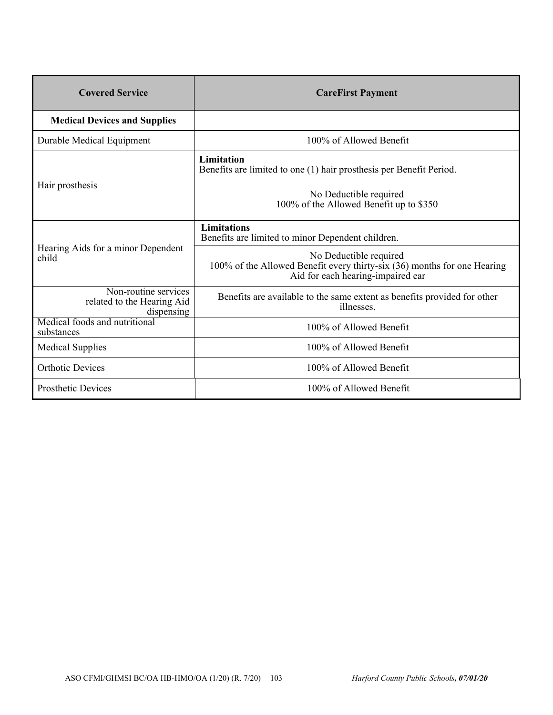| <b>Covered Service</b>                                           | <b>CareFirst Payment</b>                                                                                                                |
|------------------------------------------------------------------|-----------------------------------------------------------------------------------------------------------------------------------------|
| <b>Medical Devices and Supplies</b>                              |                                                                                                                                         |
| Durable Medical Equipment                                        | 100% of Allowed Benefit                                                                                                                 |
| Hair prosthesis                                                  | Limitation<br>Benefits are limited to one (1) hair prosthesis per Benefit Period.                                                       |
|                                                                  | No Deductible required<br>100% of the Allowed Benefit up to \$350                                                                       |
| Hearing Aids for a minor Dependent<br>child                      | <b>Limitations</b><br>Benefits are limited to minor Dependent children.                                                                 |
|                                                                  | No Deductible required<br>100% of the Allowed Benefit every thirty-six (36) months for one Hearing<br>Aid for each hearing-impaired ear |
| Non-routine services<br>related to the Hearing Aid<br>dispensing | Benefits are available to the same extent as benefits provided for other<br>illnesses.                                                  |
| Medical foods and nutritional<br>substances                      | 100% of Allowed Benefit                                                                                                                 |
| <b>Medical Supplies</b>                                          | 100% of Allowed Benefit                                                                                                                 |
| <b>Orthotic Devices</b>                                          | 100% of Allowed Benefit                                                                                                                 |
| <b>Prosthetic Devices</b>                                        | 100% of Allowed Benefit                                                                                                                 |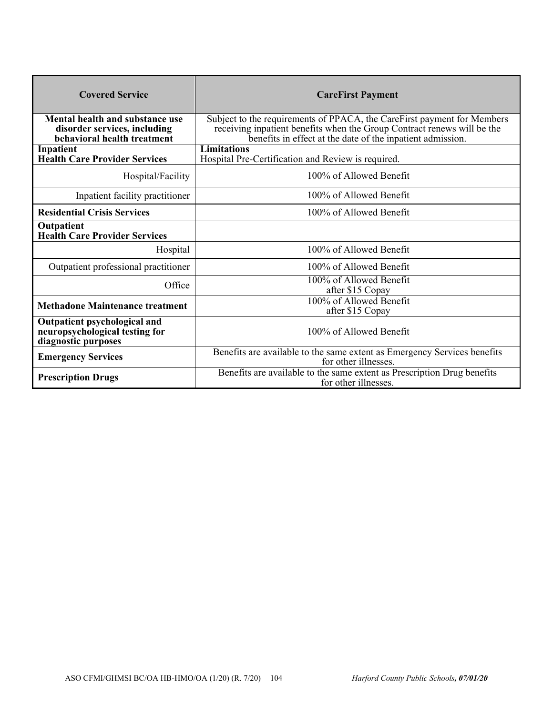| <b>Covered Service</b>                                                                         | <b>CareFirst Payment</b>                                                                                                                                                                                         |
|------------------------------------------------------------------------------------------------|------------------------------------------------------------------------------------------------------------------------------------------------------------------------------------------------------------------|
| Mental health and substance use<br>disorder services, including<br>behavioral health treatment | Subject to the requirements of PPACA, the CareFirst payment for Members<br>receiving inpatient benefits when the Group Contract renews will be the<br>benefits in effect at the date of the inpatient admission. |
| Inpatient<br><b>Health Care Provider Services</b>                                              | <b>Limitations</b><br>Hospital Pre-Certification and Review is required.                                                                                                                                         |
| Hospital/Facility                                                                              | 100% of Allowed Benefit                                                                                                                                                                                          |
| Inpatient facility practitioner                                                                | 100% of Allowed Benefit                                                                                                                                                                                          |
| <b>Residential Crisis Services</b>                                                             | 100% of Allowed Benefit                                                                                                                                                                                          |
| Outpatient<br><b>Health Care Provider Services</b>                                             |                                                                                                                                                                                                                  |
| Hospital                                                                                       | 100% of Allowed Benefit                                                                                                                                                                                          |
| Outpatient professional practitioner                                                           | 100% of Allowed Benefit                                                                                                                                                                                          |
| Office                                                                                         | 100% of Allowed Benefit<br>after \$15 Copay                                                                                                                                                                      |
| <b>Methadone Maintenance treatment</b>                                                         | 100% of Allowed Benefit<br>after \$15 Copay                                                                                                                                                                      |
| Outpatient psychological and<br>neuropsychological testing for<br>diagnostic purposes          | 100% of Allowed Benefit                                                                                                                                                                                          |
| <b>Emergency Services</b>                                                                      | Benefits are available to the same extent as Emergency Services benefits<br>for other illnesses.                                                                                                                 |
| <b>Prescription Drugs</b>                                                                      | Benefits are available to the same extent as Prescription Drug benefits<br>for other illnesses.                                                                                                                  |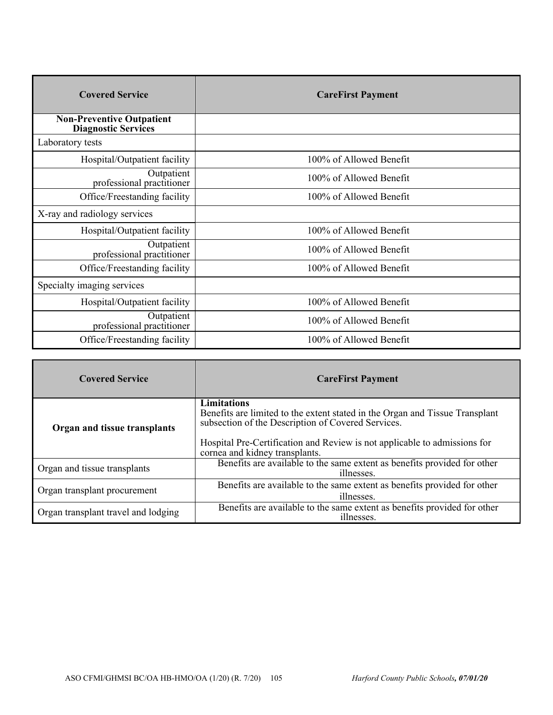| <b>Covered Service</b>                                         | <b>CareFirst Payment</b> |
|----------------------------------------------------------------|--------------------------|
| <b>Non-Preventive Outpatient</b><br><b>Diagnostic Services</b> |                          |
| Laboratory tests                                               |                          |
| Hospital/Outpatient facility                                   | 100% of Allowed Benefit  |
| Outpatient<br>professional practitioner                        | 100% of Allowed Benefit  |
| Office/Freestanding facility                                   | 100% of Allowed Benefit  |
| X-ray and radiology services                                   |                          |
| Hospital/Outpatient facility                                   | 100% of Allowed Benefit  |
| Outpatient<br>professional practitioner                        | 100% of Allowed Benefit  |
| Office/Freestanding facility                                   | 100% of Allowed Benefit  |
| Specialty imaging services                                     |                          |
| Hospital/Outpatient facility                                   | 100% of Allowed Benefit  |
| Outpatient<br>professional practitioner                        | 100% of Allowed Benefit  |
| Office/Freestanding facility                                   | 100% of Allowed Benefit  |

| <b>Covered Service</b>              | <b>CareFirst Payment</b>                                                                                                                                 |
|-------------------------------------|----------------------------------------------------------------------------------------------------------------------------------------------------------|
| Organ and tissue transplants        | <b>Limitations</b><br>Benefits are limited to the extent stated in the Organ and Tissue Transplant<br>subsection of the Description of Covered Services. |
|                                     | Hospital Pre-Certification and Review is not applicable to admissions for<br>cornea and kidney transplants.                                              |
| Organ and tissue transplants        | Benefits are available to the same extent as benefits provided for other<br>illnesses.                                                                   |
| Organ transplant procurement        | Benefits are available to the same extent as benefits provided for other<br>illnesses.                                                                   |
| Organ transplant travel and lodging | Benefits are available to the same extent as benefits provided for other<br>illnesses.                                                                   |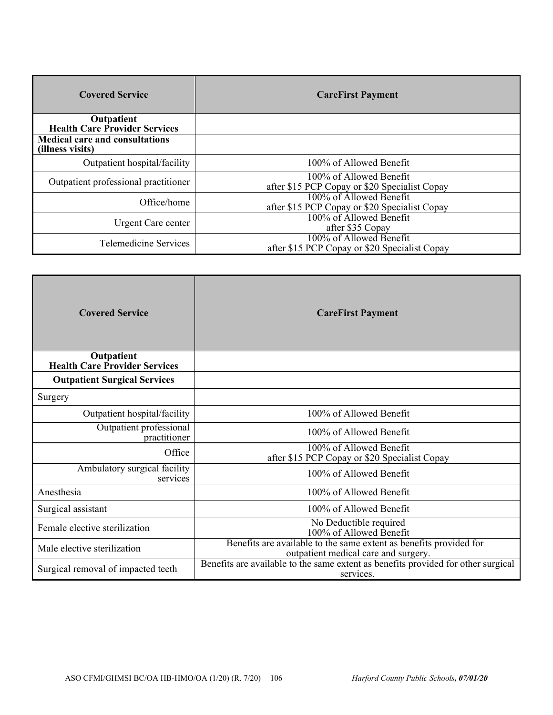| <b>Covered Service</b>                                    | <b>CareFirst Payment</b>                                                 |
|-----------------------------------------------------------|--------------------------------------------------------------------------|
| Outpatient<br><b>Health Care Provider Services</b>        |                                                                          |
| <b>Medical care and consultations</b><br>(illness visits) |                                                                          |
| Outpatient hospital/facility                              | 100% of Allowed Benefit                                                  |
| Outpatient professional practitioner                      | 100% of Allowed Benefit<br>after \$15 PCP Copay or \$20 Specialist Copay |
| Office/home                                               | 100% of Allowed Benefit<br>after \$15 PCP Copay or \$20 Specialist Copay |
| Urgent Care center                                        | 100% of Allowed Benefit<br>after \$35 Copay                              |
| Telemedicine Services                                     | 100% of Allowed Benefit<br>after \$15 PCP Copay or \$20 Specialist Copay |

| <b>Covered Service</b>                             | <b>CareFirst Payment</b>                                                                                   |
|----------------------------------------------------|------------------------------------------------------------------------------------------------------------|
| Outpatient<br><b>Health Care Provider Services</b> |                                                                                                            |
| <b>Outpatient Surgical Services</b>                |                                                                                                            |
| Surgery                                            |                                                                                                            |
| Outpatient hospital/facility                       | 100% of Allowed Benefit                                                                                    |
| Outpatient professional<br>practitioner            | 100% of Allowed Benefit                                                                                    |
| Office                                             | 100% of Allowed Benefit<br>after \$15 PCP Copay or \$20 Specialist Copay                                   |
| Ambulatory surgical facility<br>services           | 100% of Allowed Benefit                                                                                    |
| Anesthesia                                         | 100% of Allowed Benefit                                                                                    |
| Surgical assistant                                 | 100% of Allowed Benefit                                                                                    |
| Female elective sterilization                      | No Deductible required<br>100% of Allowed Benefit                                                          |
| Male elective sterilization                        | Benefits are available to the same extent as benefits provided for<br>outpatient medical care and surgery. |
| Surgical removal of impacted teeth                 | Benefits are available to the same extent as benefits provided for other surgical<br>services.             |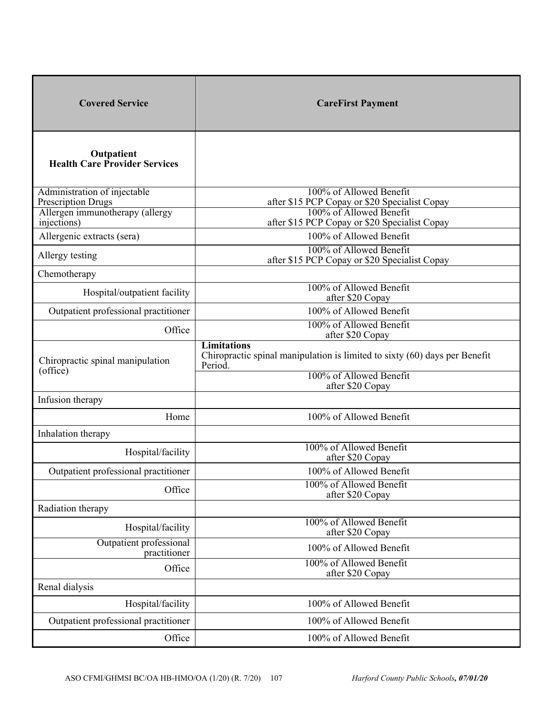| <b>Covered Service</b>                                       | <b>CareFirst Payment</b>                                                                                      |
|--------------------------------------------------------------|---------------------------------------------------------------------------------------------------------------|
| Outpatient<br><b>Health Care Provider Services</b>           |                                                                                                               |
| Administration of injectable                                 | 100% of Allowed Benefit                                                                                       |
| <b>Prescription Drugs</b><br>Allergen immunotherapy (allergy | after \$15 PCP Copay or \$20 Specialist Copay<br>100% of Allowed Benefit                                      |
| injections)                                                  | after \$15 PCP Copay or \$20 Specialist Copay                                                                 |
| Allergenic extracts (sera)                                   | 100% of Allowed Benefit                                                                                       |
| Allergy testing                                              | 100% of Allowed Benefit<br>after \$15 PCP Copay or \$20 Specialist Copay                                      |
| Chemotherapy                                                 |                                                                                                               |
| Hospital/outpatient facility                                 | 100% of Allowed Benefit<br>after \$20 Copay                                                                   |
| Outpatient professional practitioner                         | 100% of Allowed Benefit                                                                                       |
| Office                                                       | 100% of Allowed Benefit<br>after \$20 Copay                                                                   |
| Chiropractic spinal manipulation<br>(office)                 | <b>Limitations</b><br>Chiropractic spinal manipulation is limited to sixty $(60)$ days per Benefit<br>Period. |
|                                                              | 100% of Allowed Benefit<br>after \$20 Copay                                                                   |
| Infusion therapy                                             |                                                                                                               |
| Home                                                         | 100% of Allowed Benefit                                                                                       |
| Inhalation therapy                                           |                                                                                                               |
| Hospital/facility                                            | 100% of Allowed Benefit<br>after \$20 Copay                                                                   |
| Outpatient professional practitioner                         | 100% of Allowed Benefit                                                                                       |
| Office                                                       | 100% of Allowed Benefit<br>after \$20 Copay                                                                   |
| Radiation therapy                                            |                                                                                                               |
| Hospital/facility                                            | 100% of Allowed Benefit<br>after \$20 Copay                                                                   |
| Outpatient professional<br>practitioner                      | 100% of Allowed Benefit                                                                                       |
| Office                                                       | 100% of Allowed Benefit<br>after \$20 Copay                                                                   |
| Renal dialysis                                               |                                                                                                               |
| Hospital/facility                                            | 100% of Allowed Benefit                                                                                       |
| Outpatient professional practitioner                         | 100% of Allowed Benefit                                                                                       |
| Office                                                       | 100% of Allowed Benefit                                                                                       |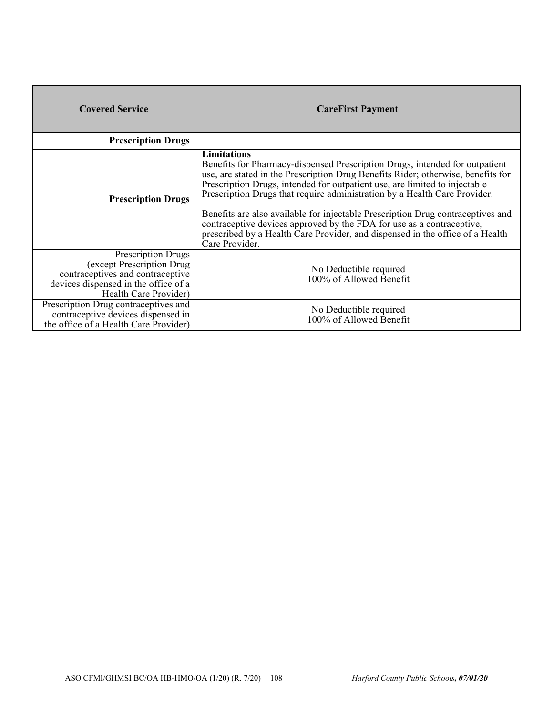| <b>Covered Service</b>                                                                                                                                       | <b>CareFirst Payment</b>                                                                                                                                                                                                                                                                                                                                                                                                                                                                                                                                                                                        |
|--------------------------------------------------------------------------------------------------------------------------------------------------------------|-----------------------------------------------------------------------------------------------------------------------------------------------------------------------------------------------------------------------------------------------------------------------------------------------------------------------------------------------------------------------------------------------------------------------------------------------------------------------------------------------------------------------------------------------------------------------------------------------------------------|
| <b>Prescription Drugs</b>                                                                                                                                    |                                                                                                                                                                                                                                                                                                                                                                                                                                                                                                                                                                                                                 |
| <b>Prescription Drugs</b>                                                                                                                                    | <b>Limitations</b><br>Benefits for Pharmacy-dispensed Prescription Drugs, intended for outpatient<br>use, are stated in the Prescription Drug Benefits Rider; otherwise, benefits for<br>Prescription Drugs, intended for outpatient use, are limited to injectable<br>Prescription Drugs that require administration by a Health Care Provider.<br>Benefits are also available for injectable Prescription Drug contraceptives and<br>contraceptive devices approved by the FDA for use as a contraceptive,<br>prescribed by a Health Care Provider, and dispensed in the office of a Health<br>Care Provider. |
| <b>Prescription Drugs</b><br>(except Prescription Drug)<br>contraceptives and contraceptive<br>devices dispensed in the office of a<br>Health Care Provider) | No Deductible required<br>100% of Allowed Benefit                                                                                                                                                                                                                                                                                                                                                                                                                                                                                                                                                               |
| Prescription Drug contraceptives and<br>contraceptive devices dispensed in<br>the office of a Health Care Provider)                                          | No Deductible required<br>100% of Allowed Benefit                                                                                                                                                                                                                                                                                                                                                                                                                                                                                                                                                               |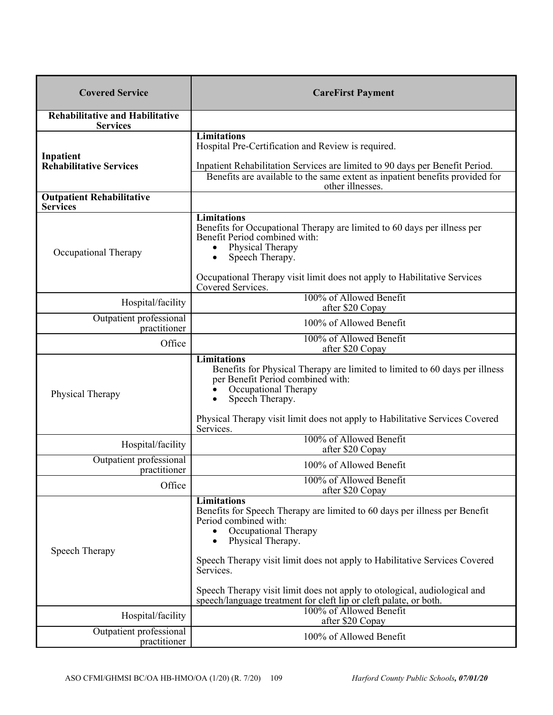| <b>Covered Service</b>                                    | <b>CareFirst Payment</b>                                                                                                                                                                                                                                                                                                                                                                                          |  |  |
|-----------------------------------------------------------|-------------------------------------------------------------------------------------------------------------------------------------------------------------------------------------------------------------------------------------------------------------------------------------------------------------------------------------------------------------------------------------------------------------------|--|--|
| <b>Rehabilitative and Habilitative</b><br><b>Services</b> |                                                                                                                                                                                                                                                                                                                                                                                                                   |  |  |
| Inpatient                                                 | <b>Limitations</b><br>Hospital Pre-Certification and Review is required.                                                                                                                                                                                                                                                                                                                                          |  |  |
| <b>Rehabilitative Services</b>                            | Inpatient Rehabilitation Services are limited to 90 days per Benefit Period.<br>Benefits are available to the same extent as inpatient benefits provided for<br>other illnesses.                                                                                                                                                                                                                                  |  |  |
| <b>Outpatient Rehabilitative</b><br><b>Services</b>       |                                                                                                                                                                                                                                                                                                                                                                                                                   |  |  |
| Occupational Therapy                                      | <b>Limitations</b><br>Benefits for Occupational Therapy are limited to 60 days per illness per<br>Benefit Period combined with:<br>Physical Therapy<br>Speech Therapy.<br>Occupational Therapy visit limit does not apply to Habilitative Services                                                                                                                                                                |  |  |
| Hospital/facility                                         | Covered Services.<br>100% of Allowed Benefit                                                                                                                                                                                                                                                                                                                                                                      |  |  |
| Outpatient professional                                   | after \$20 Copay<br>100% of Allowed Benefit                                                                                                                                                                                                                                                                                                                                                                       |  |  |
| practitioner<br>Office                                    | 100% of Allowed Benefit<br>after \$20 Copay                                                                                                                                                                                                                                                                                                                                                                       |  |  |
| Physical Therapy                                          | <b>Limitations</b><br>Benefits for Physical Therapy are limited to limited to 60 days per illness<br>per Benefit Period combined with:<br>Occupational Therapy<br>Speech Therapy.<br>Physical Therapy visit limit does not apply to Habilitative Services Covered                                                                                                                                                 |  |  |
| Hospital/facility                                         | Services.<br>100% of Allowed Benefit<br>after \$20 Copay                                                                                                                                                                                                                                                                                                                                                          |  |  |
| Outpatient professional<br>practitioner                   | 100% of Allowed Benefit                                                                                                                                                                                                                                                                                                                                                                                           |  |  |
| Office                                                    | 100% of Allowed Benefit<br>after \$20 Copay                                                                                                                                                                                                                                                                                                                                                                       |  |  |
| Speech Therapy                                            | Limitations<br>Benefits for Speech Therapy are limited to 60 days per illness per Benefit<br>Period combined with:<br>Occupational Therapy<br>Physical Therapy.<br>٠<br>Speech Therapy visit limit does not apply to Habilitative Services Covered<br>Services.<br>Speech Therapy visit limit does not apply to otological, audiological and<br>speech/language treatment for cleft lip or cleft palate, or both. |  |  |
| Hospital/facility                                         | 100% of Allowed Benefit<br>after \$20 Copay                                                                                                                                                                                                                                                                                                                                                                       |  |  |
| Outpatient professional<br>practitioner                   | 100% of Allowed Benefit                                                                                                                                                                                                                                                                                                                                                                                           |  |  |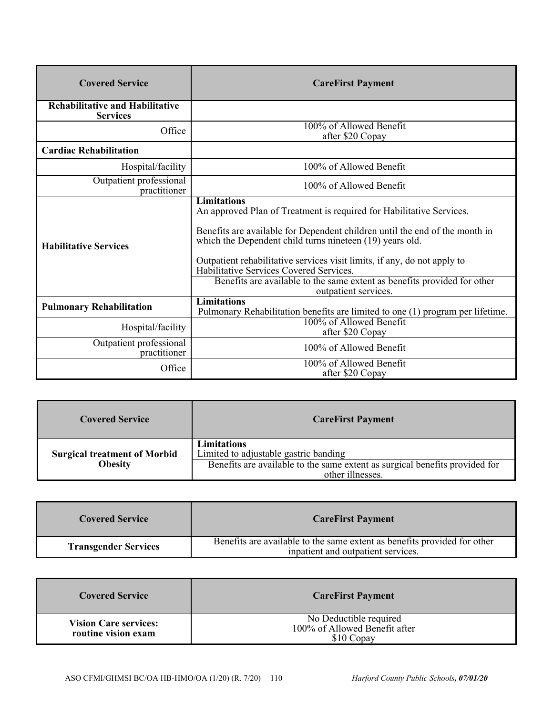| <b>Covered Service</b>                                    | <b>CareFirst Payment</b>                                                                                                                                                                                                                                                                                                                                                                                                                                         |  |  |
|-----------------------------------------------------------|------------------------------------------------------------------------------------------------------------------------------------------------------------------------------------------------------------------------------------------------------------------------------------------------------------------------------------------------------------------------------------------------------------------------------------------------------------------|--|--|
| <b>Rehabilitative and Habilitative</b><br><b>Services</b> |                                                                                                                                                                                                                                                                                                                                                                                                                                                                  |  |  |
| Office                                                    | 100% of Allowed Benefit<br>after \$20 Copay                                                                                                                                                                                                                                                                                                                                                                                                                      |  |  |
| <b>Cardiac Rehabilitation</b>                             |                                                                                                                                                                                                                                                                                                                                                                                                                                                                  |  |  |
| Hospital/facility                                         | 100% of Allowed Benefit                                                                                                                                                                                                                                                                                                                                                                                                                                          |  |  |
| Outpatient professional<br>practitioner                   | 100% of Allowed Benefit                                                                                                                                                                                                                                                                                                                                                                                                                                          |  |  |
| <b>Habilitative Services</b>                              | <b>Limitations</b><br>An approved Plan of Treatment is required for Habilitative Services.<br>Benefits are available for Dependent children until the end of the month in<br>which the Dependent child turns nineteen (19) years old.<br>Outpatient rehabilitative services visit limits, if any, do not apply to<br>Habilitative Services Covered Services.<br>Benefits are available to the same extent as benefits provided for other<br>outpatient services. |  |  |
| <b>Pulmonary Rehabilitation</b>                           | <b>Limitations</b><br>Pulmonary Rehabilitation benefits are limited to one (1) program per lifetime.                                                                                                                                                                                                                                                                                                                                                             |  |  |
| Hospital/facility                                         | 100% of Allowed Benefit<br>after \$20 Copay                                                                                                                                                                                                                                                                                                                                                                                                                      |  |  |
| Outpatient professional<br>practitioner                   | 100% of Allowed Benefit                                                                                                                                                                                                                                                                                                                                                                                                                                          |  |  |
| Office                                                    | 100% of Allowed Benefit<br>after \$20 Copay                                                                                                                                                                                                                                                                                                                                                                                                                      |  |  |

| <b>Covered Service</b>              | <b>CareFirst Payment</b>                                                                        |  |
|-------------------------------------|-------------------------------------------------------------------------------------------------|--|
| <b>Surgical treatment of Morbid</b> | Limitations<br>Limited to adjustable gastric banding                                            |  |
| <b>Obesity</b>                      | Benefits are available to the same extent as surgical benefits provided for<br>other illnesses. |  |

| <b>Covered Service</b>      | <b>CareFirst Payment</b>                                                                                       |
|-----------------------------|----------------------------------------------------------------------------------------------------------------|
| <b>Transgender Services</b> | Benefits are available to the same extent as benefits provided for other<br>inpatient and outpatient services. |

| <b>Covered Service</b>                              | <b>CareFirst Payment</b>                                              |
|-----------------------------------------------------|-----------------------------------------------------------------------|
| <b>Vision Care services:</b><br>routine vision exam | No Deductible required<br>100% of Allowed Benefit after<br>\$10 Copay |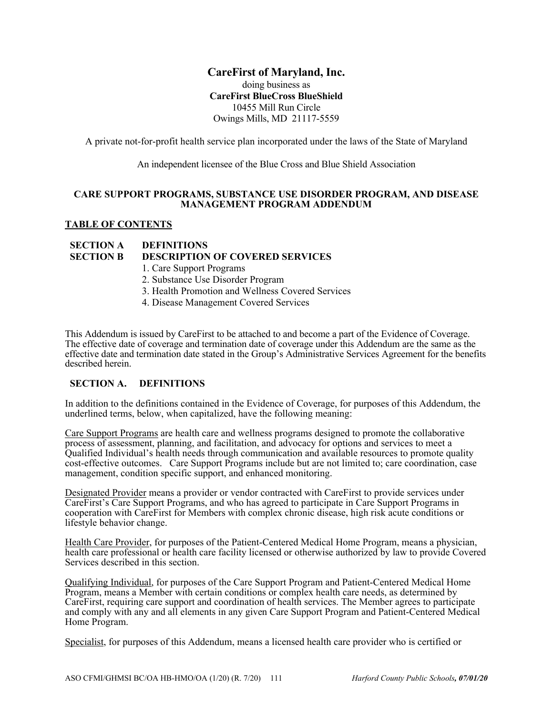# **CareFirst of Maryland, Inc.**

doing business as **CareFirst BlueCross BlueShield**  10455 Mill Run Circle Owings Mills, MD 21117-5559

A private not-for-profit health service plan incorporated under the laws of the State of Maryland

An independent licensee of the Blue Cross and Blue Shield Association

#### **CARE SUPPORT PROGRAMS, SUBSTANCE USE DISORDER PROGRAM, AND DISEASE MANAGEMENT PROGRAM ADDENDUM**

#### **TABLE OF CONTENTS**

# **SECTION A DEFINITIONS**

- **SECTION B DESCRIPTION OF COVERED SERVICES** 
	- 1. Care Support Programs
	- 2. Substance Use Disorder Program
	- 3. Health Promotion and Wellness Covered Services
	- 4. Disease Management Covered Services

This Addendum is issued by CareFirst to be attached to and become a part of the Evidence of Coverage. The effective date of coverage and termination date of coverage under this Addendum are the same as the effective date and termination date stated in the Group's Administrative Services Agreement for the benefits described herein.

# **SECTION A. DEFINITIONS**

In addition to the definitions contained in the Evidence of Coverage, for purposes of this Addendum, the underlined terms, below, when capitalized, have the following meaning:

Care Support Programs are health care and wellness programs designed to promote the collaborative process of assessment, planning, and facilitation, and advocacy for options and services to meet a Qualified Individual's health needs through communication and available resources to promote quality cost-effective outcomes. Care Support Programs include but are not limited to; care coordination, case management, condition specific support, and enhanced monitoring.

Designated Provider means a provider or vendor contracted with CareFirst to provide services under CareFirst's Care Support Programs, and who has agreed to participate in Care Support Programs in cooperation with CareFirst for Members with complex chronic disease, high risk acute conditions or lifestyle behavior change.

Health Care Provider, for purposes of the Patient-Centered Medical Home Program, means a physician, health care professional or health care facility licensed or otherwise authorized by law to provide Covered Services described in this section.

Qualifying Individual, for purposes of the Care Support Program and Patient-Centered Medical Home Program, means a Member with certain conditions or complex health care needs, as determined by CareFirst, requiring care support and coordination of health services. The Member agrees to participate and comply with any and all elements in any given Care Support Program and Patient-Centered Medical Home Program.

Specialist, for purposes of this Addendum, means a licensed health care provider who is certified or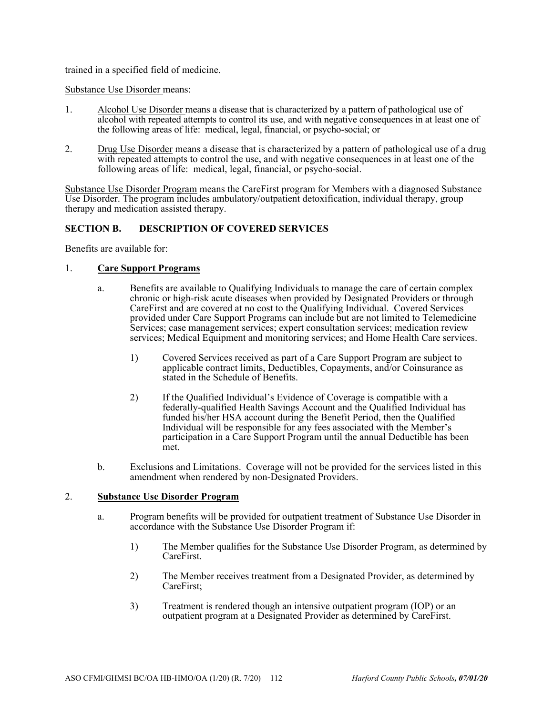trained in a specified field of medicine.

#### Substance Use Disorder means:

- 1. Alcohol Use Disorder means a disease that is characterized by a pattern of pathological use of alcohol with repeated attempts to control its use, and with negative consequences in at least one of the following areas of life: medical, legal, financial, or psycho-social; or
- 2. Drug Use Disorder means a disease that is characterized by a pattern of pathological use of a drug with repeated attempts to control the use, and with negative consequences in at least one of the following areas of life: medical, legal, financial, or psycho-social.

Substance Use Disorder Program means the CareFirst program for Members with a diagnosed Substance Use Disorder. The program includes ambulatory/outpatient detoxification, individual therapy, group therapy and medication assisted therapy.

# **SECTION B. DESCRIPTION OF COVERED SERVICES**

Benefits are available for:

#### 1. **Care Support Programs**

- a. Benefits are available to Qualifying Individuals to manage the care of certain complex chronic or high-risk acute diseases when provided by Designated Providers or through CareFirst and are covered at no cost to the Qualifying Individual. Covered Services provided under Care Support Programs can include but are not limited to Telemedicine Services; case management services; expert consultation services; medication review services; Medical Equipment and monitoring services; and Home Health Care services.
	- 1) Covered Services received as part of a Care Support Program are subject to applicable contract limits, Deductibles, Copayments, and/or Coinsurance as stated in the Schedule of Benefits.
	- 2) If the Qualified Individual's Evidence of Coverage is compatible with a federally-qualified Health Savings Account and the Qualified Individual has funded his/her HSA account during the Benefit Period, then the Qualified Individual will be responsible for any fees associated with the Member's participation in a Care Support Program until the annual Deductible has been met.
- b. Exclusions and Limitations. Coverage will not be provided for the services listed in this amendment when rendered by non-Designated Providers.

#### 2. **Substance Use Disorder Program**

- a. Program benefits will be provided for outpatient treatment of Substance Use Disorder in accordance with the Substance Use Disorder Program if:
	- 1) The Member qualifies for the Substance Use Disorder Program, as determined by CareFirst.
	- 2) The Member receives treatment from a Designated Provider, as determined by CareFirst;
	- 3) Treatment is rendered though an intensive outpatient program (IOP) or an outpatient program at a Designated Provider as determined by CareFirst.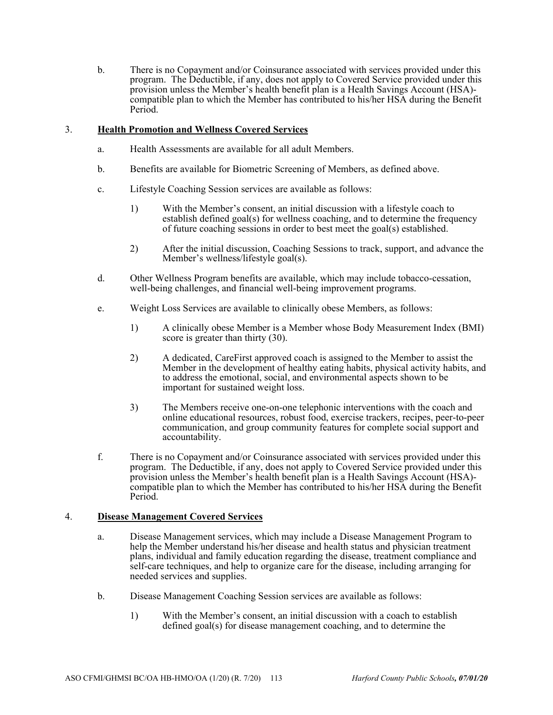b. There is no Copayment and/or Coinsurance associated with services provided under this program. The Deductible, if any, does not apply to Covered Service provided under this provision unless the Member's health benefit plan is a Health Savings Account (HSA) compatible plan to which the Member has contributed to his/her HSA during the Benefit Period.

# 3. **Health Promotion and Wellness Covered Services**

- a. Health Assessments are available for all adult Members.
- b. Benefits are available for Biometric Screening of Members, as defined above.
- c. Lifestyle Coaching Session services are available as follows:
	- 1) With the Member's consent, an initial discussion with a lifestyle coach to establish defined goal(s) for wellness coaching, and to determine the frequency of future coaching sessions in order to best meet the goal(s) established.
	- 2) After the initial discussion, Coaching Sessions to track, support, and advance the Member's wellness/lifestyle goal(s).
- d. Other Wellness Program benefits are available, which may include tobacco-cessation, well-being challenges, and financial well-being improvement programs.
- e. Weight Loss Services are available to clinically obese Members, as follows:
	- 1) A clinically obese Member is a Member whose Body Measurement Index (BMI) score is greater than thirty  $(30)$ .
	- 2) A dedicated, CareFirst approved coach is assigned to the Member to assist the Member in the development of healthy eating habits, physical activity habits, and to address the emotional, social, and environmental aspects shown to be important for sustained weight loss.
	- 3) The Members receive one-on-one telephonic interventions with the coach and online educational resources, robust food, exercise trackers, recipes, peer-to-peer communication, and group community features for complete social support and accountability.
- f. There is no Copayment and/or Coinsurance associated with services provided under this program. The Deductible, if any, does not apply to Covered Service provided under this provision unless the Member's health benefit plan is a Health Savings Account (HSA) compatible plan to which the Member has contributed to his/her HSA during the Benefit Period.

# 4. **Disease Management Covered Services**

- a. Disease Management services, which may include a Disease Management Program to help the Member understand his/her disease and health status and physician treatment plans, individual and family education regarding the disease, treatment compliance and self-care techniques, and help to organize care for the disease, including arranging for needed services and supplies.
- b. Disease Management Coaching Session services are available as follows:
	- 1) With the Member's consent, an initial discussion with a coach to establish defined goal(s) for disease management coaching, and to determine the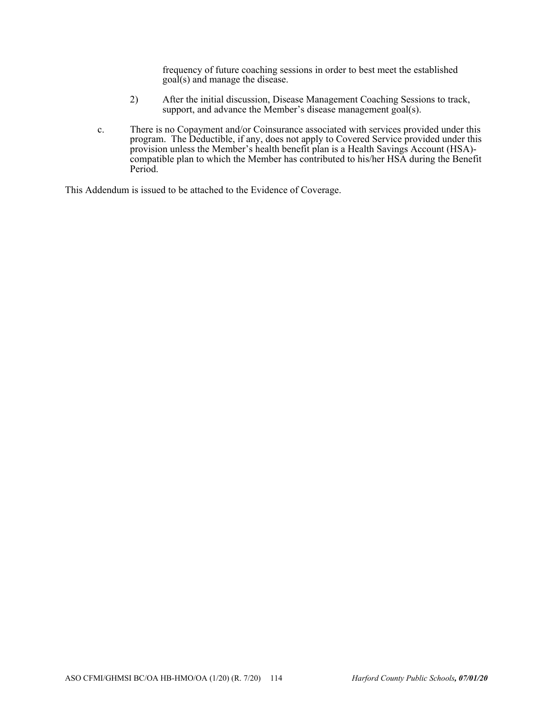frequency of future coaching sessions in order to best meet the established goal(s) and manage the disease.

- 2) After the initial discussion, Disease Management Coaching Sessions to track, support, and advance the Member's disease management goal(s).
- c. There is no Copayment and/or Coinsurance associated with services provided under this program. The Deductible, if any, does not apply to Covered Service provided under this provision unless the Member's health benefit plan is a Health Savings Account (HSA) compatible plan to which the Member has contributed to his/her HSA during the Benefit Period.

This Addendum is issued to be attached to the Evidence of Coverage.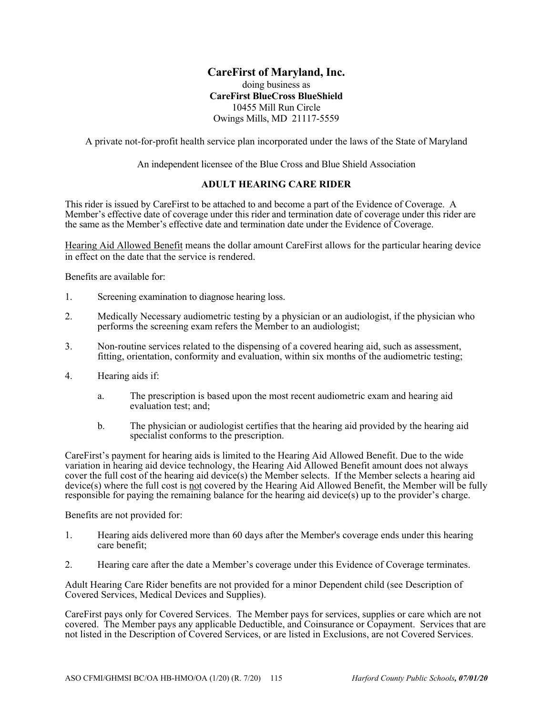# **CareFirst of Maryland, Inc.**

# doing business as **CareFirst BlueCross BlueShield**  10455 Mill Run Circle Owings Mills, MD 21117-5559

A private not-for-profit health service plan incorporated under the laws of the State of Maryland

An independent licensee of the Blue Cross and Blue Shield Association

#### **ADULT HEARING CARE RIDER**

This rider is issued by CareFirst to be attached to and become a part of the Evidence of Coverage. A Member's effective date of coverage under this rider and termination date of coverage under this rider are the same as the Member's effective date and termination date under the Evidence of Coverage.

Hearing Aid Allowed Benefit means the dollar amount CareFirst allows for the particular hearing device in effect on the date that the service is rendered.

Benefits are available for:

- 1. Screening examination to diagnose hearing loss.
- 2. Medically Necessary audiometric testing by a physician or an audiologist, if the physician who performs the screening exam refers the Member to an audiologist;
- 3. Non-routine services related to the dispensing of a covered hearing aid, such as assessment, fitting, orientation, conformity and evaluation, within six months of the audiometric testing;
- 4. Hearing aids if:
	- a. The prescription is based upon the most recent audiometric exam and hearing aid evaluation test; and;
	- b. The physician or audiologist certifies that the hearing aid provided by the hearing aid specialist conforms to the prescription.

CareFirst's payment for hearing aids is limited to the Hearing Aid Allowed Benefit. Due to the wide variation in hearing aid device technology, the Hearing Aid Allowed Benefit amount does not always cover the full cost of the hearing aid device(s) the Member selects. If the Member selects a hearing aid device(s) where the full cost is not covered by the Hearing Aid Allowed Benefit, the Member will be fully responsible for paying the remaining balance for the hearing aid device(s) up to the provider's charge.

Benefits are not provided for:

- 1. Hearing aids delivered more than 60 days after the Member's coverage ends under this hearing care benefit;
- 2. Hearing care after the date a Member's coverage under this Evidence of Coverage terminates.

Adult Hearing Care Rider benefits are not provided for a minor Dependent child (see Description of Covered Services, Medical Devices and Supplies).

CareFirst pays only for Covered Services. The Member pays for services, supplies or care which are not covered. The Member pays any applicable Deductible, and Coinsurance or Copayment. Services that are not listed in the Description of Covered Services, or are listed in Exclusions, are not Covered Services.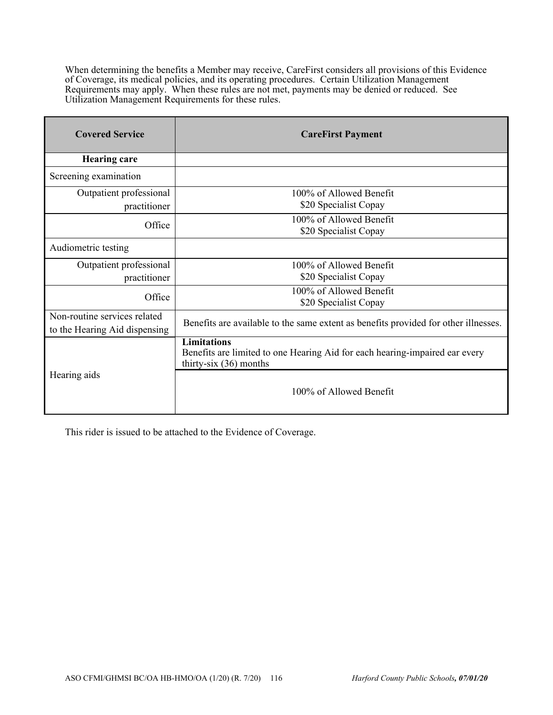When determining the benefits a Member may receive, CareFirst considers all provisions of this Evidence of Coverage, its medical policies, and its operating procedures. Certain Utilization Management Requirements may apply. When these rules are not met, payments may be denied or reduced. See Utilization Management Requirements for these rules.

| <b>Covered Service</b>        | <b>CareFirst Payment</b>                                                                                                      |  |  |
|-------------------------------|-------------------------------------------------------------------------------------------------------------------------------|--|--|
| <b>Hearing care</b>           |                                                                                                                               |  |  |
| Screening examination         |                                                                                                                               |  |  |
| Outpatient professional       | 100% of Allowed Benefit                                                                                                       |  |  |
| practitioner                  | \$20 Specialist Copay                                                                                                         |  |  |
| Office                        | 100% of Allowed Benefit                                                                                                       |  |  |
|                               | \$20 Specialist Copay                                                                                                         |  |  |
| Audiometric testing           |                                                                                                                               |  |  |
| Outpatient professional       | 100% of Allowed Benefit                                                                                                       |  |  |
| practitioner                  | \$20 Specialist Copay                                                                                                         |  |  |
| Office                        | 100% of Allowed Benefit                                                                                                       |  |  |
|                               | \$20 Specialist Copay                                                                                                         |  |  |
| Non-routine services related  | Benefits are available to the same extent as benefits provided for other illnesses.                                           |  |  |
| to the Hearing Aid dispensing |                                                                                                                               |  |  |
|                               | <b>Limitations</b><br>Benefits are limited to one Hearing Aid for each hearing-impaired ear every<br>thirty-six $(36)$ months |  |  |
| Hearing aids                  | 100% of Allowed Benefit                                                                                                       |  |  |

This rider is issued to be attached to the Evidence of Coverage.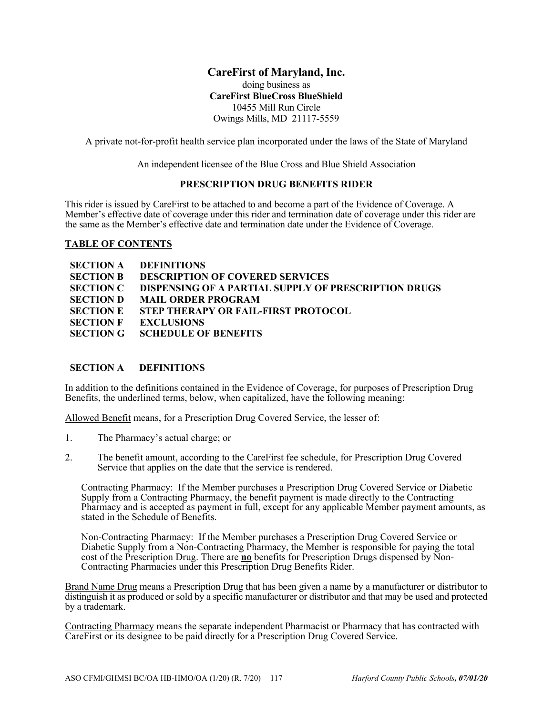# **CareFirst of Maryland, Inc.**

doing business as **CareFirst BlueCross BlueShield**  10455 Mill Run Circle Owings Mills, MD 21117-5559

A private not-for-profit health service plan incorporated under the laws of the State of Maryland

An independent licensee of the Blue Cross and Blue Shield Association

# **PRESCRIPTION DRUG BENEFITS RIDER**

This rider is issued by CareFirst to be attached to and become a part of the Evidence of Coverage. A Member's effective date of coverage under this rider and termination date of coverage under this rider are the same as the Member's effective date and termination date under the Evidence of Coverage.

#### **TABLE OF CONTENTS**

|                  | <b>SECTION A DEFINITIONS</b>                                          |
|------------------|-----------------------------------------------------------------------|
| <b>SECTION B</b> | DESCRIPTION OF COVERED SERVICES                                       |
|                  | <b>SECTION C DISPENSING OF A PARTIAL SUPPLY OF PRESCRIPTION DRUGS</b> |
|                  | <b>SECTION D MAIL ORDER PROGRAM</b>                                   |
|                  | <b>SECTION E STEP THERAPY OR FAIL-FIRST PROTOCOL</b>                  |
|                  | <b>SECTION F EXCLUSIONS</b>                                           |
|                  | <b>SECTION G SCHEDULE OF BENEFITS</b>                                 |

# **SECTION A DEFINITIONS**

In addition to the definitions contained in the Evidence of Coverage, for purposes of Prescription Drug Benefits, the underlined terms, below, when capitalized, have the following meaning:

Allowed Benefit means, for a Prescription Drug Covered Service, the lesser of:

- 1. The Pharmacy's actual charge; or
- 2. The benefit amount, according to the CareFirst fee schedule, for Prescription Drug Covered Service that applies on the date that the service is rendered.

Contracting Pharmacy: If the Member purchases a Prescription Drug Covered Service or Diabetic Supply from a Contracting Pharmacy, the benefit payment is made directly to the Contracting Pharmacy and is accepted as payment in full, except for any applicable Member payment amounts, as stated in the Schedule of Benefits.

Non-Contracting Pharmacy: If the Member purchases a Prescription Drug Covered Service or Diabetic Supply from a Non-Contracting Pharmacy, the Member is responsible for paying the total cost of the Prescription Drug. There are **no** benefits for Prescription Drugs dispensed by Non-Contracting Pharmacies under this Prescription Drug Benefits Rider.

Brand Name Drug means a Prescription Drug that has been given a name by a manufacturer or distributor to distinguish it as produced or sold by a specific manufacturer or distributor and that may be used and protected by a trademark.

Contracting Pharmacy means the separate independent Pharmacist or Pharmacy that has contracted with CareFirst or its designee to be paid directly for a Prescription Drug Covered Service.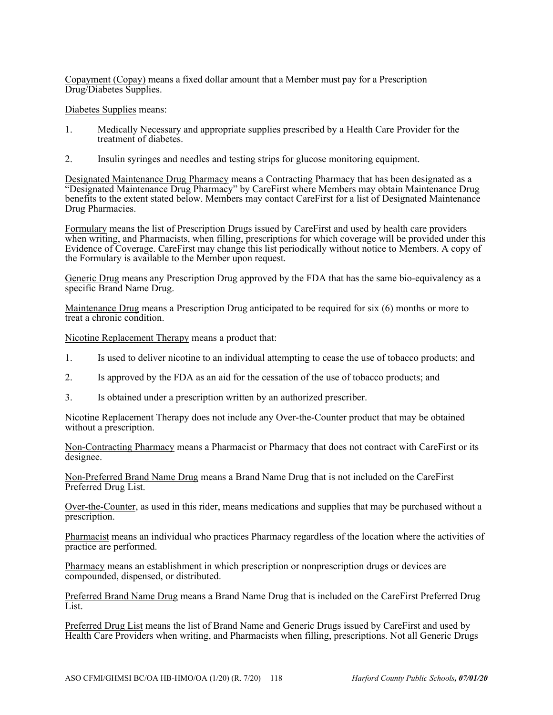Copayment (Copay) means a fixed dollar amount that a Member must pay for a Prescription Drug/Diabetes Supplies.

Diabetes Supplies means:

- 1. Medically Necessary and appropriate supplies prescribed by a Health Care Provider for the treatment of diabetes.
- 2. Insulin syringes and needles and testing strips for glucose monitoring equipment.

Designated Maintenance Drug Pharmacy means a Contracting Pharmacy that has been designated as a "Designated Maintenance Drug Pharmacy" by CareFirst where Members may obtain Maintenance Drug benefits to the extent stated below. Members may contact CareFirst for a list of Designated Maintenance Drug Pharmacies.

Formulary means the list of Prescription Drugs issued by CareFirst and used by health care providers when writing, and Pharmacists, when filling, prescriptions for which coverage will be provided under this Evidence of Coverage. CareFirst may change this list periodically without notice to Members. A copy of the Formulary is available to the Member upon request.

Generic Drug means any Prescription Drug approved by the FDA that has the same bio-equivalency as a specific Brand Name Drug.

Maintenance Drug means a Prescription Drug anticipated to be required for six (6) months or more to treat a chronic condition.

Nicotine Replacement Therapy means a product that:

- 1. Is used to deliver nicotine to an individual attempting to cease the use of tobacco products; and
- 2. Is approved by the FDA as an aid for the cessation of the use of tobacco products; and
- 3. Is obtained under a prescription written by an authorized prescriber.

Nicotine Replacement Therapy does not include any Over-the-Counter product that may be obtained without a prescription.

Non-Contracting Pharmacy means a Pharmacist or Pharmacy that does not contract with CareFirst or its designee.

Non-Preferred Brand Name Drug means a Brand Name Drug that is not included on the CareFirst Preferred Drug List.

Over-the-Counter, as used in this rider, means medications and supplies that may be purchased without a prescription.

Pharmacist means an individual who practices Pharmacy regardless of the location where the activities of practice are performed.

Pharmacy means an establishment in which prescription or nonprescription drugs or devices are compounded, dispensed, or distributed.

Preferred Brand Name Drug means a Brand Name Drug that is included on the CareFirst Preferred Drug List.

Preferred Drug List means the list of Brand Name and Generic Drugs issued by CareFirst and used by Health Care Providers when writing, and Pharmacists when filling, prescriptions. Not all Generic Drugs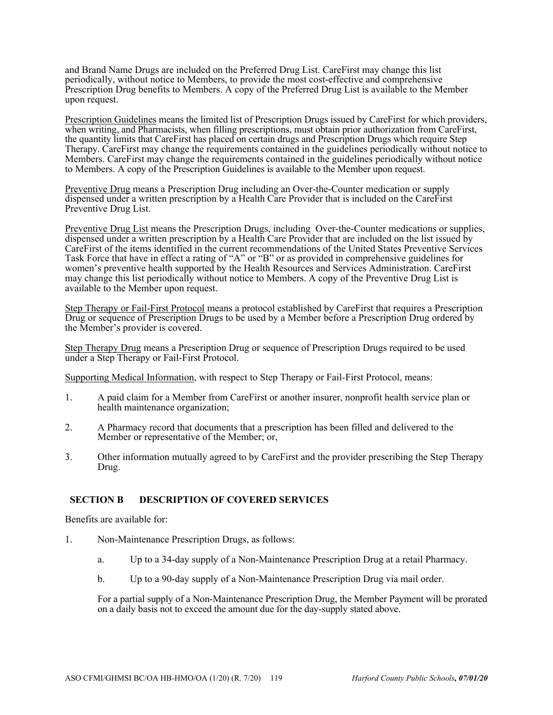and Brand Name Drugs are included on the Preferred Drug List. CareFirst may change this list periodically, without notice to Members, to provide the most cost-effective and comprehensive Prescription Drug benefits to Members. A copy of the Preferred Drug List is available to the Member upon request.

Prescription Guidelines means the limited list of Prescription Drugs issued by CareFirst for which providers, when writing, and Pharmacists, when filling prescriptions, must obtain prior authorization from CareFirst, the quantity limits that CareFirst has placed on certain drugs and Prescription Drugs which require Step Therapy. CareFirst may change the requirements contained in the guidelines periodically without notice to Members. CareFirst may change the requirements contained in the guidelines periodically without notice to Members. A copy of the Prescription Guidelines is available to the Member upon request.

Preventive Drug means a Prescription Drug including an Over-the-Counter medication or supply dispensed under a written prescription by a Health Care Provider that is included on the CareFirst Preventive Drug List.

Preventive Drug List means the Prescription Drugs, including Over-the-Counter medications or supplies, dispensed under a written prescription by a Health Care Provider that are included on the list issued by CareFirst of the items identified in the current recommendations of the United States Preventive Services Task Force that have in effect a rating of "A" or "B" or as provided in comprehensive guidelines for women's preventive health supported by the Health Resources and Services Administration. CareFirst may change this list periodically without notice to Members. A copy of the Preventive Drug List is available to the Member upon request.

Step Therapy or Fail-First Protocol means a protocol established by CareFirst that requires a Prescription Drug or sequence of Prescription Drugs to be used by a Member before a Prescription Drug ordered by the Member's provider is covered.

Step Therapy Drug means a Prescription Drug or sequence of Prescription Drugs required to be used under a Step Therapy or Fail-First Protocol.

Supporting Medical Information, with respect to Step Therapy or Fail-First Protocol, means:

- 1. A paid claim for a Member from CareFirst or another insurer, nonprofit health service plan or health maintenance organization;
- 2. A Pharmacy record that documents that a prescription has been filled and delivered to the Member or representative of the Member; or,
- 3. Other information mutually agreed to by CareFirst and the provider prescribing the Step Therapy Drug.

#### **SECTION B DESCRIPTION OF COVERED SERVICES**

Benefits are available for:

- 1. Non-Maintenance Prescription Drugs, as follows:
	- a. Up to a 34-day supply of a Non-Maintenance Prescription Drug at a retail Pharmacy.
	- b. Up to a 90-day supply of a Non-Maintenance Prescription Drug via mail order.

For a partial supply of a Non-Maintenance Prescription Drug, the Member Payment will be prorated on a daily basis not to exceed the amount due for the day-supply stated above.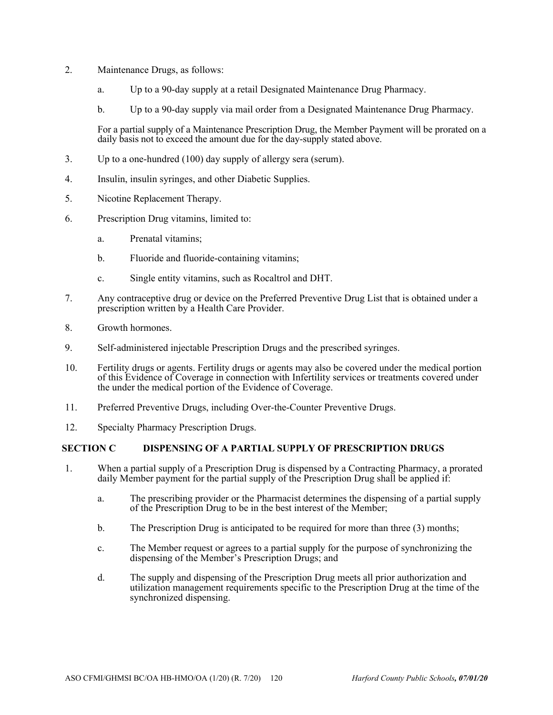- 2. Maintenance Drugs, as follows:
	- a. Up to a 90-day supply at a retail Designated Maintenance Drug Pharmacy.
	- b. Up to a 90-day supply via mail order from a Designated Maintenance Drug Pharmacy.

For a partial supply of a Maintenance Prescription Drug, the Member Payment will be prorated on a daily basis not to exceed the amount due for the day-supply stated above.

- 3. Up to a one-hundred (100) day supply of allergy sera (serum).
- 4. Insulin, insulin syringes, and other Diabetic Supplies.
- 5. Nicotine Replacement Therapy.
- 6. Prescription Drug vitamins, limited to:
	- a. Prenatal vitamins;
	- b. Fluoride and fluoride-containing vitamins;
	- c. Single entity vitamins, such as Rocaltrol and DHT.
- 7. Any contraceptive drug or device on the Preferred Preventive Drug List that is obtained under a prescription written by a Health Care Provider.
- 8. Growth hormones.
- 9. Self-administered injectable Prescription Drugs and the prescribed syringes.
- 10. Fertility drugs or agents. Fertility drugs or agents may also be covered under the medical portion of this Evidence of Coverage in connection with Infertility services or treatments covered under the under the medical portion of the Evidence of Coverage.
- 11. Preferred Preventive Drugs, including Over-the-Counter Preventive Drugs.
- 12. Specialty Pharmacy Prescription Drugs.

#### **SECTION C DISPENSING OF A PARTIAL SUPPLY OF PRESCRIPTION DRUGS**

- 1. When a partial supply of a Prescription Drug is dispensed by a Contracting Pharmacy, a prorated daily Member payment for the partial supply of the Prescription Drug shall be applied if:
	- a. The prescribing provider or the Pharmacist determines the dispensing of a partial supply of the Prescription Drug to be in the best interest of the Member;
	- b. The Prescription Drug is anticipated to be required for more than three (3) months;
	- c. The Member request or agrees to a partial supply for the purpose of synchronizing the dispensing of the Member's Prescription Drugs; and
	- d. The supply and dispensing of the Prescription Drug meets all prior authorization and utilization management requirements specific to the Prescription Drug at the time of the synchronized dispensing.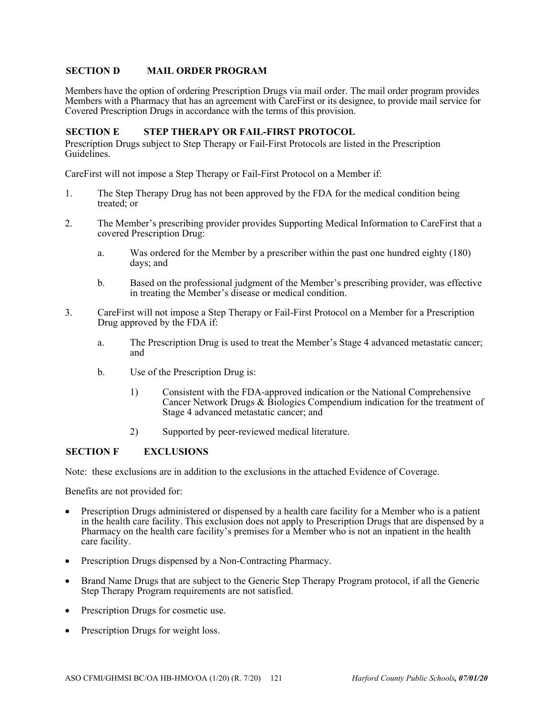# **SECTION D MAIL ORDER PROGRAM**

Members have the option of ordering Prescription Drugs via mail order. The mail order program provides Members with a Pharmacy that has an agreement with CareFirst or its designee, to provide mail service for Covered Prescription Drugs in accordance with the terms of this provision.

#### **SECTION E STEP THERAPY OR FAIL-FIRST PROTOCOL**

Prescription Drugs subject to Step Therapy or Fail-First Protocols are listed in the Prescription Guidelines.

CareFirst will not impose a Step Therapy or Fail-First Protocol on a Member if:

- 1. The Step Therapy Drug has not been approved by the FDA for the medical condition being treated; or
- 2. The Member's prescribing provider provides Supporting Medical Information to CareFirst that a covered Prescription Drug:
	- a. Was ordered for the Member by a prescriber within the past one hundred eighty (180) days; and
	- b. Based on the professional judgment of the Member's prescribing provider, was effective in treating the Member's disease or medical condition.
- 3. CareFirst will not impose a Step Therapy or Fail-First Protocol on a Member for a Prescription Drug approved by the FDA if:
	- a. The Prescription Drug is used to treat the Member's Stage 4 advanced metastatic cancer; and
	- b. Use of the Prescription Drug is:
		- 1) Consistent with the FDA-approved indication or the National Comprehensive Cancer Network Drugs & Biologics Compendium indication for the treatment of Stage 4 advanced metastatic cancer; and
		- 2) Supported by peer-reviewed medical literature.

#### **SECTION F EXCLUSIONS**

Note: these exclusions are in addition to the exclusions in the attached Evidence of Coverage.

Benefits are not provided for:

- Prescription Drugs administered or dispensed by a health care facility for a Member who is a patient in the health care facility. This exclusion does not apply to Prescription Drugs that are dispensed by a Pharmacy on the health care facility's premises for a Member who is not an inpatient in the health care facility.
- Prescription Drugs dispensed by a Non-Contracting Pharmacy.
- Brand Name Drugs that are subject to the Generic Step Therapy Program protocol, if all the Generic Step Therapy Program requirements are not satisfied.
- Prescription Drugs for cosmetic use.
- Prescription Drugs for weight loss.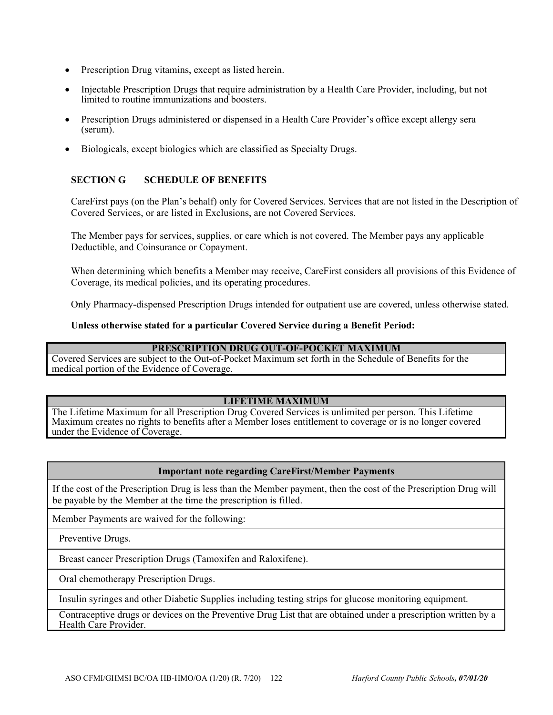- Prescription Drug vitamins, except as listed herein.
- Injectable Prescription Drugs that require administration by a Health Care Provider, including, but not limited to routine immunizations and boosters.
- Prescription Drugs administered or dispensed in a Health Care Provider's office except allergy sera (serum).
- Biologicals, except biologics which are classified as Specialty Drugs.

# **SECTION G SCHEDULE OF BENEFITS**

CareFirst pays (on the Plan's behalf) only for Covered Services. Services that are not listed in the Description of Covered Services, or are listed in Exclusions, are not Covered Services.

The Member pays for services, supplies, or care which is not covered. The Member pays any applicable Deductible, and Coinsurance or Copayment.

When determining which benefits a Member may receive, CareFirst considers all provisions of this Evidence of Coverage, its medical policies, and its operating procedures.

Only Pharmacy-dispensed Prescription Drugs intended for outpatient use are covered, unless otherwise stated.

#### **Unless otherwise stated for a particular Covered Service during a Benefit Period:**

#### **PRESCRIPTION DRUG OUT-OF-POCKET MAXIMUM**

Covered Services are subject to the Out-of-Pocket Maximum set forth in the Schedule of Benefits for the medical portion of the Evidence of Coverage.

#### **LIFETIME MAXIMUM**

The Lifetime Maximum for all Prescription Drug Covered Services is unlimited per person. This Lifetime Maximum creates no rights to benefits after a Member loses entitlement to coverage or is no longer covered under the Evidence of Coverage.

# **Important note regarding CareFirst/Member Payments**

If the cost of the Prescription Drug is less than the Member payment, then the cost of the Prescription Drug will be payable by the Member at the time the prescription is filled.

Member Payments are waived for the following:

Preventive Drugs.

Breast cancer Prescription Drugs (Tamoxifen and Raloxifene).

Oral chemotherapy Prescription Drugs.

Insulin syringes and other Diabetic Supplies including testing strips for glucose monitoring equipment.

Contraceptive drugs or devices on the Preventive Drug List that are obtained under a prescription written by a Health Care Provider.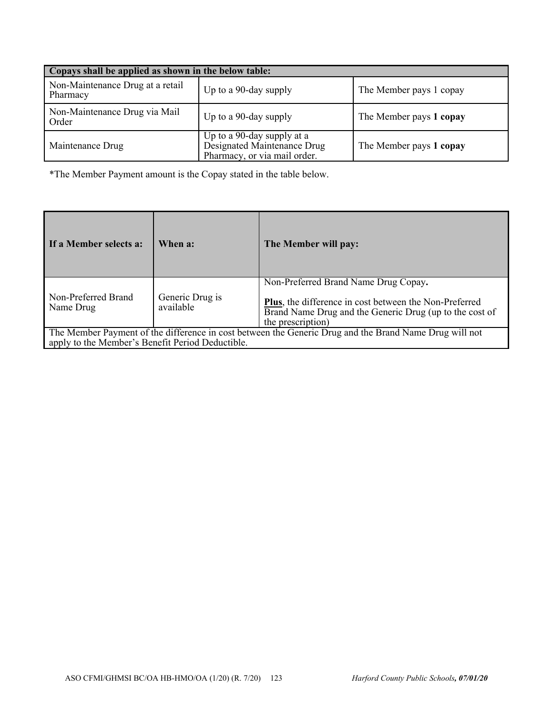| Copays shall be applied as shown in the below table: |                                                                                                                      |  |  |
|------------------------------------------------------|----------------------------------------------------------------------------------------------------------------------|--|--|
| Non-Maintenance Drug at a retail                     | Up to a 90-day supply                                                                                                |  |  |
| Pharmacy                                             | The Member pays 1 copay                                                                                              |  |  |
| Non-Maintenance Drug via Mail                        | Up to a 90-day supply                                                                                                |  |  |
| Order                                                | The Member pays 1 copay                                                                                              |  |  |
| Maintenance Drug                                     | Up to a 90-day supply at a<br>Designated Maintenance Drug<br>Pharmacy, or via mail order.<br>The Member pays 1 copay |  |  |

\*The Member Payment amount is the Copay stated in the table below.

| If a Member selects a:                                                                                                                                     | When a:                      | The Member will pay:                                                                                                                                                           |
|------------------------------------------------------------------------------------------------------------------------------------------------------------|------------------------------|--------------------------------------------------------------------------------------------------------------------------------------------------------------------------------|
| Non-Preferred Brand<br>Name Drug                                                                                                                           | Generic Drug is<br>available | Non-Preferred Brand Name Drug Copay.<br>Plus, the difference in cost between the Non-Preferred<br>Brand Name Drug and the Generic Drug (up to the cost of<br>the prescription) |
| The Member Payment of the difference in cost between the Generic Drug and the Brand Name Drug will not<br>apply to the Member's Benefit Period Deductible. |                              |                                                                                                                                                                                |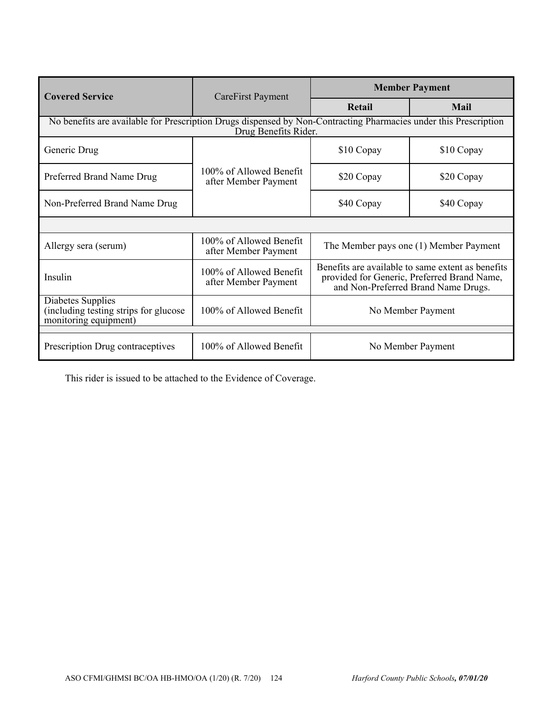| <b>Covered Service</b>                                                                                                                   | CareFirst Payment                               | <b>Member Payment</b>                                                                                                                   |             |
|------------------------------------------------------------------------------------------------------------------------------------------|-------------------------------------------------|-----------------------------------------------------------------------------------------------------------------------------------------|-------------|
|                                                                                                                                          |                                                 | Retail                                                                                                                                  | <b>Mail</b> |
| No benefits are available for Prescription Drugs dispensed by Non-Contracting Pharmacies under this Prescription<br>Drug Benefits Rider. |                                                 |                                                                                                                                         |             |
| Generic Drug                                                                                                                             |                                                 | \$10 Copay                                                                                                                              | \$10 Copay  |
| Preferred Brand Name Drug                                                                                                                | 100% of Allowed Benefit<br>after Member Payment | \$20 Copay                                                                                                                              | \$20 Copay  |
| Non-Preferred Brand Name Drug                                                                                                            |                                                 | \$40 Copay                                                                                                                              | \$40 Copay  |
|                                                                                                                                          |                                                 |                                                                                                                                         |             |
| Allergy sera (serum)                                                                                                                     | 100% of Allowed Benefit<br>after Member Payment | The Member pays one (1) Member Payment                                                                                                  |             |
| Insulin                                                                                                                                  | 100% of Allowed Benefit<br>after Member Payment | Benefits are available to same extent as benefits<br>provided for Generic, Preferred Brand Name,<br>and Non-Preferred Brand Name Drugs. |             |
| Diabetes Supplies<br>(including testing strips for glucose<br>monitoring equipment)                                                      | 100% of Allowed Benefit                         | No Member Payment                                                                                                                       |             |
| Prescription Drug contraceptives                                                                                                         | 100% of Allowed Benefit                         | No Member Payment                                                                                                                       |             |

This rider is issued to be attached to the Evidence of Coverage.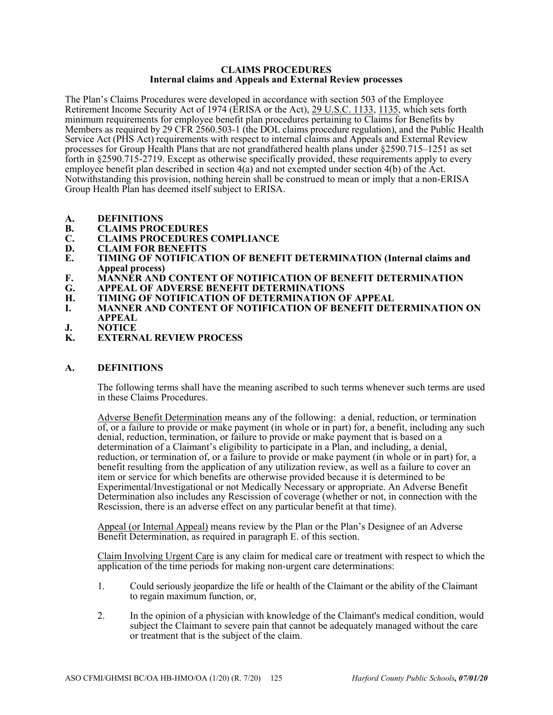#### **CLAIMS PROCEDURES Internal claims and Appeals and External Review processes**

The Plan's Claims Procedures were developed in accordance with section 503 of the Employee Retirement Income Security Act of 1974 (ERISA or the Act), 29 U.S.C. 1133, 1135, which sets forth minimum requirements for employee benefit plan procedures pertaining to Claims for Benefits by Members as required by 29 CFR 2560.503-1 (the DOL claims procedure regulation), and the Public Health Service Act (PHS Act) requirements with respect to internal claims and Appeals and External Review processes for Group Health Plans that are not grandfathered health plans under §2590.715–1251 as set forth in §2590.715-2719. Except as otherwise specifically provided, these requirements apply to every employee benefit plan described in section 4(a) and not exempted under section 4(b) of the Act. Notwithstanding this provision, nothing herein shall be construed to mean or imply that a non-ERISA Group Health Plan has deemed itself subject to ERISA.

- **A. DEFINITIONS**
- **B. CLAIMS PROCEDURES**
- **C. CLAIMS PROCEDURES COMPLIANCE**
- **D. CLAIM FOR BENEFITS**<br>**E. TIMING OF NOTIFICAT**
- **TIMING OF NOTIFICATION OF BENEFIT DETERMINATION (Internal claims and Appeal process)**
- **F. MANNER AND CONTENT OF NOTIFICATION OF BENEFIT DETERMINATION**
- **G. APPEAL OF ADVERSE BENEFIT DETERMINATIONS**
- **H. TIMING OF NOTIFICATION OF DETERMINATION OF APPEAL**
- **I. MANNER AND CONTENT OF NOTIFICATION OF BENEFIT DETERMINATION ON APPEAL**
- **J. NOTICE**<br>**K. EXTERN**
- **K. EXTERNAL REVIEW PROCESS**

#### **A. DEFINITIONS**

The following terms shall have the meaning ascribed to such terms whenever such terms are used in these Claims Procedures.

Adverse Benefit Determination means any of the following: a denial, reduction, or termination of, or a failure to provide or make payment (in whole or in part) for, a benefit, including any such denial, reduction, termination, or failure to provide or make payment that is based on a determination of a Claimant's eligibility to participate in a Plan, and including, a denial, reduction, or termination of, or a failure to provide or make payment (in whole or in part) for, a benefit resulting from the application of any utilization review, as well as a failure to cover an item or service for which benefits are otherwise provided because it is determined to be Experimental/Investigational or not Medically Necessary or appropriate. An Adverse Benefit Determination also includes any Rescission of coverage (whether or not, in connection with the Rescission, there is an adverse effect on any particular benefit at that time).

Appeal (or Internal Appeal) means review by the Plan or the Plan's Designee of an Adverse Benefit Determination, as required in paragraph E. of this section.

Claim Involving Urgent Care is any claim for medical care or treatment with respect to which the application of the time periods for making non-urgent care determinations:

- 1. Could seriously jeopardize the life or health of the Claimant or the ability of the Claimant to regain maximum function, or,
- 2. In the opinion of a physician with knowledge of the Claimant's medical condition, would subject the Claimant to severe pain that cannot be adequately managed without the care or treatment that is the subject of the claim.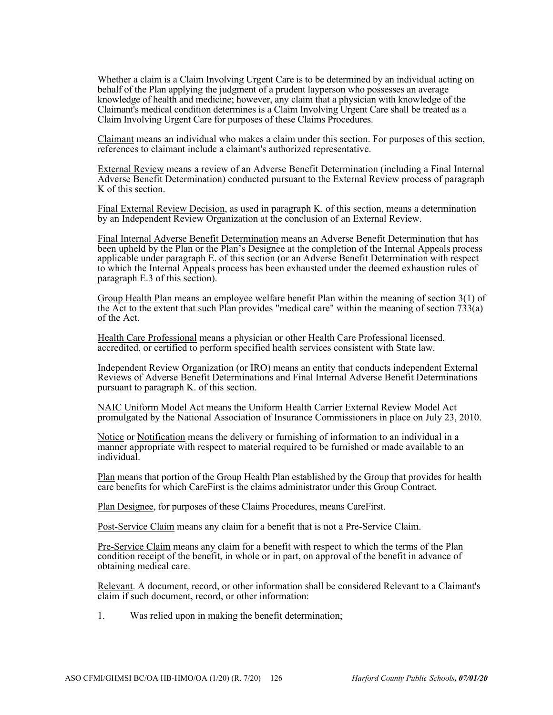Whether a claim is a Claim Involving Urgent Care is to be determined by an individual acting on behalf of the Plan applying the judgment of a prudent layperson who possesses an average knowledge of health and medicine; however, any claim that a physician with knowledge of the Claimant's medical condition determines is a Claim Involving Urgent Care shall be treated as a Claim Involving Urgent Care for purposes of these Claims Procedures.

Claimant means an individual who makes a claim under this section. For purposes of this section, references to claimant include a claimant's authorized representative.

External Review means a review of an Adverse Benefit Determination (including a Final Internal Adverse Benefit Determination) conducted pursuant to the External Review process of paragraph K of this section.

Final External Review Decision, as used in paragraph K. of this section, means a determination by an Independent Review Organization at the conclusion of an External Review.

Final Internal Adverse Benefit Determination means an Adverse Benefit Determination that has been upheld by the Plan or the Plan's Designee at the completion of the Internal Appeals process applicable under paragraph E. of this section (or an Adverse Benefit Determination with respect to which the Internal Appeals process has been exhausted under the deemed exhaustion rules of paragraph E.3 of this section).

Group Health Plan means an employee welfare benefit Plan within the meaning of section 3(1) of the Act to the extent that such Plan provides "medical care" within the meaning of section  $733(a)$ of the Act.

Health Care Professional means a physician or other Health Care Professional licensed, **accredited, or certified to perform specified health services consistent with State law.** 

Independent Review Organization (or IRO) means an entity that conducts independent External Reviews of Adverse Benefit Determinations and Final Internal Adverse Benefit Determinations pursuant to paragraph K. of this section.

NAIC Uniform Model Act means the Uniform Health Carrier External Review Model Act promulgated by the National Association of Insurance Commissioners in place on July 23, 2010.

Notice or Notification means the delivery or furnishing of information to an individual in a manner appropriate with respect to material required to be furnished or made available to an individual.

Plan means that portion of the Group Health Plan established by the Group that provides for health care benefits for which CareFirst is the claims administrator under this Group Contract.

Plan Designee, for purposes of these Claims Procedures, means CareFirst.

Post-Service Claim means any claim for a benefit that is not a Pre-Service Claim.

Pre-Service Claim means any claim for a benefit with respect to which the terms of the Plan condition receipt of the benefit, in whole or in part, on approval of the benefit in advance of obtaining medical care.

Relevant. A document, record, or other information shall be considered Relevant to a Claimant's claim if such document, record, or other information:

1. Was relied upon in making the benefit determination;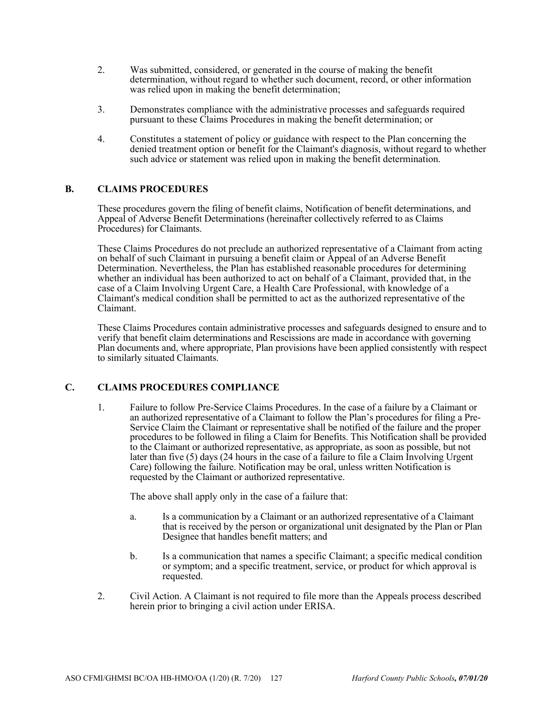- 2. Was submitted, considered, or generated in the course of making the benefit determination, without regard to whether such document, record, or other information was relied upon in making the benefit determination;
- 3. Demonstrates compliance with the administrative processes and safeguards required pursuant to these Claims Procedures in making the benefit determination; or
- 4. Constitutes a statement of policy or guidance with respect to the Plan concerning the denied treatment option or benefit for the Claimant's diagnosis, without regard to whether such advice or statement was relied upon in making the benefit determination.

# **B. CLAIMS PROCEDURES**

These procedures govern the filing of benefit claims, Notification of benefit determinations, and Appeal of Adverse Benefit Determinations (hereinafter collectively referred to as Claims Procedures) for Claimants.

These Claims Procedures do not preclude an authorized representative of a Claimant from acting on behalf of such Claimant in pursuing a benefit claim or Appeal of an Adverse Benefit Determination. Nevertheless, the Plan has established reasonable procedures for determining whether an individual has been authorized to act on behalf of a Claimant, provided that, in the case of a Claim Involving Urgent Care, a Health Care Professional, with knowledge of a Claimant's medical condition shall be permitted to act as the authorized representative of the Claimant.

These Claims Procedures contain administrative processes and safeguards designed to ensure and to verify that benefit claim determinations and Rescissions are made in accordance with governing Plan documents and, where appropriate, Plan provisions have been applied consistently with respect to similarly situated Claimants.

# **C. CLAIMS PROCEDURES COMPLIANCE**

1. Failure to follow Pre-Service Claims Procedures. In the case of a failure by a Claimant or an authorized representative of a Claimant to follow the Plan's procedures for filing a Pre-Service Claim the Claimant or representative shall be notified of the failure and the proper procedures to be followed in filing a Claim for Benefits. This Notification shall be provided to the Claimant or authorized representative, as appropriate, as soon as possible, but not later than five (5) days (24 hours in the case of a failure to file a Claim Involving Urgent Care) following the failure. Notification may be oral, unless written Notification is requested by the Claimant or authorized representative.

The above shall apply only in the case of a failure that:

- a. Is a communication by a Claimant or an authorized representative of a Claimant that is received by the person or organizational unit designated by the Plan or Plan Designee that handles benefit matters; and
- b. Is a communication that names a specific Claimant; a specific medical condition or symptom; and a specific treatment, service, or product for which approval is requested.
- 2. Civil Action. A Claimant is not required to file more than the Appeals process described herein prior to bringing a civil action under ERISA.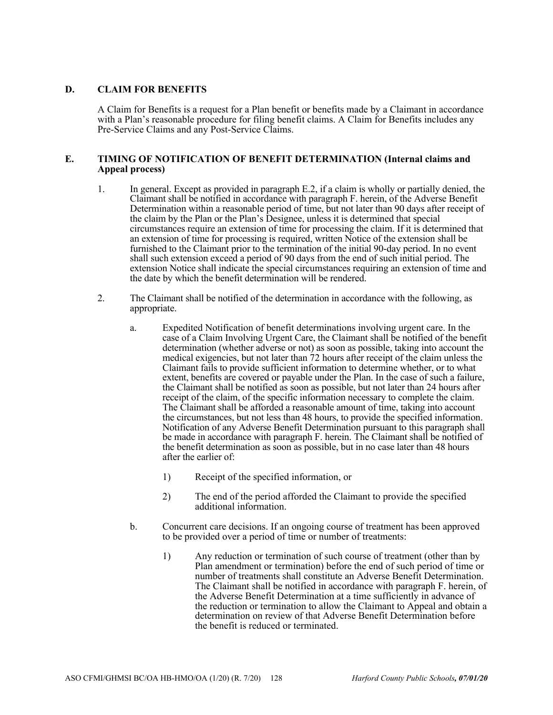# **D. CLAIM FOR BENEFITS**

A Claim for Benefits is a request for a Plan benefit or benefits made by a Claimant in accordance with a Plan's reasonable procedure for filing benefit claims. A Claim for Benefits includes any Pre-Service Claims and any Post-Service Claims.

#### **E. TIMING OF NOTIFICATION OF BENEFIT DETERMINATION (Internal claims and Appeal process)**

- 1. In general. Except as provided in paragraph E.2, if a claim is wholly or partially denied, the Claimant shall be notified in accordance with paragraph F. herein, of the Adverse Benefit Determination within a reasonable period of time, but not later than 90 days after receipt of the claim by the Plan or the Plan's Designee, unless it is determined that special circumstances require an extension of time for processing the claim. If it is determined that an extension of time for processing is required, written Notice of the extension shall be furnished to the Claimant prior to the termination of the initial 90-day period. In no event shall such extension exceed a period of 90 days from the end of such initial period. The extension Notice shall indicate the special circumstances requiring an extension of time and the date by which the benefit determination will be rendered.
- 2. The Claimant shall be notified of the determination in accordance with the following, as appropriate.
	- a. Expedited Notification of benefit determinations involving urgent care. In the case of a Claim Involving Urgent Care, the Claimant shall be notified of the benefit determination (whether adverse or not) as soon as possible, taking into account the medical exigencies, but not later than 72 hours after receipt of the claim unless the Claimant fails to provide sufficient information to determine whether, or to what extent, benefits are covered or payable under the Plan. In the case of such a failure, the Claimant shall be notified as soon as possible, but not later than 24 hours after receipt of the claim, of the specific information necessary to complete the claim. The Claimant shall be afforded a reasonable amount of time, taking into account the circumstances, but not less than 48 hours, to provide the specified information. Notification of any Adverse Benefit Determination pursuant to this paragraph shall be made in accordance with paragraph F. herein. The Claimant shall be notified of the benefit determination as soon as possible, but in no case later than 48 hours after the earlier of:
		- 1) Receipt of the specified information, or
		- 2) The end of the period afforded the Claimant to provide the specified additional information.
	- b. Concurrent care decisions. If an ongoing course of treatment has been approved to be provided over a period of time or number of treatments:
		- 1) Any reduction or termination of such course of treatment (other than by Plan amendment or termination) before the end of such period of time or number of treatments shall constitute an Adverse Benefit Determination. The Claimant shall be notified in accordance with paragraph F. herein, of the Adverse Benefit Determination at a time sufficiently in advance of the reduction or termination to allow the Claimant to Appeal and obtain a determination on review of that Adverse Benefit Determination before the benefit is reduced or terminated.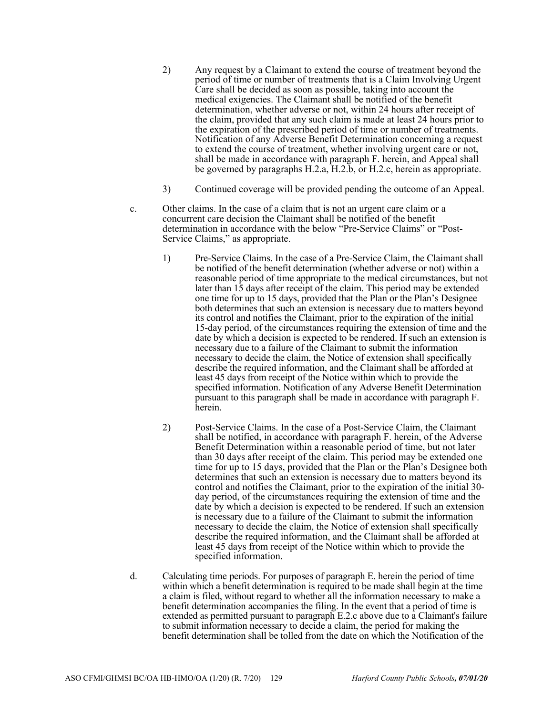- 2) Any request by a Claimant to extend the course of treatment beyond the period of time or number of treatments that is a Claim Involving Urgent Care shall be decided as soon as possible, taking into account the medical exigencies. The Claimant shall be notified of the benefit determination, whether adverse or not, within 24 hours after receipt of the claim, provided that any such claim is made at least 24 hours prior to the expiration of the prescribed period of time or number of treatments. Notification of any Adverse Benefit Determination concerning a request to extend the course of treatment, whether involving urgent care or not, shall be made in accordance with paragraph F. herein, and Appeal shall be governed by paragraphs H.2.a, H.2.b, or H.2.c, herein as appropriate.
- 3) Continued coverage will be provided pending the outcome of an Appeal.
- c. Other claims. In the case of a claim that is not an urgent care claim or a concurrent care decision the Claimant shall be notified of the benefit determination in accordance with the below "Pre-Service Claims" or "Post-Service Claims," as appropriate.
	- 1) Pre-Service Claims. In the case of a Pre-Service Claim, the Claimant shall be notified of the benefit determination (whether adverse or not) within a reasonable period of time appropriate to the medical circumstances, but not later than 15 days after receipt of the claim. This period may be extended one time for up to 15 days, provided that the Plan or the Plan's Designee both determines that such an extension is necessary due to matters beyond its control and notifies the Claimant, prior to the expiration of the initial 15-day period, of the circumstances requiring the extension of time and the date by which a decision is expected to be rendered. If such an extension is necessary due to a failure of the Claimant to submit the information necessary to decide the claim, the Notice of extension shall specifically describe the required information, and the Claimant shall be afforded at least 45 days from receipt of the Notice within which to provide the specified information. Notification of any Adverse Benefit Determination pursuant to this paragraph shall be made in accordance with paragraph F. herein.
	- 2) Post-Service Claims. In the case of a Post-Service Claim, the Claimant shall be notified, in accordance with paragraph F. herein, of the Adverse Benefit Determination within a reasonable period of time, but not later than 30 days after receipt of the claim. This period may be extended one time for up to 15 days, provided that the Plan or the Plan's Designee both determines that such an extension is necessary due to matters beyond its control and notifies the Claimant, prior to the expiration of the initial 30 day period, of the circumstances requiring the extension of time and the date by which a decision is expected to be rendered. If such an extension is necessary due to a failure of the Claimant to submit the information necessary to decide the claim, the Notice of extension shall specifically describe the required information, and the Claimant shall be afforded at least 45 days from receipt of the Notice within which to provide the specified information.
- d. Calculating time periods. For purposes of paragraph E. herein the period of time within which a benefit determination is required to be made shall begin at the time a claim is filed, without regard to whether all the information necessary to make a benefit determination accompanies the filing. In the event that a period of time is extended as permitted pursuant to paragraph E.2.c above due to a Claimant's failure to submit information necessary to decide a claim, the period for making the benefit determination shall be tolled from the date on which the Notification of the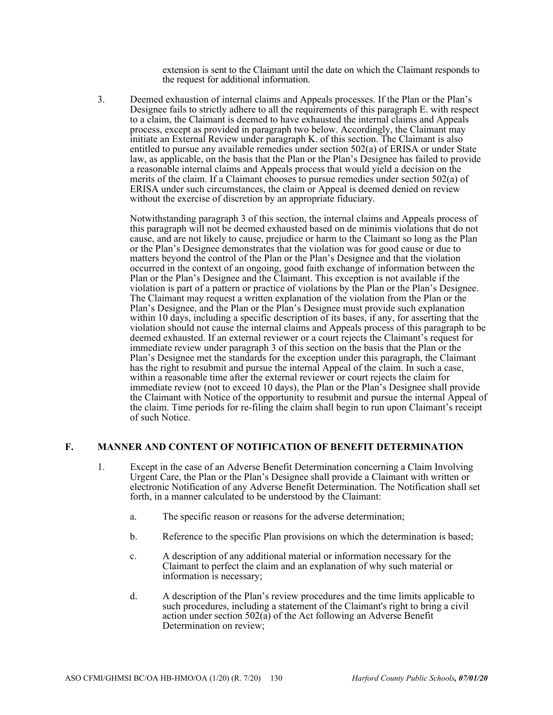extension is sent to the Claimant until the date on which the Claimant responds to the request for additional information.

3. Deemed exhaustion of internal claims and Appeals processes. If the Plan or the Plan's Designee fails to strictly adhere to all the requirements of this paragraph E. with respect to a claim, the Claimant is deemed to have exhausted the internal claims and Appeals process, except as provided in paragraph two below. Accordingly, the Claimant may initiate an External Review under paragraph K. of this section. The Claimant is also entitled to pursue any available remedies under section 502(a) of ERISA or under State law, as applicable, on the basis that the Plan or the Plan's Designee has failed to provide a reasonable internal claims and Appeals process that would yield a decision on the merits of the claim. If a Claimant chooses to pursue remedies under section 502(a) of ERISA under such circumstances, the claim or Appeal is deemed denied on review without the exercise of discretion by an appropriate fiduciary.

Notwithstanding paragraph 3 of this section, the internal claims and Appeals process of this paragraph will not be deemed exhausted based on de minimis violations that do not cause, and are not likely to cause, prejudice or harm to the Claimant so long as the Plan or the Plan's Designee demonstrates that the violation was for good cause or due to matters beyond the control of the Plan or the Plan's Designee and that the violation occurred in the context of an ongoing, good faith exchange of information between the Plan or the Plan's Designee and the Claimant. This exception is not available if the violation is part of a pattern or practice of violations by the Plan or the Plan's Designee. The Claimant may request a written explanation of the violation from the Plan or the Plan's Designee, and the Plan or the Plan's Designee must provide such explanation within 10 days, including a specific description of its bases, if any, for asserting that the violation should not cause the internal claims and Appeals process of this paragraph to be deemed exhausted. If an external reviewer or a court rejects the Claimant's request for immediate review under paragraph 3 of this section on the basis that the Plan or the Plan's Designee met the standards for the exception under this paragraph, the Claimant has the right to resubmit and pursue the internal Appeal of the claim. In such a case, within a reasonable time after the external reviewer or court rejects the claim for immediate review (not to exceed 10 days), the Plan or the Plan's Designee shall provide the Claimant with Notice of the opportunity to resubmit and pursue the internal Appeal of the claim. Time periods for re-filing the claim shall begin to run upon Claimant's receipt of such Notice.

# **F. MANNER AND CONTENT OF NOTIFICATION OF BENEFIT DETERMINATION**

- 1. Except in the case of an Adverse Benefit Determination concerning a Claim Involving Urgent Care, the Plan or the Plan's Designee shall provide a Claimant with written or electronic Notification of any Adverse Benefit Determination. The Notification shall set forth, in a manner calculated to be understood by the Claimant:
	- a. The specific reason or reasons for the adverse determination;
	- b. Reference to the specific Plan provisions on which the determination is based;
	- c. A description of any additional material or information necessary for the Claimant to perfect the claim and an explanation of why such material or information is necessary;
	- d. A description of the Plan's review procedures and the time limits applicable to such procedures, including a statement of the Claimant's right to bring a civil action under section  $502(a)$  of the Act following an Adverse Benefit Determination on review;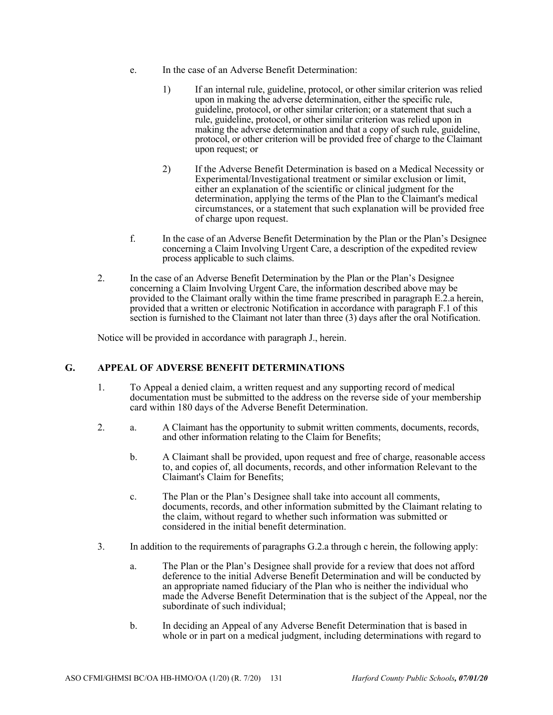- e. In the case of an Adverse Benefit Determination:
	- 1) If an internal rule, guideline, protocol, or other similar criterion was relied upon in making the adverse determination, either the specific rule, guideline, protocol, or other similar criterion; or a statement that such a rule, guideline, protocol, or other similar criterion was relied upon in making the adverse determination and that a copy of such rule, guideline, protocol, or other criterion will be provided free of charge to the Claimant upon request; or
	- 2) If the Adverse Benefit Determination is based on a Medical Necessity or Experimental/Investigational treatment or similar exclusion or limit, either an explanation of the scientific or clinical judgment for the determination, applying the terms of the Plan to the Claimant's medical circumstances, or a statement that such explanation will be provided free of charge upon request.
- f. In the case of an Adverse Benefit Determination by the Plan or the Plan's Designee concerning a Claim Involving Urgent Care, a description of the expedited review process applicable to such claims.
- 2. In the case of an Adverse Benefit Determination by the Plan or the Plan's Designee concerning a Claim Involving Urgent Care, the information described above may be provided to the Claimant orally within the time frame prescribed in paragraph E.2.a herein, provided that a written or electronic Notification in accordance with paragraph F.1 of this section is furnished to the Claimant not later than three (3) days after the oral Notification.

Notice will be provided in accordance with paragraph J., herein.

# **G. APPEAL OF ADVERSE BENEFIT DETERMINATIONS**

- 1. To Appeal a denied claim, a written request and any supporting record of medical documentation must be submitted to the address on the reverse side of your membership card within 180 days of the Adverse Benefit Determination.
- 2. a. A Claimant has the opportunity to submit written comments, documents, records, and other information relating to the Claim for Benefits;
	- b. A Claimant shall be provided, upon request and free of charge, reasonable access to, and copies of, all documents, records, and other information Relevant to the Claimant's Claim for Benefits;
	- c. The Plan or the Plan's Designee shall take into account all comments, documents, records, and other information submitted by the Claimant relating to the claim, without regard to whether such information was submitted or considered in the initial benefit determination.
- 3. In addition to the requirements of paragraphs G.2.a through c herein, the following apply:
	- a. The Plan or the Plan's Designee shall provide for a review that does not afford deference to the initial Adverse Benefit Determination and will be conducted by an appropriate named fiduciary of the Plan who is neither the individual who made the Adverse Benefit Determination that is the subject of the Appeal, nor the subordinate of such individual;
	- b. In deciding an Appeal of any Adverse Benefit Determination that is based in whole or in part on a medical judgment, including determinations with regard to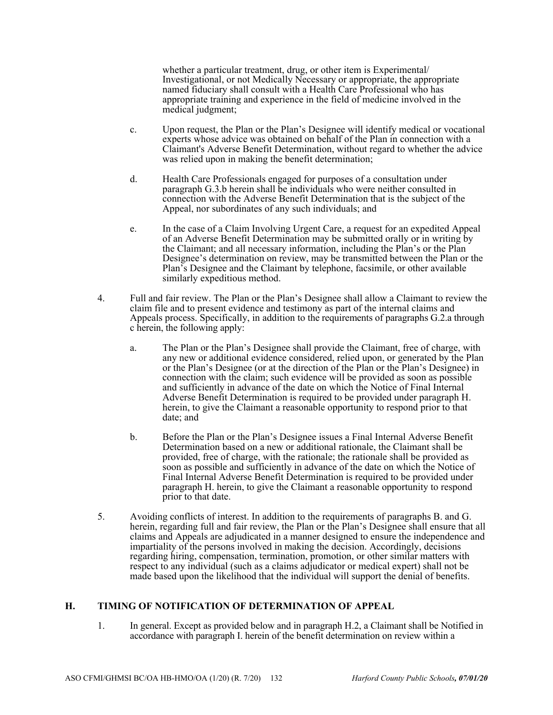whether a particular treatment, drug, or other item is Experimental/ Investigational, or not Medically Necessary or appropriate, the appropriate named fiduciary shall consult with a Health Care Professional who has appropriate training and experience in the field of medicine involved in the medical judgment;

- c. Upon request, the Plan or the Plan's Designee will identify medical or vocational experts whose advice was obtained on behalf of the Plan in connection with a Claimant's Adverse Benefit Determination, without regard to whether the advice was relied upon in making the benefit determination;
- d. Health Care Professionals engaged for purposes of a consultation under paragraph G.3.b herein shall be individuals who were neither consulted in connection with the Adverse Benefit Determination that is the subject of the Appeal, nor subordinates of any such individuals; and
- e. In the case of a Claim Involving Urgent Care, a request for an expedited Appeal of an Adverse Benefit Determination may be submitted orally or in writing by the Claimant; and all necessary information, including the Plan's or the Plan Designee's determination on review, may be transmitted between the Plan or the Plan's Designee and the Claimant by telephone, facsimile, or other available similarly expeditious method.
- 4. Full and fair review. The Plan or the Plan's Designee shall allow a Claimant to review the claim file and to present evidence and testimony as part of the internal claims and Appeals process. Specifically, in addition to the requirements of paragraphs G.2.a through c herein, the following apply:
	- a. The Plan or the Plan's Designee shall provide the Claimant, free of charge, with any new or additional evidence considered, relied upon, or generated by the Plan or the Plan's Designee (or at the direction of the Plan or the Plan's Designee) in connection with the claim; such evidence will be provided as soon as possible and sufficiently in advance of the date on which the Notice of Final Internal Adverse Benefit Determination is required to be provided under paragraph H. herein, to give the Claimant a reasonable opportunity to respond prior to that date; and
	- b. Before the Plan or the Plan's Designee issues a Final Internal Adverse Benefit Determination based on a new or additional rationale, the Claimant shall be provided, free of charge, with the rationale; the rationale shall be provided as soon as possible and sufficiently in advance of the date on which the Notice of Final Internal Adverse Benefit Determination is required to be provided under paragraph H. herein, to give the Claimant a reasonable opportunity to respond prior to that date.
- 5. Avoiding conflicts of interest. In addition to the requirements of paragraphs B. and G. herein, regarding full and fair review, the Plan or the Plan's Designee shall ensure that all claims and Appeals are adjudicated in a manner designed to ensure the independence and impartiality of the persons involved in making the decision. Accordingly, decisions regarding hiring, compensation, termination, promotion, or other similar matters with respect to any individual (such as a claims adjudicator or medical expert) shall not be made based upon the likelihood that the individual will support the denial of benefits.

# **H. TIMING OF NOTIFICATION OF DETERMINATION OF APPEAL**

1. In general. Except as provided below and in paragraph H.2, a Claimant shall be Notified in accordance with paragraph I. herein of the benefit determination on review within a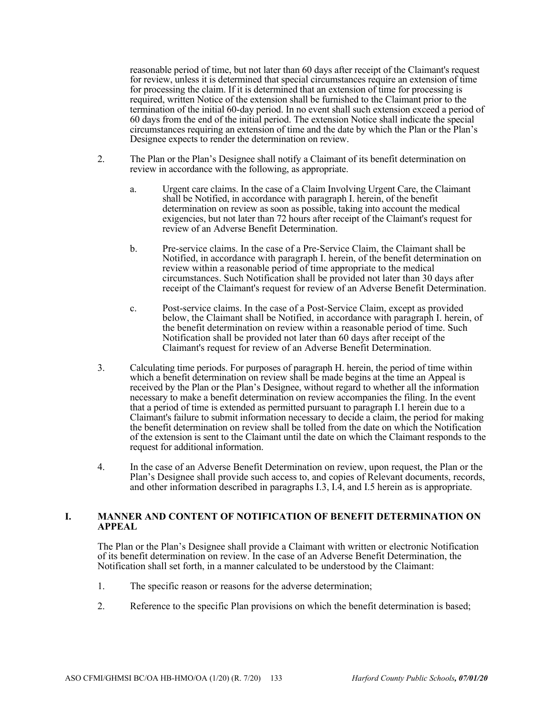reasonable period of time, but not later than 60 days after receipt of the Claimant's request for review, unless it is determined that special circumstances require an extension of time for processing the claim. If it is determined that an extension of time for processing is required, written Notice of the extension shall be furnished to the Claimant prior to the termination of the initial 60-day period. In no event shall such extension exceed a period of 60 days from the end of the initial period. The extension Notice shall indicate the special circumstances requiring an extension of time and the date by which the Plan or the Plan's Designee expects to render the determination on review.

- 2. The Plan or the Plan's Designee shall notify a Claimant of its benefit determination on review in accordance with the following, as appropriate.
	- a. Urgent care claims. In the case of a Claim Involving Urgent Care, the Claimant shall be Notified, in accordance with paragraph I. herein, of the benefit determination on review as soon as possible, taking into account the medical exigencies, but not later than 72 hours after receipt of the Claimant's request for review of an Adverse Benefit Determination.
	- b. Pre-service claims. In the case of a Pre-Service Claim, the Claimant shall be Notified, in accordance with paragraph I. herein, of the benefit determination on review within a reasonable period of time appropriate to the medical circumstances. Such Notification shall be provided not later than 30 days after receipt of the Claimant's request for review of an Adverse Benefit Determination.
	- c. Post-service claims. In the case of a Post-Service Claim, except as provided below, the Claimant shall be Notified, in accordance with paragraph I. herein, of the benefit determination on review within a reasonable period of time. Such Notification shall be provided not later than 60 days after receipt of the Claimant's request for review of an Adverse Benefit Determination.
- 3. Calculating time periods. For purposes of paragraph H. herein, the period of time within which a benefit determination on review shall be made begins at the time an Appeal is received by the Plan or the Plan's Designee, without regard to whether all the information necessary to make a benefit determination on review accompanies the filing. In the event that a period of time is extended as permitted pursuant to paragraph I.1 herein due to a Claimant's failure to submit information necessary to decide a claim, the period for making the benefit determination on review shall be tolled from the date on which the Notification of the extension is sent to the Claimant until the date on which the Claimant responds to the request for additional information.
- 4. In the case of an Adverse Benefit Determination on review, upon request, the Plan or the Plan's Designee shall provide such access to, and copies of Relevant documents, records, and other information described in paragraphs I.3, I.4, and I.5 herein as is appropriate.

#### **I. MANNER AND CONTENT OF NOTIFICATION OF BENEFIT DETERMINATION ON APPEAL**

The Plan or the Plan's Designee shall provide a Claimant with written or electronic Notification of its benefit determination on review. In the case of an Adverse Benefit Determination, the Notification shall set forth, in a manner calculated to be understood by the Claimant:

- 1. The specific reason or reasons for the adverse determination;
- 2. Reference to the specific Plan provisions on which the benefit determination is based;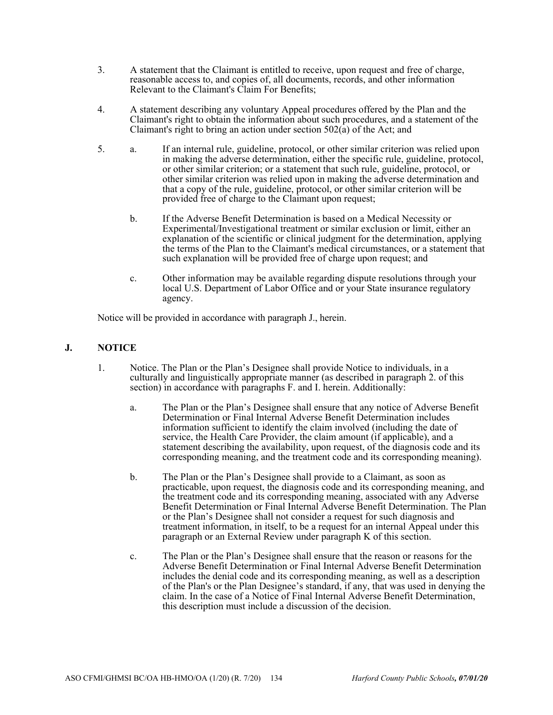- 3. A statement that the Claimant is entitled to receive, upon request and free of charge, reasonable access to, and copies of, all documents, records, and other information Relevant to the Claimant's Claim For Benefits;
- 4. A statement describing any voluntary Appeal procedures offered by the Plan and the Claimant's right to obtain the information about such procedures, and a statement of the Claimant's right to bring an action under section  $502(a)$  of the Act; and
- 5. a. If an internal rule, guideline, protocol, or other similar criterion was relied upon in making the adverse determination, either the specific rule, guideline, protocol, or other similar criterion; or a statement that such rule, guideline, protocol, or other similar criterion was relied upon in making the adverse determination and that a copy of the rule, guideline, protocol, or other similar criterion will be provided free of charge to the Claimant upon request;
	- b. If the Adverse Benefit Determination is based on a Medical Necessity or Experimental/Investigational treatment or similar exclusion or limit, either an explanation of the scientific or clinical judgment for the determination, applying the terms of the Plan to the Claimant's medical circumstances, or a statement that such explanation will be provided free of charge upon request; and
	- c. Other information may be available regarding dispute resolutions through your local U.S. Department of Labor Office and or your State insurance regulatory agency.

Notice will be provided in accordance with paragraph J., herein.

# **J. NOTICE**

- 1. Notice. The Plan or the Plan's Designee shall provide Notice to individuals, in a culturally and linguistically appropriate manner (as described in paragraph 2. of this section) in accordance with paragraphs F. and I. herein. Additionally:
	- a. The Plan or the Plan's Designee shall ensure that any notice of Adverse Benefit Determination or Final Internal Adverse Benefit Determination includes information sufficient to identify the claim involved (including the date of service, the Health Care Provider, the claim amount (if applicable), and a statement describing the availability, upon request, of the diagnosis code and its corresponding meaning, and the treatment code and its corresponding meaning).
	- b. The Plan or the Plan's Designee shall provide to a Claimant, as soon as practicable, upon request, the diagnosis code and its corresponding meaning, and the treatment code and its corresponding meaning, associated with any Adverse Benefit Determination or Final Internal Adverse Benefit Determination. The Plan or the Plan's Designee shall not consider a request for such diagnosis and treatment information, in itself, to be a request for an internal Appeal under this paragraph or an External Review under paragraph K of this section.
	- c. The Plan or the Plan's Designee shall ensure that the reason or reasons for the Adverse Benefit Determination or Final Internal Adverse Benefit Determination includes the denial code and its corresponding meaning, as well as a description of the Plan's or the Plan Designee's standard, if any, that was used in denying the claim. In the case of a Notice of Final Internal Adverse Benefit Determination, this description must include a discussion of the decision.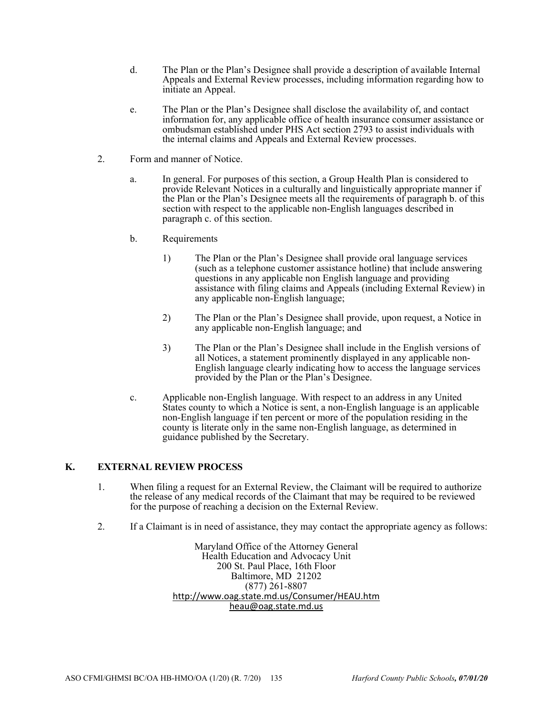- d. The Plan or the Plan's Designee shall provide a description of available Internal Appeals and External Review processes, including information regarding how to initiate an Appeal.
- e. The Plan or the Plan's Designee shall disclose the availability of, and contact information for, any applicable office of health insurance consumer assistance or ombudsman established under PHS Act section 2793 to assist individuals with the internal claims and Appeals and External Review processes.
- 2. Form and manner of Notice.
	- a. In general. For purposes of this section, a Group Health Plan is considered to provide Relevant Notices in a culturally and linguistically appropriate manner if the Plan or the Plan's Designee meets all the requirements of paragraph b. of this section with respect to the applicable non-English languages described in paragraph c. of this section.
	- b. Requirements
		- 1) The Plan or the Plan's Designee shall provide oral language services (such as a telephone customer assistance hotline) that include answering questions in any applicable non English language and providing assistance with filing claims and Appeals (including External Review) in any applicable non-English language;
		- 2) The Plan or the Plan's Designee shall provide, upon request, a Notice in any applicable non-English language; and
		- 3) The Plan or the Plan's Designee shall include in the English versions of all Notices, a statement prominently displayed in any applicable non-English language clearly indicating how to access the language services provided by the Plan or the Plan's Designee.
	- c. Applicable non-English language. With respect to an address in any United States county to which a Notice is sent, a non-English language is an applicable non-English language if ten percent or more of the population residing in the county is literate only in the same non-English language, as determined in guidance published by the Secretary.

# **K. EXTERNAL REVIEW PROCESS**

- 1. When filing a request for an External Review, the Claimant will be required to authorize the release of any medical records of the Claimant that may be required to be reviewed for the purpose of reaching a decision on the External Review.
- 2. If a Claimant is in need of assistance, they may contact the appropriate agency as follows:

Maryland Office of the Attorney General Health Education and Advocacy Unit 200 St. Paul Place, 16th Floor Baltimore, MD 21202 (877) 261-8807 http://www.oag.state.md.us/Consumer/HEAU.htm heau@oag.state.md.us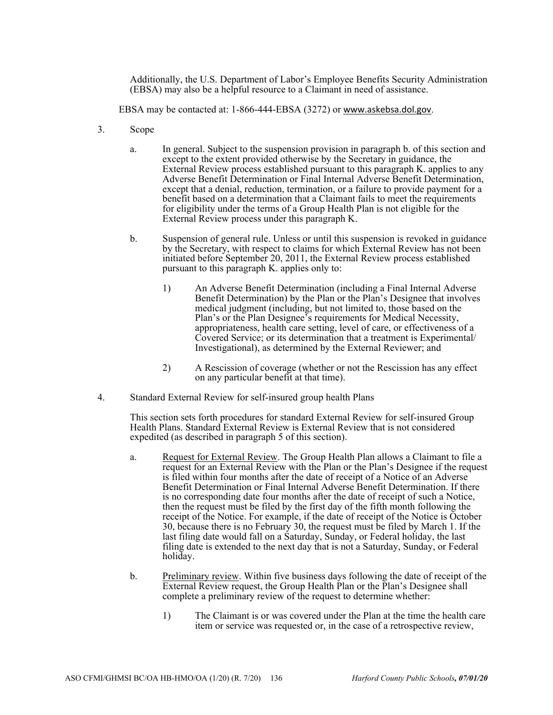Additionally, the U.S. Department of Labor's Employee Benefits Security Administration (EBSA) may also be a helpful resource to a Claimant in need of assistance.

EBSA may be contacted at: 1-866-444-EBSA (3272) or www.askebsa.dol.gov.

- 3. Scope
	- a. In general. Subject to the suspension provision in paragraph b. of this section and except to the extent provided otherwise by the Secretary in guidance, the External Review process established pursuant to this paragraph K. applies to any Adverse Benefit Determination or Final Internal Adverse Benefit Determination, except that a denial, reduction, termination, or a failure to provide payment for a benefit based on a determination that a Claimant fails to meet the requirements for eligibility under the terms of a Group Health Plan is not eligible for the External Review process under this paragraph K.
	- b. Suspension of general rule. Unless or until this suspension is revoked in guidance by the Secretary, with respect to claims for which External Review has not been initiated before September 20, 2011, the External Review process established pursuant to this paragraph K. applies only to:
		- 1) An Adverse Benefit Determination (including a Final Internal Adverse Benefit Determination) by the Plan or the Plan's Designee that involves medical judgment (including, but not limited to, those based on the Plan's or the Plan Designee's requirements for Medical Necessity, appropriateness, health care setting, level of care, or effectiveness of a Covered Service; or its determination that a treatment is Experimental/ Investigational), as determined by the External Reviewer; and
		- 2) A Rescission of coverage (whether or not the Rescission has any effect on any particular benefit at that time).
- 4. Standard External Review for self-insured group health Plans

This section sets forth procedures for standard External Review for self-insured Group Health Plans. Standard External Review is External Review that is not considered expedited (as described in paragraph 5 of this section).

- a. Request for External Review. The Group Health Plan allows a Claimant to file a request for an External Review with the Plan or the Plan's Designee if the request is filed within four months after the date of receipt of a Notice of an Adverse Benefit Determination or Final Internal Adverse Benefit Determination. If there is no corresponding date four months after the date of receipt of such a Notice, then the request must be filed by the first day of the fifth month following the receipt of the Notice. For example, if the date of receipt of the Notice is October 30, because there is no February 30, the request must be filed by March 1. If the last filing date would fall on a Saturday, Sunday, or Federal holiday, the last filing date is extended to the next day that is not a Saturday, Sunday, or Federal holiday.
- b. Preliminary review. Within five business days following the date of receipt of the External Review request, the Group Health Plan or the Plan's Designee shall complete a preliminary review of the request to determine whether:
	- 1) The Claimant is or was covered under the Plan at the time the health care item or service was requested or, in the case of a retrospective review,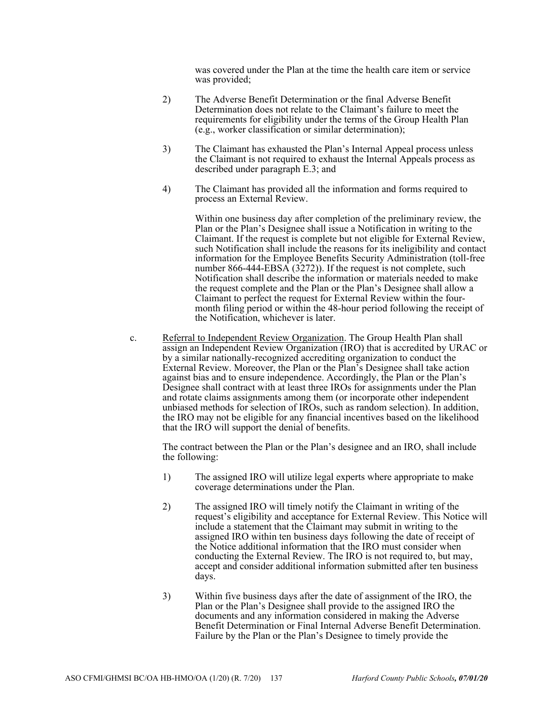was covered under the Plan at the time the health care item or service was provided;

- 2) The Adverse Benefit Determination or the final Adverse Benefit Determination does not relate to the Claimant's failure to meet the requirements for eligibility under the terms of the Group Health Plan (e.g., worker classification or similar determination);
- 3) The Claimant has exhausted the Plan's Internal Appeal process unless the Claimant is not required to exhaust the Internal Appeals process as described under paragraph E.3; and
- 4) The Claimant has provided all the information and forms required to process an External Review.

Within one business day after completion of the preliminary review, the Plan or the Plan's Designee shall issue a Notification in writing to the Claimant. If the request is complete but not eligible for External Review, such Notification shall include the reasons for its ineligibility and contact information for the Employee Benefits Security Administration (toll-free number 866-444-EBS $\vec{A}$  (3272)). If the request is not complete, such Notification shall describe the information or materials needed to make the request complete and the Plan or the Plan's Designee shall allow a Claimant to perfect the request for External Review within the fourmonth filing period or within the 48-hour period following the receipt of the Notification, whichever is later.

c. Referral to Independent Review Organization. The Group Health Plan shall assign an Independent Review Organization (IRO) that is accredited by URAC or by a similar nationally-recognized accrediting organization to conduct the External Review. Moreover, the Plan or the Plan's Designee shall take action against bias and to ensure independence. Accordingly, the Plan or the Plan's Designee shall contract with at least three IROs for assignments under the Plan and rotate claims assignments among them (or incorporate other independent unbiased methods for selection of IROs, such as random selection). In addition, the IRO may not be eligible for any financial incentives based on the likelihood that the IRO will support the denial of benefits.

The contract between the Plan or the Plan's designee and an IRO, shall include the following:

- 1) The assigned IRO will utilize legal experts where appropriate to make coverage determinations under the Plan.
- 2) The assigned IRO will timely notify the Claimant in writing of the request's eligibility and acceptance for External Review. This Notice will include a statement that the Claimant may submit in writing to the assigned IRO within ten business days following the date of receipt of the Notice additional information that the IRO must consider when conducting the External Review. The IRO is not required to, but may, accept and consider additional information submitted after ten business days.
- 3) Within five business days after the date of assignment of the IRO, the Plan or the Plan's Designee shall provide to the assigned IRO the documents and any information considered in making the Adverse Benefit Determination or Final Internal Adverse Benefit Determination. Failure by the Plan or the Plan's Designee to timely provide the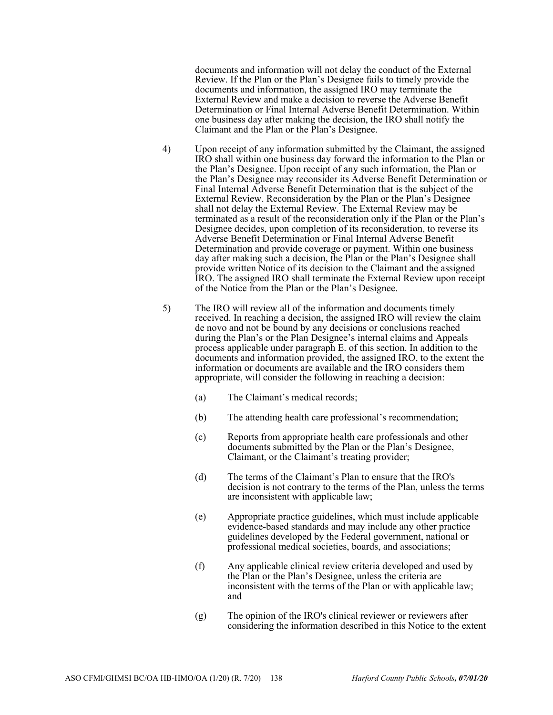documents and information will not delay the conduct of the External Review. If the Plan or the Plan's Designee fails to timely provide the documents and information, the assigned IRO may terminate the External Review and make a decision to reverse the Adverse Benefit Determination or Final Internal Adverse Benefit Determination. Within one business day after making the decision, the IRO shall notify the Claimant and the Plan or the Plan's Designee.

- 4) Upon receipt of any information submitted by the Claimant, the assigned IRO shall within one business day forward the information to the Plan or the Plan's Designee. Upon receipt of any such information, the Plan or the Plan's Designee may reconsider its Adverse Benefit Determination or Final Internal Adverse Benefit Determination that is the subject of the External Review. Reconsideration by the Plan or the Plan's Designee shall not delay the External Review. The External Review may be terminated as a result of the reconsideration only if the Plan or the Plan's Designee decides, upon completion of its reconsideration, to reverse its Adverse Benefit Determination or Final Internal Adverse Benefit Determination and provide coverage or payment. Within one business day after making such a decision, the Plan or the Plan's Designee shall provide written Notice of its decision to the Claimant and the assigned IRO. The assigned IRO shall terminate the External Review upon receipt of the Notice from the Plan or the Plan's Designee.
- 5) The IRO will review all of the information and documents timely received. In reaching a decision, the assigned IRO will review the claim de novo and not be bound by any decisions or conclusions reached during the Plan's or the Plan Designee's internal claims and Appeals process applicable under paragraph E. of this section. In addition to the documents and information provided, the assigned IRO, to the extent the information or documents are available and the IRO considers them appropriate, will consider the following in reaching a decision:
	- (a) The Claimant's medical records;
	- (b) The attending health care professional's recommendation;
	- (c) Reports from appropriate health care professionals and other documents submitted by the Plan or the Plan's Designee, Claimant, or the Claimant's treating provider;
	- (d) The terms of the Claimant's Plan to ensure that the IRO's decision is not contrary to the terms of the Plan, unless the terms are inconsistent with applicable law;
	- (e) Appropriate practice guidelines, which must include applicable evidence-based standards and may include any other practice guidelines developed by the Federal government, national or professional medical societies, boards, and associations;
	- (f) Any applicable clinical review criteria developed and used by the Plan or the Plan's Designee, unless the criteria are inconsistent with the terms of the Plan or with applicable law; and
	- (g) The opinion of the IRO's clinical reviewer or reviewers after considering the information described in this Notice to the extent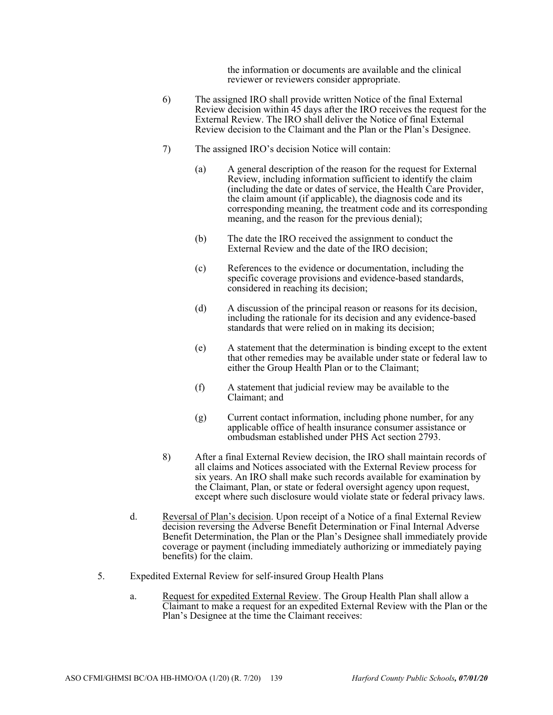the information or documents are available and the clinical reviewer or reviewers consider appropriate.

- 6) The assigned IRO shall provide written Notice of the final External Review decision within 45 days after the IRO receives the request for the External Review. The IRO shall deliver the Notice of final External Review decision to the Claimant and the Plan or the Plan's Designee.
- 7) The assigned IRO's decision Notice will contain:
	- (a) A general description of the reason for the request for External Review, including information sufficient to identify the claim (including the date or dates of service, the Health Care Provider, the claim amount (if applicable), the diagnosis code and its corresponding meaning, the treatment code and its corresponding meaning, and the reason for the previous denial);
	- (b) The date the IRO received the assignment to conduct the External Review and the date of the IRO decision;
	- (c) References to the evidence or documentation, including the specific coverage provisions and evidence-based standards, considered in reaching its decision;
	- (d) A discussion of the principal reason or reasons for its decision, including the rationale for its decision and any evidence-based standards that were relied on in making its decision;
	- (e) A statement that the determination is binding except to the extent that other remedies may be available under state or federal law to either the Group Health Plan or to the Claimant;
	- (f) A statement that judicial review may be available to the Claimant; and
	- (g) Current contact information, including phone number, for any applicable office of health insurance consumer assistance or ombudsman established under PHS Act section 2793.
- 8) After a final External Review decision, the IRO shall maintain records of all claims and Notices associated with the External Review process for six years. An IRO shall make such records available for examination by the Claimant, Plan, or state or federal oversight agency upon request, except where such disclosure would violate state or federal privacy laws.
- d. Reversal of Plan's decision. Upon receipt of a Notice of a final External Review decision reversing the Adverse Benefit Determination or Final Internal Adverse Benefit Determination, the Plan or the Plan's Designee shall immediately provide coverage or payment (including immediately authorizing or immediately paying benefits) for the claim.
- 5. Expedited External Review for self-insured Group Health Plans
	- a. Request for expedited External Review. The Group Health Plan shall allow a Claimant to make a request for an expedited External Review with the Plan or the Plan's Designee at the time the Claimant receives: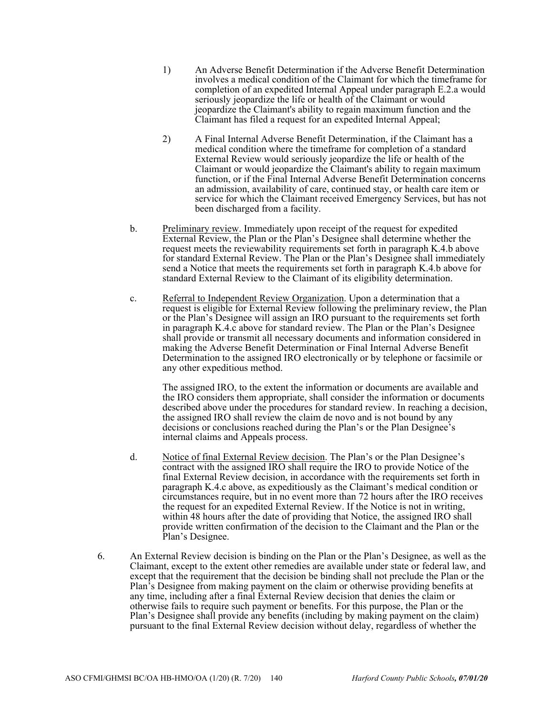- 1) An Adverse Benefit Determination if the Adverse Benefit Determination involves a medical condition of the Claimant for which the timeframe for completion of an expedited Internal Appeal under paragraph E.2.a would seriously jeopardize the life or health of the Claimant or would jeopardize the Claimant's ability to regain maximum function and the Claimant has filed a request for an expedited Internal Appeal;
- 2) A Final Internal Adverse Benefit Determination, if the Claimant has a medical condition where the timeframe for completion of a standard External Review would seriously jeopardize the life or health of the Claimant or would jeopardize the Claimant's ability to regain maximum function, or if the Final Internal Adverse Benefit Determination concerns an admission, availability of care, continued stay, or health care item or service for which the Claimant received Emergency Services, but has not been discharged from a facility.
- b. Preliminary review. Immediately upon receipt of the request for expedited External Review, the Plan or the Plan's Designee shall determine whether the request meets the reviewability requirements set forth in paragraph K.4.b above for standard External Review. The Plan or the Plan's Designee shall immediately send a Notice that meets the requirements set forth in paragraph K.4.b above for standard External Review to the Claimant of its eligibility determination.
- c. Referral to Independent Review Organization. Upon a determination that a request is eligible for External Review following the preliminary review, the Plan or the Plan's Designee will assign an IRO pursuant to the requirements set forth in paragraph K.4.c above for standard review. The Plan or the Plan's Designee shall provide or transmit all necessary documents and information considered in making the Adverse Benefit Determination or Final Internal Adverse Benefit Determination to the assigned IRO electronically or by telephone or facsimile or any other expeditious method.

The assigned IRO, to the extent the information or documents are available and the IRO considers them appropriate, shall consider the information or documents described above under the procedures for standard review. In reaching a decision, the assigned IRO shall review the claim de novo and is not bound by any decisions or conclusions reached during the Plan's or the Plan Designee's internal claims and Appeals process.

- d. Notice of final External Review decision. The Plan's or the Plan Designee's contract with the assigned IRO shall require the IRO to provide Notice of the final External Review decision, in accordance with the requirements set forth in paragraph K.4.c above, as expeditiously as the Claimant's medical condition or circumstances require, but in no event more than 72 hours after the IRO receives the request for an expedited External Review. If the Notice is not in writing, within 48 hours after the date of providing that Notice, the assigned IRO shall provide written confirmation of the decision to the Claimant and the Plan or the Plan's Designee.
- 6. An External Review decision is binding on the Plan or the Plan's Designee, as well as the Claimant, except to the extent other remedies are available under state or federal law, and except that the requirement that the decision be binding shall not preclude the Plan or the Plan's Designee from making payment on the claim or otherwise providing benefits at any time, including after a final External Review decision that denies the claim or otherwise fails to require such payment or benefits. For this purpose, the Plan or the Plan's Designee shall provide any benefits (including by making payment on the claim) pursuant to the final External Review decision without delay, regardless of whether the